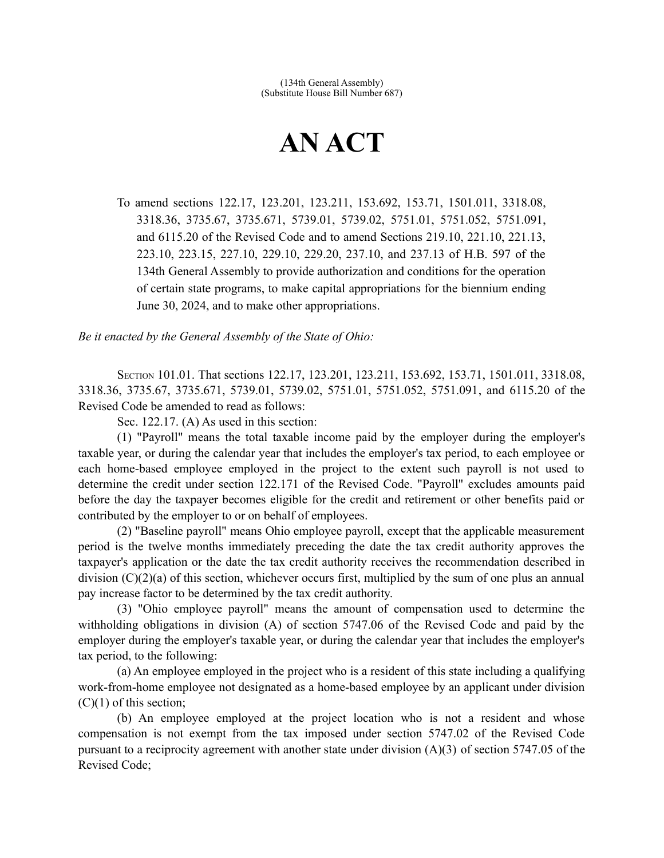## **AN ACT**

To amend sections 122.17, 123.201, 123.211, 153.692, 153.71, 1501.011, 3318.08, 3318.36, 3735.67, 3735.671, 5739.01, 5739.02, 5751.01, 5751.052, 5751.091, and 6115.20 of the Revised Code and to amend Sections 219.10, 221.10, 221.13, 223.10, 223.15, 227.10, 229.10, 229.20, 237.10, and 237.13 of H.B. 597 of the 134th General Assembly to provide authorization and conditions for the operation of certain state programs, to make capital appropriations for the biennium ending June 30, 2024, and to make other appropriations.

*Be it enacted by the General Assembly of the State of Ohio:*

SECTION 101.01. That sections 122.17, 123.201, 123.211, 153.692, 153.71, 1501.011, 3318.08, 3318.36, 3735.67, 3735.671, 5739.01, 5739.02, 5751.01, 5751.052, 5751.091, and 6115.20 of the Revised Code be amended to read as follows:

Sec. 122.17. (A) As used in this section:

(1) "Payroll" means the total taxable income paid by the employer during the employer's taxable year, or during the calendar year that includes the employer's tax period, to each employee or each home-based employee employed in the project to the extent such payroll is not used to determine the credit under section 122.171 of the Revised Code. "Payroll" excludes amounts paid before the day the taxpayer becomes eligible for the credit and retirement or other benefits paid or contributed by the employer to or on behalf of employees.

(2) "Baseline payroll" means Ohio employee payroll, except that the applicable measurement period is the twelve months immediately preceding the date the tax credit authority approves the taxpayer's application or the date the tax credit authority receives the recommendation described in division (C)(2)(a) of this section, whichever occurs first, multiplied by the sum of one plus an annual pay increase factor to be determined by the tax credit authority.

(3) "Ohio employee payroll" means the amount of compensation used to determine the withholding obligations in division (A) of section 5747.06 of the Revised Code and paid by the employer during the employer's taxable year, or during the calendar year that includes the employer's tax period, to the following:

(a) An employee employed in the project who is a resident of this state including a qualifying work-from-home employee not designated as a home-based employee by an applicant under division  $(C)(1)$  of this section;

(b) An employee employed at the project location who is not a resident and whose compensation is not exempt from the tax imposed under section 5747.02 of the Revised Code pursuant to a reciprocity agreement with another state under division (A)(3) of section 5747.05 of the Revised Code;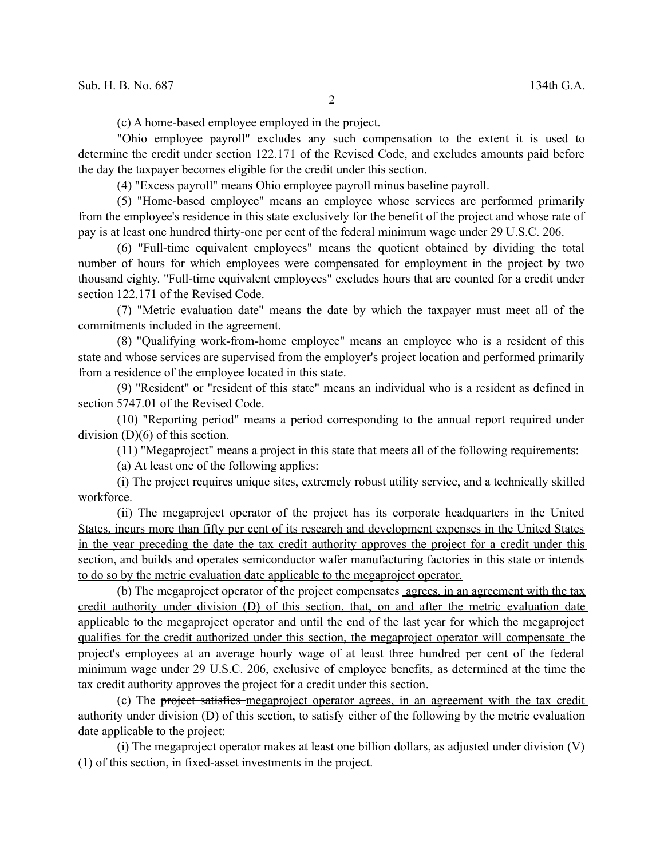(c) A home-based employee employed in the project.

"Ohio employee payroll" excludes any such compensation to the extent it is used to determine the credit under section 122.171 of the Revised Code, and excludes amounts paid before the day the taxpayer becomes eligible for the credit under this section.

(4) "Excess payroll" means Ohio employee payroll minus baseline payroll.

(5) "Home-based employee" means an employee whose services are performed primarily from the employee's residence in this state exclusively for the benefit of the project and whose rate of pay is at least one hundred thirty-one per cent of the federal minimum wage under 29 U.S.C. 206.

(6) "Full-time equivalent employees" means the quotient obtained by dividing the total number of hours for which employees were compensated for employment in the project by two thousand eighty. "Full-time equivalent employees" excludes hours that are counted for a credit under section 122.171 of the Revised Code.

(7) "Metric evaluation date" means the date by which the taxpayer must meet all of the commitments included in the agreement.

(8) "Qualifying work-from-home employee" means an employee who is a resident of this state and whose services are supervised from the employer's project location and performed primarily from a residence of the employee located in this state.

(9) "Resident" or "resident of this state" means an individual who is a resident as defined in section 5747.01 of the Revised Code.

(10) "Reporting period" means a period corresponding to the annual report required under division (D)(6) of this section.

(11) "Megaproject" means a project in this state that meets all of the following requirements:

(a) At least one of the following applies:

(i) The project requires unique sites, extremely robust utility service, and a technically skilled workforce.

(ii) The megaproject operator of the project has its corporate headquarters in the United States, incurs more than fifty per cent of its research and development expenses in the United States in the year preceding the date the tax credit authority approves the project for a credit under this section, and builds and operates semiconductor wafer manufacturing factories in this state or intends to do so by the metric evaluation date applicable to the megaproject operator.

(b) The megaproject operator of the project compensates agrees, in an agreement with the tax credit authority under division (D) of this section, that, on and after the metric evaluation date applicable to the megaproject operator and until the end of the last year for which the megaproject qualifies for the credit authorized under this section, the megaproject operator will compensate the project's employees at an average hourly wage of at least three hundred per cent of the federal minimum wage under 29 U.S.C. 206, exclusive of employee benefits, as determined at the time the tax credit authority approves the project for a credit under this section.

(c) The project satisfies megaproject operator agrees, in an agreement with the tax credit authority under division (D) of this section, to satisfy either of the following by the metric evaluation date applicable to the project:

(i) The megaproject operator makes at least one billion dollars, as adjusted under division (V) (1) of this section, in fixed-asset investments in the project.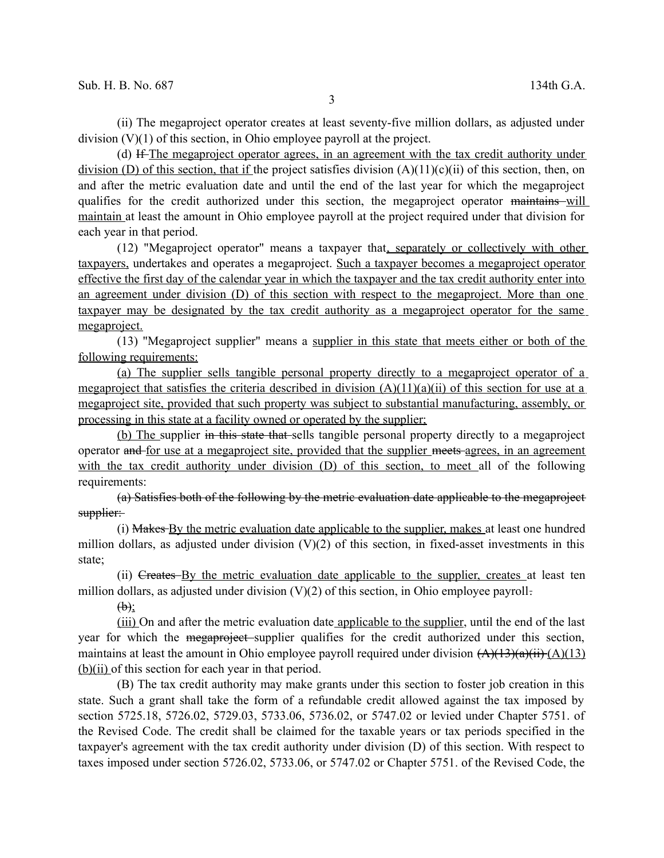(ii) The megaproject operator creates at least seventy-five million dollars, as adjusted under division (V)(1) of this section, in Ohio employee payroll at the project.

(d) If The megaproject operator agrees, in an agreement with the tax credit authority under division (D) of this section, that if the project satisfies division  $(A)(11)(c)(ii)$  of this section, then, on and after the metric evaluation date and until the end of the last year for which the megaproject qualifies for the credit authorized under this section, the megaproject operator maintains will maintain at least the amount in Ohio employee payroll at the project required under that division for each year in that period.

(12) "Megaproject operator" means a taxpayer that, separately or collectively with other taxpayers, undertakes and operates a megaproject. Such a taxpayer becomes a megaproject operator effective the first day of the calendar year in which the taxpayer and the tax credit authority enter into an agreement under division (D) of this section with respect to the megaproject. More than one taxpayer may be designated by the tax credit authority as a megaproject operator for the same megaproject.

(13) "Megaproject supplier" means a supplier in this state that meets either or both of the following requirements:

(a) The supplier sells tangible personal property directly to a megaproject operator of a megaproject that satisfies the criteria described in division  $(A)(11)(a)(ii)$  of this section for use at a megaproject site, provided that such property was subject to substantial manufacturing, assembly, or processing in this state at a facility owned or operated by the supplier;

(b) The supplier in this state that sells tangible personal property directly to a megaproject operator and for use at a megaproject site, provided that the supplier meets agrees, in an agreement with the tax credit authority under division (D) of this section, to meet all of the following requirements:

(a) Satisfies both of the following by the metric evaluation date applicable to the megaproject supplier:

(i) Makes By the metric evaluation date applicable to the supplier, makes at least one hundred million dollars, as adjusted under division  $(V)(2)$  of this section, in fixed-asset investments in this state;

(ii) Creates By the metric evaluation date applicable to the supplier, creates at least ten million dollars, as adjusted under division  $(V)(2)$  of this section, in Ohio employee payroll.

 $(b)$ ;

(iii) On and after the metric evaluation date applicable to the supplier, until the end of the last year for which the megaproject supplier qualifies for the credit authorized under this section, maintains at least the amount in Ohio employee payroll required under division  $(A)(13)(a)(ii)$   $(A)(13)$ (b)(ii) of this section for each year in that period.

(B) The tax credit authority may make grants under this section to foster job creation in this state. Such a grant shall take the form of a refundable credit allowed against the tax imposed by section 5725.18, 5726.02, 5729.03, 5733.06, 5736.02, or 5747.02 or levied under Chapter 5751. of the Revised Code. The credit shall be claimed for the taxable years or tax periods specified in the taxpayer's agreement with the tax credit authority under division (D) of this section. With respect to taxes imposed under section 5726.02, 5733.06, or 5747.02 or Chapter 5751. of the Revised Code, the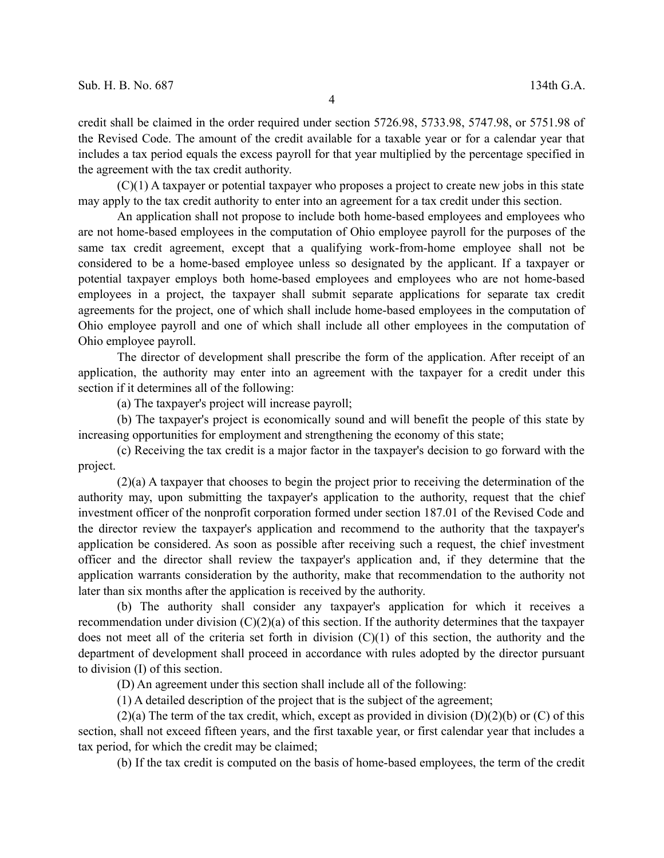credit shall be claimed in the order required under section 5726.98, 5733.98, 5747.98, or 5751.98 of the Revised Code. The amount of the credit available for a taxable year or for a calendar year that includes a tax period equals the excess payroll for that year multiplied by the percentage specified in the agreement with the tax credit authority.

(C)(1) A taxpayer or potential taxpayer who proposes a project to create new jobs in this state may apply to the tax credit authority to enter into an agreement for a tax credit under this section.

An application shall not propose to include both home-based employees and employees who are not home-based employees in the computation of Ohio employee payroll for the purposes of the same tax credit agreement, except that a qualifying work-from-home employee shall not be considered to be a home-based employee unless so designated by the applicant. If a taxpayer or potential taxpayer employs both home-based employees and employees who are not home-based employees in a project, the taxpayer shall submit separate applications for separate tax credit agreements for the project, one of which shall include home-based employees in the computation of Ohio employee payroll and one of which shall include all other employees in the computation of Ohio employee payroll.

The director of development shall prescribe the form of the application. After receipt of an application, the authority may enter into an agreement with the taxpayer for a credit under this section if it determines all of the following:

(a) The taxpayer's project will increase payroll;

(b) The taxpayer's project is economically sound and will benefit the people of this state by increasing opportunities for employment and strengthening the economy of this state;

(c) Receiving the tax credit is a major factor in the taxpayer's decision to go forward with the project.

(2)(a) A taxpayer that chooses to begin the project prior to receiving the determination of the authority may, upon submitting the taxpayer's application to the authority, request that the chief investment officer of the nonprofit corporation formed under section 187.01 of the Revised Code and the director review the taxpayer's application and recommend to the authority that the taxpayer's application be considered. As soon as possible after receiving such a request, the chief investment officer and the director shall review the taxpayer's application and, if they determine that the application warrants consideration by the authority, make that recommendation to the authority not later than six months after the application is received by the authority.

(b) The authority shall consider any taxpayer's application for which it receives a recommendation under division (C)(2)(a) of this section. If the authority determines that the taxpayer does not meet all of the criteria set forth in division  $(C)(1)$  of this section, the authority and the department of development shall proceed in accordance with rules adopted by the director pursuant to division (I) of this section.

(D) An agreement under this section shall include all of the following:

(1) A detailed description of the project that is the subject of the agreement;

 $(2)(a)$  The term of the tax credit, which, except as provided in division  $(D)(2)(b)$  or  $(C)$  of this section, shall not exceed fifteen years, and the first taxable year, or first calendar year that includes a tax period, for which the credit may be claimed;

(b) If the tax credit is computed on the basis of home-based employees, the term of the credit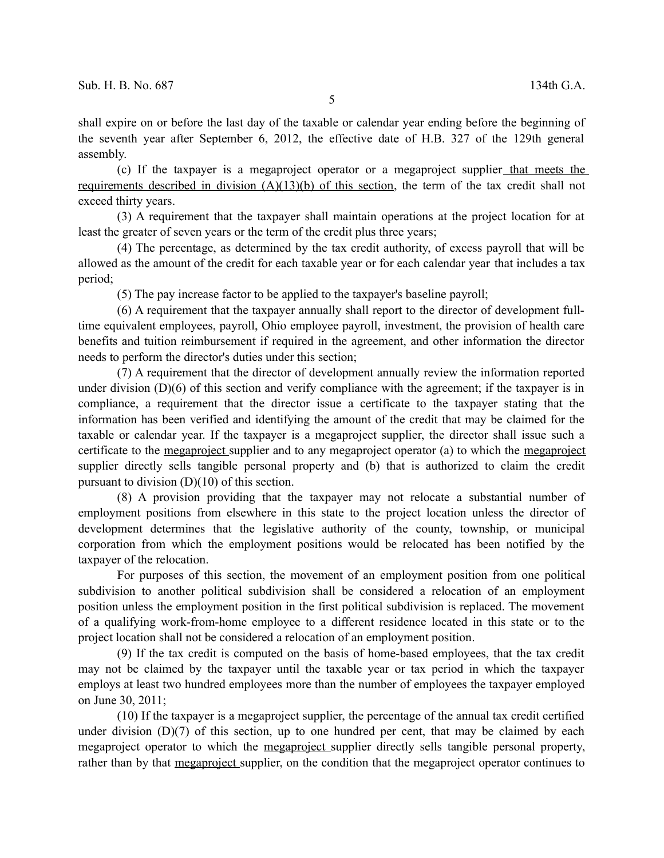shall expire on or before the last day of the taxable or calendar year ending before the beginning of the seventh year after September 6, 2012, the effective date of H.B. 327 of the 129th general assembly.

(c) If the taxpayer is a megaproject operator or a megaproject supplier that meets the requirements described in division (A)(13)(b) of this section, the term of the tax credit shall not exceed thirty years.

(3) A requirement that the taxpayer shall maintain operations at the project location for at least the greater of seven years or the term of the credit plus three years;

(4) The percentage, as determined by the tax credit authority, of excess payroll that will be allowed as the amount of the credit for each taxable year or for each calendar year that includes a tax period;

(5) The pay increase factor to be applied to the taxpayer's baseline payroll;

(6) A requirement that the taxpayer annually shall report to the director of development fulltime equivalent employees, payroll, Ohio employee payroll, investment, the provision of health care benefits and tuition reimbursement if required in the agreement, and other information the director needs to perform the director's duties under this section;

(7) A requirement that the director of development annually review the information reported under division (D)(6) of this section and verify compliance with the agreement; if the taxpayer is in compliance, a requirement that the director issue a certificate to the taxpayer stating that the information has been verified and identifying the amount of the credit that may be claimed for the taxable or calendar year. If the taxpayer is a megaproject supplier, the director shall issue such a certificate to the megaproject supplier and to any megaproject operator (a) to which the megaproject supplier directly sells tangible personal property and (b) that is authorized to claim the credit pursuant to division (D)(10) of this section.

(8) A provision providing that the taxpayer may not relocate a substantial number of employment positions from elsewhere in this state to the project location unless the director of development determines that the legislative authority of the county, township, or municipal corporation from which the employment positions would be relocated has been notified by the taxpayer of the relocation.

For purposes of this section, the movement of an employment position from one political subdivision to another political subdivision shall be considered a relocation of an employment position unless the employment position in the first political subdivision is replaced. The movement of a qualifying work-from-home employee to a different residence located in this state or to the project location shall not be considered a relocation of an employment position.

(9) If the tax credit is computed on the basis of home-based employees, that the tax credit may not be claimed by the taxpayer until the taxable year or tax period in which the taxpayer employs at least two hundred employees more than the number of employees the taxpayer employed on June 30, 2011;

(10) If the taxpayer is a megaproject supplier, the percentage of the annual tax credit certified under division  $(D)(7)$  of this section, up to one hundred per cent, that may be claimed by each megaproject operator to which the megaproject supplier directly sells tangible personal property, rather than by that megaproject supplier, on the condition that the megaproject operator continues to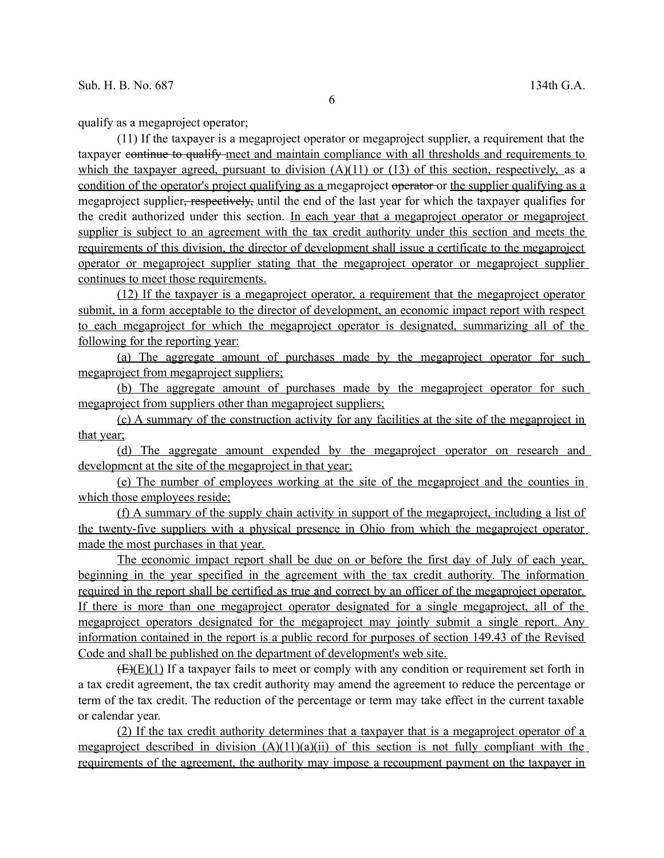qualify as a megaproject operator;

(11) If the taxpayer is a megaproject operator or megaproject supplier, a requirement that the taxpayer continue to qualify meet and maintain compliance with all thresholds and requirements to which the taxpayer agreed, pursuant to division  $(A)(11)$  or  $(13)$  of this section, respectively, as a condition of the operator's project qualifying as a megaproject operator or the supplier qualifying as a megaproject supplier, respectively, until the end of the last year for which the taxpayer qualifies for the credit authorized under this section. In each year that a megaproject operator or megaproject supplier is subject to an agreement with the tax credit authority under this section and meets the requirements of this division, the director of development shall issue a certificate to the megaproject operator or megaproject supplier stating that the megaproject operator or megaproject supplier continues to meet those requirements.

(12) If the taxpayer is a megaproject operator, a requirement that the megaproject operator submit, in a form acceptable to the director of development, an economic impact report with respect to each megaproject for which the megaproject operator is designated, summarizing all of the following for the reporting year:

(a) The aggregate amount of purchases made by the megaproject operator for such megaproject from megaproject suppliers;

(b) The aggregate amount of purchases made by the megaproject operator for such megaproject from suppliers other than megaproject suppliers;

(c) A summary of the construction activity for any facilities at the site of the megaproject in that year;

 (d) The aggregate amount expended by the megaproject operator on research and development at the site of the megaproject in that year;

(e) The number of employees working at the site of the megaproject and the counties in which those employees reside;

(f) A summary of the supply chain activity in support of the megaproject, including a list of the twenty-five suppliers with a physical presence in Ohio from which the megaproject operator made the most purchases in that year.

The economic impact report shall be due on or before the first day of July of each year, beginning in the year specified in the agreement with the tax credit authority. The information required in the report shall be certified as true and correct by an officer of the megaproject operator. If there is more than one megaproject operator designated for a single megaproject, all of the megaproject operators designated for the megaproject may jointly submit a single report. Any information contained in the report is a public record for purposes of section 149.43 of the Revised Code and shall be published on the department of development's web site.

 $(E)(E)(1)$  If a taxpayer fails to meet or comply with any condition or requirement set forth in a tax credit agreement, the tax credit authority may amend the agreement to reduce the percentage or term of the tax credit. The reduction of the percentage or term may take effect in the current taxable or calendar year.

(2) If the tax credit authority determines that a taxpayer that is a megaproject operator of a megaproject described in division  $(A)(11)(a)(ii)$  of this section is not fully compliant with the requirements of the agreement, the authority may impose a recoupment payment on the taxpayer in

6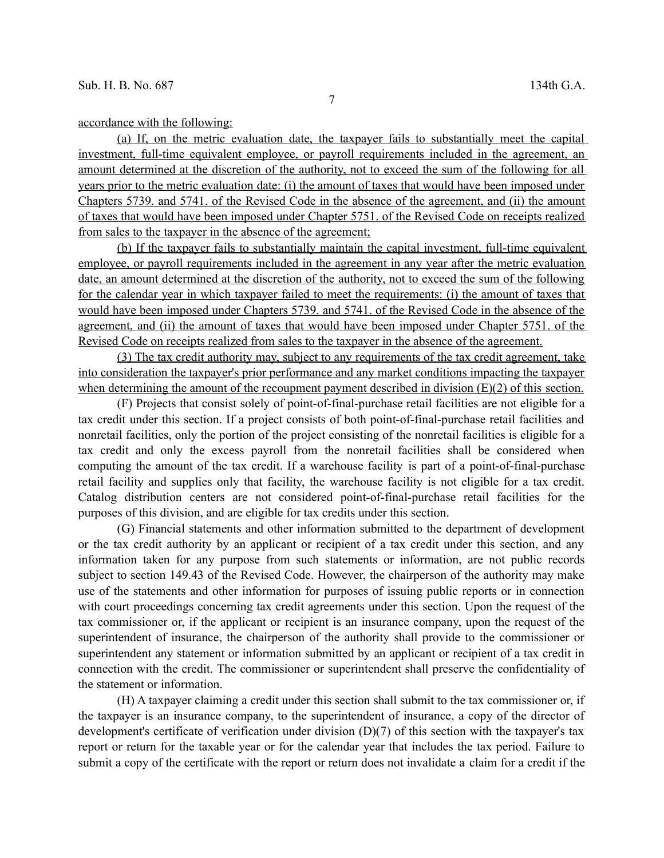accordance with the following:

(a) If, on the metric evaluation date, the taxpayer fails to substantially meet the capital investment, full-time equivalent employee, or payroll requirements included in the agreement, an amount determined at the discretion of the authority, not to exceed the sum of the following for all years prior to the metric evaluation date: (i) the amount of taxes that would have been imposed under Chapters 5739. and 5741. of the Revised Code in the absence of the agreement, and (ii) the amount of taxes that would have been imposed under Chapter 5751. of the Revised Code on receipts realized from sales to the taxpayer in the absence of the agreement;

(b) If the taxpayer fails to substantially maintain the capital investment, full-time equivalent employee, or payroll requirements included in the agreement in any year after the metric evaluation date, an amount determined at the discretion of the authority, not to exceed the sum of the following for the calendar year in which taxpayer failed to meet the requirements: (i) the amount of taxes that would have been imposed under Chapters 5739. and 5741. of the Revised Code in the absence of the agreement, and (ii) the amount of taxes that would have been imposed under Chapter 5751. of the Revised Code on receipts realized from sales to the taxpayer in the absence of the agreement.

(3) The tax credit authority may, subject to any requirements of the tax credit agreement, take into consideration the taxpayer's prior performance and any market conditions impacting the taxpayer when determining the amount of the recoupment payment described in division (E)(2) of this section.

(F) Projects that consist solely of point-of-final-purchase retail facilities are not eligible for a tax credit under this section. If a project consists of both point-of-final-purchase retail facilities and nonretail facilities, only the portion of the project consisting of the nonretail facilities is eligible for a tax credit and only the excess payroll from the nonretail facilities shall be considered when computing the amount of the tax credit. If a warehouse facility is part of a point-of-final-purchase retail facility and supplies only that facility, the warehouse facility is not eligible for a tax credit. Catalog distribution centers are not considered point-of-final-purchase retail facilities for the purposes of this division, and are eligible for tax credits under this section.

(G) Financial statements and other information submitted to the department of development or the tax credit authority by an applicant or recipient of a tax credit under this section, and any information taken for any purpose from such statements or information, are not public records subject to section 149.43 of the Revised Code. However, the chairperson of the authority may make use of the statements and other information for purposes of issuing public reports or in connection with court proceedings concerning tax credit agreements under this section. Upon the request of the tax commissioner or, if the applicant or recipient is an insurance company, upon the request of the superintendent of insurance, the chairperson of the authority shall provide to the commissioner or superintendent any statement or information submitted by an applicant or recipient of a tax credit in connection with the credit. The commissioner or superintendent shall preserve the confidentiality of the statement or information.

(H) A taxpayer claiming a credit under this section shall submit to the tax commissioner or, if the taxpayer is an insurance company, to the superintendent of insurance, a copy of the director of development's certificate of verification under division (D)(7) of this section with the taxpayer's tax report or return for the taxable year or for the calendar year that includes the tax period. Failure to submit a copy of the certificate with the report or return does not invalidate a claim for a credit if the

7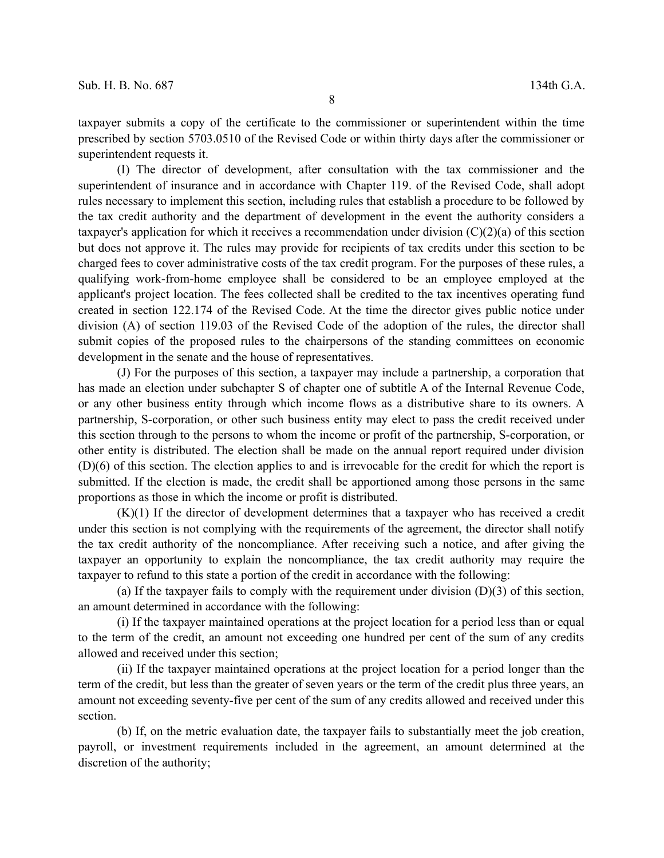taxpayer submits a copy of the certificate to the commissioner or superintendent within the time prescribed by section 5703.0510 of the Revised Code or within thirty days after the commissioner or superintendent requests it.

(I) The director of development, after consultation with the tax commissioner and the superintendent of insurance and in accordance with Chapter 119. of the Revised Code, shall adopt rules necessary to implement this section, including rules that establish a procedure to be followed by the tax credit authority and the department of development in the event the authority considers a taxpayer's application for which it receives a recommendation under division (C)(2)(a) of this section but does not approve it. The rules may provide for recipients of tax credits under this section to be charged fees to cover administrative costs of the tax credit program. For the purposes of these rules, a qualifying work-from-home employee shall be considered to be an employee employed at the applicant's project location. The fees collected shall be credited to the tax incentives operating fund created in section 122.174 of the Revised Code. At the time the director gives public notice under division (A) of section 119.03 of the Revised Code of the adoption of the rules, the director shall submit copies of the proposed rules to the chairpersons of the standing committees on economic development in the senate and the house of representatives.

(J) For the purposes of this section, a taxpayer may include a partnership, a corporation that has made an election under subchapter S of chapter one of subtitle A of the Internal Revenue Code, or any other business entity through which income flows as a distributive share to its owners. A partnership, S-corporation, or other such business entity may elect to pass the credit received under this section through to the persons to whom the income or profit of the partnership, S-corporation, or other entity is distributed. The election shall be made on the annual report required under division (D)(6) of this section. The election applies to and is irrevocable for the credit for which the report is submitted. If the election is made, the credit shall be apportioned among those persons in the same proportions as those in which the income or profit is distributed.

 $(K)(1)$  If the director of development determines that a taxpayer who has received a credit under this section is not complying with the requirements of the agreement, the director shall notify the tax credit authority of the noncompliance. After receiving such a notice, and after giving the taxpayer an opportunity to explain the noncompliance, the tax credit authority may require the taxpayer to refund to this state a portion of the credit in accordance with the following:

(a) If the taxpayer fails to comply with the requirement under division (D)(3) of this section, an amount determined in accordance with the following:

(i) If the taxpayer maintained operations at the project location for a period less than or equal to the term of the credit, an amount not exceeding one hundred per cent of the sum of any credits allowed and received under this section;

(ii) If the taxpayer maintained operations at the project location for a period longer than the term of the credit, but less than the greater of seven years or the term of the credit plus three years, an amount not exceeding seventy-five per cent of the sum of any credits allowed and received under this section.

(b) If, on the metric evaluation date, the taxpayer fails to substantially meet the job creation, payroll, or investment requirements included in the agreement, an amount determined at the discretion of the authority;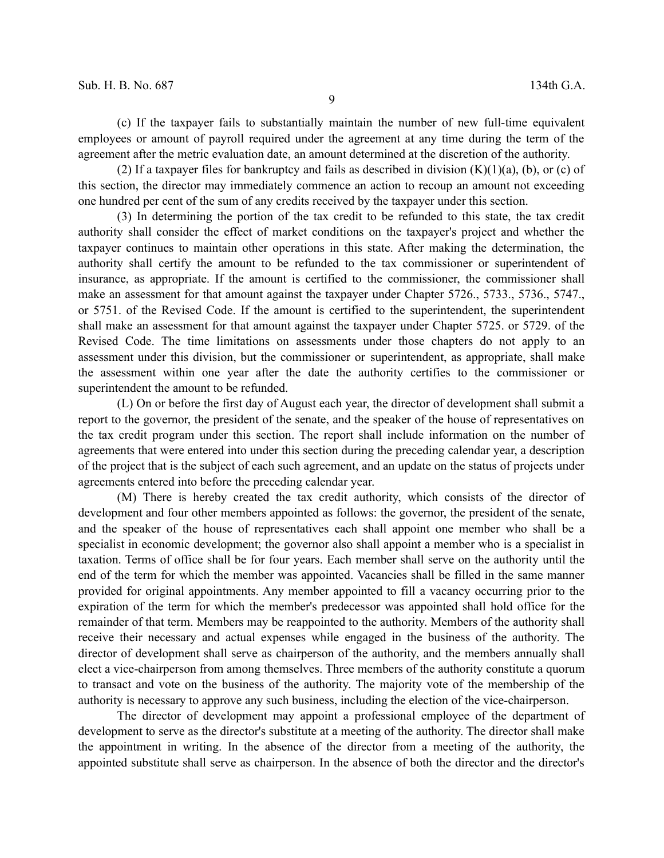(c) If the taxpayer fails to substantially maintain the number of new full-time equivalent employees or amount of payroll required under the agreement at any time during the term of the agreement after the metric evaluation date, an amount determined at the discretion of the authority.

(2) If a taxpayer files for bankruptcy and fails as described in division  $(K)(1)(a)$ , (b), or (c) of this section, the director may immediately commence an action to recoup an amount not exceeding one hundred per cent of the sum of any credits received by the taxpayer under this section.

(3) In determining the portion of the tax credit to be refunded to this state, the tax credit authority shall consider the effect of market conditions on the taxpayer's project and whether the taxpayer continues to maintain other operations in this state. After making the determination, the authority shall certify the amount to be refunded to the tax commissioner or superintendent of insurance, as appropriate. If the amount is certified to the commissioner, the commissioner shall make an assessment for that amount against the taxpayer under Chapter 5726., 5733., 5736., 5747., or 5751. of the Revised Code. If the amount is certified to the superintendent, the superintendent shall make an assessment for that amount against the taxpayer under Chapter 5725. or 5729. of the Revised Code. The time limitations on assessments under those chapters do not apply to an assessment under this division, but the commissioner or superintendent, as appropriate, shall make the assessment within one year after the date the authority certifies to the commissioner or superintendent the amount to be refunded.

(L) On or before the first day of August each year, the director of development shall submit a report to the governor, the president of the senate, and the speaker of the house of representatives on the tax credit program under this section. The report shall include information on the number of agreements that were entered into under this section during the preceding calendar year, a description of the project that is the subject of each such agreement, and an update on the status of projects under agreements entered into before the preceding calendar year.

(M) There is hereby created the tax credit authority, which consists of the director of development and four other members appointed as follows: the governor, the president of the senate, and the speaker of the house of representatives each shall appoint one member who shall be a specialist in economic development; the governor also shall appoint a member who is a specialist in taxation. Terms of office shall be for four years. Each member shall serve on the authority until the end of the term for which the member was appointed. Vacancies shall be filled in the same manner provided for original appointments. Any member appointed to fill a vacancy occurring prior to the expiration of the term for which the member's predecessor was appointed shall hold office for the remainder of that term. Members may be reappointed to the authority. Members of the authority shall receive their necessary and actual expenses while engaged in the business of the authority. The director of development shall serve as chairperson of the authority, and the members annually shall elect a vice-chairperson from among themselves. Three members of the authority constitute a quorum to transact and vote on the business of the authority. The majority vote of the membership of the authority is necessary to approve any such business, including the election of the vice-chairperson.

The director of development may appoint a professional employee of the department of development to serve as the director's substitute at a meeting of the authority. The director shall make the appointment in writing. In the absence of the director from a meeting of the authority, the appointed substitute shall serve as chairperson. In the absence of both the director and the director's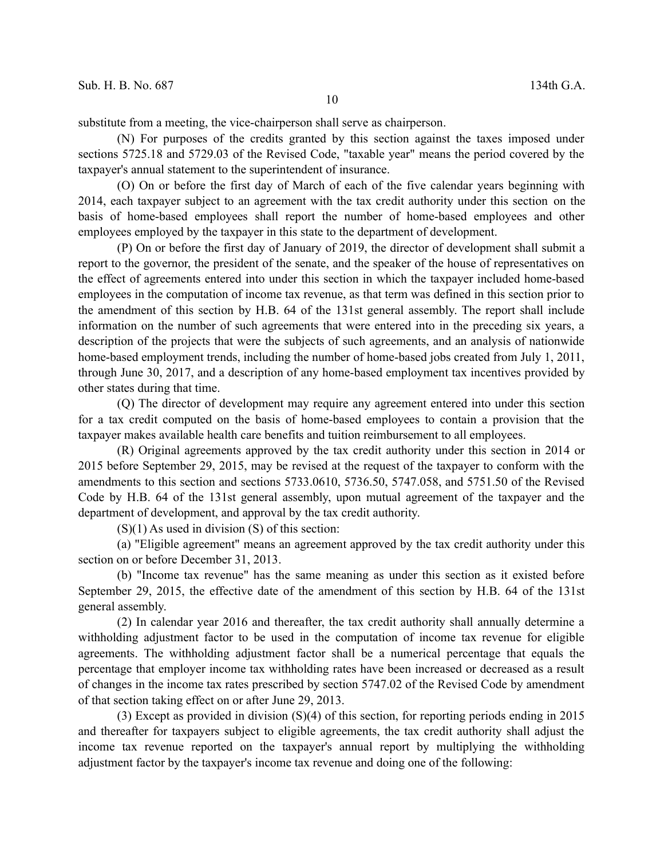substitute from a meeting, the vice-chairperson shall serve as chairperson.

(N) For purposes of the credits granted by this section against the taxes imposed under sections 5725.18 and 5729.03 of the Revised Code, "taxable year" means the period covered by the taxpayer's annual statement to the superintendent of insurance.

(O) On or before the first day of March of each of the five calendar years beginning with 2014, each taxpayer subject to an agreement with the tax credit authority under this section on the basis of home-based employees shall report the number of home-based employees and other employees employed by the taxpayer in this state to the department of development.

(P) On or before the first day of January of 2019, the director of development shall submit a report to the governor, the president of the senate, and the speaker of the house of representatives on the effect of agreements entered into under this section in which the taxpayer included home-based employees in the computation of income tax revenue, as that term was defined in this section prior to the amendment of this section by H.B. 64 of the 131st general assembly. The report shall include information on the number of such agreements that were entered into in the preceding six years, a description of the projects that were the subjects of such agreements, and an analysis of nationwide home-based employment trends, including the number of home-based jobs created from July 1, 2011, through June 30, 2017, and a description of any home-based employment tax incentives provided by other states during that time.

(Q) The director of development may require any agreement entered into under this section for a tax credit computed on the basis of home-based employees to contain a provision that the taxpayer makes available health care benefits and tuition reimbursement to all employees.

(R) Original agreements approved by the tax credit authority under this section in 2014 or 2015 before September 29, 2015, may be revised at the request of the taxpayer to conform with the amendments to this section and sections 5733.0610, 5736.50, 5747.058, and 5751.50 of the Revised Code by H.B. 64 of the 131st general assembly, upon mutual agreement of the taxpayer and the department of development, and approval by the tax credit authority.

 $(S)(1)$  As used in division  $(S)$  of this section:

(a) "Eligible agreement" means an agreement approved by the tax credit authority under this section on or before December 31, 2013.

(b) "Income tax revenue" has the same meaning as under this section as it existed before September 29, 2015, the effective date of the amendment of this section by H.B. 64 of the 131st general assembly.

(2) In calendar year 2016 and thereafter, the tax credit authority shall annually determine a withholding adjustment factor to be used in the computation of income tax revenue for eligible agreements. The withholding adjustment factor shall be a numerical percentage that equals the percentage that employer income tax withholding rates have been increased or decreased as a result of changes in the income tax rates prescribed by section 5747.02 of the Revised Code by amendment of that section taking effect on or after June 29, 2013.

(3) Except as provided in division (S)(4) of this section, for reporting periods ending in 2015 and thereafter for taxpayers subject to eligible agreements, the tax credit authority shall adjust the income tax revenue reported on the taxpayer's annual report by multiplying the withholding adjustment factor by the taxpayer's income tax revenue and doing one of the following: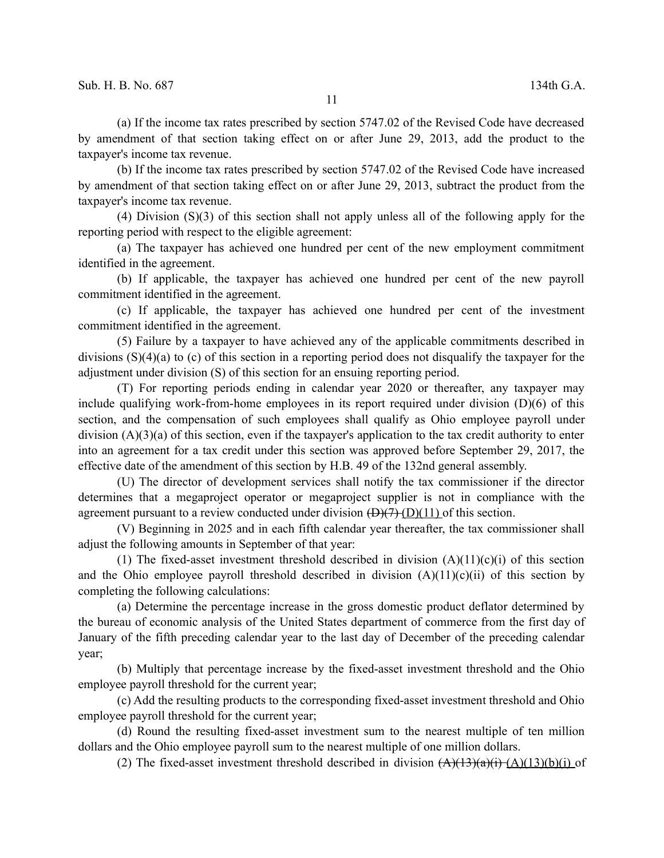(a) If the income tax rates prescribed by section 5747.02 of the Revised Code have decreased by amendment of that section taking effect on or after June 29, 2013, add the product to the taxpayer's income tax revenue.

(b) If the income tax rates prescribed by section 5747.02 of the Revised Code have increased by amendment of that section taking effect on or after June 29, 2013, subtract the product from the taxpayer's income tax revenue.

(4) Division (S)(3) of this section shall not apply unless all of the following apply for the reporting period with respect to the eligible agreement:

(a) The taxpayer has achieved one hundred per cent of the new employment commitment identified in the agreement.

(b) If applicable, the taxpayer has achieved one hundred per cent of the new payroll commitment identified in the agreement.

(c) If applicable, the taxpayer has achieved one hundred per cent of the investment commitment identified in the agreement.

(5) Failure by a taxpayer to have achieved any of the applicable commitments described in divisions (S)(4)(a) to (c) of this section in a reporting period does not disqualify the taxpayer for the adjustment under division (S) of this section for an ensuing reporting period.

(T) For reporting periods ending in calendar year 2020 or thereafter, any taxpayer may include qualifying work-from-home employees in its report required under division (D)(6) of this section, and the compensation of such employees shall qualify as Ohio employee payroll under division (A)(3)(a) of this section, even if the taxpayer's application to the tax credit authority to enter into an agreement for a tax credit under this section was approved before September 29, 2017, the effective date of the amendment of this section by H.B. 49 of the 132nd general assembly.

(U) The director of development services shall notify the tax commissioner if the director determines that a megaproject operator or megaproject supplier is not in compliance with the agreement pursuant to a review conducted under division  $\left(\frac{D}{7}\right)\left(\frac{D}{11}\right)$  of this section.

(V) Beginning in 2025 and in each fifth calendar year thereafter, the tax commissioner shall adjust the following amounts in September of that year:

(1) The fixed-asset investment threshold described in division  $(A)(11)(c)(i)$  of this section and the Ohio employee payroll threshold described in division  $(A)(11)(c)(ii)$  of this section by completing the following calculations:

(a) Determine the percentage increase in the gross domestic product deflator determined by the bureau of economic analysis of the United States department of commerce from the first day of January of the fifth preceding calendar year to the last day of December of the preceding calendar year;

(b) Multiply that percentage increase by the fixed-asset investment threshold and the Ohio employee payroll threshold for the current year;

(c) Add the resulting products to the corresponding fixed-asset investment threshold and Ohio employee payroll threshold for the current year;

(d) Round the resulting fixed-asset investment sum to the nearest multiple of ten million dollars and the Ohio employee payroll sum to the nearest multiple of one million dollars.

(2) The fixed-asset investment threshold described in division  $(A)(13)(a)(i)$   $(A)(13)(b)(i)$  of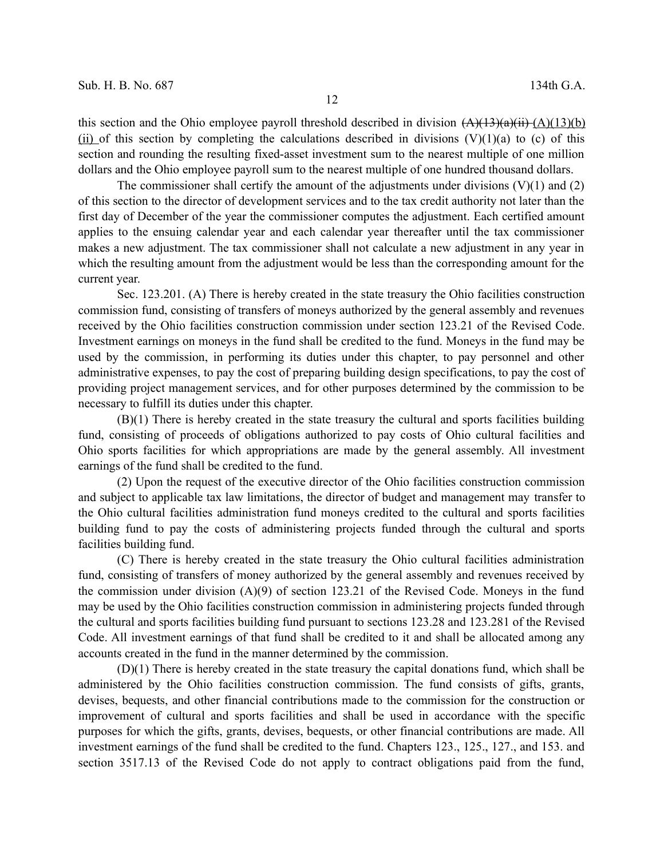this section and the Ohio employee payroll threshold described in division  $(A)(13)(a)(i)$ (ii) of this section by completing the calculations described in divisions  $(V)(1)(a)$  to (c) of this section and rounding the resulting fixed-asset investment sum to the nearest multiple of one million dollars and the Ohio employee payroll sum to the nearest multiple of one hundred thousand dollars.

The commissioner shall certify the amount of the adjustments under divisions  $(V)(1)$  and  $(2)$ of this section to the director of development services and to the tax credit authority not later than the first day of December of the year the commissioner computes the adjustment. Each certified amount applies to the ensuing calendar year and each calendar year thereafter until the tax commissioner makes a new adjustment. The tax commissioner shall not calculate a new adjustment in any year in which the resulting amount from the adjustment would be less than the corresponding amount for the current year.

Sec. 123.201. (A) There is hereby created in the state treasury the Ohio facilities construction commission fund, consisting of transfers of moneys authorized by the general assembly and revenues received by the Ohio facilities construction commission under section 123.21 of the Revised Code. Investment earnings on moneys in the fund shall be credited to the fund. Moneys in the fund may be used by the commission, in performing its duties under this chapter, to pay personnel and other administrative expenses, to pay the cost of preparing building design specifications, to pay the cost of providing project management services, and for other purposes determined by the commission to be necessary to fulfill its duties under this chapter.

(B)(1) There is hereby created in the state treasury the cultural and sports facilities building fund, consisting of proceeds of obligations authorized to pay costs of Ohio cultural facilities and Ohio sports facilities for which appropriations are made by the general assembly. All investment earnings of the fund shall be credited to the fund.

(2) Upon the request of the executive director of the Ohio facilities construction commission and subject to applicable tax law limitations, the director of budget and management may transfer to the Ohio cultural facilities administration fund moneys credited to the cultural and sports facilities building fund to pay the costs of administering projects funded through the cultural and sports facilities building fund.

(C) There is hereby created in the state treasury the Ohio cultural facilities administration fund, consisting of transfers of money authorized by the general assembly and revenues received by the commission under division  $(A)(9)$  of section 123.21 of the Revised Code. Moneys in the fund may be used by the Ohio facilities construction commission in administering projects funded through the cultural and sports facilities building fund pursuant to sections 123.28 and 123.281 of the Revised Code. All investment earnings of that fund shall be credited to it and shall be allocated among any accounts created in the fund in the manner determined by the commission.

(D)(1) There is hereby created in the state treasury the capital donations fund, which shall be administered by the Ohio facilities construction commission. The fund consists of gifts, grants, devises, bequests, and other financial contributions made to the commission for the construction or improvement of cultural and sports facilities and shall be used in accordance with the specific purposes for which the gifts, grants, devises, bequests, or other financial contributions are made. All investment earnings of the fund shall be credited to the fund. Chapters 123., 125., 127., and 153. and section 3517.13 of the Revised Code do not apply to contract obligations paid from the fund,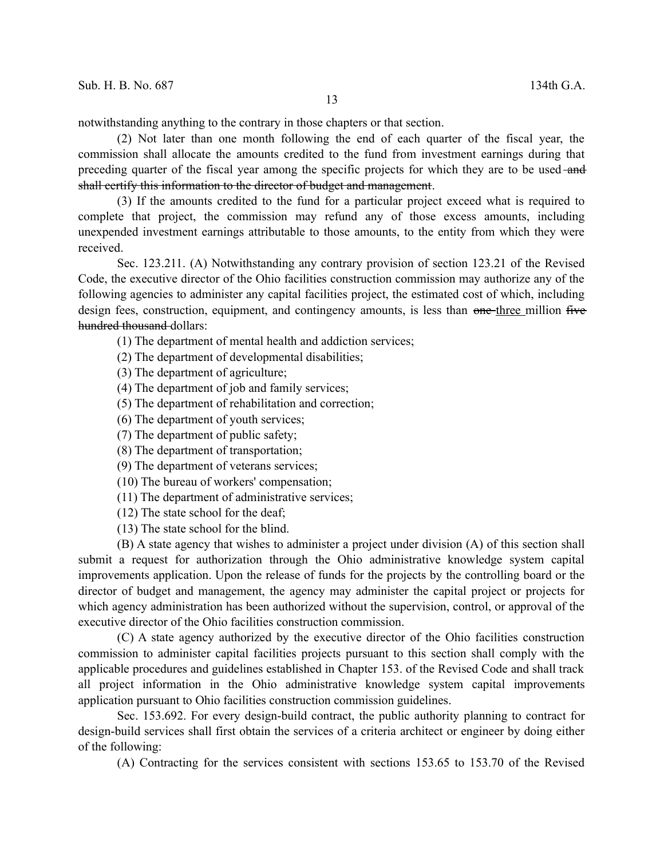notwithstanding anything to the contrary in those chapters or that section.

(2) Not later than one month following the end of each quarter of the fiscal year, the commission shall allocate the amounts credited to the fund from investment earnings during that preceding quarter of the fiscal year among the specific projects for which they are to be used-and shall certify this information to the director of budget and management.

(3) If the amounts credited to the fund for a particular project exceed what is required to complete that project, the commission may refund any of those excess amounts, including unexpended investment earnings attributable to those amounts, to the entity from which they were received.

Sec. 123.211. (A) Notwithstanding any contrary provision of section 123.21 of the Revised Code, the executive director of the Ohio facilities construction commission may authorize any of the following agencies to administer any capital facilities project, the estimated cost of which, including design fees, construction, equipment, and contingency amounts, is less than one-three million five hundred thousand dollars:

(1) The department of mental health and addiction services;

(2) The department of developmental disabilities;

- (3) The department of agriculture;
- (4) The department of job and family services;
- (5) The department of rehabilitation and correction;
- (6) The department of youth services;
- (7) The department of public safety;
- (8) The department of transportation;
- (9) The department of veterans services;
- (10) The bureau of workers' compensation;
- (11) The department of administrative services;
- (12) The state school for the deaf;
- (13) The state school for the blind.

(B) A state agency that wishes to administer a project under division (A) of this section shall submit a request for authorization through the Ohio administrative knowledge system capital improvements application. Upon the release of funds for the projects by the controlling board or the director of budget and management, the agency may administer the capital project or projects for which agency administration has been authorized without the supervision, control, or approval of the executive director of the Ohio facilities construction commission.

(C) A state agency authorized by the executive director of the Ohio facilities construction commission to administer capital facilities projects pursuant to this section shall comply with the applicable procedures and guidelines established in Chapter 153. of the Revised Code and shall track all project information in the Ohio administrative knowledge system capital improvements application pursuant to Ohio facilities construction commission guidelines.

Sec. 153.692. For every design-build contract, the public authority planning to contract for design-build services shall first obtain the services of a criteria architect or engineer by doing either of the following:

(A) Contracting for the services consistent with sections 153.65 to 153.70 of the Revised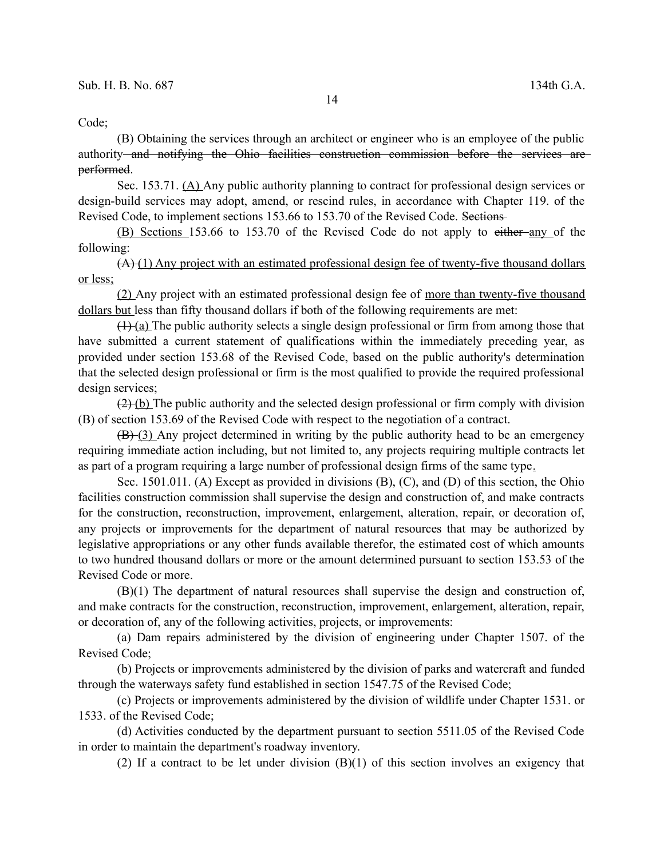## Code;

(B) Obtaining the services through an architect or engineer who is an employee of the public authority and notifying the Ohio facilities construction commission before the services are performed.

Sec. 153.71. (A) Any public authority planning to contract for professional design services or design-build services may adopt, amend, or rescind rules, in accordance with Chapter 119. of the Revised Code, to implement sections 153.66 to 153.70 of the Revised Code. Sections

(B) Sections 153.66 to 153.70 of the Revised Code do not apply to either any of the following:

(A) (1) Any project with an estimated professional design fee of twenty-five thousand dollars or less;

(2) Any project with an estimated professional design fee of more than twenty-five thousand dollars but less than fifty thousand dollars if both of the following requirements are met:

 $(1)$  (a) The public authority selects a single design professional or firm from among those that have submitted a current statement of qualifications within the immediately preceding year, as provided under section 153.68 of the Revised Code, based on the public authority's determination that the selected design professional or firm is the most qualified to provide the required professional design services;

 $(2)$  (b) The public authority and the selected design professional or firm comply with division (B) of section 153.69 of the Revised Code with respect to the negotiation of a contract.

(B) (3) Any project determined in writing by the public authority head to be an emergency requiring immediate action including, but not limited to, any projects requiring multiple contracts let as part of a program requiring a large number of professional design firms of the same type.

Sec. 1501.011. (A) Except as provided in divisions (B), (C), and (D) of this section, the Ohio facilities construction commission shall supervise the design and construction of, and make contracts for the construction, reconstruction, improvement, enlargement, alteration, repair, or decoration of, any projects or improvements for the department of natural resources that may be authorized by legislative appropriations or any other funds available therefor, the estimated cost of which amounts to two hundred thousand dollars or more or the amount determined pursuant to section 153.53 of the Revised Code or more.

(B)(1) The department of natural resources shall supervise the design and construction of, and make contracts for the construction, reconstruction, improvement, enlargement, alteration, repair, or decoration of, any of the following activities, projects, or improvements:

(a) Dam repairs administered by the division of engineering under Chapter 1507. of the Revised Code;

(b) Projects or improvements administered by the division of parks and watercraft and funded through the waterways safety fund established in section 1547.75 of the Revised Code;

(c) Projects or improvements administered by the division of wildlife under Chapter 1531. or 1533. of the Revised Code;

(d) Activities conducted by the department pursuant to section 5511.05 of the Revised Code in order to maintain the department's roadway inventory.

(2) If a contract to be let under division (B)(1) of this section involves an exigency that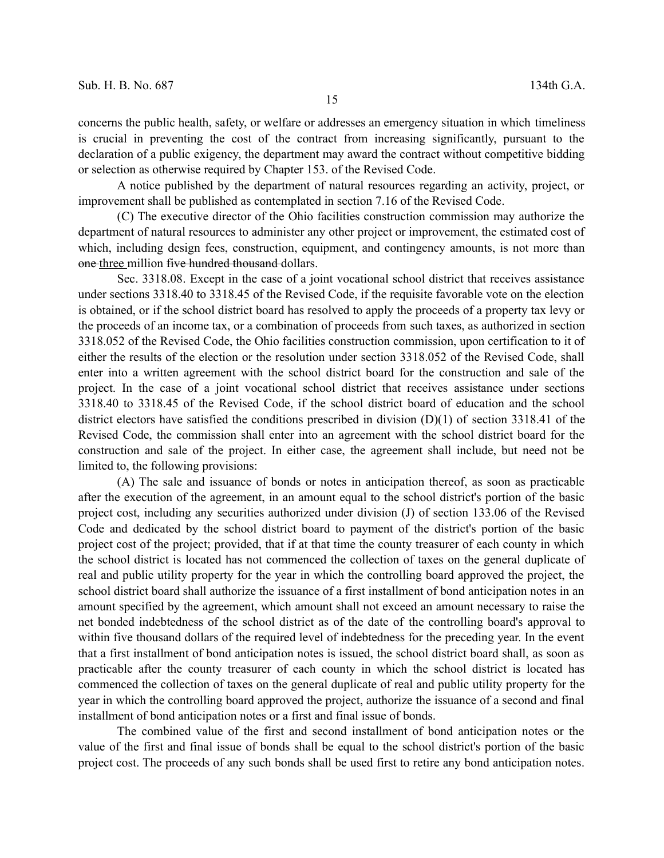concerns the public health, safety, or welfare or addresses an emergency situation in which timeliness is crucial in preventing the cost of the contract from increasing significantly, pursuant to the declaration of a public exigency, the department may award the contract without competitive bidding or selection as otherwise required by Chapter 153. of the Revised Code.

A notice published by the department of natural resources regarding an activity, project, or improvement shall be published as contemplated in section 7.16 of the Revised Code.

(C) The executive director of the Ohio facilities construction commission may authorize the department of natural resources to administer any other project or improvement, the estimated cost of which, including design fees, construction, equipment, and contingency amounts, is not more than one three million five hundred thousand dollars.

Sec. 3318.08. Except in the case of a joint vocational school district that receives assistance under sections 3318.40 to 3318.45 of the Revised Code, if the requisite favorable vote on the election is obtained, or if the school district board has resolved to apply the proceeds of a property tax levy or the proceeds of an income tax, or a combination of proceeds from such taxes, as authorized in section 3318.052 of the Revised Code, the Ohio facilities construction commission, upon certification to it of either the results of the election or the resolution under section 3318.052 of the Revised Code, shall enter into a written agreement with the school district board for the construction and sale of the project. In the case of a joint vocational school district that receives assistance under sections 3318.40 to 3318.45 of the Revised Code, if the school district board of education and the school district electors have satisfied the conditions prescribed in division (D)(1) of section 3318.41 of the Revised Code, the commission shall enter into an agreement with the school district board for the construction and sale of the project. In either case, the agreement shall include, but need not be limited to, the following provisions:

(A) The sale and issuance of bonds or notes in anticipation thereof, as soon as practicable after the execution of the agreement, in an amount equal to the school district's portion of the basic project cost, including any securities authorized under division (J) of section 133.06 of the Revised Code and dedicated by the school district board to payment of the district's portion of the basic project cost of the project; provided, that if at that time the county treasurer of each county in which the school district is located has not commenced the collection of taxes on the general duplicate of real and public utility property for the year in which the controlling board approved the project, the school district board shall authorize the issuance of a first installment of bond anticipation notes in an amount specified by the agreement, which amount shall not exceed an amount necessary to raise the net bonded indebtedness of the school district as of the date of the controlling board's approval to within five thousand dollars of the required level of indebtedness for the preceding year. In the event that a first installment of bond anticipation notes is issued, the school district board shall, as soon as practicable after the county treasurer of each county in which the school district is located has commenced the collection of taxes on the general duplicate of real and public utility property for the year in which the controlling board approved the project, authorize the issuance of a second and final installment of bond anticipation notes or a first and final issue of bonds.

The combined value of the first and second installment of bond anticipation notes or the value of the first and final issue of bonds shall be equal to the school district's portion of the basic project cost. The proceeds of any such bonds shall be used first to retire any bond anticipation notes.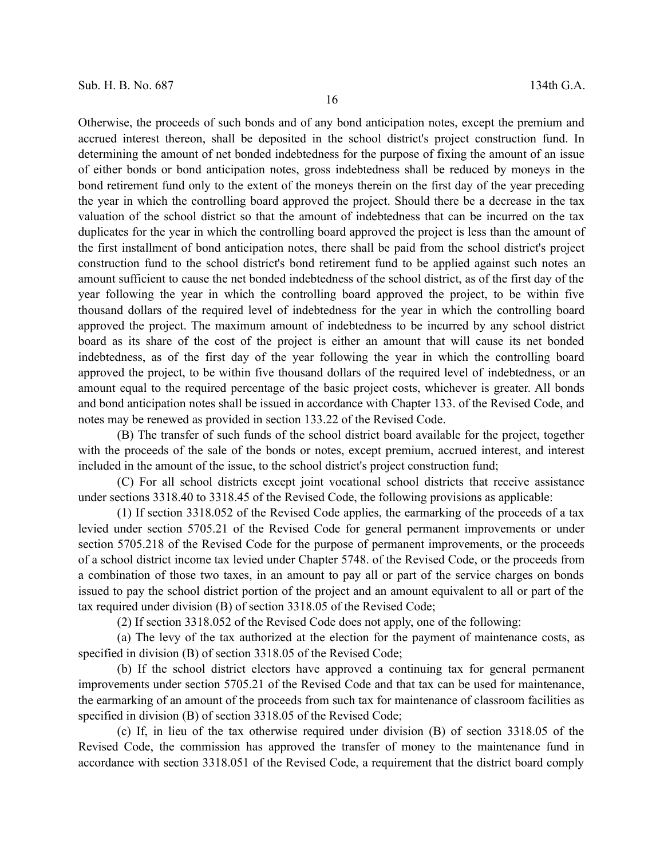Otherwise, the proceeds of such bonds and of any bond anticipation notes, except the premium and accrued interest thereon, shall be deposited in the school district's project construction fund. In determining the amount of net bonded indebtedness for the purpose of fixing the amount of an issue of either bonds or bond anticipation notes, gross indebtedness shall be reduced by moneys in the bond retirement fund only to the extent of the moneys therein on the first day of the year preceding the year in which the controlling board approved the project. Should there be a decrease in the tax valuation of the school district so that the amount of indebtedness that can be incurred on the tax duplicates for the year in which the controlling board approved the project is less than the amount of the first installment of bond anticipation notes, there shall be paid from the school district's project construction fund to the school district's bond retirement fund to be applied against such notes an amount sufficient to cause the net bonded indebtedness of the school district, as of the first day of the year following the year in which the controlling board approved the project, to be within five thousand dollars of the required level of indebtedness for the year in which the controlling board approved the project. The maximum amount of indebtedness to be incurred by any school district board as its share of the cost of the project is either an amount that will cause its net bonded indebtedness, as of the first day of the year following the year in which the controlling board approved the project, to be within five thousand dollars of the required level of indebtedness, or an amount equal to the required percentage of the basic project costs, whichever is greater. All bonds and bond anticipation notes shall be issued in accordance with Chapter 133. of the Revised Code, and notes may be renewed as provided in section 133.22 of the Revised Code.

(B) The transfer of such funds of the school district board available for the project, together with the proceeds of the sale of the bonds or notes, except premium, accrued interest, and interest included in the amount of the issue, to the school district's project construction fund;

(C) For all school districts except joint vocational school districts that receive assistance under sections 3318.40 to 3318.45 of the Revised Code, the following provisions as applicable:

(1) If section 3318.052 of the Revised Code applies, the earmarking of the proceeds of a tax levied under section 5705.21 of the Revised Code for general permanent improvements or under section 5705.218 of the Revised Code for the purpose of permanent improvements, or the proceeds of a school district income tax levied under Chapter 5748. of the Revised Code, or the proceeds from a combination of those two taxes, in an amount to pay all or part of the service charges on bonds issued to pay the school district portion of the project and an amount equivalent to all or part of the tax required under division (B) of section 3318.05 of the Revised Code;

(2) If section 3318.052 of the Revised Code does not apply, one of the following:

(a) The levy of the tax authorized at the election for the payment of maintenance costs, as specified in division (B) of section 3318.05 of the Revised Code;

(b) If the school district electors have approved a continuing tax for general permanent improvements under section 5705.21 of the Revised Code and that tax can be used for maintenance, the earmarking of an amount of the proceeds from such tax for maintenance of classroom facilities as specified in division (B) of section 3318.05 of the Revised Code;

(c) If, in lieu of the tax otherwise required under division (B) of section 3318.05 of the Revised Code, the commission has approved the transfer of money to the maintenance fund in accordance with section 3318.051 of the Revised Code, a requirement that the district board comply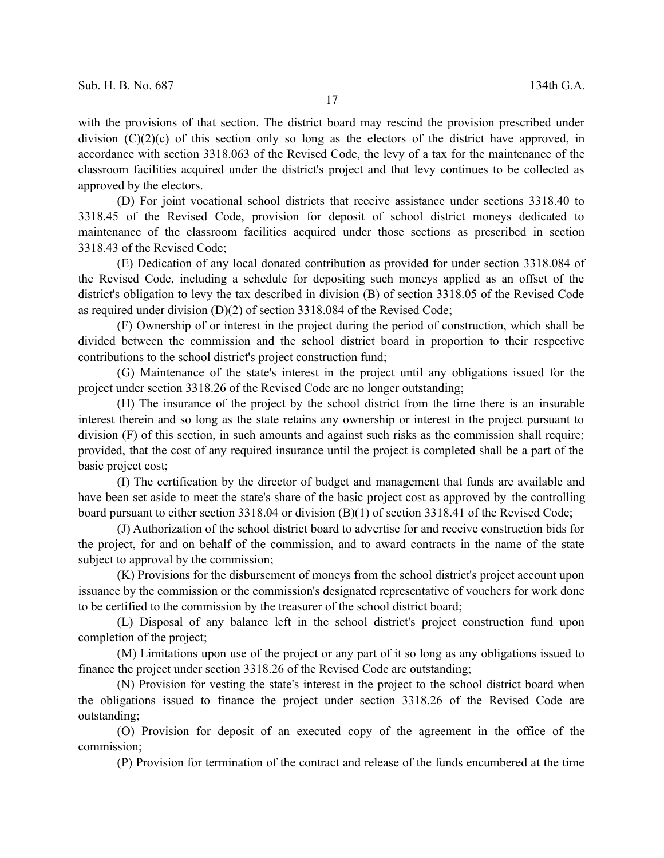with the provisions of that section. The district board may rescind the provision prescribed under division  $(C)(2)(c)$  of this section only so long as the electors of the district have approved, in accordance with section 3318.063 of the Revised Code, the levy of a tax for the maintenance of the classroom facilities acquired under the district's project and that levy continues to be collected as approved by the electors.

(D) For joint vocational school districts that receive assistance under sections 3318.40 to 3318.45 of the Revised Code, provision for deposit of school district moneys dedicated to maintenance of the classroom facilities acquired under those sections as prescribed in section 3318.43 of the Revised Code;

(E) Dedication of any local donated contribution as provided for under section 3318.084 of the Revised Code, including a schedule for depositing such moneys applied as an offset of the district's obligation to levy the tax described in division (B) of section 3318.05 of the Revised Code as required under division (D)(2) of section 3318.084 of the Revised Code;

(F) Ownership of or interest in the project during the period of construction, which shall be divided between the commission and the school district board in proportion to their respective contributions to the school district's project construction fund;

(G) Maintenance of the state's interest in the project until any obligations issued for the project under section 3318.26 of the Revised Code are no longer outstanding;

(H) The insurance of the project by the school district from the time there is an insurable interest therein and so long as the state retains any ownership or interest in the project pursuant to division (F) of this section, in such amounts and against such risks as the commission shall require; provided, that the cost of any required insurance until the project is completed shall be a part of the basic project cost;

(I) The certification by the director of budget and management that funds are available and have been set aside to meet the state's share of the basic project cost as approved by the controlling board pursuant to either section 3318.04 or division (B)(1) of section 3318.41 of the Revised Code;

(J) Authorization of the school district board to advertise for and receive construction bids for the project, for and on behalf of the commission, and to award contracts in the name of the state subject to approval by the commission;

(K) Provisions for the disbursement of moneys from the school district's project account upon issuance by the commission or the commission's designated representative of vouchers for work done to be certified to the commission by the treasurer of the school district board;

(L) Disposal of any balance left in the school district's project construction fund upon completion of the project;

(M) Limitations upon use of the project or any part of it so long as any obligations issued to finance the project under section 3318.26 of the Revised Code are outstanding;

(N) Provision for vesting the state's interest in the project to the school district board when the obligations issued to finance the project under section 3318.26 of the Revised Code are outstanding;

(O) Provision for deposit of an executed copy of the agreement in the office of the commission;

(P) Provision for termination of the contract and release of the funds encumbered at the time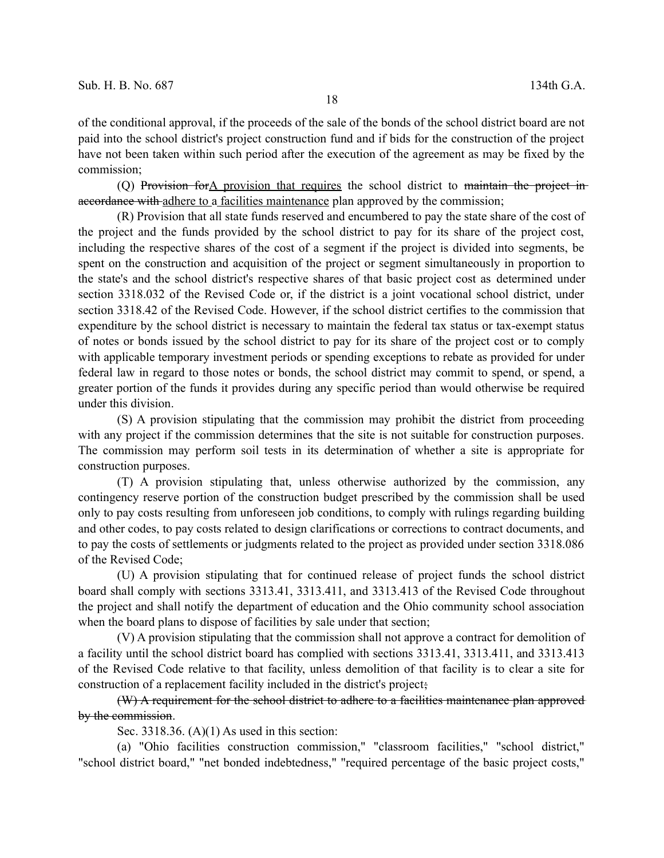of the conditional approval, if the proceeds of the sale of the bonds of the school district board are not paid into the school district's project construction fund and if bids for the construction of the project have not been taken within such period after the execution of the agreement as may be fixed by the commission;

(Q) Provision forA provision that requires the school district to maintain the project in accordance with adhere to a facilities maintenance plan approved by the commission;

(R) Provision that all state funds reserved and encumbered to pay the state share of the cost of the project and the funds provided by the school district to pay for its share of the project cost, including the respective shares of the cost of a segment if the project is divided into segments, be spent on the construction and acquisition of the project or segment simultaneously in proportion to the state's and the school district's respective shares of that basic project cost as determined under section 3318.032 of the Revised Code or, if the district is a joint vocational school district, under section 3318.42 of the Revised Code. However, if the school district certifies to the commission that expenditure by the school district is necessary to maintain the federal tax status or tax-exempt status of notes or bonds issued by the school district to pay for its share of the project cost or to comply with applicable temporary investment periods or spending exceptions to rebate as provided for under federal law in regard to those notes or bonds, the school district may commit to spend, or spend, a greater portion of the funds it provides during any specific period than would otherwise be required under this division.

(S) A provision stipulating that the commission may prohibit the district from proceeding with any project if the commission determines that the site is not suitable for construction purposes. The commission may perform soil tests in its determination of whether a site is appropriate for construction purposes.

(T) A provision stipulating that, unless otherwise authorized by the commission, any contingency reserve portion of the construction budget prescribed by the commission shall be used only to pay costs resulting from unforeseen job conditions, to comply with rulings regarding building and other codes, to pay costs related to design clarifications or corrections to contract documents, and to pay the costs of settlements or judgments related to the project as provided under section 3318.086 of the Revised Code;

(U) A provision stipulating that for continued release of project funds the school district board shall comply with sections 3313.41, 3313.411, and 3313.413 of the Revised Code throughout the project and shall notify the department of education and the Ohio community school association when the board plans to dispose of facilities by sale under that section;

(V) A provision stipulating that the commission shall not approve a contract for demolition of a facility until the school district board has complied with sections 3313.41, 3313.411, and 3313.413 of the Revised Code relative to that facility, unless demolition of that facility is to clear a site for construction of a replacement facility included in the district's project;

(W) A requirement for the school district to adhere to a facilities maintenance plan approved by the commission.

Sec. 3318.36.  $(A)(1)$  As used in this section:

(a) "Ohio facilities construction commission," "classroom facilities," "school district," "school district board," "net bonded indebtedness," "required percentage of the basic project costs,"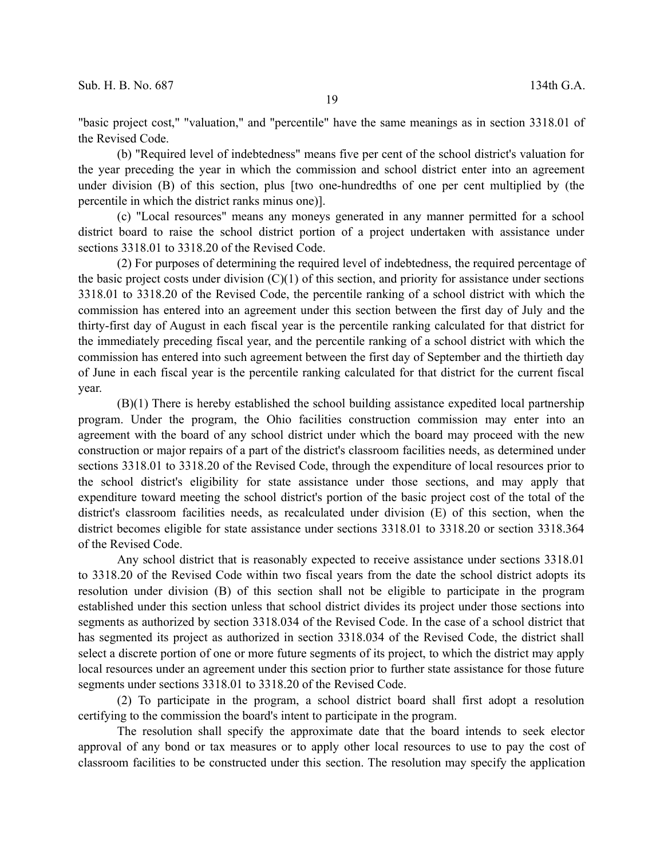"basic project cost," "valuation," and "percentile" have the same meanings as in section 3318.01 of the Revised Code.

(b) "Required level of indebtedness" means five per cent of the school district's valuation for the year preceding the year in which the commission and school district enter into an agreement under division (B) of this section, plus [two one-hundredths of one per cent multiplied by (the percentile in which the district ranks minus one)].

(c) "Local resources" means any moneys generated in any manner permitted for a school district board to raise the school district portion of a project undertaken with assistance under sections 3318.01 to 3318.20 of the Revised Code.

(2) For purposes of determining the required level of indebtedness, the required percentage of the basic project costs under division  $(C)(1)$  of this section, and priority for assistance under sections 3318.01 to 3318.20 of the Revised Code, the percentile ranking of a school district with which the commission has entered into an agreement under this section between the first day of July and the thirty-first day of August in each fiscal year is the percentile ranking calculated for that district for the immediately preceding fiscal year, and the percentile ranking of a school district with which the commission has entered into such agreement between the first day of September and the thirtieth day of June in each fiscal year is the percentile ranking calculated for that district for the current fiscal year.

(B)(1) There is hereby established the school building assistance expedited local partnership program. Under the program, the Ohio facilities construction commission may enter into an agreement with the board of any school district under which the board may proceed with the new construction or major repairs of a part of the district's classroom facilities needs, as determined under sections 3318.01 to 3318.20 of the Revised Code, through the expenditure of local resources prior to the school district's eligibility for state assistance under those sections, and may apply that expenditure toward meeting the school district's portion of the basic project cost of the total of the district's classroom facilities needs, as recalculated under division (E) of this section, when the district becomes eligible for state assistance under sections 3318.01 to 3318.20 or section 3318.364 of the Revised Code.

Any school district that is reasonably expected to receive assistance under sections 3318.01 to 3318.20 of the Revised Code within two fiscal years from the date the school district adopts its resolution under division (B) of this section shall not be eligible to participate in the program established under this section unless that school district divides its project under those sections into segments as authorized by section 3318.034 of the Revised Code. In the case of a school district that has segmented its project as authorized in section 3318.034 of the Revised Code, the district shall select a discrete portion of one or more future segments of its project, to which the district may apply local resources under an agreement under this section prior to further state assistance for those future segments under sections 3318.01 to 3318.20 of the Revised Code.

(2) To participate in the program, a school district board shall first adopt a resolution certifying to the commission the board's intent to participate in the program.

The resolution shall specify the approximate date that the board intends to seek elector approval of any bond or tax measures or to apply other local resources to use to pay the cost of classroom facilities to be constructed under this section. The resolution may specify the application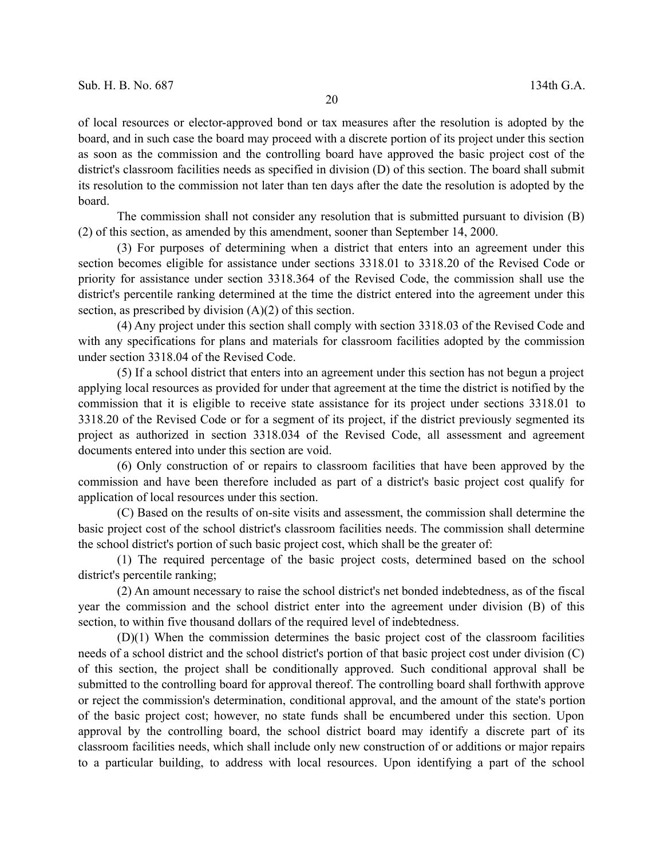of local resources or elector-approved bond or tax measures after the resolution is adopted by the board, and in such case the board may proceed with a discrete portion of its project under this section as soon as the commission and the controlling board have approved the basic project cost of the district's classroom facilities needs as specified in division (D) of this section. The board shall submit its resolution to the commission not later than ten days after the date the resolution is adopted by the board.

The commission shall not consider any resolution that is submitted pursuant to division (B) (2) of this section, as amended by this amendment, sooner than September 14, 2000.

(3) For purposes of determining when a district that enters into an agreement under this section becomes eligible for assistance under sections 3318.01 to 3318.20 of the Revised Code or priority for assistance under section 3318.364 of the Revised Code, the commission shall use the district's percentile ranking determined at the time the district entered into the agreement under this section, as prescribed by division (A)(2) of this section.

(4) Any project under this section shall comply with section 3318.03 of the Revised Code and with any specifications for plans and materials for classroom facilities adopted by the commission under section 3318.04 of the Revised Code.

(5) If a school district that enters into an agreement under this section has not begun a project applying local resources as provided for under that agreement at the time the district is notified by the commission that it is eligible to receive state assistance for its project under sections 3318.01 to 3318.20 of the Revised Code or for a segment of its project, if the district previously segmented its project as authorized in section 3318.034 of the Revised Code, all assessment and agreement documents entered into under this section are void.

(6) Only construction of or repairs to classroom facilities that have been approved by the commission and have been therefore included as part of a district's basic project cost qualify for application of local resources under this section.

(C) Based on the results of on-site visits and assessment, the commission shall determine the basic project cost of the school district's classroom facilities needs. The commission shall determine the school district's portion of such basic project cost, which shall be the greater of:

(1) The required percentage of the basic project costs, determined based on the school district's percentile ranking;

(2) An amount necessary to raise the school district's net bonded indebtedness, as of the fiscal year the commission and the school district enter into the agreement under division (B) of this section, to within five thousand dollars of the required level of indebtedness.

(D)(1) When the commission determines the basic project cost of the classroom facilities needs of a school district and the school district's portion of that basic project cost under division (C) of this section, the project shall be conditionally approved. Such conditional approval shall be submitted to the controlling board for approval thereof. The controlling board shall forthwith approve or reject the commission's determination, conditional approval, and the amount of the state's portion of the basic project cost; however, no state funds shall be encumbered under this section. Upon approval by the controlling board, the school district board may identify a discrete part of its classroom facilities needs, which shall include only new construction of or additions or major repairs to a particular building, to address with local resources. Upon identifying a part of the school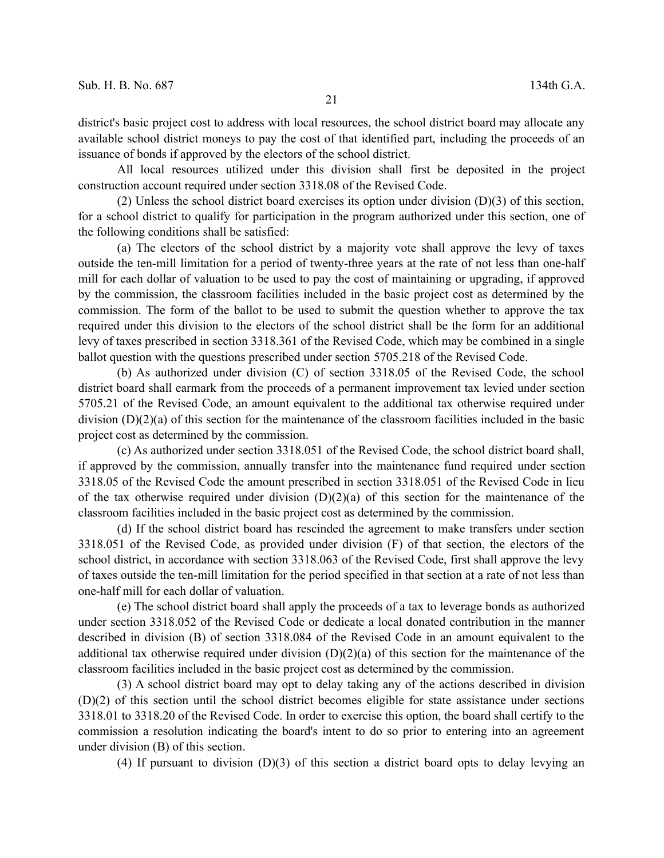All local resources utilized under this division shall first be deposited in the project construction account required under section 3318.08 of the Revised Code.

(2) Unless the school district board exercises its option under division (D)(3) of this section, for a school district to qualify for participation in the program authorized under this section, one of the following conditions shall be satisfied:

(a) The electors of the school district by a majority vote shall approve the levy of taxes outside the ten-mill limitation for a period of twenty-three years at the rate of not less than one-half mill for each dollar of valuation to be used to pay the cost of maintaining or upgrading, if approved by the commission, the classroom facilities included in the basic project cost as determined by the commission. The form of the ballot to be used to submit the question whether to approve the tax required under this division to the electors of the school district shall be the form for an additional levy of taxes prescribed in section 3318.361 of the Revised Code, which may be combined in a single ballot question with the questions prescribed under section 5705.218 of the Revised Code.

(b) As authorized under division (C) of section 3318.05 of the Revised Code, the school district board shall earmark from the proceeds of a permanent improvement tax levied under section 5705.21 of the Revised Code, an amount equivalent to the additional tax otherwise required under division (D)(2)(a) of this section for the maintenance of the classroom facilities included in the basic project cost as determined by the commission.

(c) As authorized under section 3318.051 of the Revised Code, the school district board shall, if approved by the commission, annually transfer into the maintenance fund required under section 3318.05 of the Revised Code the amount prescribed in section 3318.051 of the Revised Code in lieu of the tax otherwise required under division  $(D)(2)(a)$  of this section for the maintenance of the classroom facilities included in the basic project cost as determined by the commission.

(d) If the school district board has rescinded the agreement to make transfers under section 3318.051 of the Revised Code, as provided under division (F) of that section, the electors of the school district, in accordance with section 3318.063 of the Revised Code, first shall approve the levy of taxes outside the ten-mill limitation for the period specified in that section at a rate of not less than one-half mill for each dollar of valuation.

(e) The school district board shall apply the proceeds of a tax to leverage bonds as authorized under section 3318.052 of the Revised Code or dedicate a local donated contribution in the manner described in division (B) of section 3318.084 of the Revised Code in an amount equivalent to the additional tax otherwise required under division (D)(2)(a) of this section for the maintenance of the classroom facilities included in the basic project cost as determined by the commission.

(3) A school district board may opt to delay taking any of the actions described in division (D)(2) of this section until the school district becomes eligible for state assistance under sections 3318.01 to 3318.20 of the Revised Code. In order to exercise this option, the board shall certify to the commission a resolution indicating the board's intent to do so prior to entering into an agreement under division (B) of this section.

(4) If pursuant to division (D)(3) of this section a district board opts to delay levying an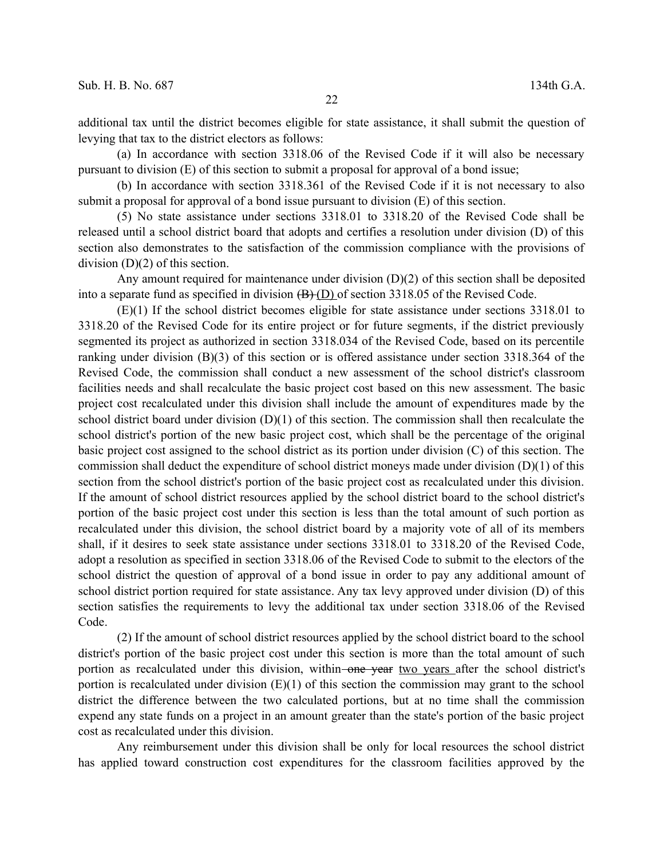additional tax until the district becomes eligible for state assistance, it shall submit the question of levying that tax to the district electors as follows:

(a) In accordance with section 3318.06 of the Revised Code if it will also be necessary pursuant to division (E) of this section to submit a proposal for approval of a bond issue;

(b) In accordance with section 3318.361 of the Revised Code if it is not necessary to also submit a proposal for approval of a bond issue pursuant to division (E) of this section.

(5) No state assistance under sections 3318.01 to 3318.20 of the Revised Code shall be released until a school district board that adopts and certifies a resolution under division (D) of this section also demonstrates to the satisfaction of the commission compliance with the provisions of division (D)(2) of this section.

Any amount required for maintenance under division (D)(2) of this section shall be deposited into a separate fund as specified in division  $(B)(D)$  of section 3318.05 of the Revised Code.

(E)(1) If the school district becomes eligible for state assistance under sections 3318.01 to 3318.20 of the Revised Code for its entire project or for future segments, if the district previously segmented its project as authorized in section 3318.034 of the Revised Code, based on its percentile ranking under division (B)(3) of this section or is offered assistance under section 3318.364 of the Revised Code, the commission shall conduct a new assessment of the school district's classroom facilities needs and shall recalculate the basic project cost based on this new assessment. The basic project cost recalculated under this division shall include the amount of expenditures made by the school district board under division (D)(1) of this section. The commission shall then recalculate the school district's portion of the new basic project cost, which shall be the percentage of the original basic project cost assigned to the school district as its portion under division (C) of this section. The commission shall deduct the expenditure of school district moneys made under division (D)(1) of this section from the school district's portion of the basic project cost as recalculated under this division. If the amount of school district resources applied by the school district board to the school district's portion of the basic project cost under this section is less than the total amount of such portion as recalculated under this division, the school district board by a majority vote of all of its members shall, if it desires to seek state assistance under sections 3318.01 to 3318.20 of the Revised Code, adopt a resolution as specified in section 3318.06 of the Revised Code to submit to the electors of the school district the question of approval of a bond issue in order to pay any additional amount of school district portion required for state assistance. Any tax levy approved under division (D) of this section satisfies the requirements to levy the additional tax under section 3318.06 of the Revised Code.

(2) If the amount of school district resources applied by the school district board to the school district's portion of the basic project cost under this section is more than the total amount of such portion as recalculated under this division, within-one year two years after the school district's portion is recalculated under division  $(E)(1)$  of this section the commission may grant to the school district the difference between the two calculated portions, but at no time shall the commission expend any state funds on a project in an amount greater than the state's portion of the basic project cost as recalculated under this division.

Any reimbursement under this division shall be only for local resources the school district has applied toward construction cost expenditures for the classroom facilities approved by the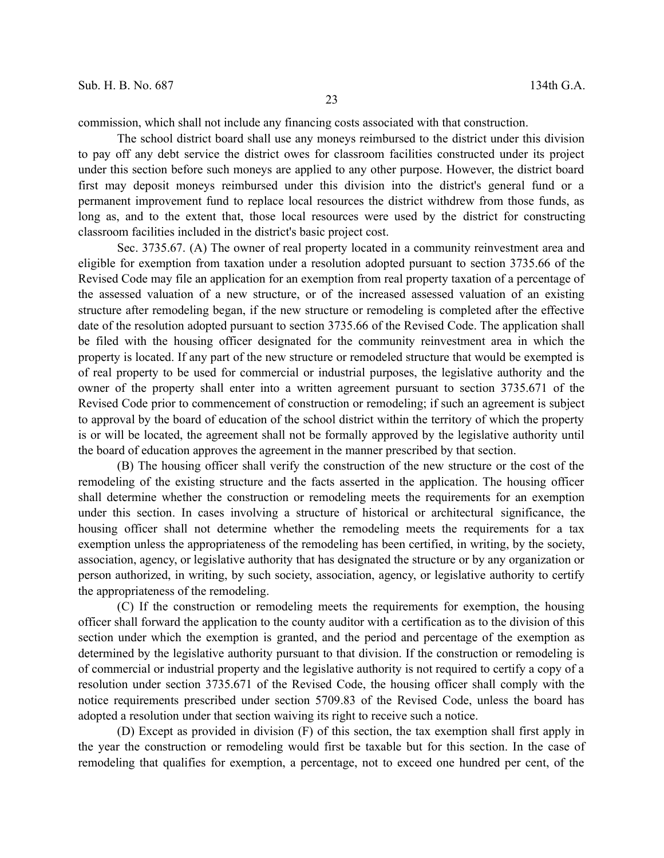commission, which shall not include any financing costs associated with that construction.

The school district board shall use any moneys reimbursed to the district under this division to pay off any debt service the district owes for classroom facilities constructed under its project under this section before such moneys are applied to any other purpose. However, the district board first may deposit moneys reimbursed under this division into the district's general fund or a permanent improvement fund to replace local resources the district withdrew from those funds, as long as, and to the extent that, those local resources were used by the district for constructing classroom facilities included in the district's basic project cost.

Sec. 3735.67. (A) The owner of real property located in a community reinvestment area and eligible for exemption from taxation under a resolution adopted pursuant to section 3735.66 of the Revised Code may file an application for an exemption from real property taxation of a percentage of the assessed valuation of a new structure, or of the increased assessed valuation of an existing structure after remodeling began, if the new structure or remodeling is completed after the effective date of the resolution adopted pursuant to section 3735.66 of the Revised Code. The application shall be filed with the housing officer designated for the community reinvestment area in which the property is located. If any part of the new structure or remodeled structure that would be exempted is of real property to be used for commercial or industrial purposes, the legislative authority and the owner of the property shall enter into a written agreement pursuant to section 3735.671 of the Revised Code prior to commencement of construction or remodeling; if such an agreement is subject to approval by the board of education of the school district within the territory of which the property is or will be located, the agreement shall not be formally approved by the legislative authority until the board of education approves the agreement in the manner prescribed by that section.

(B) The housing officer shall verify the construction of the new structure or the cost of the remodeling of the existing structure and the facts asserted in the application. The housing officer shall determine whether the construction or remodeling meets the requirements for an exemption under this section. In cases involving a structure of historical or architectural significance, the housing officer shall not determine whether the remodeling meets the requirements for a tax exemption unless the appropriateness of the remodeling has been certified, in writing, by the society, association, agency, or legislative authority that has designated the structure or by any organization or person authorized, in writing, by such society, association, agency, or legislative authority to certify the appropriateness of the remodeling.

(C) If the construction or remodeling meets the requirements for exemption, the housing officer shall forward the application to the county auditor with a certification as to the division of this section under which the exemption is granted, and the period and percentage of the exemption as determined by the legislative authority pursuant to that division. If the construction or remodeling is of commercial or industrial property and the legislative authority is not required to certify a copy of a resolution under section 3735.671 of the Revised Code, the housing officer shall comply with the notice requirements prescribed under section 5709.83 of the Revised Code, unless the board has adopted a resolution under that section waiving its right to receive such a notice.

(D) Except as provided in division (F) of this section, the tax exemption shall first apply in the year the construction or remodeling would first be taxable but for this section. In the case of remodeling that qualifies for exemption, a percentage, not to exceed one hundred per cent, of the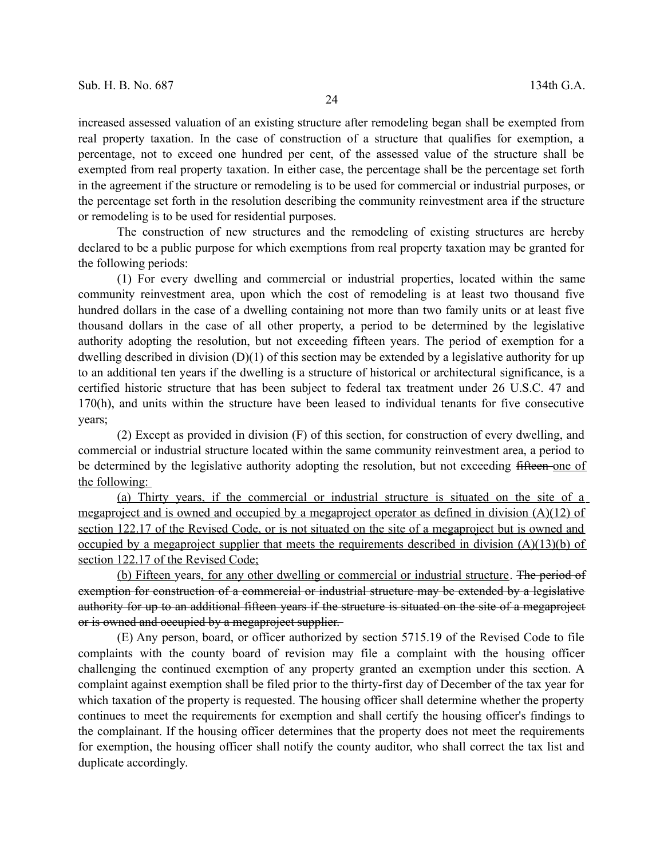increased assessed valuation of an existing structure after remodeling began shall be exempted from real property taxation. In the case of construction of a structure that qualifies for exemption, a percentage, not to exceed one hundred per cent, of the assessed value of the structure shall be exempted from real property taxation. In either case, the percentage shall be the percentage set forth in the agreement if the structure or remodeling is to be used for commercial or industrial purposes, or the percentage set forth in the resolution describing the community reinvestment area if the structure or remodeling is to be used for residential purposes.

The construction of new structures and the remodeling of existing structures are hereby declared to be a public purpose for which exemptions from real property taxation may be granted for the following periods:

(1) For every dwelling and commercial or industrial properties, located within the same community reinvestment area, upon which the cost of remodeling is at least two thousand five hundred dollars in the case of a dwelling containing not more than two family units or at least five thousand dollars in the case of all other property, a period to be determined by the legislative authority adopting the resolution, but not exceeding fifteen years. The period of exemption for a dwelling described in division (D)(1) of this section may be extended by a legislative authority for up to an additional ten years if the dwelling is a structure of historical or architectural significance, is a certified historic structure that has been subject to federal tax treatment under 26 U.S.C. 47 and 170(h), and units within the structure have been leased to individual tenants for five consecutive years;

(2) Except as provided in division (F) of this section, for construction of every dwelling, and commercial or industrial structure located within the same community reinvestment area, a period to be determined by the legislative authority adopting the resolution, but not exceeding fifteen-one of the following:

(a) Thirty years, if the commercial or industrial structure is situated on the site of a megaproject and is owned and occupied by a megaproject operator as defined in division (A)(12) of section 122.17 of the Revised Code, or is not situated on the site of a megaproject but is owned and occupied by a megaproject supplier that meets the requirements described in division  $(A)(13)(b)$  of section 122.17 of the Revised Code;

(b) Fifteen years, for any other dwelling or commercial or industrial structure. The period of exemption for construction of a commercial or industrial structure may be extended by a legislative authority for up to an additional fifteen years if the structure is situated on the site of a megaproject or is owned and occupied by a megaproject supplier.

(E) Any person, board, or officer authorized by section 5715.19 of the Revised Code to file complaints with the county board of revision may file a complaint with the housing officer challenging the continued exemption of any property granted an exemption under this section. A complaint against exemption shall be filed prior to the thirty-first day of December of the tax year for which taxation of the property is requested. The housing officer shall determine whether the property continues to meet the requirements for exemption and shall certify the housing officer's findings to the complainant. If the housing officer determines that the property does not meet the requirements for exemption, the housing officer shall notify the county auditor, who shall correct the tax list and duplicate accordingly.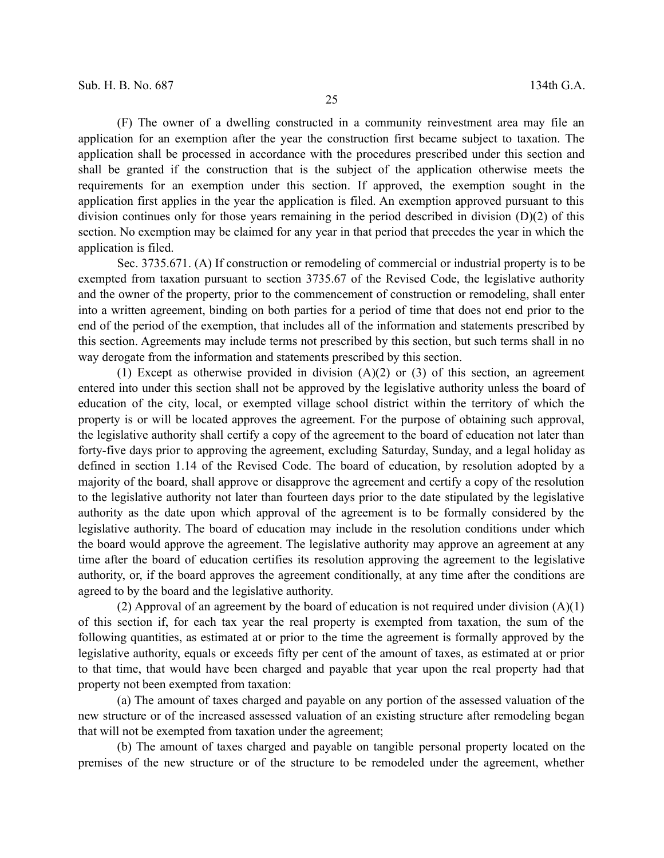(F) The owner of a dwelling constructed in a community reinvestment area may file an application for an exemption after the year the construction first became subject to taxation. The application shall be processed in accordance with the procedures prescribed under this section and shall be granted if the construction that is the subject of the application otherwise meets the requirements for an exemption under this section. If approved, the exemption sought in the application first applies in the year the application is filed. An exemption approved pursuant to this division continues only for those years remaining in the period described in division  $(D)(2)$  of this section. No exemption may be claimed for any year in that period that precedes the year in which the application is filed.

Sec. 3735.671. (A) If construction or remodeling of commercial or industrial property is to be exempted from taxation pursuant to section 3735.67 of the Revised Code, the legislative authority and the owner of the property, prior to the commencement of construction or remodeling, shall enter into a written agreement, binding on both parties for a period of time that does not end prior to the end of the period of the exemption, that includes all of the information and statements prescribed by this section. Agreements may include terms not prescribed by this section, but such terms shall in no way derogate from the information and statements prescribed by this section.

(1) Except as otherwise provided in division  $(A)(2)$  or  $(3)$  of this section, an agreement entered into under this section shall not be approved by the legislative authority unless the board of education of the city, local, or exempted village school district within the territory of which the property is or will be located approves the agreement. For the purpose of obtaining such approval, the legislative authority shall certify a copy of the agreement to the board of education not later than forty-five days prior to approving the agreement, excluding Saturday, Sunday, and a legal holiday as defined in section 1.14 of the Revised Code. The board of education, by resolution adopted by a majority of the board, shall approve or disapprove the agreement and certify a copy of the resolution to the legislative authority not later than fourteen days prior to the date stipulated by the legislative authority as the date upon which approval of the agreement is to be formally considered by the legislative authority. The board of education may include in the resolution conditions under which the board would approve the agreement. The legislative authority may approve an agreement at any time after the board of education certifies its resolution approving the agreement to the legislative authority, or, if the board approves the agreement conditionally, at any time after the conditions are agreed to by the board and the legislative authority.

(2) Approval of an agreement by the board of education is not required under division (A)(1) of this section if, for each tax year the real property is exempted from taxation, the sum of the following quantities, as estimated at or prior to the time the agreement is formally approved by the legislative authority, equals or exceeds fifty per cent of the amount of taxes, as estimated at or prior to that time, that would have been charged and payable that year upon the real property had that property not been exempted from taxation:

(a) The amount of taxes charged and payable on any portion of the assessed valuation of the new structure or of the increased assessed valuation of an existing structure after remodeling began that will not be exempted from taxation under the agreement;

(b) The amount of taxes charged and payable on tangible personal property located on the premises of the new structure or of the structure to be remodeled under the agreement, whether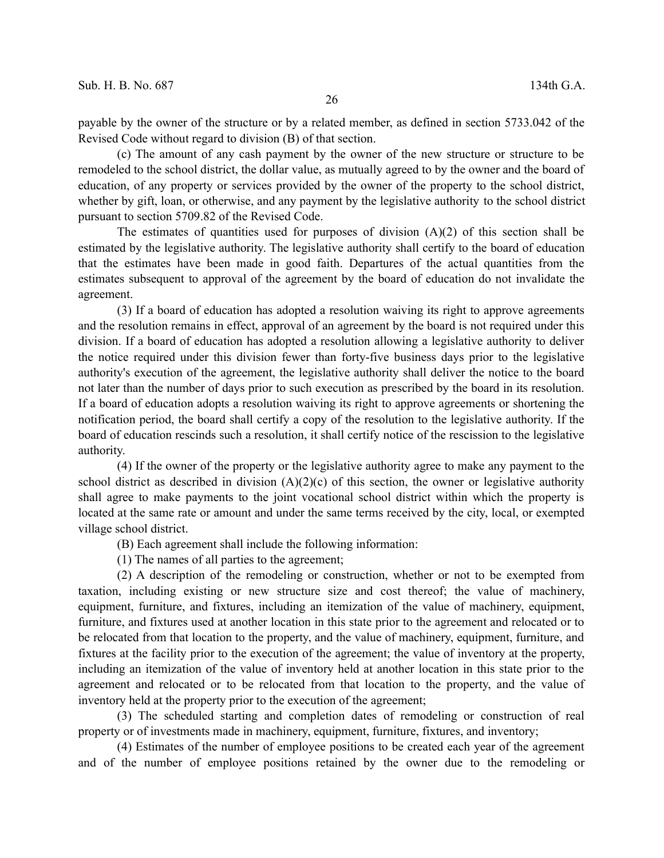payable by the owner of the structure or by a related member, as defined in section 5733.042 of the Revised Code without regard to division (B) of that section.

(c) The amount of any cash payment by the owner of the new structure or structure to be remodeled to the school district, the dollar value, as mutually agreed to by the owner and the board of education, of any property or services provided by the owner of the property to the school district, whether by gift, loan, or otherwise, and any payment by the legislative authority to the school district pursuant to section 5709.82 of the Revised Code.

The estimates of quantities used for purposes of division  $(A)(2)$  of this section shall be estimated by the legislative authority. The legislative authority shall certify to the board of education that the estimates have been made in good faith. Departures of the actual quantities from the estimates subsequent to approval of the agreement by the board of education do not invalidate the agreement.

(3) If a board of education has adopted a resolution waiving its right to approve agreements and the resolution remains in effect, approval of an agreement by the board is not required under this division. If a board of education has adopted a resolution allowing a legislative authority to deliver the notice required under this division fewer than forty-five business days prior to the legislative authority's execution of the agreement, the legislative authority shall deliver the notice to the board not later than the number of days prior to such execution as prescribed by the board in its resolution. If a board of education adopts a resolution waiving its right to approve agreements or shortening the notification period, the board shall certify a copy of the resolution to the legislative authority. If the board of education rescinds such a resolution, it shall certify notice of the rescission to the legislative authority.

(4) If the owner of the property or the legislative authority agree to make any payment to the school district as described in division (A)(2)(c) of this section, the owner or legislative authority shall agree to make payments to the joint vocational school district within which the property is located at the same rate or amount and under the same terms received by the city, local, or exempted village school district.

(B) Each agreement shall include the following information:

(1) The names of all parties to the agreement;

(2) A description of the remodeling or construction, whether or not to be exempted from taxation, including existing or new structure size and cost thereof; the value of machinery, equipment, furniture, and fixtures, including an itemization of the value of machinery, equipment, furniture, and fixtures used at another location in this state prior to the agreement and relocated or to be relocated from that location to the property, and the value of machinery, equipment, furniture, and fixtures at the facility prior to the execution of the agreement; the value of inventory at the property, including an itemization of the value of inventory held at another location in this state prior to the agreement and relocated or to be relocated from that location to the property, and the value of inventory held at the property prior to the execution of the agreement;

(3) The scheduled starting and completion dates of remodeling or construction of real property or of investments made in machinery, equipment, furniture, fixtures, and inventory;

(4) Estimates of the number of employee positions to be created each year of the agreement and of the number of employee positions retained by the owner due to the remodeling or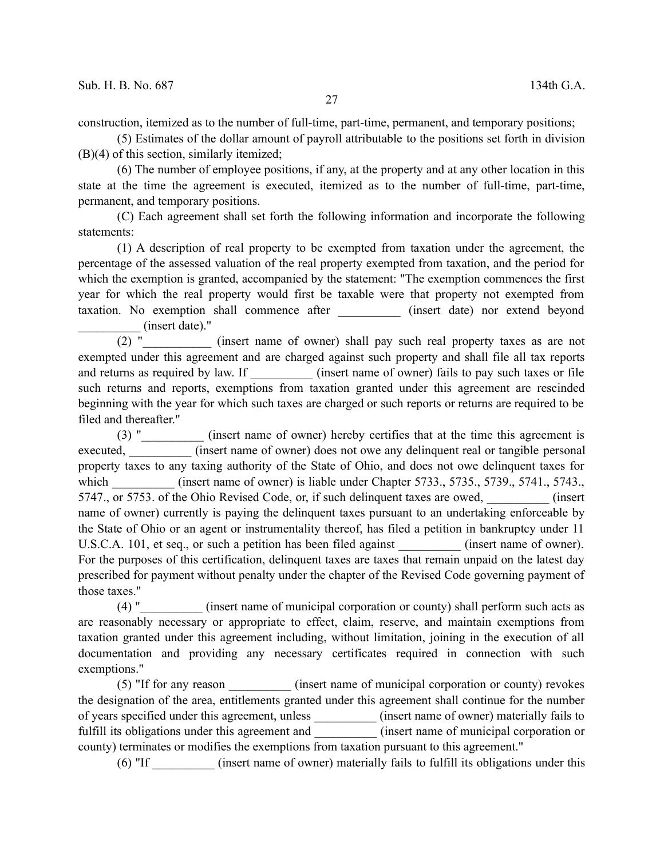construction, itemized as to the number of full-time, part-time, permanent, and temporary positions;

(5) Estimates of the dollar amount of payroll attributable to the positions set forth in division (B)(4) of this section, similarly itemized;

(6) The number of employee positions, if any, at the property and at any other location in this state at the time the agreement is executed, itemized as to the number of full-time, part-time, permanent, and temporary positions.

(C) Each agreement shall set forth the following information and incorporate the following statements:

(1) A description of real property to be exempted from taxation under the agreement, the percentage of the assessed valuation of the real property exempted from taxation, and the period for which the exemption is granted, accompanied by the statement: "The exemption commences the first year for which the real property would first be taxable were that property not exempted from taxation. No exemption shall commence after \_\_\_\_\_\_\_\_\_\_ (insert date) nor extend beyond (insert date)."

(2) " (insert name of owner) shall pay such real property taxes as are not exempted under this agreement and are charged against such property and shall file all tax reports and returns as required by law. If  $(insert name of owner)$  fails to pay such taxes or file such returns and reports, exemptions from taxation granted under this agreement are rescinded beginning with the year for which such taxes are charged or such reports or returns are required to be filed and thereafter."

(3) "\_\_\_\_\_\_\_\_\_\_ (insert name of owner) hereby certifies that at the time this agreement is executed, (insert name of owner) does not owe any delinquent real or tangible personal property taxes to any taxing authority of the State of Ohio, and does not owe delinquent taxes for which (insert name of owner) is liable under Chapter 5733., 5735., 5739., 5741., 5743., 5747., or 5753. of the Ohio Revised Code, or, if such delinquent taxes are owed,  $(insert$ name of owner) currently is paying the delinquent taxes pursuant to an undertaking enforceable by the State of Ohio or an agent or instrumentality thereof, has filed a petition in bankruptcy under 11 U.S.C.A. 101, et seq., or such a petition has been filed against \_\_\_\_\_\_\_\_\_\_ (insert name of owner). For the purposes of this certification, delinquent taxes are taxes that remain unpaid on the latest day prescribed for payment without penalty under the chapter of the Revised Code governing payment of those taxes."

(4) "\_\_\_\_\_\_\_\_\_\_ (insert name of municipal corporation or county) shall perform such acts as are reasonably necessary or appropriate to effect, claim, reserve, and maintain exemptions from taxation granted under this agreement including, without limitation, joining in the execution of all documentation and providing any necessary certificates required in connection with such exemptions."

(5) "If for any reason (insert name of municipal corporation or county) revokes the designation of the area, entitlements granted under this agreement shall continue for the number of years specified under this agreement, unless \_\_\_\_\_\_\_\_\_\_ (insert name of owner) materially fails to fulfill its obligations under this agreement and \_\_\_\_\_\_\_\_\_\_\_ (insert name of municipal corporation or county) terminates or modifies the exemptions from taxation pursuant to this agreement."

(6) "If \_\_\_\_\_\_\_\_\_\_ (insert name of owner) materially fails to fulfill its obligations under this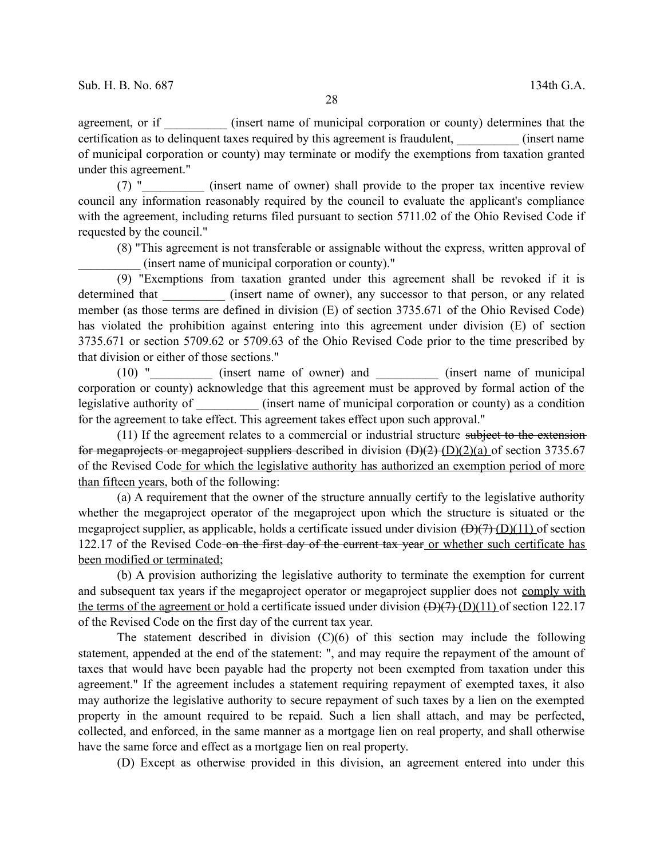agreement, or if (insert name of municipal corporation or county) determines that the certification as to delinquent taxes required by this agreement is fraudulent,  $(insert name)$ of municipal corporation or county) may terminate or modify the exemptions from taxation granted under this agreement."

(7) " (insert name of owner) shall provide to the proper tax incentive review council any information reasonably required by the council to evaluate the applicant's compliance with the agreement, including returns filed pursuant to section 5711.02 of the Ohio Revised Code if requested by the council."

(8) "This agreement is not transferable or assignable without the express, written approval of \_\_\_\_\_\_\_\_\_\_ (insert name of municipal corporation or county)."

(9) "Exemptions from taxation granted under this agreement shall be revoked if it is determined that (insert name of owner), any successor to that person, or any related member (as those terms are defined in division (E) of section 3735.671 of the Ohio Revised Code) has violated the prohibition against entering into this agreement under division (E) of section 3735.671 or section 5709.62 or 5709.63 of the Ohio Revised Code prior to the time prescribed by that division or either of those sections."

(10) "\_\_\_\_\_\_\_\_\_\_ (insert name of owner) and \_\_\_\_\_\_\_\_\_\_ (insert name of municipal corporation or county) acknowledge that this agreement must be approved by formal action of the legislative authority of \_\_\_\_\_\_\_\_\_\_ (insert name of municipal corporation or county) as a condition for the agreement to take effect. This agreement takes effect upon such approval."

(11) If the agreement relates to a commercial or industrial structure subject to the extension for megaprojects or megaproject suppliers described in division  $(D)(2)$  (D)(2)(a) of section 3735.67 of the Revised Code for which the legislative authority has authorized an exemption period of more than fifteen years, both of the following:

(a) A requirement that the owner of the structure annually certify to the legislative authority whether the megaproject operator of the megaproject upon which the structure is situated or the megaproject supplier, as applicable, holds a certificate issued under division  $(D)(7)$  (D)(11) of section 122.17 of the Revised Code-on the first day of the current tax year or whether such certificate has been modified or terminated;

(b) A provision authorizing the legislative authority to terminate the exemption for current and subsequent tax years if the megaproject operator or megaproject supplier does not comply with the terms of the agreement or hold a certificate issued under division  $(\overrightarrow{D})(7)$  (D)(11) of section 122.17 of the Revised Code on the first day of the current tax year.

The statement described in division  $(C)(6)$  of this section may include the following statement, appended at the end of the statement: ", and may require the repayment of the amount of taxes that would have been payable had the property not been exempted from taxation under this agreement." If the agreement includes a statement requiring repayment of exempted taxes, it also may authorize the legislative authority to secure repayment of such taxes by a lien on the exempted property in the amount required to be repaid. Such a lien shall attach, and may be perfected, collected, and enforced, in the same manner as a mortgage lien on real property, and shall otherwise have the same force and effect as a mortgage lien on real property.

(D) Except as otherwise provided in this division, an agreement entered into under this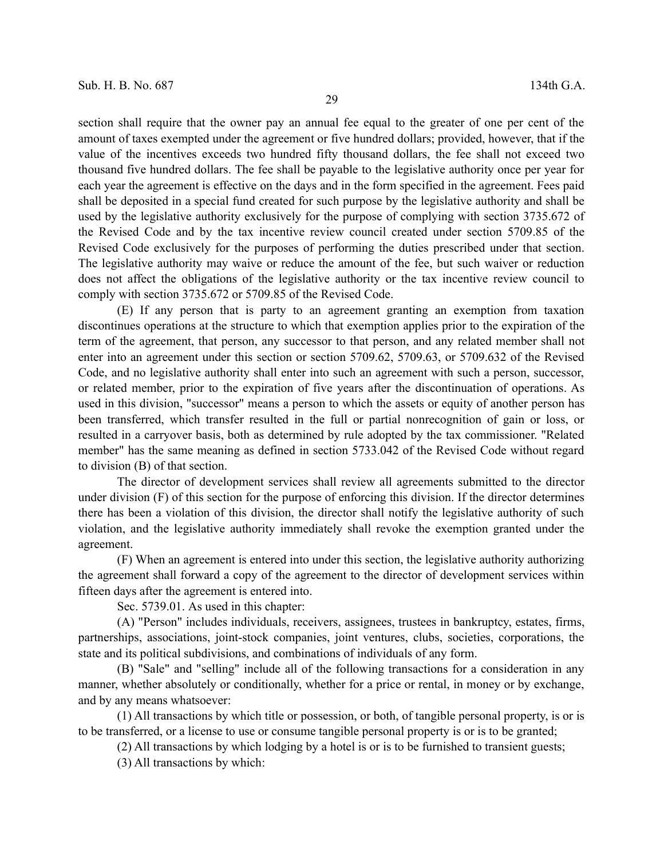section shall require that the owner pay an annual fee equal to the greater of one per cent of the amount of taxes exempted under the agreement or five hundred dollars; provided, however, that if the value of the incentives exceeds two hundred fifty thousand dollars, the fee shall not exceed two thousand five hundred dollars. The fee shall be payable to the legislative authority once per year for each year the agreement is effective on the days and in the form specified in the agreement. Fees paid shall be deposited in a special fund created for such purpose by the legislative authority and shall be used by the legislative authority exclusively for the purpose of complying with section 3735.672 of the Revised Code and by the tax incentive review council created under section 5709.85 of the Revised Code exclusively for the purposes of performing the duties prescribed under that section. The legislative authority may waive or reduce the amount of the fee, but such waiver or reduction does not affect the obligations of the legislative authority or the tax incentive review council to comply with section 3735.672 or 5709.85 of the Revised Code.

(E) If any person that is party to an agreement granting an exemption from taxation discontinues operations at the structure to which that exemption applies prior to the expiration of the term of the agreement, that person, any successor to that person, and any related member shall not enter into an agreement under this section or section 5709.62, 5709.63, or 5709.632 of the Revised Code, and no legislative authority shall enter into such an agreement with such a person, successor, or related member, prior to the expiration of five years after the discontinuation of operations. As used in this division, "successor" means a person to which the assets or equity of another person has been transferred, which transfer resulted in the full or partial nonrecognition of gain or loss, or resulted in a carryover basis, both as determined by rule adopted by the tax commissioner. "Related member" has the same meaning as defined in section 5733.042 of the Revised Code without regard to division (B) of that section.

The director of development services shall review all agreements submitted to the director under division (F) of this section for the purpose of enforcing this division. If the director determines there has been a violation of this division, the director shall notify the legislative authority of such violation, and the legislative authority immediately shall revoke the exemption granted under the agreement.

(F) When an agreement is entered into under this section, the legislative authority authorizing the agreement shall forward a copy of the agreement to the director of development services within fifteen days after the agreement is entered into.

Sec. 5739.01. As used in this chapter:

(A) "Person" includes individuals, receivers, assignees, trustees in bankruptcy, estates, firms, partnerships, associations, joint-stock companies, joint ventures, clubs, societies, corporations, the state and its political subdivisions, and combinations of individuals of any form.

(B) "Sale" and "selling" include all of the following transactions for a consideration in any manner, whether absolutely or conditionally, whether for a price or rental, in money or by exchange, and by any means whatsoever:

(1) All transactions by which title or possession, or both, of tangible personal property, is or is to be transferred, or a license to use or consume tangible personal property is or is to be granted;

(2) All transactions by which lodging by a hotel is or is to be furnished to transient guests;

(3) All transactions by which: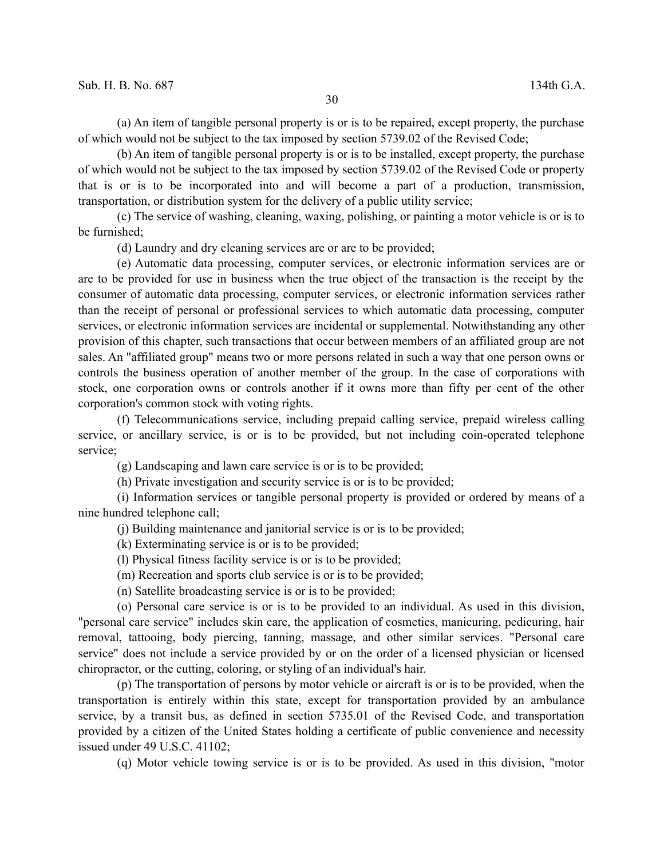(a) An item of tangible personal property is or is to be repaired, except property, the purchase of which would not be subject to the tax imposed by section 5739.02 of the Revised Code;

(b) An item of tangible personal property is or is to be installed, except property, the purchase of which would not be subject to the tax imposed by section 5739.02 of the Revised Code or property that is or is to be incorporated into and will become a part of a production, transmission, transportation, or distribution system for the delivery of a public utility service;

(c) The service of washing, cleaning, waxing, polishing, or painting a motor vehicle is or is to be furnished;

(d) Laundry and dry cleaning services are or are to be provided;

(e) Automatic data processing, computer services, or electronic information services are or are to be provided for use in business when the true object of the transaction is the receipt by the consumer of automatic data processing, computer services, or electronic information services rather than the receipt of personal or professional services to which automatic data processing, computer services, or electronic information services are incidental or supplemental. Notwithstanding any other provision of this chapter, such transactions that occur between members of an affiliated group are not sales. An "affiliated group" means two or more persons related in such a way that one person owns or controls the business operation of another member of the group. In the case of corporations with stock, one corporation owns or controls another if it owns more than fifty per cent of the other corporation's common stock with voting rights.

(f) Telecommunications service, including prepaid calling service, prepaid wireless calling service, or ancillary service, is or is to be provided, but not including coin-operated telephone service;

(g) Landscaping and lawn care service is or is to be provided;

(h) Private investigation and security service is or is to be provided;

(i) Information services or tangible personal property is provided or ordered by means of a nine hundred telephone call;

(j) Building maintenance and janitorial service is or is to be provided;

(k) Exterminating service is or is to be provided;

(l) Physical fitness facility service is or is to be provided;

(m) Recreation and sports club service is or is to be provided;

(n) Satellite broadcasting service is or is to be provided;

(o) Personal care service is or is to be provided to an individual. As used in this division, "personal care service" includes skin care, the application of cosmetics, manicuring, pedicuring, hair removal, tattooing, body piercing, tanning, massage, and other similar services. "Personal care service" does not include a service provided by or on the order of a licensed physician or licensed chiropractor, or the cutting, coloring, or styling of an individual's hair.

(p) The transportation of persons by motor vehicle or aircraft is or is to be provided, when the transportation is entirely within this state, except for transportation provided by an ambulance service, by a transit bus, as defined in section 5735.01 of the Revised Code, and transportation provided by a citizen of the United States holding a certificate of public convenience and necessity issued under 49 U.S.C. 41102;

(q) Motor vehicle towing service is or is to be provided. As used in this division, "motor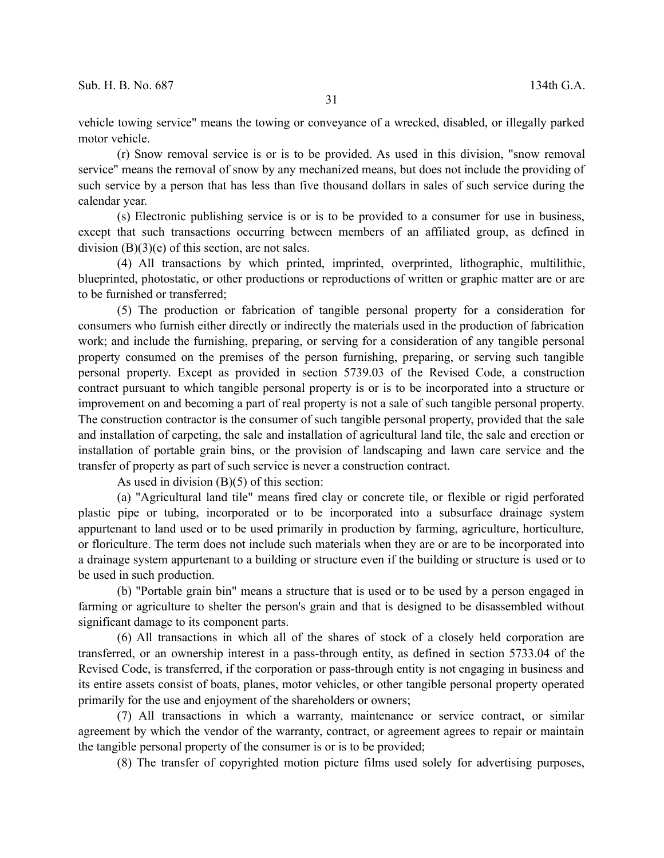vehicle towing service" means the towing or conveyance of a wrecked, disabled, or illegally parked motor vehicle.

(r) Snow removal service is or is to be provided. As used in this division, "snow removal service" means the removal of snow by any mechanized means, but does not include the providing of such service by a person that has less than five thousand dollars in sales of such service during the calendar year.

(s) Electronic publishing service is or is to be provided to a consumer for use in business, except that such transactions occurring between members of an affiliated group, as defined in division  $(B)(3)(e)$  of this section, are not sales.

(4) All transactions by which printed, imprinted, overprinted, lithographic, multilithic, blueprinted, photostatic, or other productions or reproductions of written or graphic matter are or are to be furnished or transferred;

(5) The production or fabrication of tangible personal property for a consideration for consumers who furnish either directly or indirectly the materials used in the production of fabrication work; and include the furnishing, preparing, or serving for a consideration of any tangible personal property consumed on the premises of the person furnishing, preparing, or serving such tangible personal property. Except as provided in section 5739.03 of the Revised Code, a construction contract pursuant to which tangible personal property is or is to be incorporated into a structure or improvement on and becoming a part of real property is not a sale of such tangible personal property. The construction contractor is the consumer of such tangible personal property, provided that the sale and installation of carpeting, the sale and installation of agricultural land tile, the sale and erection or installation of portable grain bins, or the provision of landscaping and lawn care service and the transfer of property as part of such service is never a construction contract.

As used in division (B)(5) of this section:

(a) "Agricultural land tile" means fired clay or concrete tile, or flexible or rigid perforated plastic pipe or tubing, incorporated or to be incorporated into a subsurface drainage system appurtenant to land used or to be used primarily in production by farming, agriculture, horticulture, or floriculture. The term does not include such materials when they are or are to be incorporated into a drainage system appurtenant to a building or structure even if the building or structure is used or to be used in such production.

(b) "Portable grain bin" means a structure that is used or to be used by a person engaged in farming or agriculture to shelter the person's grain and that is designed to be disassembled without significant damage to its component parts.

(6) All transactions in which all of the shares of stock of a closely held corporation are transferred, or an ownership interest in a pass-through entity, as defined in section 5733.04 of the Revised Code, is transferred, if the corporation or pass-through entity is not engaging in business and its entire assets consist of boats, planes, motor vehicles, or other tangible personal property operated primarily for the use and enjoyment of the shareholders or owners;

(7) All transactions in which a warranty, maintenance or service contract, or similar agreement by which the vendor of the warranty, contract, or agreement agrees to repair or maintain the tangible personal property of the consumer is or is to be provided;

(8) The transfer of copyrighted motion picture films used solely for advertising purposes,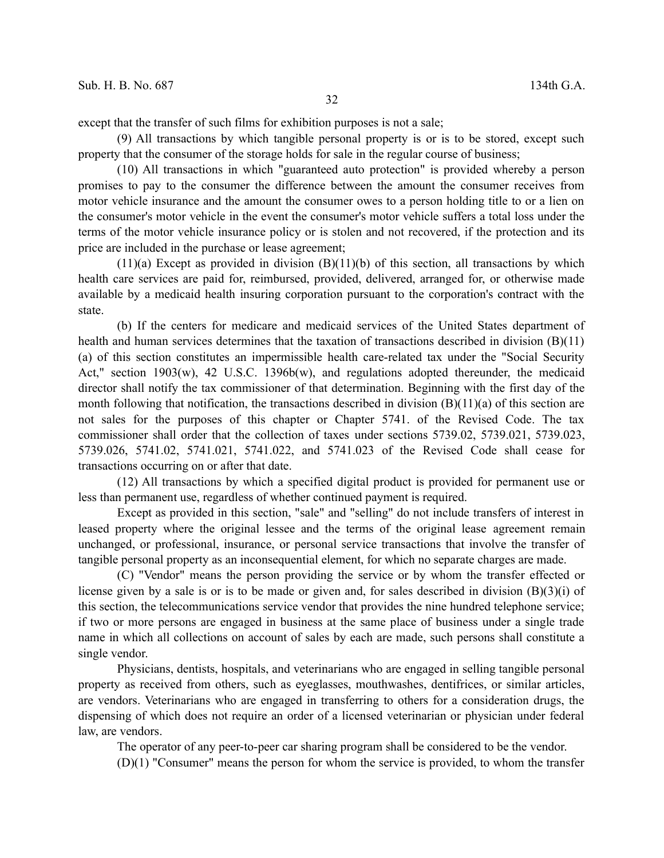except that the transfer of such films for exhibition purposes is not a sale;

(9) All transactions by which tangible personal property is or is to be stored, except such property that the consumer of the storage holds for sale in the regular course of business;

(10) All transactions in which "guaranteed auto protection" is provided whereby a person promises to pay to the consumer the difference between the amount the consumer receives from motor vehicle insurance and the amount the consumer owes to a person holding title to or a lien on the consumer's motor vehicle in the event the consumer's motor vehicle suffers a total loss under the terms of the motor vehicle insurance policy or is stolen and not recovered, if the protection and its price are included in the purchase or lease agreement;

 $(11)(a)$  Except as provided in division  $(B)(11)(b)$  of this section, all transactions by which health care services are paid for, reimbursed, provided, delivered, arranged for, or otherwise made available by a medicaid health insuring corporation pursuant to the corporation's contract with the state.

(b) If the centers for medicare and medicaid services of the United States department of health and human services determines that the taxation of transactions described in division (B)(11) (a) of this section constitutes an impermissible health care-related tax under the "Social Security Act," section 1903(w), 42 U.S.C. 1396b(w), and regulations adopted thereunder, the medicaid director shall notify the tax commissioner of that determination. Beginning with the first day of the month following that notification, the transactions described in division  $(B)(11)(a)$  of this section are not sales for the purposes of this chapter or Chapter 5741. of the Revised Code. The tax commissioner shall order that the collection of taxes under sections 5739.02, 5739.021, 5739.023, 5739.026, 5741.02, 5741.021, 5741.022, and 5741.023 of the Revised Code shall cease for transactions occurring on or after that date.

(12) All transactions by which a specified digital product is provided for permanent use or less than permanent use, regardless of whether continued payment is required.

Except as provided in this section, "sale" and "selling" do not include transfers of interest in leased property where the original lessee and the terms of the original lease agreement remain unchanged, or professional, insurance, or personal service transactions that involve the transfer of tangible personal property as an inconsequential element, for which no separate charges are made.

(C) "Vendor" means the person providing the service or by whom the transfer effected or license given by a sale is or is to be made or given and, for sales described in division (B)(3)(i) of this section, the telecommunications service vendor that provides the nine hundred telephone service; if two or more persons are engaged in business at the same place of business under a single trade name in which all collections on account of sales by each are made, such persons shall constitute a single vendor.

Physicians, dentists, hospitals, and veterinarians who are engaged in selling tangible personal property as received from others, such as eyeglasses, mouthwashes, dentifrices, or similar articles, are vendors. Veterinarians who are engaged in transferring to others for a consideration drugs, the dispensing of which does not require an order of a licensed veterinarian or physician under federal law, are vendors.

The operator of any peer-to-peer car sharing program shall be considered to be the vendor.

(D)(1) "Consumer" means the person for whom the service is provided, to whom the transfer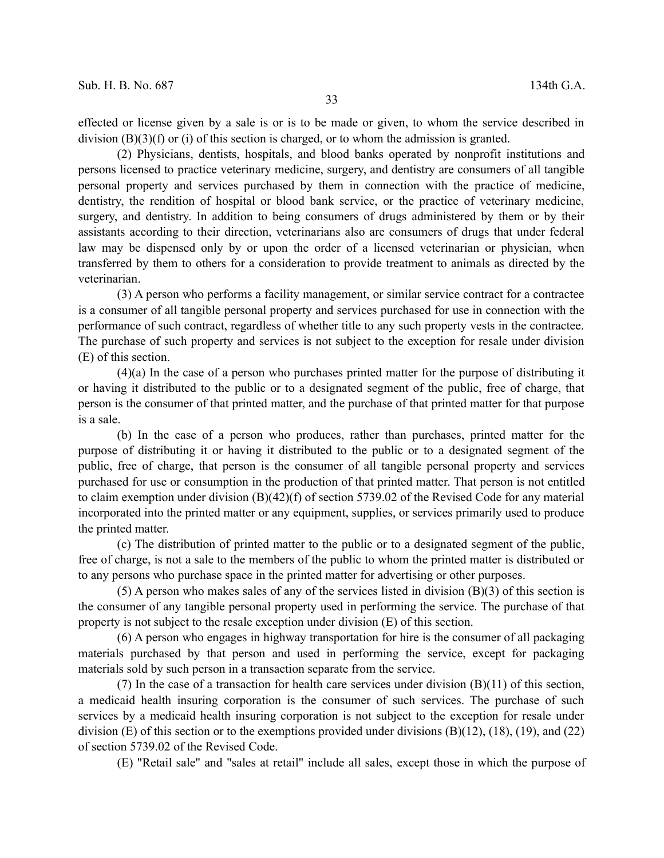effected or license given by a sale is or is to be made or given, to whom the service described in division  $(B)(3)(f)$  or (i) of this section is charged, or to whom the admission is granted.

(2) Physicians, dentists, hospitals, and blood banks operated by nonprofit institutions and persons licensed to practice veterinary medicine, surgery, and dentistry are consumers of all tangible personal property and services purchased by them in connection with the practice of medicine, dentistry, the rendition of hospital or blood bank service, or the practice of veterinary medicine, surgery, and dentistry. In addition to being consumers of drugs administered by them or by their assistants according to their direction, veterinarians also are consumers of drugs that under federal law may be dispensed only by or upon the order of a licensed veterinarian or physician, when transferred by them to others for a consideration to provide treatment to animals as directed by the veterinarian.

(3) A person who performs a facility management, or similar service contract for a contractee is a consumer of all tangible personal property and services purchased for use in connection with the performance of such contract, regardless of whether title to any such property vests in the contractee. The purchase of such property and services is not subject to the exception for resale under division (E) of this section.

(4)(a) In the case of a person who purchases printed matter for the purpose of distributing it or having it distributed to the public or to a designated segment of the public, free of charge, that person is the consumer of that printed matter, and the purchase of that printed matter for that purpose is a sale.

(b) In the case of a person who produces, rather than purchases, printed matter for the purpose of distributing it or having it distributed to the public or to a designated segment of the public, free of charge, that person is the consumer of all tangible personal property and services purchased for use or consumption in the production of that printed matter. That person is not entitled to claim exemption under division (B)(42)(f) of section 5739.02 of the Revised Code for any material incorporated into the printed matter or any equipment, supplies, or services primarily used to produce the printed matter.

(c) The distribution of printed matter to the public or to a designated segment of the public, free of charge, is not a sale to the members of the public to whom the printed matter is distributed or to any persons who purchase space in the printed matter for advertising or other purposes.

(5) A person who makes sales of any of the services listed in division (B)(3) of this section is the consumer of any tangible personal property used in performing the service. The purchase of that property is not subject to the resale exception under division (E) of this section.

(6) A person who engages in highway transportation for hire is the consumer of all packaging materials purchased by that person and used in performing the service, except for packaging materials sold by such person in a transaction separate from the service.

(7) In the case of a transaction for health care services under division (B)(11) of this section, a medicaid health insuring corporation is the consumer of such services. The purchase of such services by a medicaid health insuring corporation is not subject to the exception for resale under division (E) of this section or to the exemptions provided under divisions (B)(12), (18), (19), and (22) of section 5739.02 of the Revised Code.

(E) "Retail sale" and "sales at retail" include all sales, except those in which the purpose of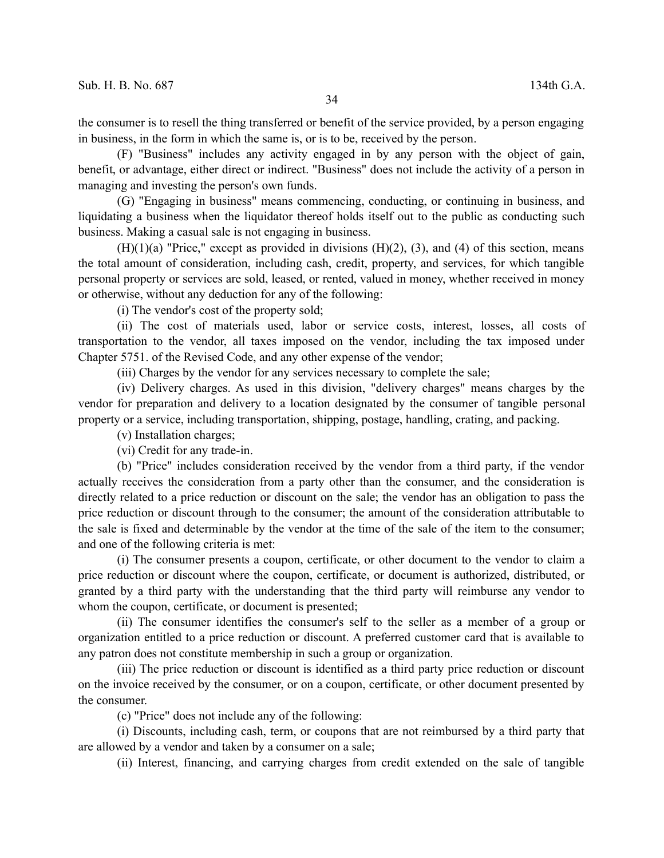the consumer is to resell the thing transferred or benefit of the service provided, by a person engaging in business, in the form in which the same is, or is to be, received by the person.

(F) "Business" includes any activity engaged in by any person with the object of gain, benefit, or advantage, either direct or indirect. "Business" does not include the activity of a person in managing and investing the person's own funds.

(G) "Engaging in business" means commencing, conducting, or continuing in business, and liquidating a business when the liquidator thereof holds itself out to the public as conducting such business. Making a casual sale is not engaging in business.

 $(H)(1)(a)$  "Price," except as provided in divisions  $(H)(2)$ ,  $(3)$ , and  $(4)$  of this section, means the total amount of consideration, including cash, credit, property, and services, for which tangible personal property or services are sold, leased, or rented, valued in money, whether received in money or otherwise, without any deduction for any of the following:

(i) The vendor's cost of the property sold;

(ii) The cost of materials used, labor or service costs, interest, losses, all costs of transportation to the vendor, all taxes imposed on the vendor, including the tax imposed under Chapter 5751. of the Revised Code, and any other expense of the vendor;

(iii) Charges by the vendor for any services necessary to complete the sale;

(iv) Delivery charges. As used in this division, "delivery charges" means charges by the vendor for preparation and delivery to a location designated by the consumer of tangible personal property or a service, including transportation, shipping, postage, handling, crating, and packing.

(v) Installation charges;

(vi) Credit for any trade-in.

(b) "Price" includes consideration received by the vendor from a third party, if the vendor actually receives the consideration from a party other than the consumer, and the consideration is directly related to a price reduction or discount on the sale; the vendor has an obligation to pass the price reduction or discount through to the consumer; the amount of the consideration attributable to the sale is fixed and determinable by the vendor at the time of the sale of the item to the consumer; and one of the following criteria is met:

(i) The consumer presents a coupon, certificate, or other document to the vendor to claim a price reduction or discount where the coupon, certificate, or document is authorized, distributed, or granted by a third party with the understanding that the third party will reimburse any vendor to whom the coupon, certificate, or document is presented;

(ii) The consumer identifies the consumer's self to the seller as a member of a group or organization entitled to a price reduction or discount. A preferred customer card that is available to any patron does not constitute membership in such a group or organization.

(iii) The price reduction or discount is identified as a third party price reduction or discount on the invoice received by the consumer, or on a coupon, certificate, or other document presented by the consumer.

(c) "Price" does not include any of the following:

(i) Discounts, including cash, term, or coupons that are not reimbursed by a third party that are allowed by a vendor and taken by a consumer on a sale;

(ii) Interest, financing, and carrying charges from credit extended on the sale of tangible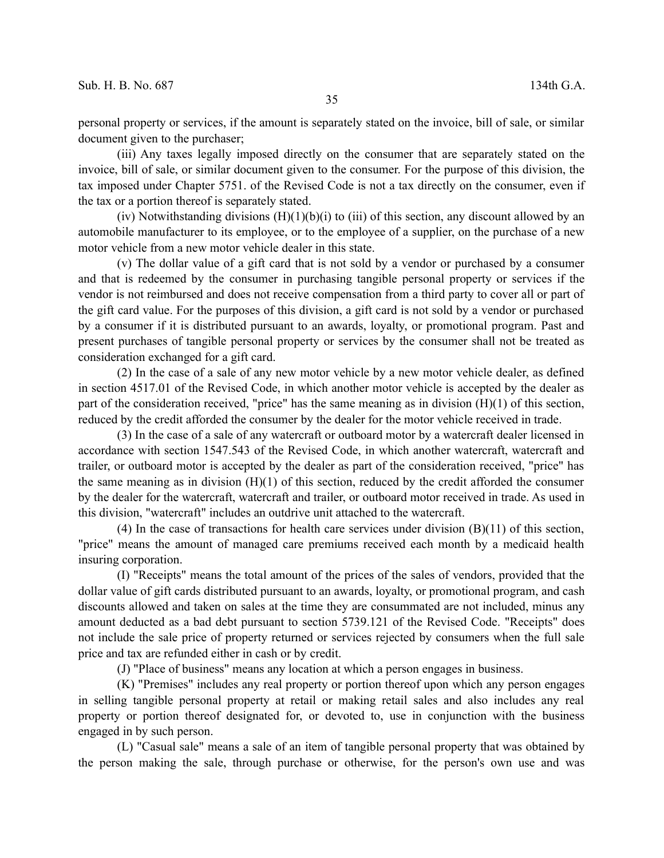personal property or services, if the amount is separately stated on the invoice, bill of sale, or similar document given to the purchaser;

(iii) Any taxes legally imposed directly on the consumer that are separately stated on the invoice, bill of sale, or similar document given to the consumer. For the purpose of this division, the tax imposed under Chapter 5751. of the Revised Code is not a tax directly on the consumer, even if the tax or a portion thereof is separately stated.

(iv) Notwithstanding divisions  $(H)(1)(b)(i)$  to (iii) of this section, any discount allowed by an automobile manufacturer to its employee, or to the employee of a supplier, on the purchase of a new motor vehicle from a new motor vehicle dealer in this state.

(v) The dollar value of a gift card that is not sold by a vendor or purchased by a consumer and that is redeemed by the consumer in purchasing tangible personal property or services if the vendor is not reimbursed and does not receive compensation from a third party to cover all or part of the gift card value. For the purposes of this division, a gift card is not sold by a vendor or purchased by a consumer if it is distributed pursuant to an awards, loyalty, or promotional program. Past and present purchases of tangible personal property or services by the consumer shall not be treated as consideration exchanged for a gift card.

(2) In the case of a sale of any new motor vehicle by a new motor vehicle dealer, as defined in section 4517.01 of the Revised Code, in which another motor vehicle is accepted by the dealer as part of the consideration received, "price" has the same meaning as in division  $(H)(1)$  of this section, reduced by the credit afforded the consumer by the dealer for the motor vehicle received in trade.

(3) In the case of a sale of any watercraft or outboard motor by a watercraft dealer licensed in accordance with section 1547.543 of the Revised Code, in which another watercraft, watercraft and trailer, or outboard motor is accepted by the dealer as part of the consideration received, "price" has the same meaning as in division (H)(1) of this section, reduced by the credit afforded the consumer by the dealer for the watercraft, watercraft and trailer, or outboard motor received in trade. As used in this division, "watercraft" includes an outdrive unit attached to the watercraft.

(4) In the case of transactions for health care services under division (B)(11) of this section, "price" means the amount of managed care premiums received each month by a medicaid health insuring corporation.

(I) "Receipts" means the total amount of the prices of the sales of vendors, provided that the dollar value of gift cards distributed pursuant to an awards, loyalty, or promotional program, and cash discounts allowed and taken on sales at the time they are consummated are not included, minus any amount deducted as a bad debt pursuant to section 5739.121 of the Revised Code. "Receipts" does not include the sale price of property returned or services rejected by consumers when the full sale price and tax are refunded either in cash or by credit.

(J) "Place of business" means any location at which a person engages in business.

(K) "Premises" includes any real property or portion thereof upon which any person engages in selling tangible personal property at retail or making retail sales and also includes any real property or portion thereof designated for, or devoted to, use in conjunction with the business engaged in by such person.

(L) "Casual sale" means a sale of an item of tangible personal property that was obtained by the person making the sale, through purchase or otherwise, for the person's own use and was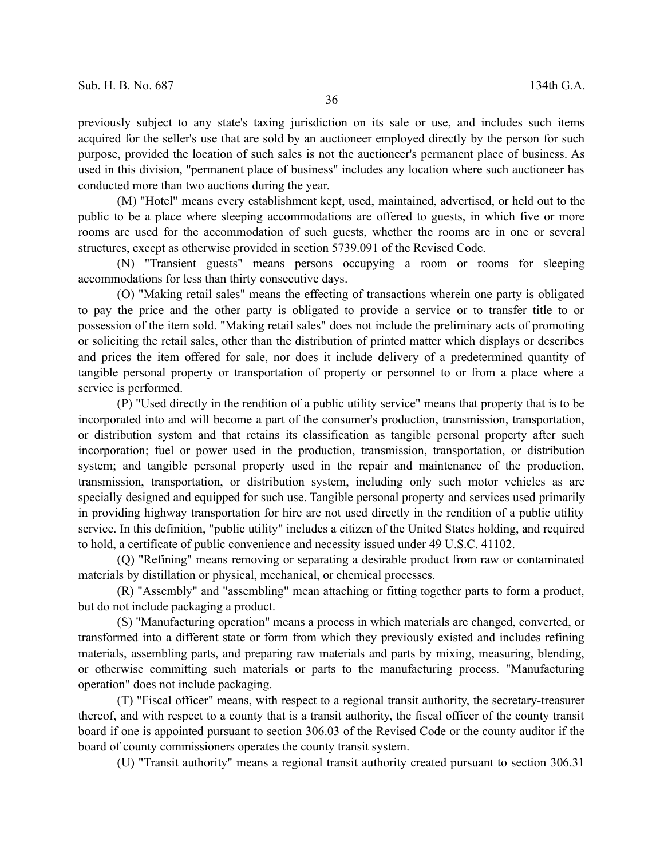previously subject to any state's taxing jurisdiction on its sale or use, and includes such items acquired for the seller's use that are sold by an auctioneer employed directly by the person for such purpose, provided the location of such sales is not the auctioneer's permanent place of business. As used in this division, "permanent place of business" includes any location where such auctioneer has conducted more than two auctions during the year.

(M) "Hotel" means every establishment kept, used, maintained, advertised, or held out to the public to be a place where sleeping accommodations are offered to guests, in which five or more rooms are used for the accommodation of such guests, whether the rooms are in one or several structures, except as otherwise provided in section 5739.091 of the Revised Code.

(N) "Transient guests" means persons occupying a room or rooms for sleeping accommodations for less than thirty consecutive days.

(O) "Making retail sales" means the effecting of transactions wherein one party is obligated to pay the price and the other party is obligated to provide a service or to transfer title to or possession of the item sold. "Making retail sales" does not include the preliminary acts of promoting or soliciting the retail sales, other than the distribution of printed matter which displays or describes and prices the item offered for sale, nor does it include delivery of a predetermined quantity of tangible personal property or transportation of property or personnel to or from a place where a service is performed.

(P) "Used directly in the rendition of a public utility service" means that property that is to be incorporated into and will become a part of the consumer's production, transmission, transportation, or distribution system and that retains its classification as tangible personal property after such incorporation; fuel or power used in the production, transmission, transportation, or distribution system; and tangible personal property used in the repair and maintenance of the production, transmission, transportation, or distribution system, including only such motor vehicles as are specially designed and equipped for such use. Tangible personal property and services used primarily in providing highway transportation for hire are not used directly in the rendition of a public utility service. In this definition, "public utility" includes a citizen of the United States holding, and required to hold, a certificate of public convenience and necessity issued under 49 U.S.C. 41102.

(Q) "Refining" means removing or separating a desirable product from raw or contaminated materials by distillation or physical, mechanical, or chemical processes.

(R) "Assembly" and "assembling" mean attaching or fitting together parts to form a product, but do not include packaging a product.

(S) "Manufacturing operation" means a process in which materials are changed, converted, or transformed into a different state or form from which they previously existed and includes refining materials, assembling parts, and preparing raw materials and parts by mixing, measuring, blending, or otherwise committing such materials or parts to the manufacturing process. "Manufacturing operation" does not include packaging.

(T) "Fiscal officer" means, with respect to a regional transit authority, the secretary-treasurer thereof, and with respect to a county that is a transit authority, the fiscal officer of the county transit board if one is appointed pursuant to section 306.03 of the Revised Code or the county auditor if the board of county commissioners operates the county transit system.

(U) "Transit authority" means a regional transit authority created pursuant to section 306.31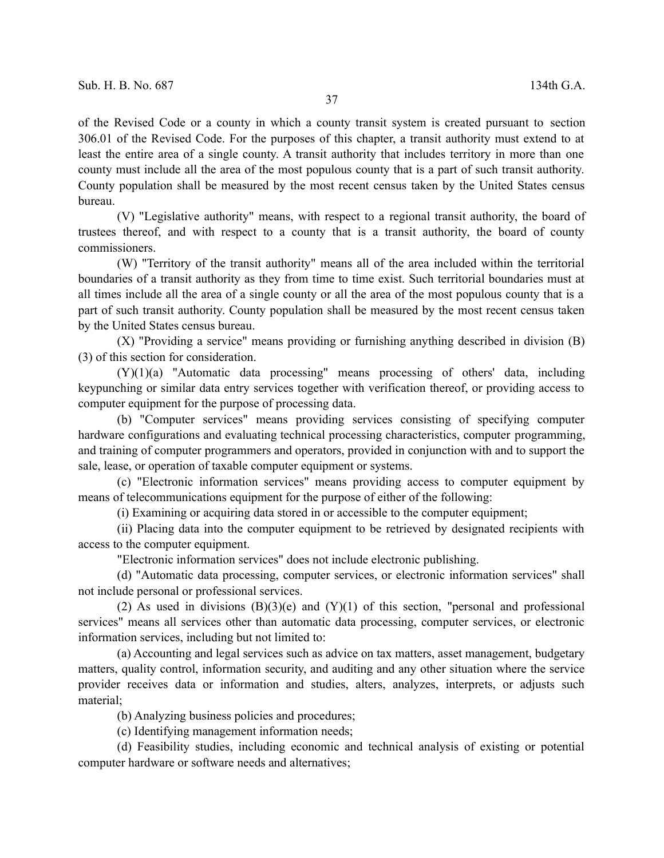of the Revised Code or a county in which a county transit system is created pursuant to section 306.01 of the Revised Code. For the purposes of this chapter, a transit authority must extend to at least the entire area of a single county. A transit authority that includes territory in more than one county must include all the area of the most populous county that is a part of such transit authority. County population shall be measured by the most recent census taken by the United States census bureau.

(V) "Legislative authority" means, with respect to a regional transit authority, the board of trustees thereof, and with respect to a county that is a transit authority, the board of county commissioners.

(W) "Territory of the transit authority" means all of the area included within the territorial boundaries of a transit authority as they from time to time exist. Such territorial boundaries must at all times include all the area of a single county or all the area of the most populous county that is a part of such transit authority. County population shall be measured by the most recent census taken by the United States census bureau.

(X) "Providing a service" means providing or furnishing anything described in division (B) (3) of this section for consideration.

(Y)(1)(a) "Automatic data processing" means processing of others' data, including keypunching or similar data entry services together with verification thereof, or providing access to computer equipment for the purpose of processing data.

(b) "Computer services" means providing services consisting of specifying computer hardware configurations and evaluating technical processing characteristics, computer programming, and training of computer programmers and operators, provided in conjunction with and to support the sale, lease, or operation of taxable computer equipment or systems.

(c) "Electronic information services" means providing access to computer equipment by means of telecommunications equipment for the purpose of either of the following:

(i) Examining or acquiring data stored in or accessible to the computer equipment;

(ii) Placing data into the computer equipment to be retrieved by designated recipients with access to the computer equipment.

"Electronic information services" does not include electronic publishing.

(d) "Automatic data processing, computer services, or electronic information services" shall not include personal or professional services.

(2) As used in divisions  $(B)(3)(e)$  and  $(Y)(1)$  of this section, "personal and professional services" means all services other than automatic data processing, computer services, or electronic information services, including but not limited to:

(a) Accounting and legal services such as advice on tax matters, asset management, budgetary matters, quality control, information security, and auditing and any other situation where the service provider receives data or information and studies, alters, analyzes, interprets, or adjusts such material;

(b) Analyzing business policies and procedures;

(c) Identifying management information needs;

(d) Feasibility studies, including economic and technical analysis of existing or potential computer hardware or software needs and alternatives;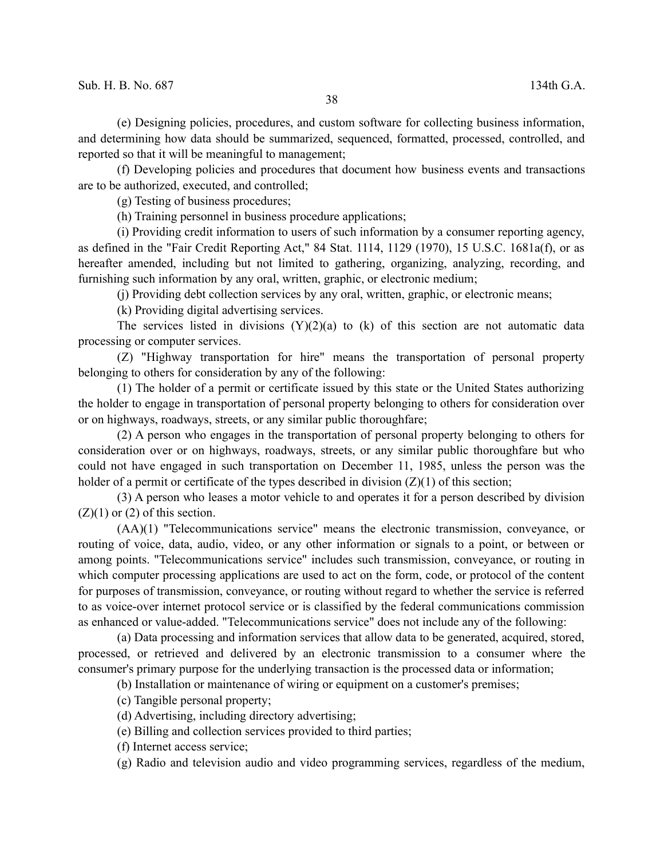(e) Designing policies, procedures, and custom software for collecting business information, and determining how data should be summarized, sequenced, formatted, processed, controlled, and reported so that it will be meaningful to management;

(f) Developing policies and procedures that document how business events and transactions are to be authorized, executed, and controlled;

(g) Testing of business procedures;

(h) Training personnel in business procedure applications;

(i) Providing credit information to users of such information by a consumer reporting agency, as defined in the "Fair Credit Reporting Act," 84 Stat. 1114, 1129 (1970), 15 U.S.C. 1681a(f), or as hereafter amended, including but not limited to gathering, organizing, analyzing, recording, and furnishing such information by any oral, written, graphic, or electronic medium;

(j) Providing debt collection services by any oral, written, graphic, or electronic means;

(k) Providing digital advertising services.

The services listed in divisions  $(Y)(2)(a)$  to  $(k)$  of this section are not automatic data processing or computer services.

(Z) "Highway transportation for hire" means the transportation of personal property belonging to others for consideration by any of the following:

(1) The holder of a permit or certificate issued by this state or the United States authorizing the holder to engage in transportation of personal property belonging to others for consideration over or on highways, roadways, streets, or any similar public thoroughfare;

(2) A person who engages in the transportation of personal property belonging to others for consideration over or on highways, roadways, streets, or any similar public thoroughfare but who could not have engaged in such transportation on December 11, 1985, unless the person was the holder of a permit or certificate of the types described in division  $(Z)(1)$  of this section;

(3) A person who leases a motor vehicle to and operates it for a person described by division  $(Z)(1)$  or  $(2)$  of this section.

(AA)(1) "Telecommunications service" means the electronic transmission, conveyance, or routing of voice, data, audio, video, or any other information or signals to a point, or between or among points. "Telecommunications service" includes such transmission, conveyance, or routing in which computer processing applications are used to act on the form, code, or protocol of the content for purposes of transmission, conveyance, or routing without regard to whether the service is referred to as voice-over internet protocol service or is classified by the federal communications commission as enhanced or value-added. "Telecommunications service" does not include any of the following:

(a) Data processing and information services that allow data to be generated, acquired, stored, processed, or retrieved and delivered by an electronic transmission to a consumer where the consumer's primary purpose for the underlying transaction is the processed data or information;

(b) Installation or maintenance of wiring or equipment on a customer's premises;

(c) Tangible personal property;

- (d) Advertising, including directory advertising;
- (e) Billing and collection services provided to third parties;
- (f) Internet access service;
- (g) Radio and television audio and video programming services, regardless of the medium,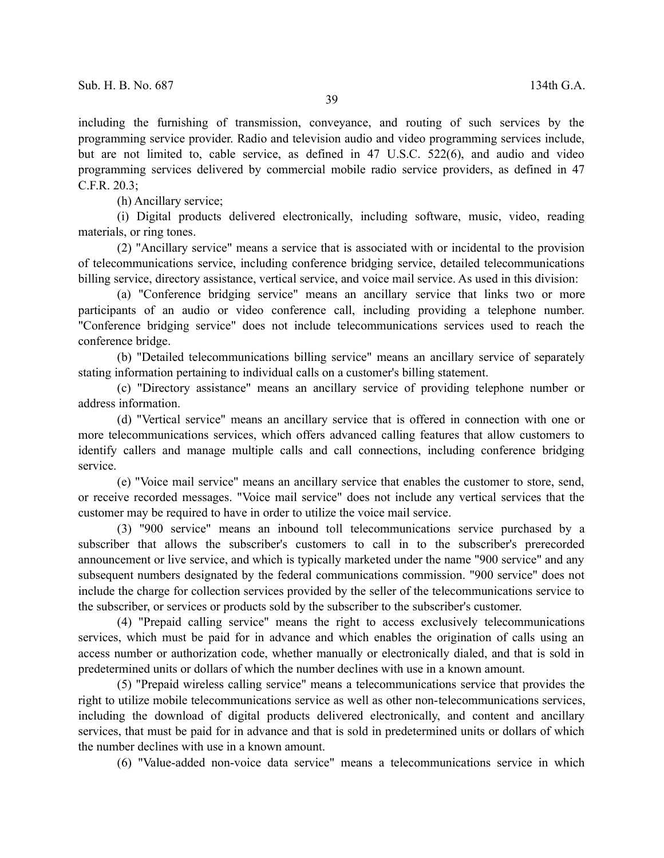including the furnishing of transmission, conveyance, and routing of such services by the programming service provider. Radio and television audio and video programming services include, but are not limited to, cable service, as defined in 47 U.S.C. 522(6), and audio and video programming services delivered by commercial mobile radio service providers, as defined in 47 C.F.R. 20.3;

(h) Ancillary service;

(i) Digital products delivered electronically, including software, music, video, reading materials, or ring tones.

(2) "Ancillary service" means a service that is associated with or incidental to the provision of telecommunications service, including conference bridging service, detailed telecommunications billing service, directory assistance, vertical service, and voice mail service. As used in this division:

(a) "Conference bridging service" means an ancillary service that links two or more participants of an audio or video conference call, including providing a telephone number. "Conference bridging service" does not include telecommunications services used to reach the conference bridge.

(b) "Detailed telecommunications billing service" means an ancillary service of separately stating information pertaining to individual calls on a customer's billing statement.

(c) "Directory assistance" means an ancillary service of providing telephone number or address information.

(d) "Vertical service" means an ancillary service that is offered in connection with one or more telecommunications services, which offers advanced calling features that allow customers to identify callers and manage multiple calls and call connections, including conference bridging service.

(e) "Voice mail service" means an ancillary service that enables the customer to store, send, or receive recorded messages. "Voice mail service" does not include any vertical services that the customer may be required to have in order to utilize the voice mail service.

(3) "900 service" means an inbound toll telecommunications service purchased by a subscriber that allows the subscriber's customers to call in to the subscriber's prerecorded announcement or live service, and which is typically marketed under the name "900 service" and any subsequent numbers designated by the federal communications commission. "900 service" does not include the charge for collection services provided by the seller of the telecommunications service to the subscriber, or services or products sold by the subscriber to the subscriber's customer.

(4) "Prepaid calling service" means the right to access exclusively telecommunications services, which must be paid for in advance and which enables the origination of calls using an access number or authorization code, whether manually or electronically dialed, and that is sold in predetermined units or dollars of which the number declines with use in a known amount.

(5) "Prepaid wireless calling service" means a telecommunications service that provides the right to utilize mobile telecommunications service as well as other non-telecommunications services, including the download of digital products delivered electronically, and content and ancillary services, that must be paid for in advance and that is sold in predetermined units or dollars of which the number declines with use in a known amount.

(6) "Value-added non-voice data service" means a telecommunications service in which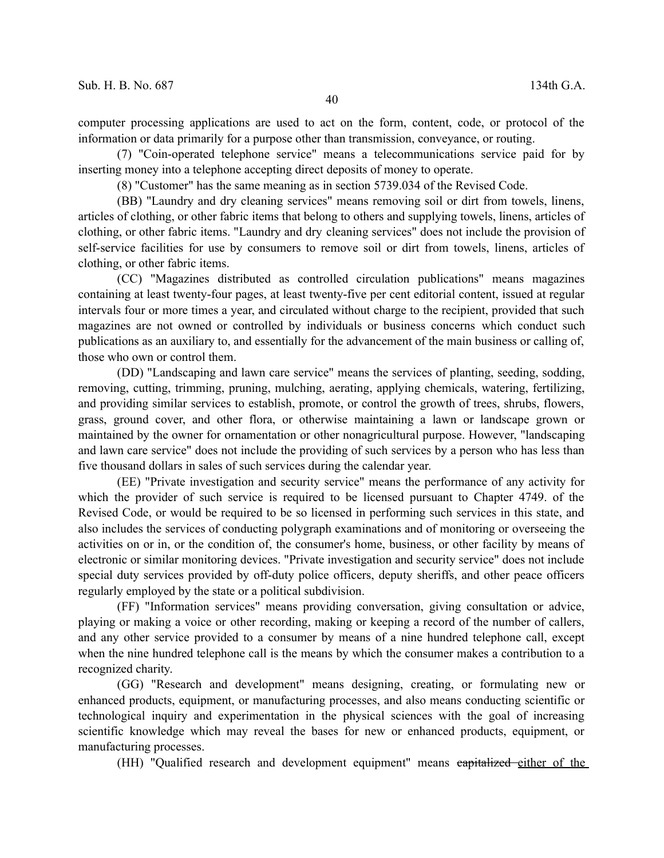computer processing applications are used to act on the form, content, code, or protocol of the information or data primarily for a purpose other than transmission, conveyance, or routing.

(7) "Coin-operated telephone service" means a telecommunications service paid for by inserting money into a telephone accepting direct deposits of money to operate.

(8) "Customer" has the same meaning as in section 5739.034 of the Revised Code.

(BB) "Laundry and dry cleaning services" means removing soil or dirt from towels, linens, articles of clothing, or other fabric items that belong to others and supplying towels, linens, articles of clothing, or other fabric items. "Laundry and dry cleaning services" does not include the provision of self-service facilities for use by consumers to remove soil or dirt from towels, linens, articles of clothing, or other fabric items.

(CC) "Magazines distributed as controlled circulation publications" means magazines containing at least twenty-four pages, at least twenty-five per cent editorial content, issued at regular intervals four or more times a year, and circulated without charge to the recipient, provided that such magazines are not owned or controlled by individuals or business concerns which conduct such publications as an auxiliary to, and essentially for the advancement of the main business or calling of, those who own or control them.

(DD) "Landscaping and lawn care service" means the services of planting, seeding, sodding, removing, cutting, trimming, pruning, mulching, aerating, applying chemicals, watering, fertilizing, and providing similar services to establish, promote, or control the growth of trees, shrubs, flowers, grass, ground cover, and other flora, or otherwise maintaining a lawn or landscape grown or maintained by the owner for ornamentation or other nonagricultural purpose. However, "landscaping and lawn care service" does not include the providing of such services by a person who has less than five thousand dollars in sales of such services during the calendar year.

(EE) "Private investigation and security service" means the performance of any activity for which the provider of such service is required to be licensed pursuant to Chapter 4749. of the Revised Code, or would be required to be so licensed in performing such services in this state, and also includes the services of conducting polygraph examinations and of monitoring or overseeing the activities on or in, or the condition of, the consumer's home, business, or other facility by means of electronic or similar monitoring devices. "Private investigation and security service" does not include special duty services provided by off-duty police officers, deputy sheriffs, and other peace officers regularly employed by the state or a political subdivision.

(FF) "Information services" means providing conversation, giving consultation or advice, playing or making a voice or other recording, making or keeping a record of the number of callers, and any other service provided to a consumer by means of a nine hundred telephone call, except when the nine hundred telephone call is the means by which the consumer makes a contribution to a recognized charity.

(GG) "Research and development" means designing, creating, or formulating new or enhanced products, equipment, or manufacturing processes, and also means conducting scientific or technological inquiry and experimentation in the physical sciences with the goal of increasing scientific knowledge which may reveal the bases for new or enhanced products, equipment, or manufacturing processes.

(HH) "Qualified research and development equipment" means capitalized either of the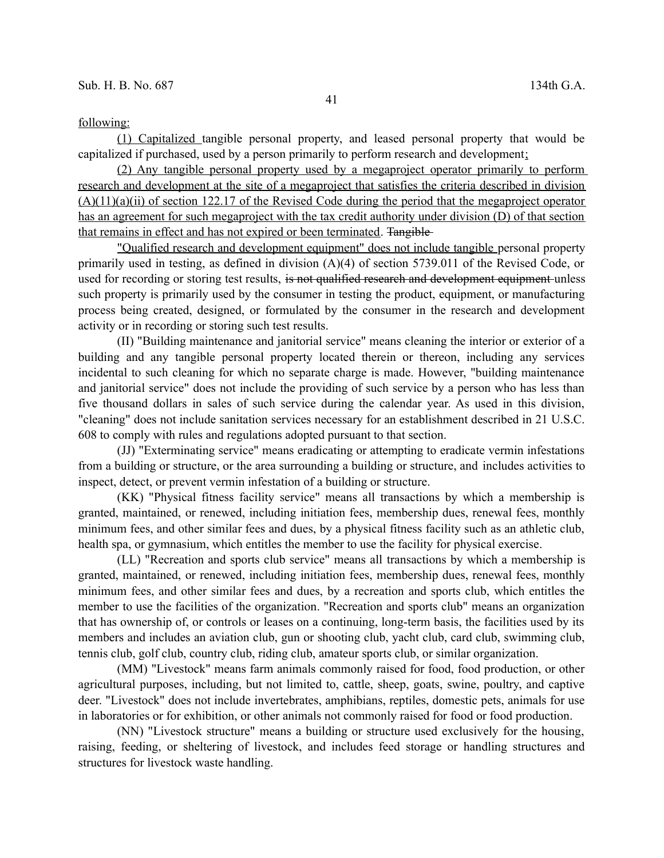## following:

(1) Capitalized tangible personal property, and leased personal property that would be capitalized if purchased, used by a person primarily to perform research and development;

(2) Any tangible personal property used by a megaproject operator primarily to perform research and development at the site of a megaproject that satisfies the criteria described in division (A)(11)(a)(ii) of section 122.17 of the Revised Code during the period that the megaproject operator has an agreement for such megaproject with the tax credit authority under division (D) of that section that remains in effect and has not expired or been terminated. Tangible

"Qualified research and development equipment" does not include tangible personal property primarily used in testing, as defined in division (A)(4) of section 5739.011 of the Revised Code, or used for recording or storing test results, is not qualified research and development equipment unless such property is primarily used by the consumer in testing the product, equipment, or manufacturing process being created, designed, or formulated by the consumer in the research and development activity or in recording or storing such test results.

(II) "Building maintenance and janitorial service" means cleaning the interior or exterior of a building and any tangible personal property located therein or thereon, including any services incidental to such cleaning for which no separate charge is made. However, "building maintenance and janitorial service" does not include the providing of such service by a person who has less than five thousand dollars in sales of such service during the calendar year. As used in this division, "cleaning" does not include sanitation services necessary for an establishment described in 21 U.S.C. 608 to comply with rules and regulations adopted pursuant to that section.

(JJ) "Exterminating service" means eradicating or attempting to eradicate vermin infestations from a building or structure, or the area surrounding a building or structure, and includes activities to inspect, detect, or prevent vermin infestation of a building or structure.

(KK) "Physical fitness facility service" means all transactions by which a membership is granted, maintained, or renewed, including initiation fees, membership dues, renewal fees, monthly minimum fees, and other similar fees and dues, by a physical fitness facility such as an athletic club, health spa, or gymnasium, which entitles the member to use the facility for physical exercise.

(LL) "Recreation and sports club service" means all transactions by which a membership is granted, maintained, or renewed, including initiation fees, membership dues, renewal fees, monthly minimum fees, and other similar fees and dues, by a recreation and sports club, which entitles the member to use the facilities of the organization. "Recreation and sports club" means an organization that has ownership of, or controls or leases on a continuing, long-term basis, the facilities used by its members and includes an aviation club, gun or shooting club, yacht club, card club, swimming club, tennis club, golf club, country club, riding club, amateur sports club, or similar organization.

(MM) "Livestock" means farm animals commonly raised for food, food production, or other agricultural purposes, including, but not limited to, cattle, sheep, goats, swine, poultry, and captive deer. "Livestock" does not include invertebrates, amphibians, reptiles, domestic pets, animals for use in laboratories or for exhibition, or other animals not commonly raised for food or food production.

(NN) "Livestock structure" means a building or structure used exclusively for the housing, raising, feeding, or sheltering of livestock, and includes feed storage or handling structures and structures for livestock waste handling.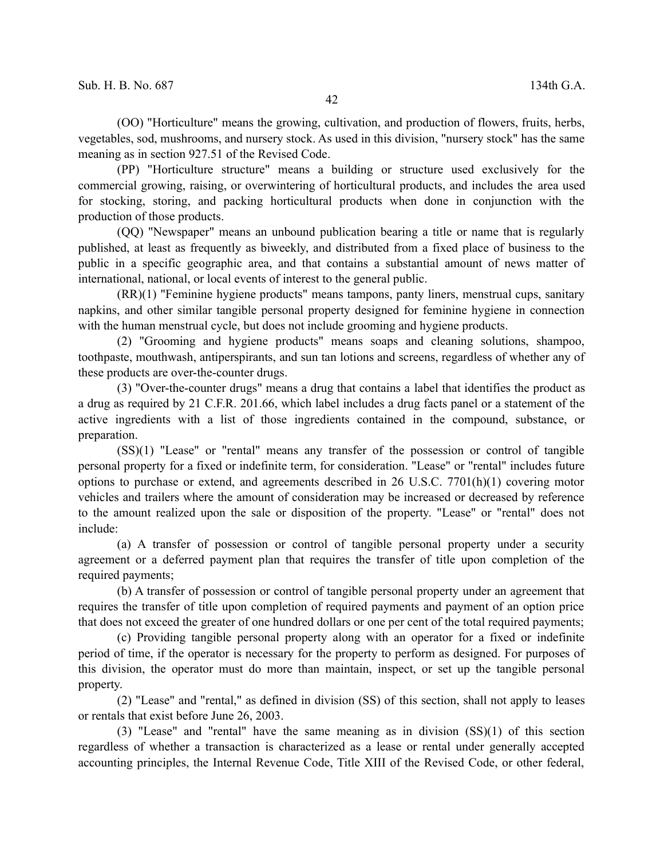(OO) "Horticulture" means the growing, cultivation, and production of flowers, fruits, herbs, vegetables, sod, mushrooms, and nursery stock. As used in this division, "nursery stock" has the same meaning as in section 927.51 of the Revised Code.

(PP) "Horticulture structure" means a building or structure used exclusively for the commercial growing, raising, or overwintering of horticultural products, and includes the area used for stocking, storing, and packing horticultural products when done in conjunction with the production of those products.

(QQ) "Newspaper" means an unbound publication bearing a title or name that is regularly published, at least as frequently as biweekly, and distributed from a fixed place of business to the public in a specific geographic area, and that contains a substantial amount of news matter of international, national, or local events of interest to the general public.

(RR)(1) "Feminine hygiene products" means tampons, panty liners, menstrual cups, sanitary napkins, and other similar tangible personal property designed for feminine hygiene in connection with the human menstrual cycle, but does not include grooming and hygiene products.

(2) "Grooming and hygiene products" means soaps and cleaning solutions, shampoo, toothpaste, mouthwash, antiperspirants, and sun tan lotions and screens, regardless of whether any of these products are over-the-counter drugs.

(3) "Over-the-counter drugs" means a drug that contains a label that identifies the product as a drug as required by 21 C.F.R. 201.66, which label includes a drug facts panel or a statement of the active ingredients with a list of those ingredients contained in the compound, substance, or preparation.

(SS)(1) "Lease" or "rental" means any transfer of the possession or control of tangible personal property for a fixed or indefinite term, for consideration. "Lease" or "rental" includes future options to purchase or extend, and agreements described in 26 U.S.C. 7701(h)(1) covering motor vehicles and trailers where the amount of consideration may be increased or decreased by reference to the amount realized upon the sale or disposition of the property. "Lease" or "rental" does not include:

(a) A transfer of possession or control of tangible personal property under a security agreement or a deferred payment plan that requires the transfer of title upon completion of the required payments;

(b) A transfer of possession or control of tangible personal property under an agreement that requires the transfer of title upon completion of required payments and payment of an option price that does not exceed the greater of one hundred dollars or one per cent of the total required payments;

(c) Providing tangible personal property along with an operator for a fixed or indefinite period of time, if the operator is necessary for the property to perform as designed. For purposes of this division, the operator must do more than maintain, inspect, or set up the tangible personal property.

(2) "Lease" and "rental," as defined in division (SS) of this section, shall not apply to leases or rentals that exist before June 26, 2003.

(3) "Lease" and "rental" have the same meaning as in division (SS)(1) of this section regardless of whether a transaction is characterized as a lease or rental under generally accepted accounting principles, the Internal Revenue Code, Title XIII of the Revised Code, or other federal,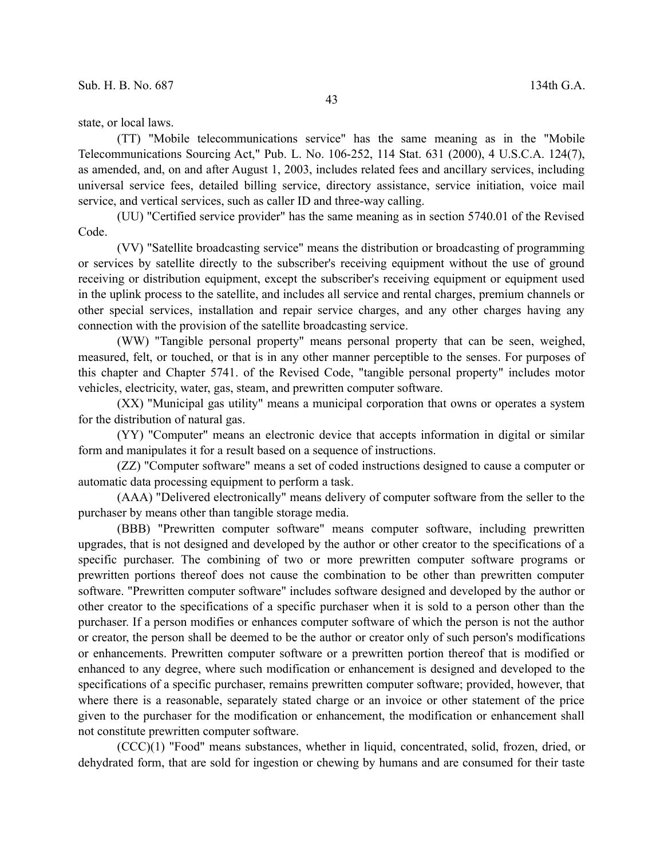state, or local laws.

(TT) "Mobile telecommunications service" has the same meaning as in the "Mobile Telecommunications Sourcing Act," Pub. L. No. 106-252, 114 Stat. 631 (2000), 4 U.S.C.A. 124(7), as amended, and, on and after August 1, 2003, includes related fees and ancillary services, including universal service fees, detailed billing service, directory assistance, service initiation, voice mail service, and vertical services, such as caller ID and three-way calling.

(UU) "Certified service provider" has the same meaning as in section 5740.01 of the Revised Code.

(VV) "Satellite broadcasting service" means the distribution or broadcasting of programming or services by satellite directly to the subscriber's receiving equipment without the use of ground receiving or distribution equipment, except the subscriber's receiving equipment or equipment used in the uplink process to the satellite, and includes all service and rental charges, premium channels or other special services, installation and repair service charges, and any other charges having any connection with the provision of the satellite broadcasting service.

(WW) "Tangible personal property" means personal property that can be seen, weighed, measured, felt, or touched, or that is in any other manner perceptible to the senses. For purposes of this chapter and Chapter 5741. of the Revised Code, "tangible personal property" includes motor vehicles, electricity, water, gas, steam, and prewritten computer software.

(XX) "Municipal gas utility" means a municipal corporation that owns or operates a system for the distribution of natural gas.

(YY) "Computer" means an electronic device that accepts information in digital or similar form and manipulates it for a result based on a sequence of instructions.

(ZZ) "Computer software" means a set of coded instructions designed to cause a computer or automatic data processing equipment to perform a task.

(AAA) "Delivered electronically" means delivery of computer software from the seller to the purchaser by means other than tangible storage media.

(BBB) "Prewritten computer software" means computer software, including prewritten upgrades, that is not designed and developed by the author or other creator to the specifications of a specific purchaser. The combining of two or more prewritten computer software programs or prewritten portions thereof does not cause the combination to be other than prewritten computer software. "Prewritten computer software" includes software designed and developed by the author or other creator to the specifications of a specific purchaser when it is sold to a person other than the purchaser. If a person modifies or enhances computer software of which the person is not the author or creator, the person shall be deemed to be the author or creator only of such person's modifications or enhancements. Prewritten computer software or a prewritten portion thereof that is modified or enhanced to any degree, where such modification or enhancement is designed and developed to the specifications of a specific purchaser, remains prewritten computer software; provided, however, that where there is a reasonable, separately stated charge or an invoice or other statement of the price given to the purchaser for the modification or enhancement, the modification or enhancement shall not constitute prewritten computer software.

(CCC)(1) "Food" means substances, whether in liquid, concentrated, solid, frozen, dried, or dehydrated form, that are sold for ingestion or chewing by humans and are consumed for their taste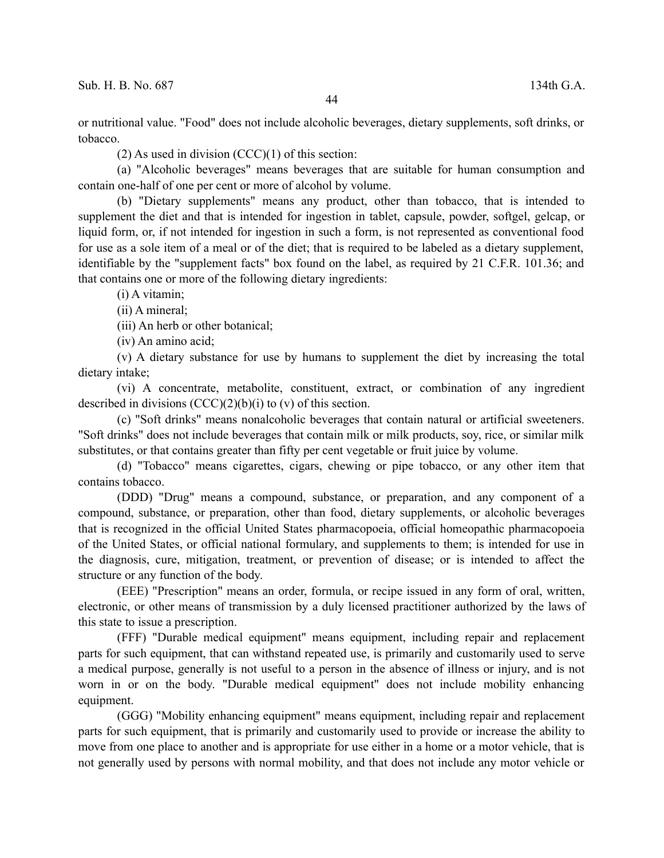$(2)$  As used in division  $(CCC)(1)$  of this section:

(a) "Alcoholic beverages" means beverages that are suitable for human consumption and contain one-half of one per cent or more of alcohol by volume.

(b) "Dietary supplements" means any product, other than tobacco, that is intended to supplement the diet and that is intended for ingestion in tablet, capsule, powder, softgel, gelcap, or liquid form, or, if not intended for ingestion in such a form, is not represented as conventional food for use as a sole item of a meal or of the diet; that is required to be labeled as a dietary supplement, identifiable by the "supplement facts" box found on the label, as required by 21 C.F.R. 101.36; and that contains one or more of the following dietary ingredients:

(i) A vitamin;

(ii) A mineral;

(iii) An herb or other botanical;

(iv) An amino acid;

(v) A dietary substance for use by humans to supplement the diet by increasing the total dietary intake;

(vi) A concentrate, metabolite, constituent, extract, or combination of any ingredient described in divisions  $(CCC)(2)(b)(i)$  to  $(v)$  of this section.

(c) "Soft drinks" means nonalcoholic beverages that contain natural or artificial sweeteners. "Soft drinks" does not include beverages that contain milk or milk products, soy, rice, or similar milk substitutes, or that contains greater than fifty per cent vegetable or fruit juice by volume.

(d) "Tobacco" means cigarettes, cigars, chewing or pipe tobacco, or any other item that contains tobacco.

(DDD) "Drug" means a compound, substance, or preparation, and any component of a compound, substance, or preparation, other than food, dietary supplements, or alcoholic beverages that is recognized in the official United States pharmacopoeia, official homeopathic pharmacopoeia of the United States, or official national formulary, and supplements to them; is intended for use in the diagnosis, cure, mitigation, treatment, or prevention of disease; or is intended to affect the structure or any function of the body.

(EEE) "Prescription" means an order, formula, or recipe issued in any form of oral, written, electronic, or other means of transmission by a duly licensed practitioner authorized by the laws of this state to issue a prescription.

(FFF) "Durable medical equipment" means equipment, including repair and replacement parts for such equipment, that can withstand repeated use, is primarily and customarily used to serve a medical purpose, generally is not useful to a person in the absence of illness or injury, and is not worn in or on the body. "Durable medical equipment" does not include mobility enhancing equipment.

(GGG) "Mobility enhancing equipment" means equipment, including repair and replacement parts for such equipment, that is primarily and customarily used to provide or increase the ability to move from one place to another and is appropriate for use either in a home or a motor vehicle, that is not generally used by persons with normal mobility, and that does not include any motor vehicle or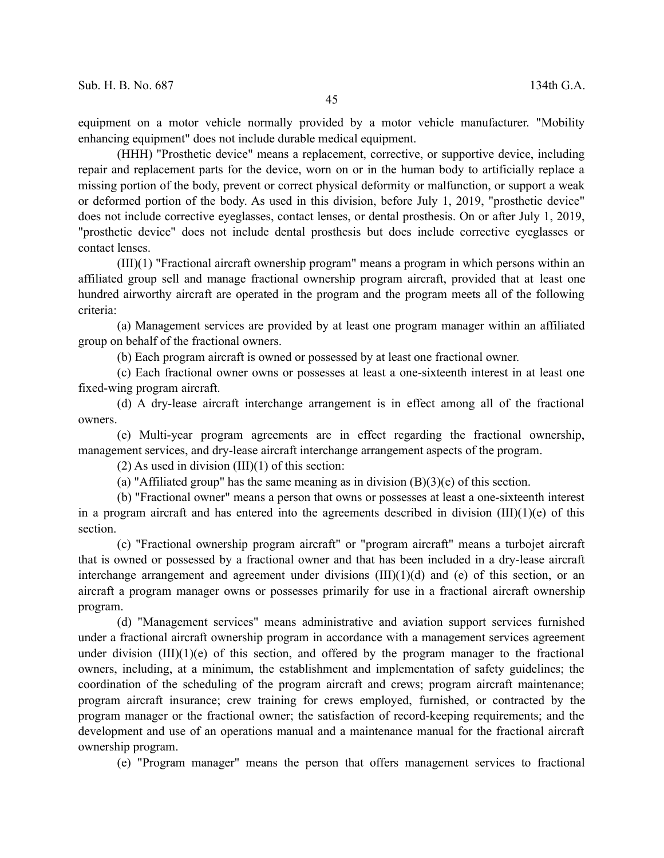equipment on a motor vehicle normally provided by a motor vehicle manufacturer. "Mobility enhancing equipment" does not include durable medical equipment.

(HHH) "Prosthetic device" means a replacement, corrective, or supportive device, including repair and replacement parts for the device, worn on or in the human body to artificially replace a missing portion of the body, prevent or correct physical deformity or malfunction, or support a weak or deformed portion of the body. As used in this division, before July 1, 2019, "prosthetic device" does not include corrective eyeglasses, contact lenses, or dental prosthesis. On or after July 1, 2019, "prosthetic device" does not include dental prosthesis but does include corrective eyeglasses or contact lenses.

(III)(1) "Fractional aircraft ownership program" means a program in which persons within an affiliated group sell and manage fractional ownership program aircraft, provided that at least one hundred airworthy aircraft are operated in the program and the program meets all of the following criteria:

(a) Management services are provided by at least one program manager within an affiliated group on behalf of the fractional owners.

(b) Each program aircraft is owned or possessed by at least one fractional owner.

(c) Each fractional owner owns or possesses at least a one-sixteenth interest in at least one fixed-wing program aircraft.

(d) A dry-lease aircraft interchange arrangement is in effect among all of the fractional owners.

(e) Multi-year program agreements are in effect regarding the fractional ownership, management services, and dry-lease aircraft interchange arrangement aspects of the program.

 $(2)$  As used in division  $(III)(1)$  of this section:

(a) "Affiliated group" has the same meaning as in division  $(B)(3)(e)$  of this section.

(b) "Fractional owner" means a person that owns or possesses at least a one-sixteenth interest in a program aircraft and has entered into the agreements described in division  $(III)(1)(e)$  of this section.

(c) "Fractional ownership program aircraft" or "program aircraft" means a turbojet aircraft that is owned or possessed by a fractional owner and that has been included in a dry-lease aircraft interchange arrangement and agreement under divisions  $(III)(1)(d)$  and (e) of this section, or an aircraft a program manager owns or possesses primarily for use in a fractional aircraft ownership program.

(d) "Management services" means administrative and aviation support services furnished under a fractional aircraft ownership program in accordance with a management services agreement under division  $(III)(1)(e)$  of this section, and offered by the program manager to the fractional owners, including, at a minimum, the establishment and implementation of safety guidelines; the coordination of the scheduling of the program aircraft and crews; program aircraft maintenance; program aircraft insurance; crew training for crews employed, furnished, or contracted by the program manager or the fractional owner; the satisfaction of record-keeping requirements; and the development and use of an operations manual and a maintenance manual for the fractional aircraft ownership program.

(e) "Program manager" means the person that offers management services to fractional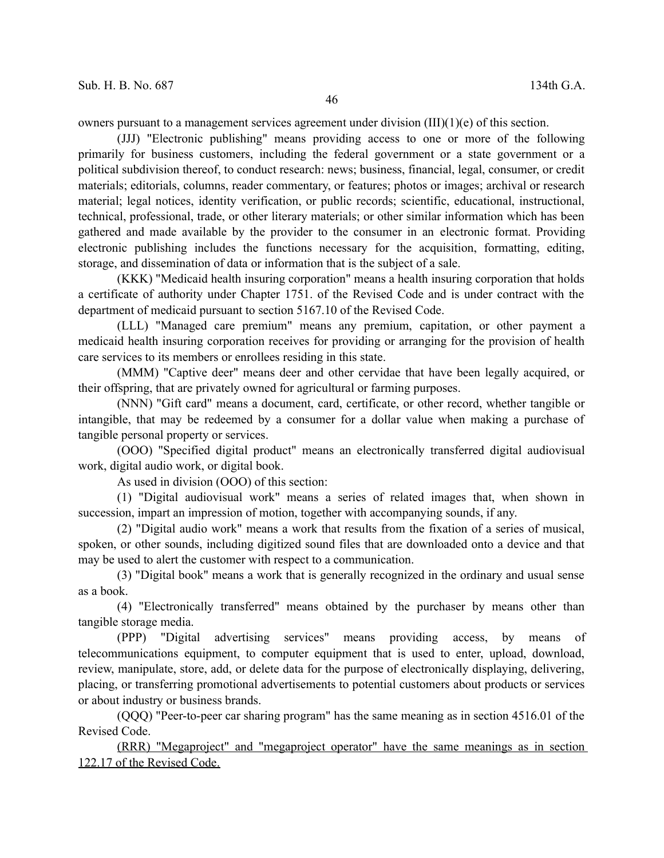owners pursuant to a management services agreement under division  $(III)(1)(e)$  of this section.

(JJJ) "Electronic publishing" means providing access to one or more of the following primarily for business customers, including the federal government or a state government or a political subdivision thereof, to conduct research: news; business, financial, legal, consumer, or credit materials; editorials, columns, reader commentary, or features; photos or images; archival or research material; legal notices, identity verification, or public records; scientific, educational, instructional, technical, professional, trade, or other literary materials; or other similar information which has been gathered and made available by the provider to the consumer in an electronic format. Providing electronic publishing includes the functions necessary for the acquisition, formatting, editing, storage, and dissemination of data or information that is the subject of a sale.

(KKK) "Medicaid health insuring corporation" means a health insuring corporation that holds a certificate of authority under Chapter 1751. of the Revised Code and is under contract with the department of medicaid pursuant to section 5167.10 of the Revised Code.

(LLL) "Managed care premium" means any premium, capitation, or other payment a medicaid health insuring corporation receives for providing or arranging for the provision of health care services to its members or enrollees residing in this state.

(MMM) "Captive deer" means deer and other cervidae that have been legally acquired, or their offspring, that are privately owned for agricultural or farming purposes.

(NNN) "Gift card" means a document, card, certificate, or other record, whether tangible or intangible, that may be redeemed by a consumer for a dollar value when making a purchase of tangible personal property or services.

(OOO) "Specified digital product" means an electronically transferred digital audiovisual work, digital audio work, or digital book.

As used in division (OOO) of this section:

(1) "Digital audiovisual work" means a series of related images that, when shown in succession, impart an impression of motion, together with accompanying sounds, if any.

(2) "Digital audio work" means a work that results from the fixation of a series of musical, spoken, or other sounds, including digitized sound files that are downloaded onto a device and that may be used to alert the customer with respect to a communication.

(3) "Digital book" means a work that is generally recognized in the ordinary and usual sense as a book.

(4) "Electronically transferred" means obtained by the purchaser by means other than tangible storage media.

(PPP) "Digital advertising services" means providing access, by means of telecommunications equipment, to computer equipment that is used to enter, upload, download, review, manipulate, store, add, or delete data for the purpose of electronically displaying, delivering, placing, or transferring promotional advertisements to potential customers about products or services or about industry or business brands.

(QQQ) "Peer-to-peer car sharing program" has the same meaning as in section 4516.01 of the Revised Code.

(RRR) "Megaproject" and "megaproject operator" have the same meanings as in section 122.17 of the Revised Code.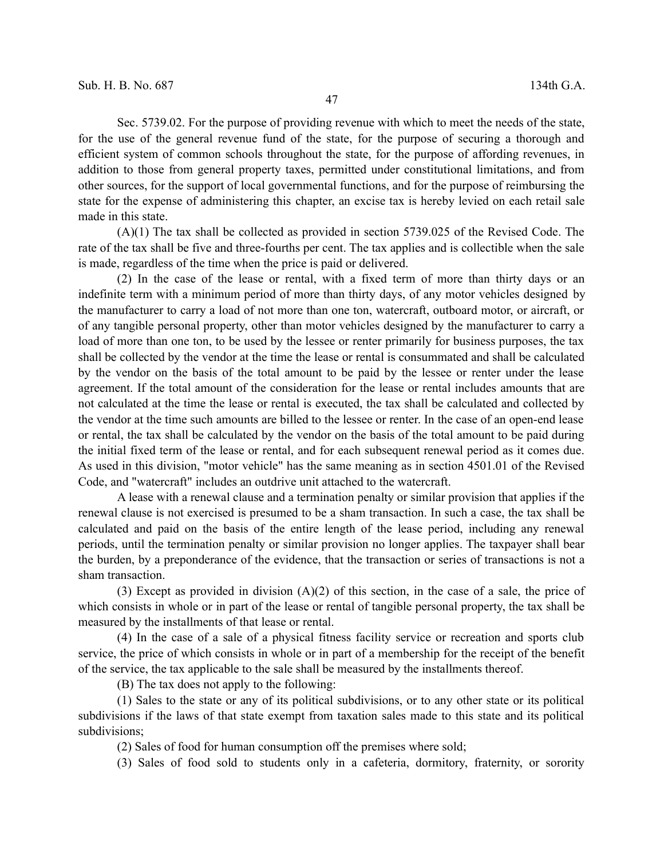Sec. 5739.02. For the purpose of providing revenue with which to meet the needs of the state, for the use of the general revenue fund of the state, for the purpose of securing a thorough and efficient system of common schools throughout the state, for the purpose of affording revenues, in addition to those from general property taxes, permitted under constitutional limitations, and from other sources, for the support of local governmental functions, and for the purpose of reimbursing the state for the expense of administering this chapter, an excise tax is hereby levied on each retail sale made in this state.

(A)(1) The tax shall be collected as provided in section 5739.025 of the Revised Code. The rate of the tax shall be five and three-fourths per cent. The tax applies and is collectible when the sale is made, regardless of the time when the price is paid or delivered.

(2) In the case of the lease or rental, with a fixed term of more than thirty days or an indefinite term with a minimum period of more than thirty days, of any motor vehicles designed by the manufacturer to carry a load of not more than one ton, watercraft, outboard motor, or aircraft, or of any tangible personal property, other than motor vehicles designed by the manufacturer to carry a load of more than one ton, to be used by the lessee or renter primarily for business purposes, the tax shall be collected by the vendor at the time the lease or rental is consummated and shall be calculated by the vendor on the basis of the total amount to be paid by the lessee or renter under the lease agreement. If the total amount of the consideration for the lease or rental includes amounts that are not calculated at the time the lease or rental is executed, the tax shall be calculated and collected by the vendor at the time such amounts are billed to the lessee or renter. In the case of an open-end lease or rental, the tax shall be calculated by the vendor on the basis of the total amount to be paid during the initial fixed term of the lease or rental, and for each subsequent renewal period as it comes due. As used in this division, "motor vehicle" has the same meaning as in section 4501.01 of the Revised Code, and "watercraft" includes an outdrive unit attached to the watercraft.

A lease with a renewal clause and a termination penalty or similar provision that applies if the renewal clause is not exercised is presumed to be a sham transaction. In such a case, the tax shall be calculated and paid on the basis of the entire length of the lease period, including any renewal periods, until the termination penalty or similar provision no longer applies. The taxpayer shall bear the burden, by a preponderance of the evidence, that the transaction or series of transactions is not a sham transaction.

(3) Except as provided in division (A)(2) of this section, in the case of a sale, the price of which consists in whole or in part of the lease or rental of tangible personal property, the tax shall be measured by the installments of that lease or rental.

(4) In the case of a sale of a physical fitness facility service or recreation and sports club service, the price of which consists in whole or in part of a membership for the receipt of the benefit of the service, the tax applicable to the sale shall be measured by the installments thereof.

(B) The tax does not apply to the following:

(1) Sales to the state or any of its political subdivisions, or to any other state or its political subdivisions if the laws of that state exempt from taxation sales made to this state and its political subdivisions;

(2) Sales of food for human consumption off the premises where sold;

(3) Sales of food sold to students only in a cafeteria, dormitory, fraternity, or sorority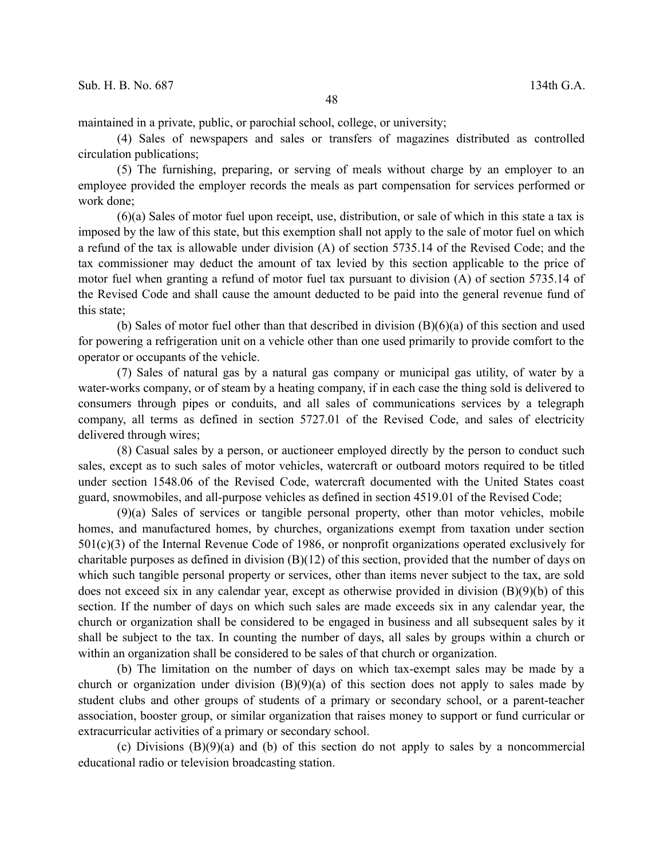maintained in a private, public, or parochial school, college, or university;

(4) Sales of newspapers and sales or transfers of magazines distributed as controlled circulation publications;

(5) The furnishing, preparing, or serving of meals without charge by an employer to an employee provided the employer records the meals as part compensation for services performed or work done;

(6)(a) Sales of motor fuel upon receipt, use, distribution, or sale of which in this state a tax is imposed by the law of this state, but this exemption shall not apply to the sale of motor fuel on which a refund of the tax is allowable under division (A) of section 5735.14 of the Revised Code; and the tax commissioner may deduct the amount of tax levied by this section applicable to the price of motor fuel when granting a refund of motor fuel tax pursuant to division (A) of section 5735.14 of the Revised Code and shall cause the amount deducted to be paid into the general revenue fund of this state;

(b) Sales of motor fuel other than that described in division (B)(6)(a) of this section and used for powering a refrigeration unit on a vehicle other than one used primarily to provide comfort to the operator or occupants of the vehicle.

(7) Sales of natural gas by a natural gas company or municipal gas utility, of water by a water-works company, or of steam by a heating company, if in each case the thing sold is delivered to consumers through pipes or conduits, and all sales of communications services by a telegraph company, all terms as defined in section 5727.01 of the Revised Code, and sales of electricity delivered through wires;

(8) Casual sales by a person, or auctioneer employed directly by the person to conduct such sales, except as to such sales of motor vehicles, watercraft or outboard motors required to be titled under section 1548.06 of the Revised Code, watercraft documented with the United States coast guard, snowmobiles, and all-purpose vehicles as defined in section 4519.01 of the Revised Code;

(9)(a) Sales of services or tangible personal property, other than motor vehicles, mobile homes, and manufactured homes, by churches, organizations exempt from taxation under section 501(c)(3) of the Internal Revenue Code of 1986, or nonprofit organizations operated exclusively for charitable purposes as defined in division  $(B)(12)$  of this section, provided that the number of days on which such tangible personal property or services, other than items never subject to the tax, are sold does not exceed six in any calendar year, except as otherwise provided in division (B)(9)(b) of this section. If the number of days on which such sales are made exceeds six in any calendar year, the church or organization shall be considered to be engaged in business and all subsequent sales by it shall be subject to the tax. In counting the number of days, all sales by groups within a church or within an organization shall be considered to be sales of that church or organization.

(b) The limitation on the number of days on which tax-exempt sales may be made by a church or organization under division  $(B)(9)(a)$  of this section does not apply to sales made by student clubs and other groups of students of a primary or secondary school, or a parent-teacher association, booster group, or similar organization that raises money to support or fund curricular or extracurricular activities of a primary or secondary school.

(c) Divisions  $(B)(9)(a)$  and (b) of this section do not apply to sales by a noncommercial educational radio or television broadcasting station.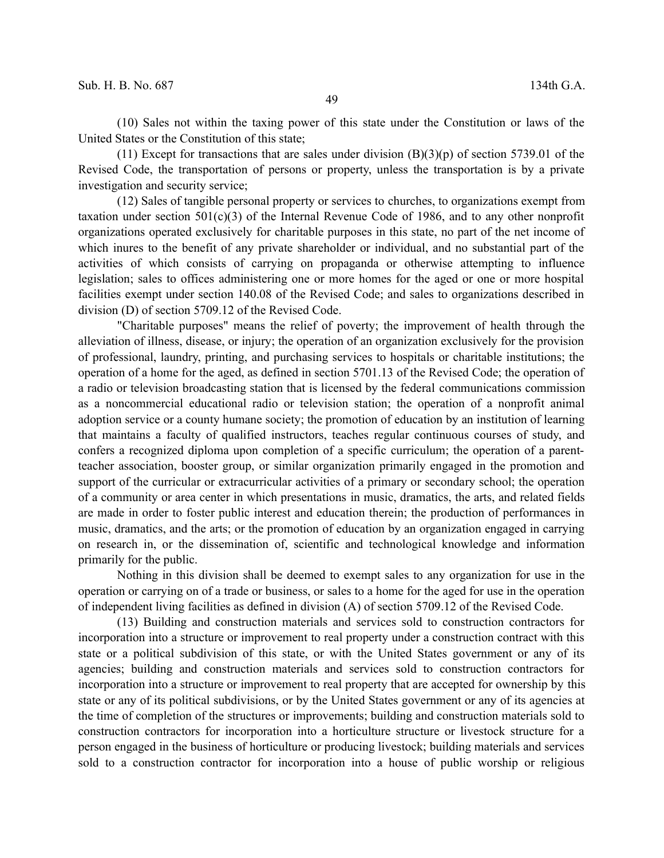(10) Sales not within the taxing power of this state under the Constitution or laws of the United States or the Constitution of this state;

(11) Except for transactions that are sales under division  $(B)(3)(p)$  of section 5739.01 of the Revised Code, the transportation of persons or property, unless the transportation is by a private investigation and security service;

(12) Sales of tangible personal property or services to churches, to organizations exempt from taxation under section  $501(c)(3)$  of the Internal Revenue Code of 1986, and to any other nonprofit organizations operated exclusively for charitable purposes in this state, no part of the net income of which inures to the benefit of any private shareholder or individual, and no substantial part of the activities of which consists of carrying on propaganda or otherwise attempting to influence legislation; sales to offices administering one or more homes for the aged or one or more hospital facilities exempt under section 140.08 of the Revised Code; and sales to organizations described in division (D) of section 5709.12 of the Revised Code.

"Charitable purposes" means the relief of poverty; the improvement of health through the alleviation of illness, disease, or injury; the operation of an organization exclusively for the provision of professional, laundry, printing, and purchasing services to hospitals or charitable institutions; the operation of a home for the aged, as defined in section 5701.13 of the Revised Code; the operation of a radio or television broadcasting station that is licensed by the federal communications commission as a noncommercial educational radio or television station; the operation of a nonprofit animal adoption service or a county humane society; the promotion of education by an institution of learning that maintains a faculty of qualified instructors, teaches regular continuous courses of study, and confers a recognized diploma upon completion of a specific curriculum; the operation of a parentteacher association, booster group, or similar organization primarily engaged in the promotion and support of the curricular or extracurricular activities of a primary or secondary school; the operation of a community or area center in which presentations in music, dramatics, the arts, and related fields are made in order to foster public interest and education therein; the production of performances in music, dramatics, and the arts; or the promotion of education by an organization engaged in carrying on research in, or the dissemination of, scientific and technological knowledge and information primarily for the public.

Nothing in this division shall be deemed to exempt sales to any organization for use in the operation or carrying on of a trade or business, or sales to a home for the aged for use in the operation of independent living facilities as defined in division (A) of section 5709.12 of the Revised Code.

(13) Building and construction materials and services sold to construction contractors for incorporation into a structure or improvement to real property under a construction contract with this state or a political subdivision of this state, or with the United States government or any of its agencies; building and construction materials and services sold to construction contractors for incorporation into a structure or improvement to real property that are accepted for ownership by this state or any of its political subdivisions, or by the United States government or any of its agencies at the time of completion of the structures or improvements; building and construction materials sold to construction contractors for incorporation into a horticulture structure or livestock structure for a person engaged in the business of horticulture or producing livestock; building materials and services sold to a construction contractor for incorporation into a house of public worship or religious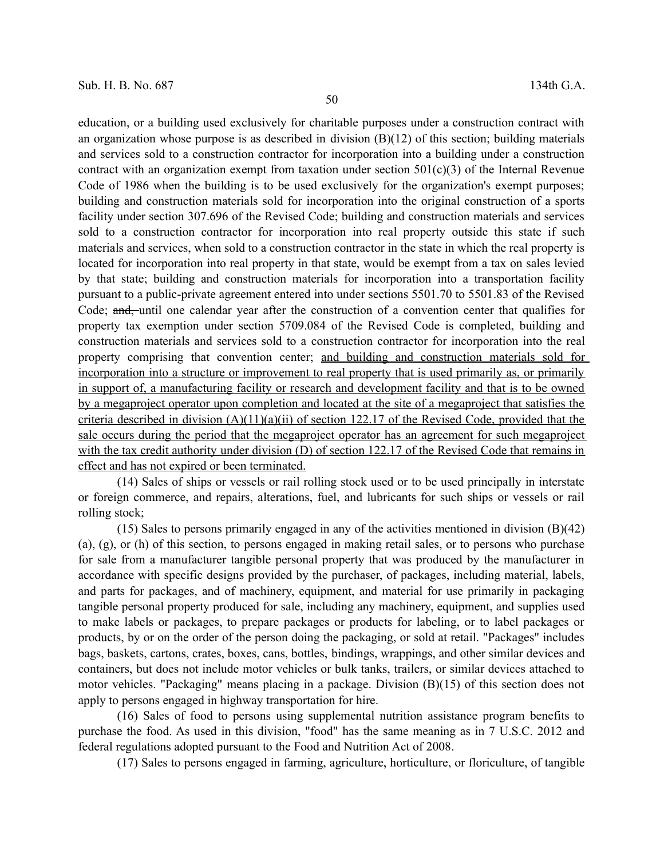education, or a building used exclusively for charitable purposes under a construction contract with an organization whose purpose is as described in division  $(B)(12)$  of this section; building materials and services sold to a construction contractor for incorporation into a building under a construction contract with an organization exempt from taxation under section  $501(c)(3)$  of the Internal Revenue Code of 1986 when the building is to be used exclusively for the organization's exempt purposes; building and construction materials sold for incorporation into the original construction of a sports facility under section 307.696 of the Revised Code; building and construction materials and services sold to a construction contractor for incorporation into real property outside this state if such materials and services, when sold to a construction contractor in the state in which the real property is located for incorporation into real property in that state, would be exempt from a tax on sales levied by that state; building and construction materials for incorporation into a transportation facility pursuant to a public-private agreement entered into under sections 5501.70 to 5501.83 of the Revised Code; and, until one calendar year after the construction of a convention center that qualifies for property tax exemption under section 5709.084 of the Revised Code is completed, building and construction materials and services sold to a construction contractor for incorporation into the real property comprising that convention center; and building and construction materials sold for incorporation into a structure or improvement to real property that is used primarily as, or primarily in support of, a manufacturing facility or research and development facility and that is to be owned by a megaproject operator upon completion and located at the site of a megaproject that satisfies the criteria described in division (A)(11)(a)(ii) of section 122.17 of the Revised Code, provided that the sale occurs during the period that the megaproject operator has an agreement for such megaproject with the tax credit authority under division (D) of section 122.17 of the Revised Code that remains in effect and has not expired or been terminated.

(14) Sales of ships or vessels or rail rolling stock used or to be used principally in interstate or foreign commerce, and repairs, alterations, fuel, and lubricants for such ships or vessels or rail rolling stock;

 $(15)$  Sales to persons primarily engaged in any of the activities mentioned in division  $(B)(42)$ (a), (g), or (h) of this section, to persons engaged in making retail sales, or to persons who purchase for sale from a manufacturer tangible personal property that was produced by the manufacturer in accordance with specific designs provided by the purchaser, of packages, including material, labels, and parts for packages, and of machinery, equipment, and material for use primarily in packaging tangible personal property produced for sale, including any machinery, equipment, and supplies used to make labels or packages, to prepare packages or products for labeling, or to label packages or products, by or on the order of the person doing the packaging, or sold at retail. "Packages" includes bags, baskets, cartons, crates, boxes, cans, bottles, bindings, wrappings, and other similar devices and containers, but does not include motor vehicles or bulk tanks, trailers, or similar devices attached to motor vehicles. "Packaging" means placing in a package. Division (B)(15) of this section does not apply to persons engaged in highway transportation for hire.

(16) Sales of food to persons using supplemental nutrition assistance program benefits to purchase the food. As used in this division, "food" has the same meaning as in 7 U.S.C. 2012 and federal regulations adopted pursuant to the Food and Nutrition Act of 2008.

(17) Sales to persons engaged in farming, agriculture, horticulture, or floriculture, of tangible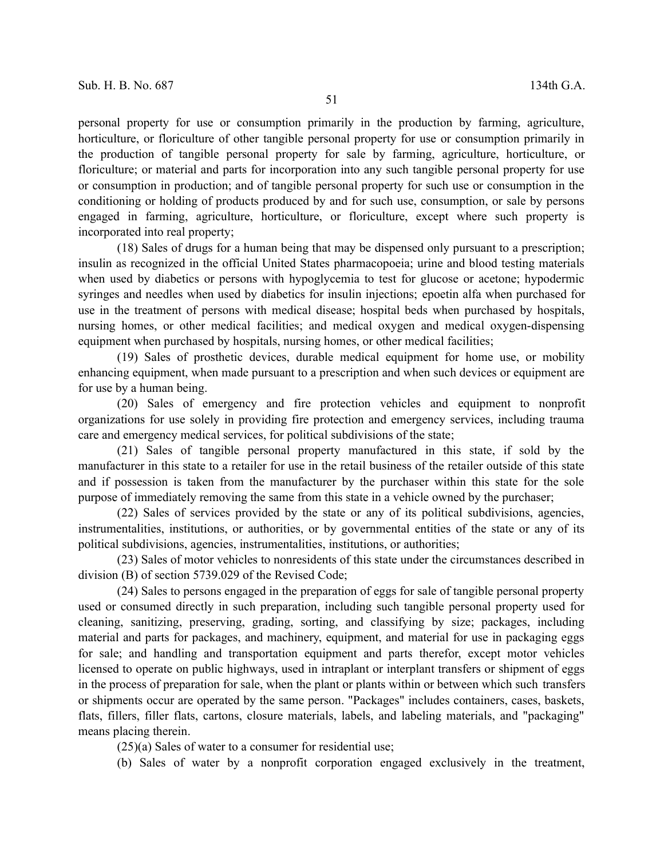personal property for use or consumption primarily in the production by farming, agriculture, horticulture, or floriculture of other tangible personal property for use or consumption primarily in the production of tangible personal property for sale by farming, agriculture, horticulture, or floriculture; or material and parts for incorporation into any such tangible personal property for use or consumption in production; and of tangible personal property for such use or consumption in the conditioning or holding of products produced by and for such use, consumption, or sale by persons engaged in farming, agriculture, horticulture, or floriculture, except where such property is incorporated into real property;

(18) Sales of drugs for a human being that may be dispensed only pursuant to a prescription; insulin as recognized in the official United States pharmacopoeia; urine and blood testing materials when used by diabetics or persons with hypoglycemia to test for glucose or acetone; hypodermic syringes and needles when used by diabetics for insulin injections; epoetin alfa when purchased for use in the treatment of persons with medical disease; hospital beds when purchased by hospitals, nursing homes, or other medical facilities; and medical oxygen and medical oxygen-dispensing equipment when purchased by hospitals, nursing homes, or other medical facilities;

(19) Sales of prosthetic devices, durable medical equipment for home use, or mobility enhancing equipment, when made pursuant to a prescription and when such devices or equipment are for use by a human being.

(20) Sales of emergency and fire protection vehicles and equipment to nonprofit organizations for use solely in providing fire protection and emergency services, including trauma care and emergency medical services, for political subdivisions of the state;

(21) Sales of tangible personal property manufactured in this state, if sold by the manufacturer in this state to a retailer for use in the retail business of the retailer outside of this state and if possession is taken from the manufacturer by the purchaser within this state for the sole purpose of immediately removing the same from this state in a vehicle owned by the purchaser;

(22) Sales of services provided by the state or any of its political subdivisions, agencies, instrumentalities, institutions, or authorities, or by governmental entities of the state or any of its political subdivisions, agencies, instrumentalities, institutions, or authorities;

(23) Sales of motor vehicles to nonresidents of this state under the circumstances described in division (B) of section 5739.029 of the Revised Code;

(24) Sales to persons engaged in the preparation of eggs for sale of tangible personal property used or consumed directly in such preparation, including such tangible personal property used for cleaning, sanitizing, preserving, grading, sorting, and classifying by size; packages, including material and parts for packages, and machinery, equipment, and material for use in packaging eggs for sale; and handling and transportation equipment and parts therefor, except motor vehicles licensed to operate on public highways, used in intraplant or interplant transfers or shipment of eggs in the process of preparation for sale, when the plant or plants within or between which such transfers or shipments occur are operated by the same person. "Packages" includes containers, cases, baskets, flats, fillers, filler flats, cartons, closure materials, labels, and labeling materials, and "packaging" means placing therein.

(25)(a) Sales of water to a consumer for residential use;

(b) Sales of water by a nonprofit corporation engaged exclusively in the treatment,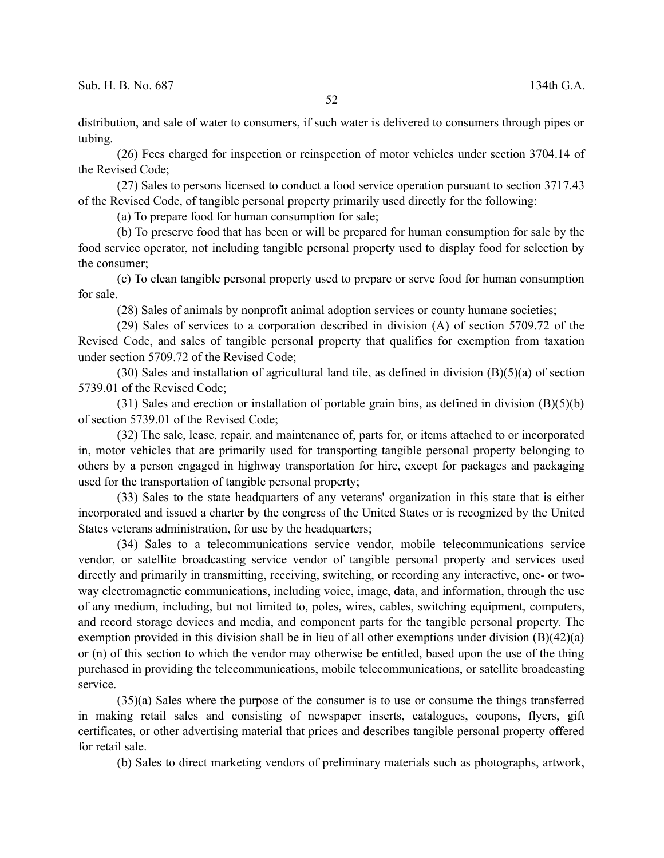distribution, and sale of water to consumers, if such water is delivered to consumers through pipes or tubing.

(26) Fees charged for inspection or reinspection of motor vehicles under section 3704.14 of the Revised Code;

(27) Sales to persons licensed to conduct a food service operation pursuant to section 3717.43 of the Revised Code, of tangible personal property primarily used directly for the following:

(a) To prepare food for human consumption for sale;

(b) To preserve food that has been or will be prepared for human consumption for sale by the food service operator, not including tangible personal property used to display food for selection by the consumer;

(c) To clean tangible personal property used to prepare or serve food for human consumption for sale.

(28) Sales of animals by nonprofit animal adoption services or county humane societies;

(29) Sales of services to a corporation described in division (A) of section 5709.72 of the Revised Code, and sales of tangible personal property that qualifies for exemption from taxation under section 5709.72 of the Revised Code;

(30) Sales and installation of agricultural land tile, as defined in division (B)(5)(a) of section 5739.01 of the Revised Code;

(31) Sales and erection or installation of portable grain bins, as defined in division (B)(5)(b) of section 5739.01 of the Revised Code;

(32) The sale, lease, repair, and maintenance of, parts for, or items attached to or incorporated in, motor vehicles that are primarily used for transporting tangible personal property belonging to others by a person engaged in highway transportation for hire, except for packages and packaging used for the transportation of tangible personal property;

(33) Sales to the state headquarters of any veterans' organization in this state that is either incorporated and issued a charter by the congress of the United States or is recognized by the United States veterans administration, for use by the headquarters;

(34) Sales to a telecommunications service vendor, mobile telecommunications service vendor, or satellite broadcasting service vendor of tangible personal property and services used directly and primarily in transmitting, receiving, switching, or recording any interactive, one- or twoway electromagnetic communications, including voice, image, data, and information, through the use of any medium, including, but not limited to, poles, wires, cables, switching equipment, computers, and record storage devices and media, and component parts for the tangible personal property. The exemption provided in this division shall be in lieu of all other exemptions under division (B)(42)(a) or (n) of this section to which the vendor may otherwise be entitled, based upon the use of the thing purchased in providing the telecommunications, mobile telecommunications, or satellite broadcasting service.

(35)(a) Sales where the purpose of the consumer is to use or consume the things transferred in making retail sales and consisting of newspaper inserts, catalogues, coupons, flyers, gift certificates, or other advertising material that prices and describes tangible personal property offered for retail sale.

(b) Sales to direct marketing vendors of preliminary materials such as photographs, artwork,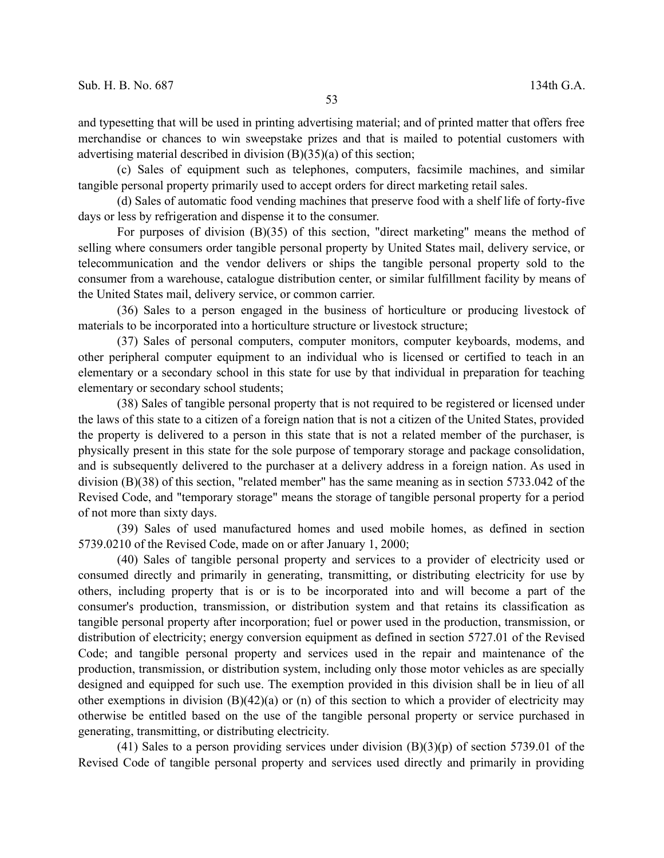and typesetting that will be used in printing advertising material; and of printed matter that offers free merchandise or chances to win sweepstake prizes and that is mailed to potential customers with advertising material described in division (B)(35)(a) of this section;

(c) Sales of equipment such as telephones, computers, facsimile machines, and similar tangible personal property primarily used to accept orders for direct marketing retail sales.

(d) Sales of automatic food vending machines that preserve food with a shelf life of forty-five days or less by refrigeration and dispense it to the consumer.

For purposes of division (B)(35) of this section, "direct marketing" means the method of selling where consumers order tangible personal property by United States mail, delivery service, or telecommunication and the vendor delivers or ships the tangible personal property sold to the consumer from a warehouse, catalogue distribution center, or similar fulfillment facility by means of the United States mail, delivery service, or common carrier.

(36) Sales to a person engaged in the business of horticulture or producing livestock of materials to be incorporated into a horticulture structure or livestock structure;

(37) Sales of personal computers, computer monitors, computer keyboards, modems, and other peripheral computer equipment to an individual who is licensed or certified to teach in an elementary or a secondary school in this state for use by that individual in preparation for teaching elementary or secondary school students;

(38) Sales of tangible personal property that is not required to be registered or licensed under the laws of this state to a citizen of a foreign nation that is not a citizen of the United States, provided the property is delivered to a person in this state that is not a related member of the purchaser, is physically present in this state for the sole purpose of temporary storage and package consolidation, and is subsequently delivered to the purchaser at a delivery address in a foreign nation. As used in division (B)(38) of this section, "related member" has the same meaning as in section 5733.042 of the Revised Code, and "temporary storage" means the storage of tangible personal property for a period of not more than sixty days.

(39) Sales of used manufactured homes and used mobile homes, as defined in section 5739.0210 of the Revised Code, made on or after January 1, 2000;

(40) Sales of tangible personal property and services to a provider of electricity used or consumed directly and primarily in generating, transmitting, or distributing electricity for use by others, including property that is or is to be incorporated into and will become a part of the consumer's production, transmission, or distribution system and that retains its classification as tangible personal property after incorporation; fuel or power used in the production, transmission, or distribution of electricity; energy conversion equipment as defined in section 5727.01 of the Revised Code; and tangible personal property and services used in the repair and maintenance of the production, transmission, or distribution system, including only those motor vehicles as are specially designed and equipped for such use. The exemption provided in this division shall be in lieu of all other exemptions in division (B)(42)(a) or (n) of this section to which a provider of electricity may otherwise be entitled based on the use of the tangible personal property or service purchased in generating, transmitting, or distributing electricity.

(41) Sales to a person providing services under division  $(B)(3)(p)$  of section 5739.01 of the Revised Code of tangible personal property and services used directly and primarily in providing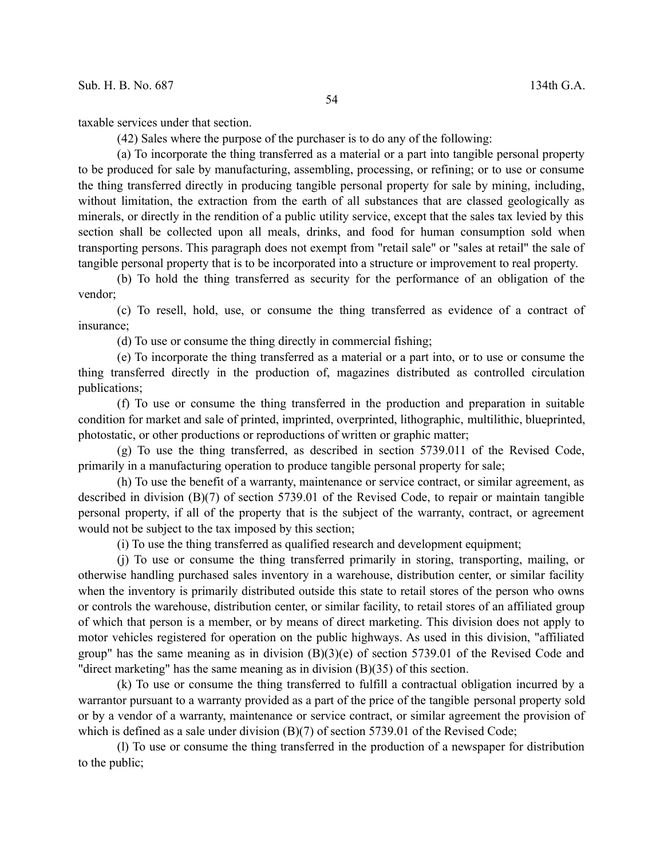taxable services under that section.

(42) Sales where the purpose of the purchaser is to do any of the following:

(a) To incorporate the thing transferred as a material or a part into tangible personal property to be produced for sale by manufacturing, assembling, processing, or refining; or to use or consume the thing transferred directly in producing tangible personal property for sale by mining, including, without limitation, the extraction from the earth of all substances that are classed geologically as minerals, or directly in the rendition of a public utility service, except that the sales tax levied by this section shall be collected upon all meals, drinks, and food for human consumption sold when transporting persons. This paragraph does not exempt from "retail sale" or "sales at retail" the sale of tangible personal property that is to be incorporated into a structure or improvement to real property.

(b) To hold the thing transferred as security for the performance of an obligation of the vendor;

(c) To resell, hold, use, or consume the thing transferred as evidence of a contract of insurance;

(d) To use or consume the thing directly in commercial fishing;

(e) To incorporate the thing transferred as a material or a part into, or to use or consume the thing transferred directly in the production of, magazines distributed as controlled circulation publications;

(f) To use or consume the thing transferred in the production and preparation in suitable condition for market and sale of printed, imprinted, overprinted, lithographic, multilithic, blueprinted, photostatic, or other productions or reproductions of written or graphic matter;

(g) To use the thing transferred, as described in section 5739.011 of the Revised Code, primarily in a manufacturing operation to produce tangible personal property for sale;

(h) To use the benefit of a warranty, maintenance or service contract, or similar agreement, as described in division (B)(7) of section 5739.01 of the Revised Code, to repair or maintain tangible personal property, if all of the property that is the subject of the warranty, contract, or agreement would not be subject to the tax imposed by this section;

(i) To use the thing transferred as qualified research and development equipment;

(j) To use or consume the thing transferred primarily in storing, transporting, mailing, or otherwise handling purchased sales inventory in a warehouse, distribution center, or similar facility when the inventory is primarily distributed outside this state to retail stores of the person who owns or controls the warehouse, distribution center, or similar facility, to retail stores of an affiliated group of which that person is a member, or by means of direct marketing. This division does not apply to motor vehicles registered for operation on the public highways. As used in this division, "affiliated group" has the same meaning as in division  $(B)(3)(e)$  of section 5739.01 of the Revised Code and "direct marketing" has the same meaning as in division (B)(35) of this section.

(k) To use or consume the thing transferred to fulfill a contractual obligation incurred by a warrantor pursuant to a warranty provided as a part of the price of the tangible personal property sold or by a vendor of a warranty, maintenance or service contract, or similar agreement the provision of which is defined as a sale under division (B)(7) of section 5739.01 of the Revised Code;

(l) To use or consume the thing transferred in the production of a newspaper for distribution to the public;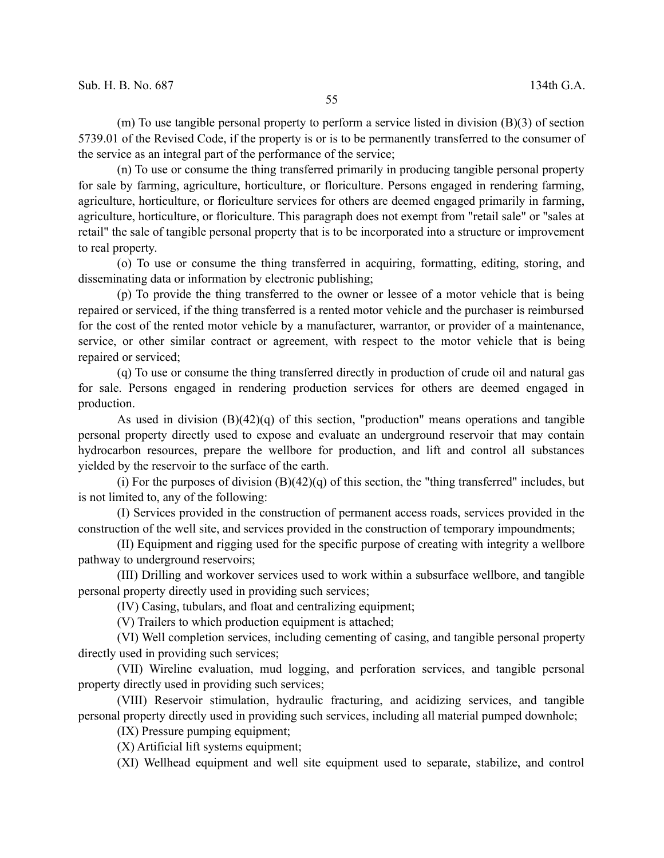(m) To use tangible personal property to perform a service listed in division (B)(3) of section 5739.01 of the Revised Code, if the property is or is to be permanently transferred to the consumer of the service as an integral part of the performance of the service;

(n) To use or consume the thing transferred primarily in producing tangible personal property for sale by farming, agriculture, horticulture, or floriculture. Persons engaged in rendering farming, agriculture, horticulture, or floriculture services for others are deemed engaged primarily in farming, agriculture, horticulture, or floriculture. This paragraph does not exempt from "retail sale" or "sales at retail" the sale of tangible personal property that is to be incorporated into a structure or improvement to real property.

(o) To use or consume the thing transferred in acquiring, formatting, editing, storing, and disseminating data or information by electronic publishing;

(p) To provide the thing transferred to the owner or lessee of a motor vehicle that is being repaired or serviced, if the thing transferred is a rented motor vehicle and the purchaser is reimbursed for the cost of the rented motor vehicle by a manufacturer, warrantor, or provider of a maintenance, service, or other similar contract or agreement, with respect to the motor vehicle that is being repaired or serviced;

(q) To use or consume the thing transferred directly in production of crude oil and natural gas for sale. Persons engaged in rendering production services for others are deemed engaged in production.

As used in division  $(B)(42)(q)$  of this section, "production" means operations and tangible personal property directly used to expose and evaluate an underground reservoir that may contain hydrocarbon resources, prepare the wellbore for production, and lift and control all substances yielded by the reservoir to the surface of the earth.

(i) For the purposes of division  $(B)(42)(q)$  of this section, the "thing transferred" includes, but is not limited to, any of the following:

(I) Services provided in the construction of permanent access roads, services provided in the construction of the well site, and services provided in the construction of temporary impoundments;

(II) Equipment and rigging used for the specific purpose of creating with integrity a wellbore pathway to underground reservoirs;

(III) Drilling and workover services used to work within a subsurface wellbore, and tangible personal property directly used in providing such services;

(IV) Casing, tubulars, and float and centralizing equipment;

(V) Trailers to which production equipment is attached;

(VI) Well completion services, including cementing of casing, and tangible personal property directly used in providing such services;

(VII) Wireline evaluation, mud logging, and perforation services, and tangible personal property directly used in providing such services;

(VIII) Reservoir stimulation, hydraulic fracturing, and acidizing services, and tangible personal property directly used in providing such services, including all material pumped downhole;

(IX) Pressure pumping equipment;

(X) Artificial lift systems equipment;

(XI) Wellhead equipment and well site equipment used to separate, stabilize, and control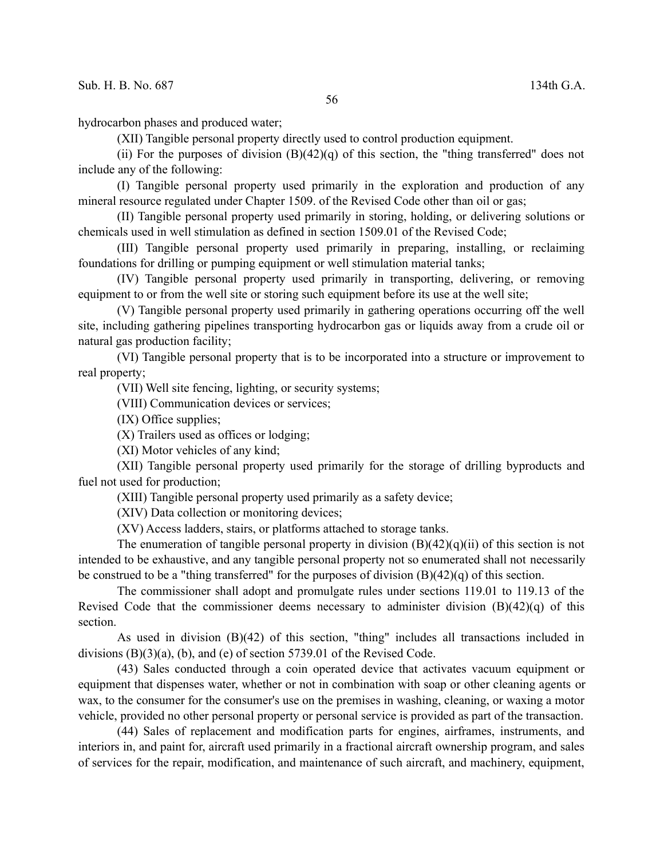hydrocarbon phases and produced water;

(XII) Tangible personal property directly used to control production equipment.

(ii) For the purposes of division  $(B)(42)(q)$  of this section, the "thing transferred" does not include any of the following:

(I) Tangible personal property used primarily in the exploration and production of any mineral resource regulated under Chapter 1509. of the Revised Code other than oil or gas;

(II) Tangible personal property used primarily in storing, holding, or delivering solutions or chemicals used in well stimulation as defined in section 1509.01 of the Revised Code;

(III) Tangible personal property used primarily in preparing, installing, or reclaiming foundations for drilling or pumping equipment or well stimulation material tanks;

(IV) Tangible personal property used primarily in transporting, delivering, or removing equipment to or from the well site or storing such equipment before its use at the well site;

(V) Tangible personal property used primarily in gathering operations occurring off the well site, including gathering pipelines transporting hydrocarbon gas or liquids away from a crude oil or natural gas production facility;

(VI) Tangible personal property that is to be incorporated into a structure or improvement to real property;

(VII) Well site fencing, lighting, or security systems;

(VIII) Communication devices or services;

(IX) Office supplies;

(X) Trailers used as offices or lodging;

(XI) Motor vehicles of any kind;

(XII) Tangible personal property used primarily for the storage of drilling byproducts and fuel not used for production;

(XIII) Tangible personal property used primarily as a safety device;

(XIV) Data collection or monitoring devices;

(XV) Access ladders, stairs, or platforms attached to storage tanks.

The enumeration of tangible personal property in division  $(B)(42)(q)(ii)$  of this section is not intended to be exhaustive, and any tangible personal property not so enumerated shall not necessarily be construed to be a "thing transferred" for the purposes of division  $(B)(42)(q)$  of this section.

The commissioner shall adopt and promulgate rules under sections 119.01 to 119.13 of the Revised Code that the commissioner deems necessary to administer division  $(B)(42)(q)$  of this section.

As used in division (B)(42) of this section, "thing" includes all transactions included in divisions  $(B)(3)(a)$ ,  $(b)$ , and  $(e)$  of section 5739.01 of the Revised Code.

(43) Sales conducted through a coin operated device that activates vacuum equipment or equipment that dispenses water, whether or not in combination with soap or other cleaning agents or wax, to the consumer for the consumer's use on the premises in washing, cleaning, or waxing a motor vehicle, provided no other personal property or personal service is provided as part of the transaction.

(44) Sales of replacement and modification parts for engines, airframes, instruments, and interiors in, and paint for, aircraft used primarily in a fractional aircraft ownership program, and sales of services for the repair, modification, and maintenance of such aircraft, and machinery, equipment,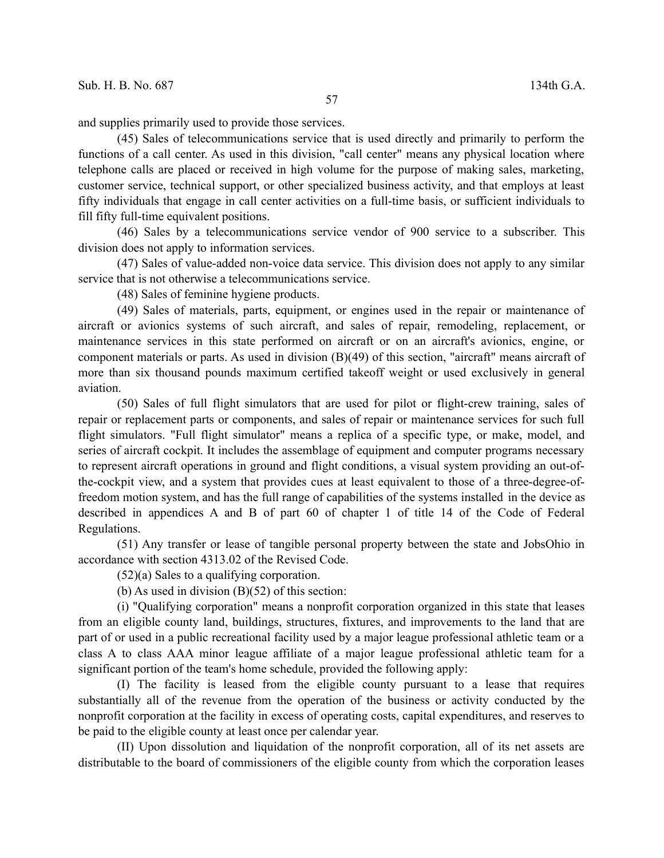and supplies primarily used to provide those services.

(45) Sales of telecommunications service that is used directly and primarily to perform the functions of a call center. As used in this division, "call center" means any physical location where telephone calls are placed or received in high volume for the purpose of making sales, marketing, customer service, technical support, or other specialized business activity, and that employs at least fifty individuals that engage in call center activities on a full-time basis, or sufficient individuals to fill fifty full-time equivalent positions.

(46) Sales by a telecommunications service vendor of 900 service to a subscriber. This division does not apply to information services.

(47) Sales of value-added non-voice data service. This division does not apply to any similar service that is not otherwise a telecommunications service.

(48) Sales of feminine hygiene products.

(49) Sales of materials, parts, equipment, or engines used in the repair or maintenance of aircraft or avionics systems of such aircraft, and sales of repair, remodeling, replacement, or maintenance services in this state performed on aircraft or on an aircraft's avionics, engine, or component materials or parts. As used in division (B)(49) of this section, "aircraft" means aircraft of more than six thousand pounds maximum certified takeoff weight or used exclusively in general aviation.

(50) Sales of full flight simulators that are used for pilot or flight-crew training, sales of repair or replacement parts or components, and sales of repair or maintenance services for such full flight simulators. "Full flight simulator" means a replica of a specific type, or make, model, and series of aircraft cockpit. It includes the assemblage of equipment and computer programs necessary to represent aircraft operations in ground and flight conditions, a visual system providing an out-ofthe-cockpit view, and a system that provides cues at least equivalent to those of a three-degree-offreedom motion system, and has the full range of capabilities of the systems installed in the device as described in appendices A and B of part 60 of chapter 1 of title 14 of the Code of Federal Regulations.

(51) Any transfer or lease of tangible personal property between the state and JobsOhio in accordance with section 4313.02 of the Revised Code.

(52)(a) Sales to a qualifying corporation.

(b) As used in division  $(B)(52)$  of this section:

(i) "Qualifying corporation" means a nonprofit corporation organized in this state that leases from an eligible county land, buildings, structures, fixtures, and improvements to the land that are part of or used in a public recreational facility used by a major league professional athletic team or a class A to class AAA minor league affiliate of a major league professional athletic team for a significant portion of the team's home schedule, provided the following apply:

(I) The facility is leased from the eligible county pursuant to a lease that requires substantially all of the revenue from the operation of the business or activity conducted by the nonprofit corporation at the facility in excess of operating costs, capital expenditures, and reserves to be paid to the eligible county at least once per calendar year.

(II) Upon dissolution and liquidation of the nonprofit corporation, all of its net assets are distributable to the board of commissioners of the eligible county from which the corporation leases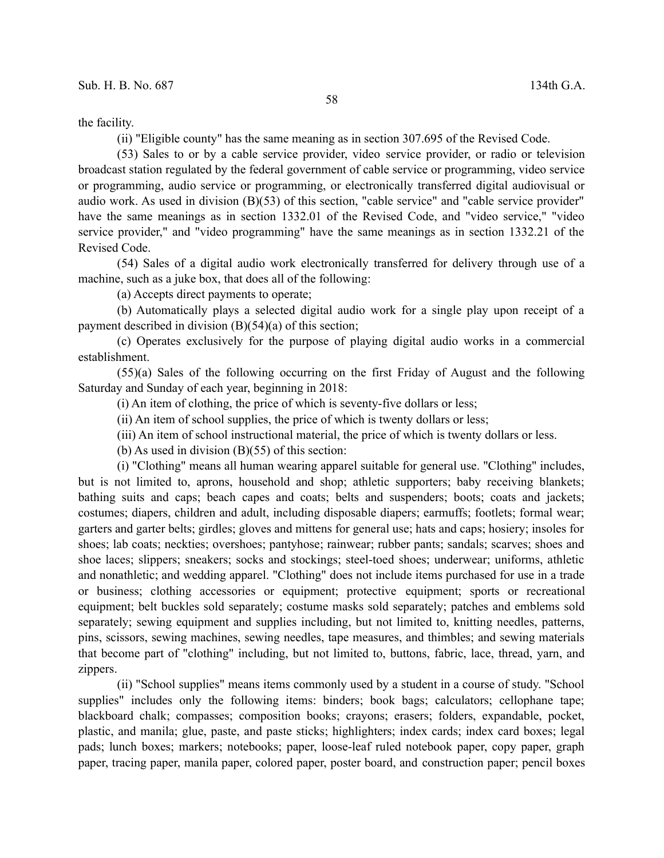the facility.

(ii) "Eligible county" has the same meaning as in section 307.695 of the Revised Code.

(53) Sales to or by a cable service provider, video service provider, or radio or television broadcast station regulated by the federal government of cable service or programming, video service or programming, audio service or programming, or electronically transferred digital audiovisual or audio work. As used in division (B)(53) of this section, "cable service" and "cable service provider" have the same meanings as in section 1332.01 of the Revised Code, and "video service," "video service provider," and "video programming" have the same meanings as in section 1332.21 of the Revised Code.

(54) Sales of a digital audio work electronically transferred for delivery through use of a machine, such as a juke box, that does all of the following:

(a) Accepts direct payments to operate;

(b) Automatically plays a selected digital audio work for a single play upon receipt of a payment described in division (B)(54)(a) of this section;

(c) Operates exclusively for the purpose of playing digital audio works in a commercial establishment.

(55)(a) Sales of the following occurring on the first Friday of August and the following Saturday and Sunday of each year, beginning in 2018:

(i) An item of clothing, the price of which is seventy-five dollars or less;

(ii) An item of school supplies, the price of which is twenty dollars or less;

(iii) An item of school instructional material, the price of which is twenty dollars or less.

(b) As used in division (B)(55) of this section:

(i) "Clothing" means all human wearing apparel suitable for general use. "Clothing" includes, but is not limited to, aprons, household and shop; athletic supporters; baby receiving blankets; bathing suits and caps; beach capes and coats; belts and suspenders; boots; coats and jackets; costumes; diapers, children and adult, including disposable diapers; earmuffs; footlets; formal wear; garters and garter belts; girdles; gloves and mittens for general use; hats and caps; hosiery; insoles for shoes; lab coats; neckties; overshoes; pantyhose; rainwear; rubber pants; sandals; scarves; shoes and shoe laces; slippers; sneakers; socks and stockings; steel-toed shoes; underwear; uniforms, athletic and nonathletic; and wedding apparel. "Clothing" does not include items purchased for use in a trade or business; clothing accessories or equipment; protective equipment; sports or recreational equipment; belt buckles sold separately; costume masks sold separately; patches and emblems sold separately; sewing equipment and supplies including, but not limited to, knitting needles, patterns, pins, scissors, sewing machines, sewing needles, tape measures, and thimbles; and sewing materials that become part of "clothing" including, but not limited to, buttons, fabric, lace, thread, yarn, and zippers.

(ii) "School supplies" means items commonly used by a student in a course of study. "School supplies" includes only the following items: binders; book bags; calculators; cellophane tape; blackboard chalk; compasses; composition books; crayons; erasers; folders, expandable, pocket, plastic, and manila; glue, paste, and paste sticks; highlighters; index cards; index card boxes; legal pads; lunch boxes; markers; notebooks; paper, loose-leaf ruled notebook paper, copy paper, graph paper, tracing paper, manila paper, colored paper, poster board, and construction paper; pencil boxes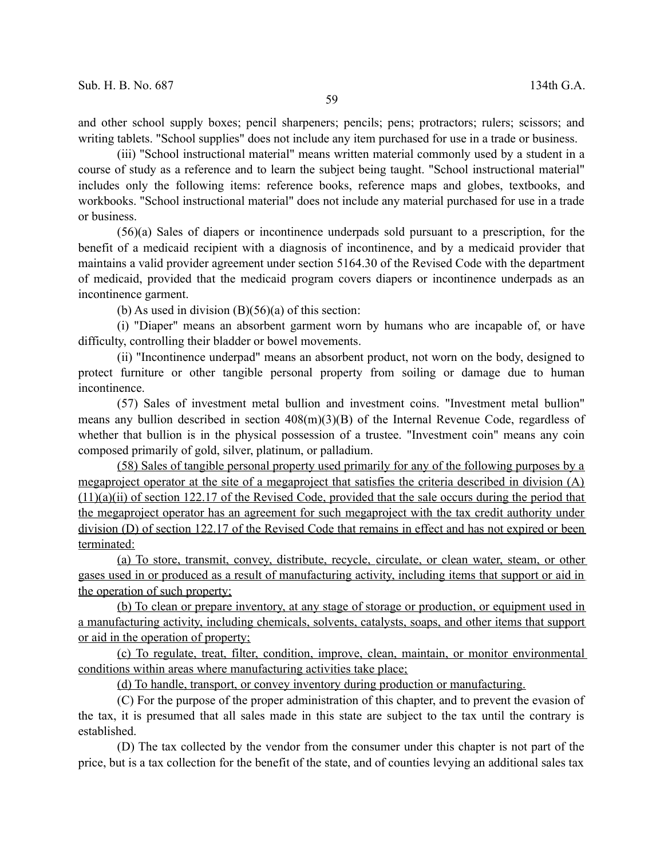and other school supply boxes; pencil sharpeners; pencils; pens; protractors; rulers; scissors; and writing tablets. "School supplies" does not include any item purchased for use in a trade or business.

(iii) "School instructional material" means written material commonly used by a student in a course of study as a reference and to learn the subject being taught. "School instructional material" includes only the following items: reference books, reference maps and globes, textbooks, and workbooks. "School instructional material" does not include any material purchased for use in a trade or business.

(56)(a) Sales of diapers or incontinence underpads sold pursuant to a prescription, for the benefit of a medicaid recipient with a diagnosis of incontinence, and by a medicaid provider that maintains a valid provider agreement under section 5164.30 of the Revised Code with the department of medicaid, provided that the medicaid program covers diapers or incontinence underpads as an incontinence garment.

(b) As used in division  $(B)(56)(a)$  of this section:

(i) "Diaper" means an absorbent garment worn by humans who are incapable of, or have difficulty, controlling their bladder or bowel movements.

(ii) "Incontinence underpad" means an absorbent product, not worn on the body, designed to protect furniture or other tangible personal property from soiling or damage due to human incontinence.

(57) Sales of investment metal bullion and investment coins. "Investment metal bullion" means any bullion described in section 408(m)(3)(B) of the Internal Revenue Code, regardless of whether that bullion is in the physical possession of a trustee. "Investment coin" means any coin composed primarily of gold, silver, platinum, or palladium.

(58) Sales of tangible personal property used primarily for any of the following purposes by a megaproject operator at the site of a megaproject that satisfies the criteria described in division (A) (11)(a)(ii) of section 122.17 of the Revised Code, provided that the sale occurs during the period that the megaproject operator has an agreement for such megaproject with the tax credit authority under division (D) of section 122.17 of the Revised Code that remains in effect and has not expired or been terminated:

 (a) To store, transmit, convey, distribute, recycle, circulate, or clean water, steam, or other gases used in or produced as a result of manufacturing activity, including items that support or aid in the operation of such property;

(b) To clean or prepare inventory, at any stage of storage or production, or equipment used in a manufacturing activity, including chemicals, solvents, catalysts, soaps, and other items that support or aid in the operation of property;

(c) To regulate, treat, filter, condition, improve, clean, maintain, or monitor environmental conditions within areas where manufacturing activities take place;

(d) To handle, transport, or convey inventory during production or manufacturing.

(C) For the purpose of the proper administration of this chapter, and to prevent the evasion of the tax, it is presumed that all sales made in this state are subject to the tax until the contrary is established.

(D) The tax collected by the vendor from the consumer under this chapter is not part of the price, but is a tax collection for the benefit of the state, and of counties levying an additional sales tax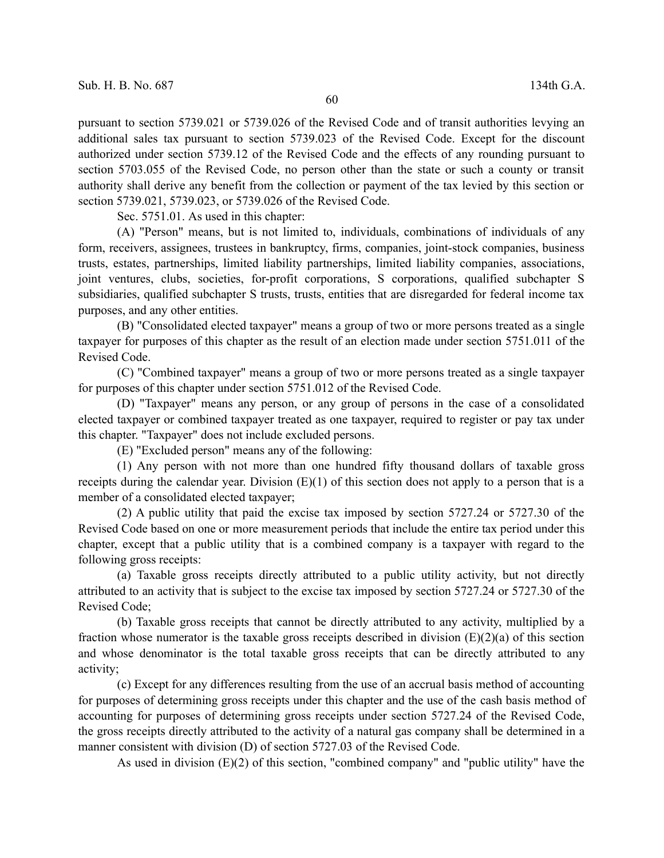pursuant to section 5739.021 or 5739.026 of the Revised Code and of transit authorities levying an additional sales tax pursuant to section 5739.023 of the Revised Code. Except for the discount authorized under section 5739.12 of the Revised Code and the effects of any rounding pursuant to section 5703.055 of the Revised Code, no person other than the state or such a county or transit authority shall derive any benefit from the collection or payment of the tax levied by this section or section 5739.021, 5739.023, or 5739.026 of the Revised Code.

Sec. 5751.01. As used in this chapter:

(A) "Person" means, but is not limited to, individuals, combinations of individuals of any form, receivers, assignees, trustees in bankruptcy, firms, companies, joint-stock companies, business trusts, estates, partnerships, limited liability partnerships, limited liability companies, associations, joint ventures, clubs, societies, for-profit corporations, S corporations, qualified subchapter S subsidiaries, qualified subchapter S trusts, trusts, entities that are disregarded for federal income tax purposes, and any other entities.

(B) "Consolidated elected taxpayer" means a group of two or more persons treated as a single taxpayer for purposes of this chapter as the result of an election made under section 5751.011 of the Revised Code.

(C) "Combined taxpayer" means a group of two or more persons treated as a single taxpayer for purposes of this chapter under section 5751.012 of the Revised Code.

(D) "Taxpayer" means any person, or any group of persons in the case of a consolidated elected taxpayer or combined taxpayer treated as one taxpayer, required to register or pay tax under this chapter. "Taxpayer" does not include excluded persons.

(E) "Excluded person" means any of the following:

(1) Any person with not more than one hundred fifty thousand dollars of taxable gross receipts during the calendar year. Division  $(E)(1)$  of this section does not apply to a person that is a member of a consolidated elected taxpayer;

(2) A public utility that paid the excise tax imposed by section 5727.24 or 5727.30 of the Revised Code based on one or more measurement periods that include the entire tax period under this chapter, except that a public utility that is a combined company is a taxpayer with regard to the following gross receipts:

(a) Taxable gross receipts directly attributed to a public utility activity, but not directly attributed to an activity that is subject to the excise tax imposed by section 5727.24 or 5727.30 of the Revised Code;

(b) Taxable gross receipts that cannot be directly attributed to any activity, multiplied by a fraction whose numerator is the taxable gross receipts described in division (E)(2)(a) of this section and whose denominator is the total taxable gross receipts that can be directly attributed to any activity;

(c) Except for any differences resulting from the use of an accrual basis method of accounting for purposes of determining gross receipts under this chapter and the use of the cash basis method of accounting for purposes of determining gross receipts under section 5727.24 of the Revised Code, the gross receipts directly attributed to the activity of a natural gas company shall be determined in a manner consistent with division (D) of section 5727.03 of the Revised Code.

As used in division (E)(2) of this section, "combined company" and "public utility" have the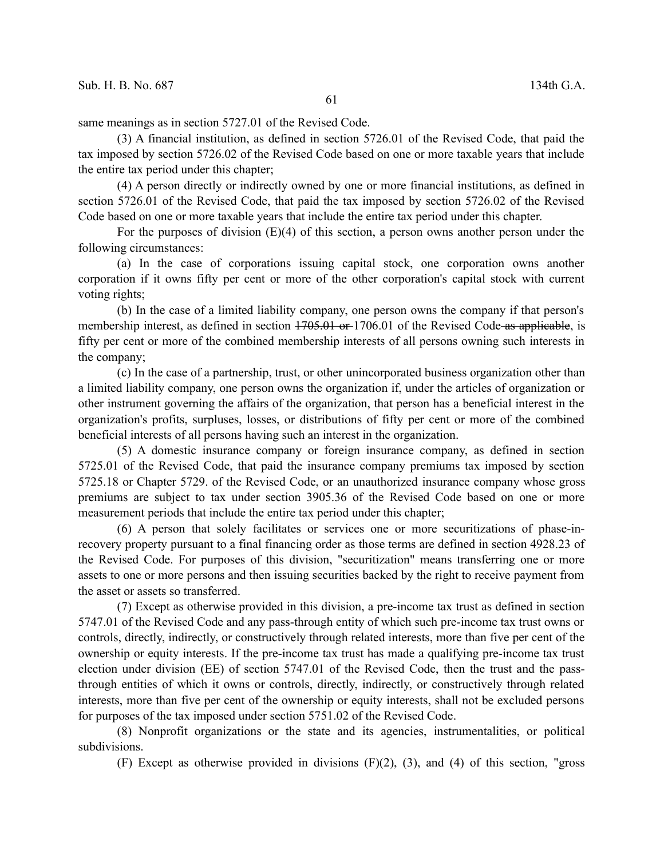same meanings as in section 5727.01 of the Revised Code.

(3) A financial institution, as defined in section 5726.01 of the Revised Code, that paid the tax imposed by section 5726.02 of the Revised Code based on one or more taxable years that include the entire tax period under this chapter;

(4) A person directly or indirectly owned by one or more financial institutions, as defined in section 5726.01 of the Revised Code, that paid the tax imposed by section 5726.02 of the Revised Code based on one or more taxable years that include the entire tax period under this chapter.

For the purposes of division  $(E)(4)$  of this section, a person owns another person under the following circumstances:

(a) In the case of corporations issuing capital stock, one corporation owns another corporation if it owns fifty per cent or more of the other corporation's capital stock with current voting rights;

(b) In the case of a limited liability company, one person owns the company if that person's membership interest, as defined in section  $1705.01$  or 1706.01 of the Revised Code as applicable, is fifty per cent or more of the combined membership interests of all persons owning such interests in the company;

(c) In the case of a partnership, trust, or other unincorporated business organization other than a limited liability company, one person owns the organization if, under the articles of organization or other instrument governing the affairs of the organization, that person has a beneficial interest in the organization's profits, surpluses, losses, or distributions of fifty per cent or more of the combined beneficial interests of all persons having such an interest in the organization.

(5) A domestic insurance company or foreign insurance company, as defined in section 5725.01 of the Revised Code, that paid the insurance company premiums tax imposed by section 5725.18 or Chapter 5729. of the Revised Code, or an unauthorized insurance company whose gross premiums are subject to tax under section 3905.36 of the Revised Code based on one or more measurement periods that include the entire tax period under this chapter;

(6) A person that solely facilitates or services one or more securitizations of phase-inrecovery property pursuant to a final financing order as those terms are defined in section 4928.23 of the Revised Code. For purposes of this division, "securitization" means transferring one or more assets to one or more persons and then issuing securities backed by the right to receive payment from the asset or assets so transferred.

(7) Except as otherwise provided in this division, a pre-income tax trust as defined in section 5747.01 of the Revised Code and any pass-through entity of which such pre-income tax trust owns or controls, directly, indirectly, or constructively through related interests, more than five per cent of the ownership or equity interests. If the pre-income tax trust has made a qualifying pre-income tax trust election under division (EE) of section 5747.01 of the Revised Code, then the trust and the passthrough entities of which it owns or controls, directly, indirectly, or constructively through related interests, more than five per cent of the ownership or equity interests, shall not be excluded persons for purposes of the tax imposed under section 5751.02 of the Revised Code.

(8) Nonprofit organizations or the state and its agencies, instrumentalities, or political subdivisions.

(F) Except as otherwise provided in divisions (F)(2), (3), and (4) of this section, "gross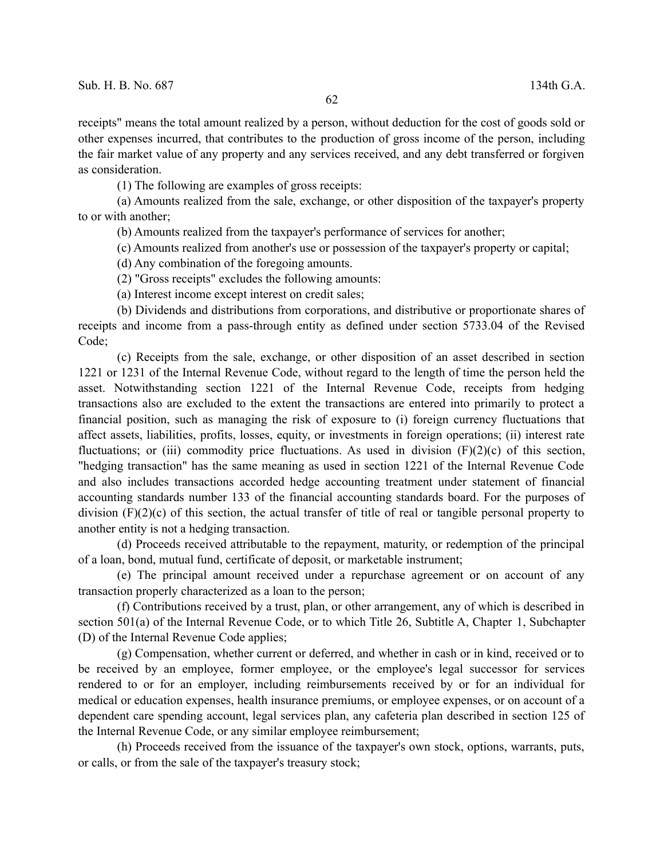receipts" means the total amount realized by a person, without deduction for the cost of goods sold or other expenses incurred, that contributes to the production of gross income of the person, including the fair market value of any property and any services received, and any debt transferred or forgiven as consideration.

(1) The following are examples of gross receipts:

(a) Amounts realized from the sale, exchange, or other disposition of the taxpayer's property to or with another;

(b) Amounts realized from the taxpayer's performance of services for another;

(c) Amounts realized from another's use or possession of the taxpayer's property or capital;

(d) Any combination of the foregoing amounts.

(2) "Gross receipts" excludes the following amounts:

(a) Interest income except interest on credit sales;

(b) Dividends and distributions from corporations, and distributive or proportionate shares of receipts and income from a pass-through entity as defined under section 5733.04 of the Revised Code;

(c) Receipts from the sale, exchange, or other disposition of an asset described in section 1221 or 1231 of the Internal Revenue Code, without regard to the length of time the person held the asset. Notwithstanding section 1221 of the Internal Revenue Code, receipts from hedging transactions also are excluded to the extent the transactions are entered into primarily to protect a financial position, such as managing the risk of exposure to (i) foreign currency fluctuations that affect assets, liabilities, profits, losses, equity, or investments in foreign operations; (ii) interest rate fluctuations; or (iii) commodity price fluctuations. As used in division  $(F)(2)(c)$  of this section, "hedging transaction" has the same meaning as used in section 1221 of the Internal Revenue Code and also includes transactions accorded hedge accounting treatment under statement of financial accounting standards number 133 of the financial accounting standards board. For the purposes of division (F)(2)(c) of this section, the actual transfer of title of real or tangible personal property to another entity is not a hedging transaction.

(d) Proceeds received attributable to the repayment, maturity, or redemption of the principal of a loan, bond, mutual fund, certificate of deposit, or marketable instrument;

(e) The principal amount received under a repurchase agreement or on account of any transaction properly characterized as a loan to the person;

(f) Contributions received by a trust, plan, or other arrangement, any of which is described in section 501(a) of the Internal Revenue Code, or to which Title 26, Subtitle A, Chapter 1, Subchapter (D) of the Internal Revenue Code applies;

(g) Compensation, whether current or deferred, and whether in cash or in kind, received or to be received by an employee, former employee, or the employee's legal successor for services rendered to or for an employer, including reimbursements received by or for an individual for medical or education expenses, health insurance premiums, or employee expenses, or on account of a dependent care spending account, legal services plan, any cafeteria plan described in section 125 of the Internal Revenue Code, or any similar employee reimbursement;

(h) Proceeds received from the issuance of the taxpayer's own stock, options, warrants, puts, or calls, or from the sale of the taxpayer's treasury stock;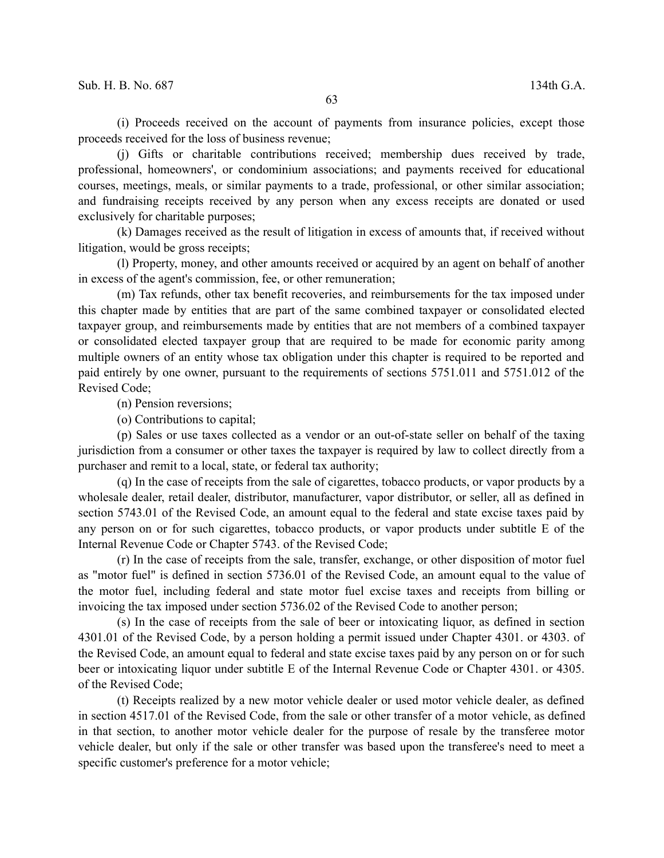(i) Proceeds received on the account of payments from insurance policies, except those proceeds received for the loss of business revenue;

(j) Gifts or charitable contributions received; membership dues received by trade, professional, homeowners', or condominium associations; and payments received for educational courses, meetings, meals, or similar payments to a trade, professional, or other similar association; and fundraising receipts received by any person when any excess receipts are donated or used exclusively for charitable purposes;

(k) Damages received as the result of litigation in excess of amounts that, if received without litigation, would be gross receipts;

(l) Property, money, and other amounts received or acquired by an agent on behalf of another in excess of the agent's commission, fee, or other remuneration;

(m) Tax refunds, other tax benefit recoveries, and reimbursements for the tax imposed under this chapter made by entities that are part of the same combined taxpayer or consolidated elected taxpayer group, and reimbursements made by entities that are not members of a combined taxpayer or consolidated elected taxpayer group that are required to be made for economic parity among multiple owners of an entity whose tax obligation under this chapter is required to be reported and paid entirely by one owner, pursuant to the requirements of sections 5751.011 and 5751.012 of the Revised Code;

(n) Pension reversions;

(o) Contributions to capital;

(p) Sales or use taxes collected as a vendor or an out-of-state seller on behalf of the taxing jurisdiction from a consumer or other taxes the taxpayer is required by law to collect directly from a purchaser and remit to a local, state, or federal tax authority;

(q) In the case of receipts from the sale of cigarettes, tobacco products, or vapor products by a wholesale dealer, retail dealer, distributor, manufacturer, vapor distributor, or seller, all as defined in section 5743.01 of the Revised Code, an amount equal to the federal and state excise taxes paid by any person on or for such cigarettes, tobacco products, or vapor products under subtitle E of the Internal Revenue Code or Chapter 5743. of the Revised Code;

(r) In the case of receipts from the sale, transfer, exchange, or other disposition of motor fuel as "motor fuel" is defined in section 5736.01 of the Revised Code, an amount equal to the value of the motor fuel, including federal and state motor fuel excise taxes and receipts from billing or invoicing the tax imposed under section 5736.02 of the Revised Code to another person;

(s) In the case of receipts from the sale of beer or intoxicating liquor, as defined in section 4301.01 of the Revised Code, by a person holding a permit issued under Chapter 4301. or 4303. of the Revised Code, an amount equal to federal and state excise taxes paid by any person on or for such beer or intoxicating liquor under subtitle E of the Internal Revenue Code or Chapter 4301. or 4305. of the Revised Code;

(t) Receipts realized by a new motor vehicle dealer or used motor vehicle dealer, as defined in section 4517.01 of the Revised Code, from the sale or other transfer of a motor vehicle, as defined in that section, to another motor vehicle dealer for the purpose of resale by the transferee motor vehicle dealer, but only if the sale or other transfer was based upon the transferee's need to meet a specific customer's preference for a motor vehicle;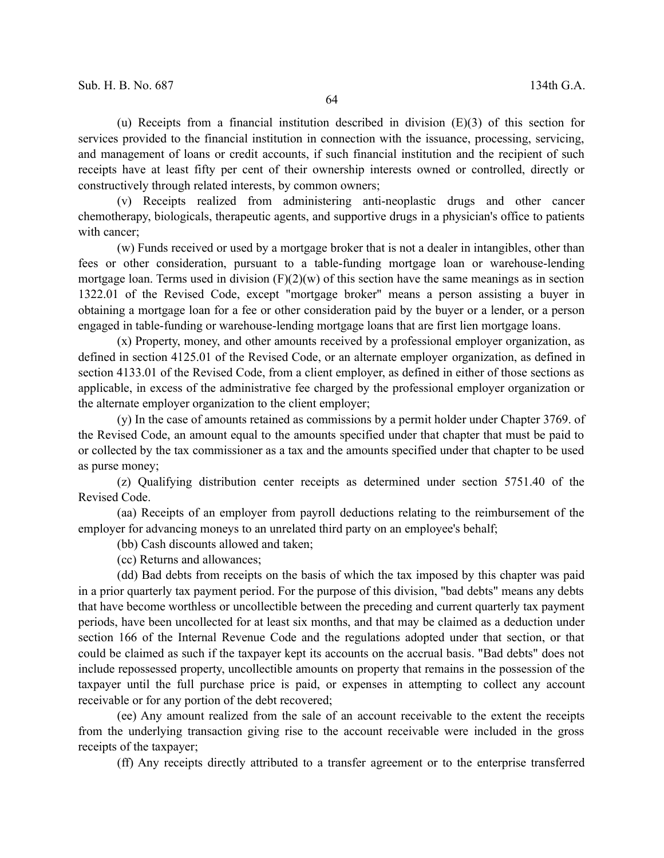(u) Receipts from a financial institution described in division (E)(3) of this section for services provided to the financial institution in connection with the issuance, processing, servicing, and management of loans or credit accounts, if such financial institution and the recipient of such receipts have at least fifty per cent of their ownership interests owned or controlled, directly or constructively through related interests, by common owners;

(v) Receipts realized from administering anti-neoplastic drugs and other cancer chemotherapy, biologicals, therapeutic agents, and supportive drugs in a physician's office to patients with cancer;

(w) Funds received or used by a mortgage broker that is not a dealer in intangibles, other than fees or other consideration, pursuant to a table-funding mortgage loan or warehouse-lending mortgage loan. Terms used in division  $(F)(2)(w)$  of this section have the same meanings as in section 1322.01 of the Revised Code, except "mortgage broker" means a person assisting a buyer in obtaining a mortgage loan for a fee or other consideration paid by the buyer or a lender, or a person engaged in table-funding or warehouse-lending mortgage loans that are first lien mortgage loans.

(x) Property, money, and other amounts received by a professional employer organization, as defined in section 4125.01 of the Revised Code, or an alternate employer organization, as defined in section 4133.01 of the Revised Code, from a client employer, as defined in either of those sections as applicable, in excess of the administrative fee charged by the professional employer organization or the alternate employer organization to the client employer;

(y) In the case of amounts retained as commissions by a permit holder under Chapter 3769. of the Revised Code, an amount equal to the amounts specified under that chapter that must be paid to or collected by the tax commissioner as a tax and the amounts specified under that chapter to be used as purse money;

(z) Qualifying distribution center receipts as determined under section 5751.40 of the Revised Code.

(aa) Receipts of an employer from payroll deductions relating to the reimbursement of the employer for advancing moneys to an unrelated third party on an employee's behalf;

(bb) Cash discounts allowed and taken;

(cc) Returns and allowances;

(dd) Bad debts from receipts on the basis of which the tax imposed by this chapter was paid in a prior quarterly tax payment period. For the purpose of this division, "bad debts" means any debts that have become worthless or uncollectible between the preceding and current quarterly tax payment periods, have been uncollected for at least six months, and that may be claimed as a deduction under section 166 of the Internal Revenue Code and the regulations adopted under that section, or that could be claimed as such if the taxpayer kept its accounts on the accrual basis. "Bad debts" does not include repossessed property, uncollectible amounts on property that remains in the possession of the taxpayer until the full purchase price is paid, or expenses in attempting to collect any account receivable or for any portion of the debt recovered;

(ee) Any amount realized from the sale of an account receivable to the extent the receipts from the underlying transaction giving rise to the account receivable were included in the gross receipts of the taxpayer;

(ff) Any receipts directly attributed to a transfer agreement or to the enterprise transferred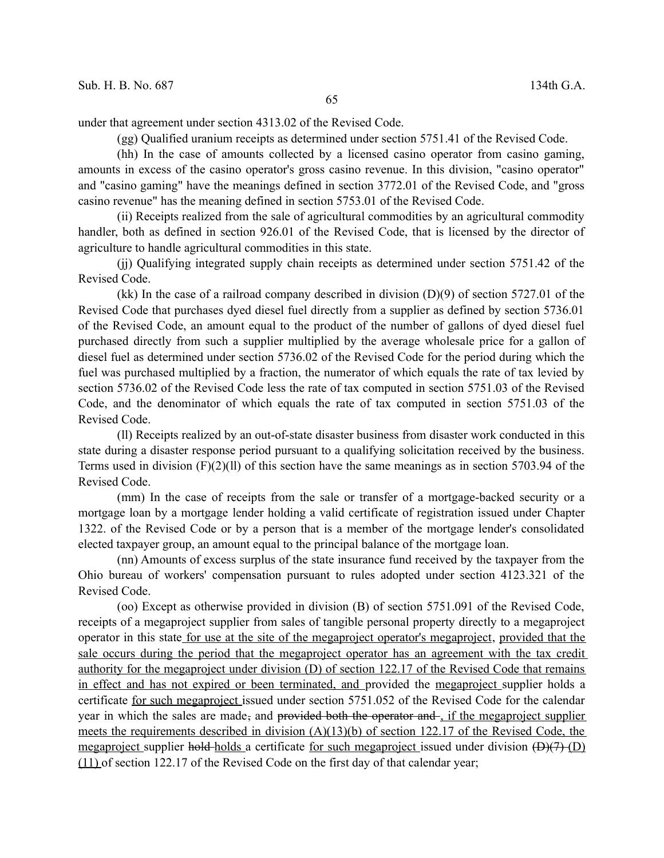under that agreement under section 4313.02 of the Revised Code.

(gg) Qualified uranium receipts as determined under section 5751.41 of the Revised Code.

(hh) In the case of amounts collected by a licensed casino operator from casino gaming, amounts in excess of the casino operator's gross casino revenue. In this division, "casino operator" and "casino gaming" have the meanings defined in section 3772.01 of the Revised Code, and "gross casino revenue" has the meaning defined in section 5753.01 of the Revised Code.

(ii) Receipts realized from the sale of agricultural commodities by an agricultural commodity handler, both as defined in section 926.01 of the Revised Code, that is licensed by the director of agriculture to handle agricultural commodities in this state.

(jj) Qualifying integrated supply chain receipts as determined under section 5751.42 of the Revised Code.

(kk) In the case of a railroad company described in division (D)(9) of section 5727.01 of the Revised Code that purchases dyed diesel fuel directly from a supplier as defined by section 5736.01 of the Revised Code, an amount equal to the product of the number of gallons of dyed diesel fuel purchased directly from such a supplier multiplied by the average wholesale price for a gallon of diesel fuel as determined under section 5736.02 of the Revised Code for the period during which the fuel was purchased multiplied by a fraction, the numerator of which equals the rate of tax levied by section 5736.02 of the Revised Code less the rate of tax computed in section 5751.03 of the Revised Code, and the denominator of which equals the rate of tax computed in section 5751.03 of the Revised Code.

(ll) Receipts realized by an out-of-state disaster business from disaster work conducted in this state during a disaster response period pursuant to a qualifying solicitation received by the business. Terms used in division  $(F)(2)(11)$  of this section have the same meanings as in section 5703.94 of the Revised Code.

(mm) In the case of receipts from the sale or transfer of a mortgage-backed security or a mortgage loan by a mortgage lender holding a valid certificate of registration issued under Chapter 1322. of the Revised Code or by a person that is a member of the mortgage lender's consolidated elected taxpayer group, an amount equal to the principal balance of the mortgage loan.

(nn) Amounts of excess surplus of the state insurance fund received by the taxpayer from the Ohio bureau of workers' compensation pursuant to rules adopted under section 4123.321 of the Revised Code.

(oo) Except as otherwise provided in division (B) of section 5751.091 of the Revised Code, receipts of a megaproject supplier from sales of tangible personal property directly to a megaproject operator in this state for use at the site of the megaproject operator's megaproject, provided that the sale occurs during the period that the megaproject operator has an agreement with the tax credit authority for the megaproject under division (D) of section 122.17 of the Revised Code that remains in effect and has not expired or been terminated, and provided the megaproject supplier holds a certificate for such megaproject issued under section 5751.052 of the Revised Code for the calendar year in which the sales are made, and provided both the operator and , if the megaproject supplier meets the requirements described in division (A)(13)(b) of section 122.17 of the Revised Code, the megaproject supplier hold holds a certificate for such megaproject issued under division  $(D)(7)$  (D) (11) of section 122.17 of the Revised Code on the first day of that calendar year;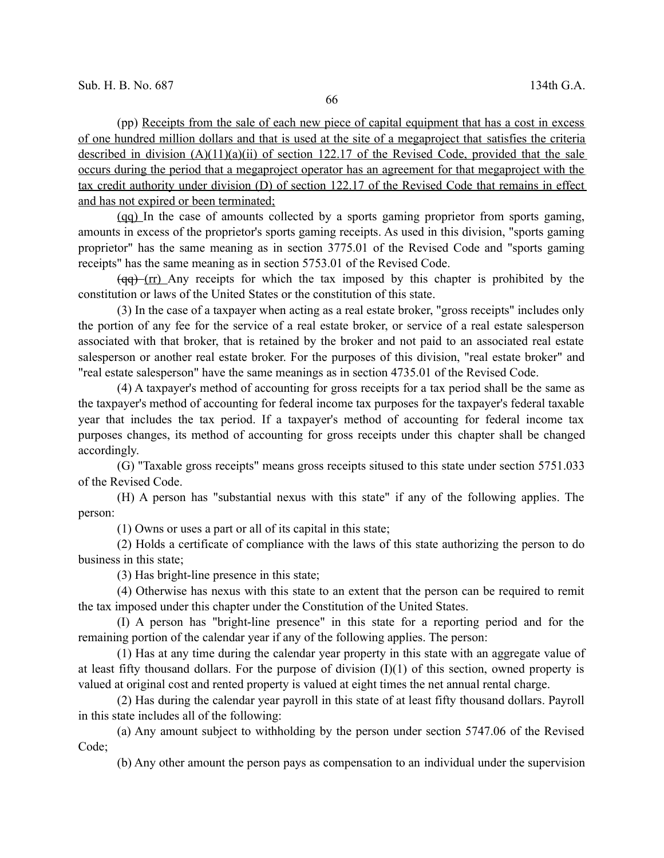(pp) Receipts from the sale of each new piece of capital equipment that has a cost in excess of one hundred million dollars and that is used at the site of a megaproject that satisfies the criteria described in division  $(A)(11)(a)(ii)$  of section 122.17 of the Revised Code, provided that the sale occurs during the period that a megaproject operator has an agreement for that megaproject with the tax credit authority under division (D) of section 122.17 of the Revised Code that remains in effect and has not expired or been terminated;

(qq) In the case of amounts collected by a sports gaming proprietor from sports gaming, amounts in excess of the proprietor's sports gaming receipts. As used in this division, "sports gaming proprietor" has the same meaning as in section 3775.01 of the Revised Code and "sports gaming receipts" has the same meaning as in section 5753.01 of the Revised Code.

 $(qq)$  (rr) Any receipts for which the tax imposed by this chapter is prohibited by the constitution or laws of the United States or the constitution of this state.

(3) In the case of a taxpayer when acting as a real estate broker, "gross receipts" includes only the portion of any fee for the service of a real estate broker, or service of a real estate salesperson associated with that broker, that is retained by the broker and not paid to an associated real estate salesperson or another real estate broker. For the purposes of this division, "real estate broker" and "real estate salesperson" have the same meanings as in section 4735.01 of the Revised Code.

(4) A taxpayer's method of accounting for gross receipts for a tax period shall be the same as the taxpayer's method of accounting for federal income tax purposes for the taxpayer's federal taxable year that includes the tax period. If a taxpayer's method of accounting for federal income tax purposes changes, its method of accounting for gross receipts under this chapter shall be changed accordingly.

(G) "Taxable gross receipts" means gross receipts sitused to this state under section 5751.033 of the Revised Code.

(H) A person has "substantial nexus with this state" if any of the following applies. The person:

(1) Owns or uses a part or all of its capital in this state;

(2) Holds a certificate of compliance with the laws of this state authorizing the person to do business in this state;

(3) Has bright-line presence in this state;

(4) Otherwise has nexus with this state to an extent that the person can be required to remit the tax imposed under this chapter under the Constitution of the United States.

(I) A person has "bright-line presence" in this state for a reporting period and for the remaining portion of the calendar year if any of the following applies. The person:

(1) Has at any time during the calendar year property in this state with an aggregate value of at least fifty thousand dollars. For the purpose of division (I)(1) of this section, owned property is valued at original cost and rented property is valued at eight times the net annual rental charge.

(2) Has during the calendar year payroll in this state of at least fifty thousand dollars. Payroll in this state includes all of the following:

(a) Any amount subject to withholding by the person under section 5747.06 of the Revised Code;

(b) Any other amount the person pays as compensation to an individual under the supervision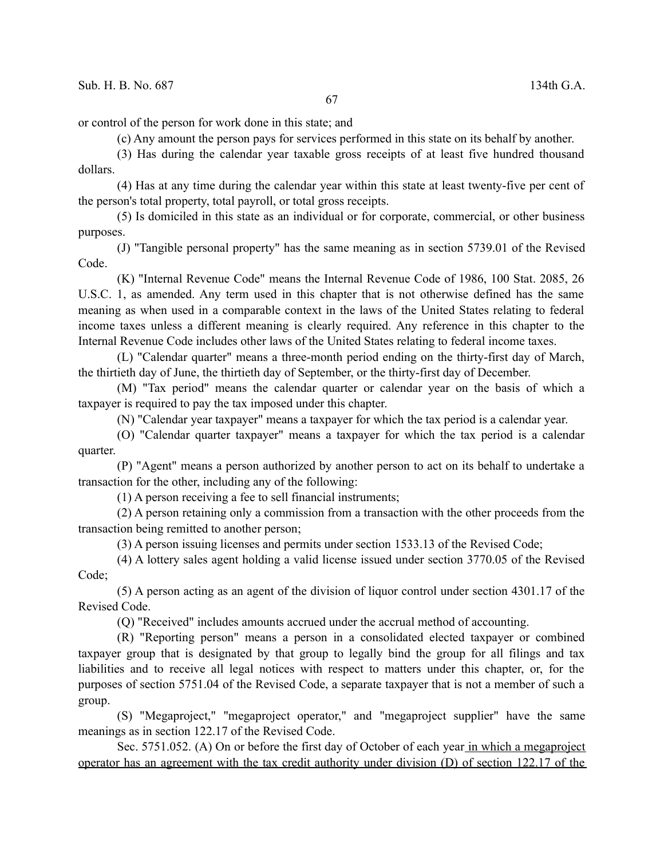or control of the person for work done in this state; and

(c) Any amount the person pays for services performed in this state on its behalf by another.

(3) Has during the calendar year taxable gross receipts of at least five hundred thousand dollars.

(4) Has at any time during the calendar year within this state at least twenty-five per cent of the person's total property, total payroll, or total gross receipts.

(5) Is domiciled in this state as an individual or for corporate, commercial, or other business purposes.

(J) "Tangible personal property" has the same meaning as in section 5739.01 of the Revised Code.

(K) "Internal Revenue Code" means the Internal Revenue Code of 1986, 100 Stat. 2085, 26 U.S.C. 1, as amended. Any term used in this chapter that is not otherwise defined has the same meaning as when used in a comparable context in the laws of the United States relating to federal income taxes unless a different meaning is clearly required. Any reference in this chapter to the Internal Revenue Code includes other laws of the United States relating to federal income taxes.

(L) "Calendar quarter" means a three-month period ending on the thirty-first day of March, the thirtieth day of June, the thirtieth day of September, or the thirty-first day of December.

(M) "Tax period" means the calendar quarter or calendar year on the basis of which a taxpayer is required to pay the tax imposed under this chapter.

(N) "Calendar year taxpayer" means a taxpayer for which the tax period is a calendar year.

(O) "Calendar quarter taxpayer" means a taxpayer for which the tax period is a calendar quarter.

(P) "Agent" means a person authorized by another person to act on its behalf to undertake a transaction for the other, including any of the following:

(1) A person receiving a fee to sell financial instruments;

(2) A person retaining only a commission from a transaction with the other proceeds from the transaction being remitted to another person;

(3) A person issuing licenses and permits under section 1533.13 of the Revised Code;

(4) A lottery sales agent holding a valid license issued under section 3770.05 of the Revised Code;

(5) A person acting as an agent of the division of liquor control under section 4301.17 of the Revised Code.

(Q) "Received" includes amounts accrued under the accrual method of accounting.

(R) "Reporting person" means a person in a consolidated elected taxpayer or combined taxpayer group that is designated by that group to legally bind the group for all filings and tax liabilities and to receive all legal notices with respect to matters under this chapter, or, for the purposes of section 5751.04 of the Revised Code, a separate taxpayer that is not a member of such a group.

(S) "Megaproject," "megaproject operator," and "megaproject supplier" have the same meanings as in section 122.17 of the Revised Code.

Sec. 5751.052. (A) On or before the first day of October of each year in which a megaproject operator has an agreement with the tax credit authority under division (D) of section 122.17 of the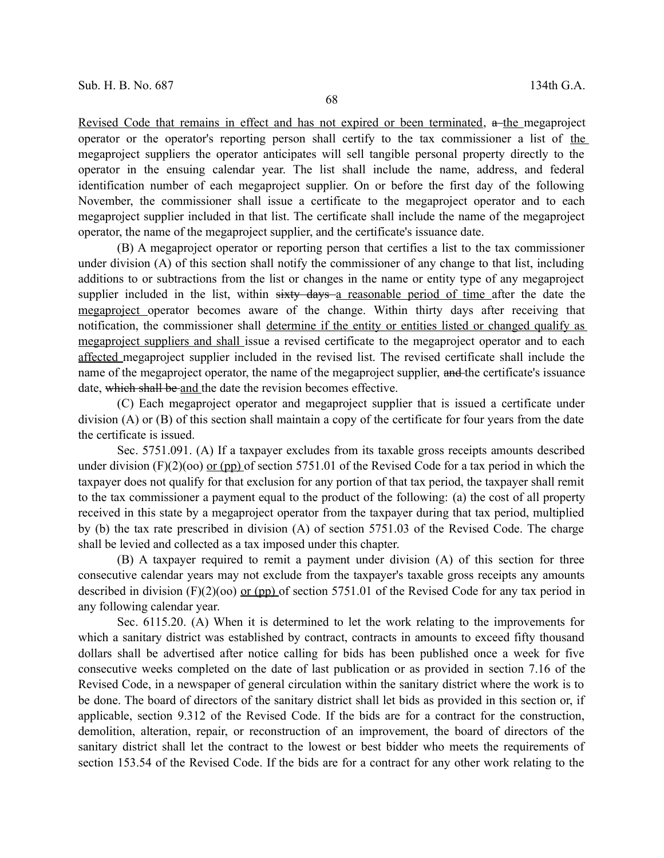Revised Code that remains in effect and has not expired or been terminated,  $a$ -the megaproject operator or the operator's reporting person shall certify to the tax commissioner a list of the megaproject suppliers the operator anticipates will sell tangible personal property directly to the operator in the ensuing calendar year. The list shall include the name, address, and federal identification number of each megaproject supplier. On or before the first day of the following November, the commissioner shall issue a certificate to the megaproject operator and to each megaproject supplier included in that list. The certificate shall include the name of the megaproject operator, the name of the megaproject supplier, and the certificate's issuance date.

(B) A megaproject operator or reporting person that certifies a list to the tax commissioner under division (A) of this section shall notify the commissioner of any change to that list, including additions to or subtractions from the list or changes in the name or entity type of any megaproject supplier included in the list, within sixty days a reasonable period of time after the date the megaproject operator becomes aware of the change. Within thirty days after receiving that notification, the commissioner shall determine if the entity or entities listed or changed qualify as megaproject suppliers and shall issue a revised certificate to the megaproject operator and to each affected megaproject supplier included in the revised list. The revised certificate shall include the name of the megaproject operator, the name of the megaproject supplier, and the certificate's issuance date, which shall be and the date the revision becomes effective.

(C) Each megaproject operator and megaproject supplier that is issued a certificate under division (A) or (B) of this section shall maintain a copy of the certificate for four years from the date the certificate is issued.

Sec. 5751.091. (A) If a taxpayer excludes from its taxable gross receipts amounts described under division  $(F)(2)(oo)$  or (pp) of section 5751.01 of the Revised Code for a tax period in which the taxpayer does not qualify for that exclusion for any portion of that tax period, the taxpayer shall remit to the tax commissioner a payment equal to the product of the following: (a) the cost of all property received in this state by a megaproject operator from the taxpayer during that tax period, multiplied by (b) the tax rate prescribed in division (A) of section 5751.03 of the Revised Code. The charge shall be levied and collected as a tax imposed under this chapter.

(B) A taxpayer required to remit a payment under division (A) of this section for three consecutive calendar years may not exclude from the taxpayer's taxable gross receipts any amounts described in division  $(F)(2)(oo)$  or (pp) of section 5751.01 of the Revised Code for any tax period in any following calendar year.

Sec. 6115.20. (A) When it is determined to let the work relating to the improvements for which a sanitary district was established by contract, contracts in amounts to exceed fifty thousand dollars shall be advertised after notice calling for bids has been published once a week for five consecutive weeks completed on the date of last publication or as provided in section 7.16 of the Revised Code, in a newspaper of general circulation within the sanitary district where the work is to be done. The board of directors of the sanitary district shall let bids as provided in this section or, if applicable, section 9.312 of the Revised Code. If the bids are for a contract for the construction, demolition, alteration, repair, or reconstruction of an improvement, the board of directors of the sanitary district shall let the contract to the lowest or best bidder who meets the requirements of section 153.54 of the Revised Code. If the bids are for a contract for any other work relating to the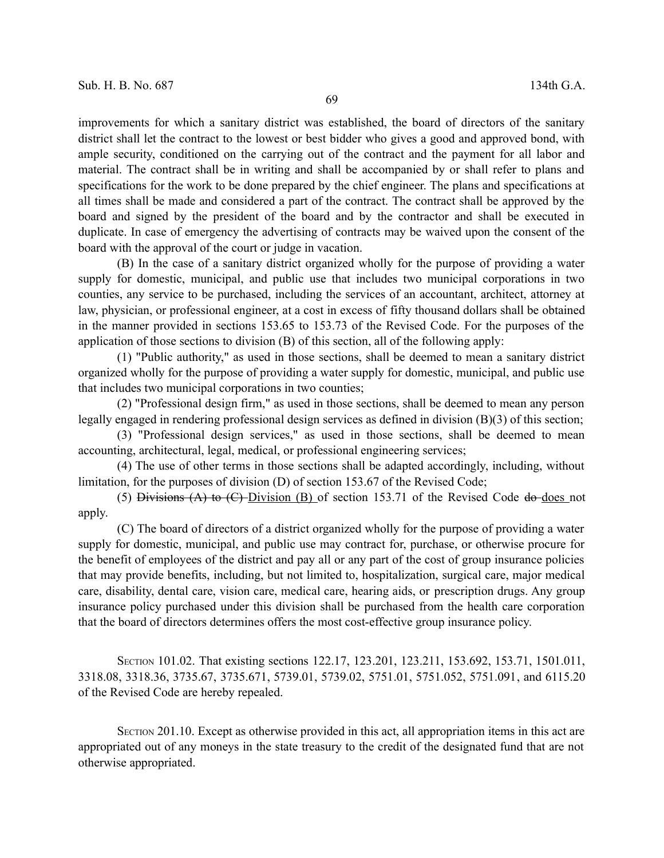improvements for which a sanitary district was established, the board of directors of the sanitary district shall let the contract to the lowest or best bidder who gives a good and approved bond, with ample security, conditioned on the carrying out of the contract and the payment for all labor and material. The contract shall be in writing and shall be accompanied by or shall refer to plans and specifications for the work to be done prepared by the chief engineer. The plans and specifications at all times shall be made and considered a part of the contract. The contract shall be approved by the board and signed by the president of the board and by the contractor and shall be executed in duplicate. In case of emergency the advertising of contracts may be waived upon the consent of the board with the approval of the court or judge in vacation.

(B) In the case of a sanitary district organized wholly for the purpose of providing a water supply for domestic, municipal, and public use that includes two municipal corporations in two counties, any service to be purchased, including the services of an accountant, architect, attorney at law, physician, or professional engineer, at a cost in excess of fifty thousand dollars shall be obtained in the manner provided in sections 153.65 to 153.73 of the Revised Code. For the purposes of the application of those sections to division (B) of this section, all of the following apply:

(1) "Public authority," as used in those sections, shall be deemed to mean a sanitary district organized wholly for the purpose of providing a water supply for domestic, municipal, and public use that includes two municipal corporations in two counties;

(2) "Professional design firm," as used in those sections, shall be deemed to mean any person legally engaged in rendering professional design services as defined in division (B)(3) of this section;

(3) "Professional design services," as used in those sections, shall be deemed to mean accounting, architectural, legal, medical, or professional engineering services;

(4) The use of other terms in those sections shall be adapted accordingly, including, without limitation, for the purposes of division (D) of section 153.67 of the Revised Code;

(5) Divisions  $(A)$  to  $(C)$  Division  $(B)$  of section 153.71 of the Revised Code do does not apply.

(C) The board of directors of a district organized wholly for the purpose of providing a water supply for domestic, municipal, and public use may contract for, purchase, or otherwise procure for the benefit of employees of the district and pay all or any part of the cost of group insurance policies that may provide benefits, including, but not limited to, hospitalization, surgical care, major medical care, disability, dental care, vision care, medical care, hearing aids, or prescription drugs. Any group insurance policy purchased under this division shall be purchased from the health care corporation that the board of directors determines offers the most cost-effective group insurance policy.

SECTION 101.02. That existing sections 122.17, 123.201, 123.211, 153.692, 153.71, 1501.011, 3318.08, 3318.36, 3735.67, 3735.671, 5739.01, 5739.02, 5751.01, 5751.052, 5751.091, and 6115.20 of the Revised Code are hereby repealed.

SECTION 201.10. Except as otherwise provided in this act, all appropriation items in this act are appropriated out of any moneys in the state treasury to the credit of the designated fund that are not otherwise appropriated.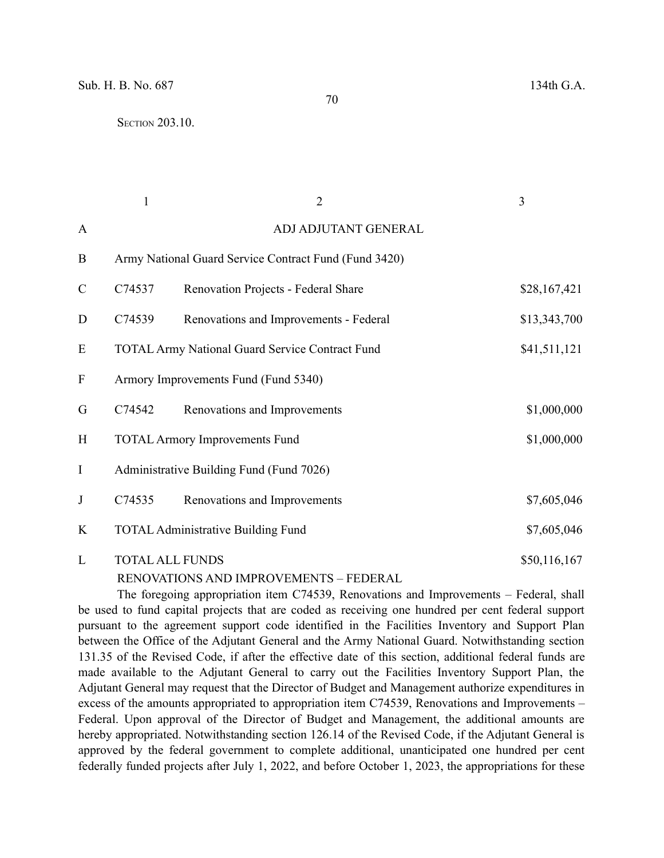| $\overline{2}$ | $\overline{\mathbf{3}}$ |
|----------------|-------------------------|

| $\mathbf{A}$              |                                                       | ADJ ADJUTANT GENERAL                                   |              |
|---------------------------|-------------------------------------------------------|--------------------------------------------------------|--------------|
| $\bf{B}$                  | Army National Guard Service Contract Fund (Fund 3420) |                                                        |              |
| $\mathcal{C}$             | C74537                                                | Renovation Projects - Federal Share                    | \$28,167,421 |
| D                         | C74539                                                | Renovations and Improvements - Federal                 | \$13,343,700 |
| E                         |                                                       | <b>TOTAL Army National Guard Service Contract Fund</b> | \$41,511,121 |
| $\boldsymbol{\mathrm{F}}$ | Armory Improvements Fund (Fund 5340)                  |                                                        |              |
| G                         | C74542                                                | Renovations and Improvements                           | \$1,000,000  |
| H                         |                                                       | <b>TOTAL Armory Improvements Fund</b>                  | \$1,000,000  |
| $\mathbf I$               | Administrative Building Fund (Fund 7026)              |                                                        |              |
| $\mathbf{J}$              | C74535                                                | Renovations and Improvements                           | \$7,605,046  |
| K                         | <b>TOTAL Administrative Building Fund</b>             |                                                        | \$7,605,046  |
| L                         | <b>TOTAL ALL FUNDS</b>                                |                                                        | \$50,116,167 |

RENOVATIONS AND IMPROVEMENTS – FEDERAL

The foregoing appropriation item C74539, Renovations and Improvements – Federal, shall be used to fund capital projects that are coded as receiving one hundred per cent federal support pursuant to the agreement support code identified in the Facilities Inventory and Support Plan between the Office of the Adjutant General and the Army National Guard. Notwithstanding section 131.35 of the Revised Code, if after the effective date of this section, additional federal funds are made available to the Adjutant General to carry out the Facilities Inventory Support Plan, the Adjutant General may request that the Director of Budget and Management authorize expenditures in excess of the amounts appropriated to appropriation item C74539, Renovations and Improvements – Federal. Upon approval of the Director of Budget and Management, the additional amounts are hereby appropriated. Notwithstanding section 126.14 of the Revised Code, if the Adjutant General is approved by the federal government to complete additional, unanticipated one hundred per cent federally funded projects after July 1, 2022, and before October 1, 2023, the appropriations for these

70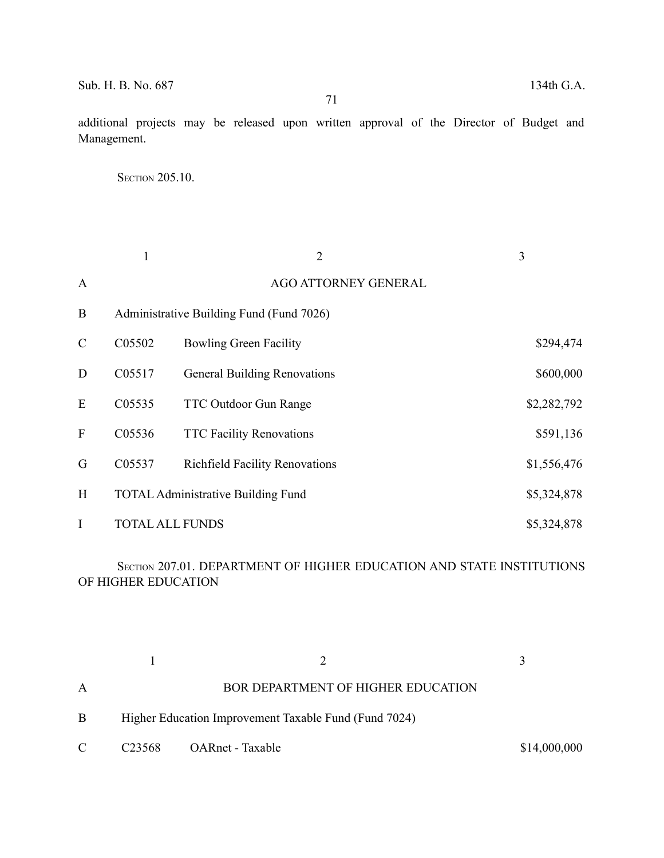71

additional projects may be released upon written approval of the Director of Budget and Management.

**SECTION 205.10.** 

|               | $\mathbf{1}$ | $\overline{2}$                            | 3           |
|---------------|--------------|-------------------------------------------|-------------|
| $\mathbf{A}$  |              | AGO ATTORNEY GENERAL                      |             |
| B             |              | Administrative Building Fund (Fund 7026)  |             |
| $\mathcal{C}$ | C05502       | <b>Bowling Green Facility</b>             | \$294,474   |
| D             | C05517       | <b>General Building Renovations</b>       | \$600,000   |
| E             | C05535       | <b>TTC Outdoor Gun Range</b>              | \$2,282,792 |
| F             | C05536       | <b>TTC Facility Renovations</b>           | \$591,136   |
| G             | C05537       | <b>Richfield Facility Renovations</b>     | \$1,556,476 |
| H             |              | <b>TOTAL Administrative Building Fund</b> | \$5,324,878 |
| I             |              | <b>TOTAL ALL FUNDS</b>                    | \$5,324,878 |

SECTION 207.01. DEPARTMENT OF HIGHER EDUCATION AND STATE INSTITUTIONS OF HIGHER EDUCATION

| A  |                                                       | <b>BOR DEPARTMENT OF HIGHER EDUCATION</b> |              |
|----|-------------------------------------------------------|-------------------------------------------|--------------|
| Β  | Higher Education Improvement Taxable Fund (Fund 7024) |                                           |              |
| C. |                                                       | C23568 OARnet - Taxable                   | \$14,000,000 |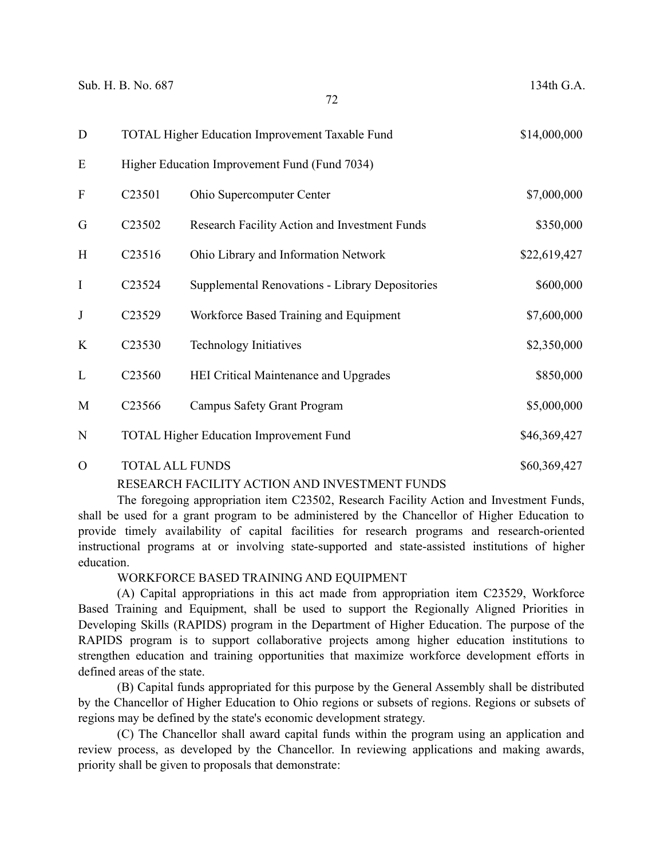| D              | TOTAL Higher Education Improvement Taxable Fund |                                                 | \$14,000,000 |
|----------------|-------------------------------------------------|-------------------------------------------------|--------------|
| E              |                                                 | Higher Education Improvement Fund (Fund 7034)   |              |
| $\mathbf F$    | C23501                                          | Ohio Supercomputer Center                       | \$7,000,000  |
| G              | C <sub>23502</sub>                              | Research Facility Action and Investment Funds   | \$350,000    |
| H              | C <sub>23516</sub>                              | Ohio Library and Information Network            | \$22,619,427 |
| I              | C <sub>23524</sub>                              | Supplemental Renovations - Library Depositories | \$600,000    |
| J              | C23529                                          | Workforce Based Training and Equipment          | \$7,600,000  |
| K              | C <sub>23530</sub>                              | <b>Technology Initiatives</b>                   | \$2,350,000  |
| L              | C23560                                          | <b>HEI Critical Maintenance and Upgrades</b>    | \$850,000    |
| M              | C <sub>23566</sub>                              | <b>Campus Safety Grant Program</b>              | \$5,000,000  |
| N              |                                                 | <b>TOTAL Higher Education Improvement Fund</b>  | \$46,369,427 |
| $\overline{O}$ | <b>TOTAL ALL FUNDS</b>                          |                                                 | \$60,369,427 |

## RESEARCH FACILITY ACTION AND INVESTMENT FUNDS

The foregoing appropriation item C23502, Research Facility Action and Investment Funds, shall be used for a grant program to be administered by the Chancellor of Higher Education to provide timely availability of capital facilities for research programs and research-oriented instructional programs at or involving state-supported and state-assisted institutions of higher education.

## WORKFORCE BASED TRAINING AND EQUIPMENT

(A) Capital appropriations in this act made from appropriation item C23529, Workforce Based Training and Equipment, shall be used to support the Regionally Aligned Priorities in Developing Skills (RAPIDS) program in the Department of Higher Education. The purpose of the RAPIDS program is to support collaborative projects among higher education institutions to strengthen education and training opportunities that maximize workforce development efforts in defined areas of the state.

(B) Capital funds appropriated for this purpose by the General Assembly shall be distributed by the Chancellor of Higher Education to Ohio regions or subsets of regions. Regions or subsets of regions may be defined by the state's economic development strategy.

(C) The Chancellor shall award capital funds within the program using an application and review process, as developed by the Chancellor. In reviewing applications and making awards, priority shall be given to proposals that demonstrate: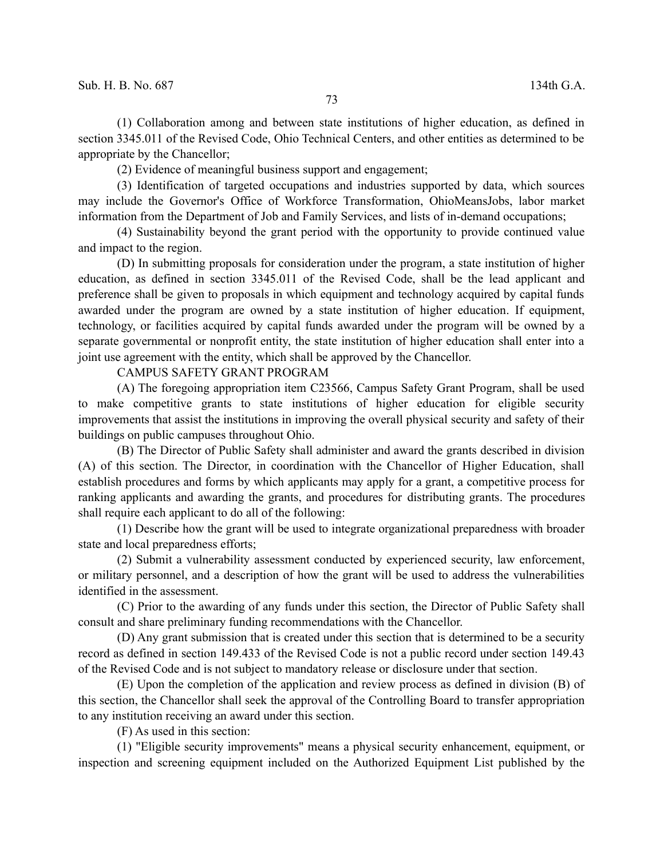(1) Collaboration among and between state institutions of higher education, as defined in section 3345.011 of the Revised Code, Ohio Technical Centers, and other entities as determined to be appropriate by the Chancellor;

(2) Evidence of meaningful business support and engagement;

(3) Identification of targeted occupations and industries supported by data, which sources may include the Governor's Office of Workforce Transformation, OhioMeansJobs, labor market information from the Department of Job and Family Services, and lists of in-demand occupations;

(4) Sustainability beyond the grant period with the opportunity to provide continued value and impact to the region.

(D) In submitting proposals for consideration under the program, a state institution of higher education, as defined in section 3345.011 of the Revised Code, shall be the lead applicant and preference shall be given to proposals in which equipment and technology acquired by capital funds awarded under the program are owned by a state institution of higher education. If equipment, technology, or facilities acquired by capital funds awarded under the program will be owned by a separate governmental or nonprofit entity, the state institution of higher education shall enter into a joint use agreement with the entity, which shall be approved by the Chancellor.

CAMPUS SAFETY GRANT PROGRAM

(A) The foregoing appropriation item C23566, Campus Safety Grant Program, shall be used to make competitive grants to state institutions of higher education for eligible security improvements that assist the institutions in improving the overall physical security and safety of their buildings on public campuses throughout Ohio.

(B) The Director of Public Safety shall administer and award the grants described in division (A) of this section. The Director, in coordination with the Chancellor of Higher Education, shall establish procedures and forms by which applicants may apply for a grant, a competitive process for ranking applicants and awarding the grants, and procedures for distributing grants. The procedures shall require each applicant to do all of the following:

(1) Describe how the grant will be used to integrate organizational preparedness with broader state and local preparedness efforts;

(2) Submit a vulnerability assessment conducted by experienced security, law enforcement, or military personnel, and a description of how the grant will be used to address the vulnerabilities identified in the assessment.

(C) Prior to the awarding of any funds under this section, the Director of Public Safety shall consult and share preliminary funding recommendations with the Chancellor.

(D) Any grant submission that is created under this section that is determined to be a security record as defined in section 149.433 of the Revised Code is not a public record under section 149.43 of the Revised Code and is not subject to mandatory release or disclosure under that section.

(E) Upon the completion of the application and review process as defined in division (B) of this section, the Chancellor shall seek the approval of the Controlling Board to transfer appropriation to any institution receiving an award under this section.

(F) As used in this section:

(1) "Eligible security improvements" means a physical security enhancement, equipment, or inspection and screening equipment included on the Authorized Equipment List published by the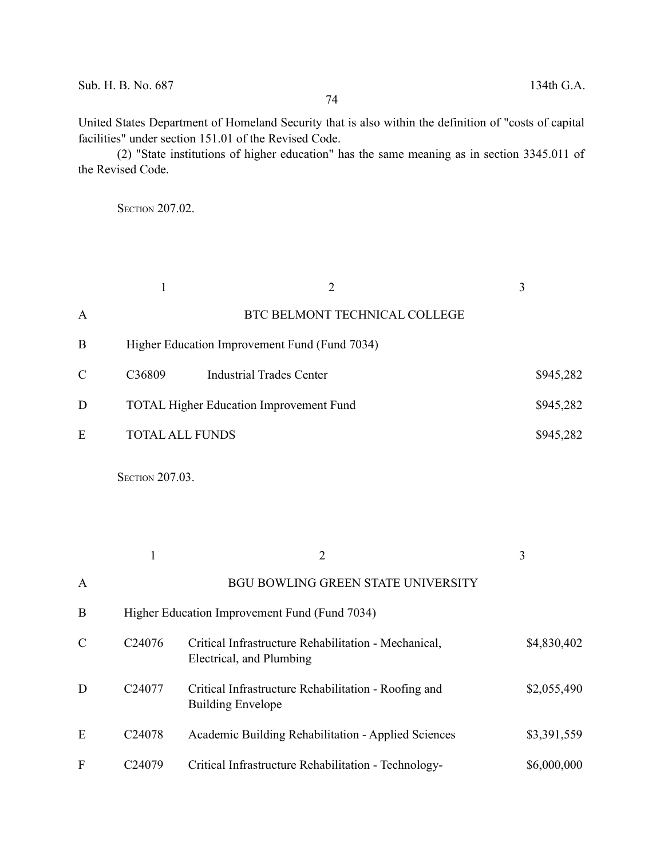United States Department of Homeland Security that is also within the definition of "costs of capital facilities" under section 151.01 of the Revised Code.

(2) "State institutions of higher education" has the same meaning as in section 3345.011 of the Revised Code.

SECTION 207.02.

|                  | $\mathbf{1}$           | $\overline{2}$                                                                   | 3           |
|------------------|------------------------|----------------------------------------------------------------------------------|-------------|
| $\mathbf{A}$     |                        | BTC BELMONT TECHNICAL COLLEGE                                                    |             |
| B                |                        | Higher Education Improvement Fund (Fund 7034)                                    |             |
| $\mathcal{C}$    | C36809                 | <b>Industrial Trades Center</b>                                                  | \$945,282   |
| D                |                        | <b>TOTAL Higher Education Improvement Fund</b>                                   | \$945,282   |
| E                |                        | <b>TOTAL ALL FUNDS</b>                                                           | \$945,282   |
|                  | <b>SECTION 207.03.</b> |                                                                                  |             |
|                  | $\mathbf{1}$           | $\overline{2}$                                                                   | 3           |
| A                |                        | <b>BGU BOWLING GREEN STATE UNIVERSITY</b>                                        |             |
| B                |                        | Higher Education Improvement Fund (Fund 7034)                                    |             |
| $\mathcal{C}$    | C24076                 | Critical Infrastructure Rehabilitation - Mechanical,<br>Electrical, and Plumbing | \$4,830,402 |
| D                | C24077                 | Critical Infrastructure Rehabilitation - Roofing and<br><b>Building Envelope</b> | \$2,055,490 |
| E                | C24078                 | Academic Building Rehabilitation - Applied Sciences                              | \$3,391,559 |
| $\boldsymbol{F}$ | C24079                 | Critical Infrastructure Rehabilitation - Technology-                             | \$6,000,000 |
|                  |                        |                                                                                  |             |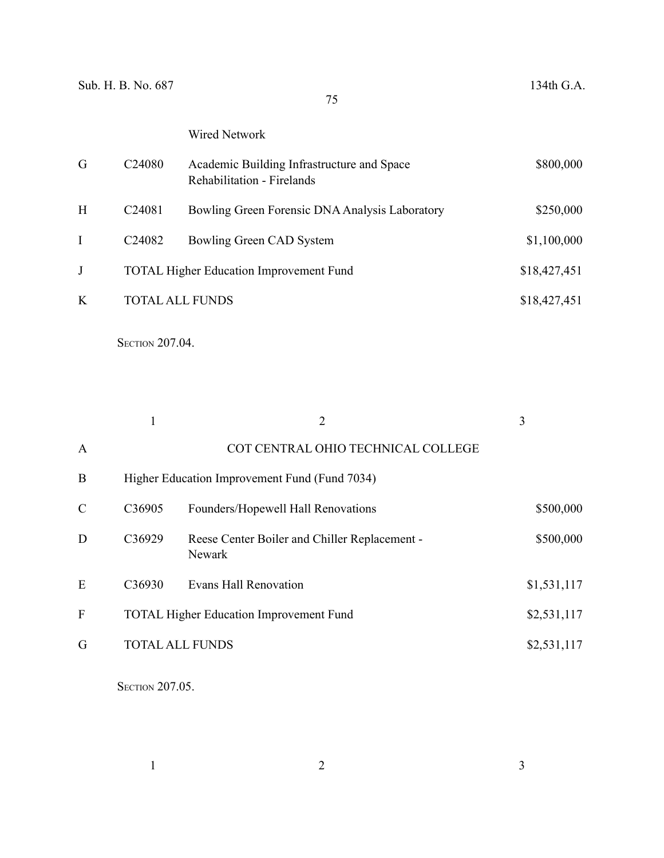# Wired Network

| G | C <sub>24080</sub> | Academic Building Infrastructure and Space<br><b>Rehabilitation - Firelands</b> | \$800,000    |
|---|--------------------|---------------------------------------------------------------------------------|--------------|
| H | C <sub>24081</sub> | Bowling Green Forensic DNA Analysis Laboratory                                  | \$250,000    |
|   | C <sub>24082</sub> | Bowling Green CAD System                                                        | \$1,100,000  |
|   |                    | <b>TOTAL Higher Education Improvement Fund</b>                                  | \$18,427,451 |
| K |                    | <b>TOTAL ALL FUNDS</b>                                                          | \$18,427,451 |
|   |                    |                                                                                 |              |

**SECTION 207.04.** 

|               |                    | 2                                                       | 3           |  |
|---------------|--------------------|---------------------------------------------------------|-------------|--|
| $\mathbf{A}$  |                    | COT CENTRAL OHIO TECHNICAL COLLEGE                      |             |  |
| B             |                    | Higher Education Improvement Fund (Fund 7034)           |             |  |
| $\mathcal{C}$ | C36905             | Founders/Hopewell Hall Renovations                      | \$500,000   |  |
| D             | C36929             | Reese Center Boiler and Chiller Replacement -<br>Newark | \$500,000   |  |
| E             | C <sub>36930</sub> | Evans Hall Renovation                                   | \$1,531,117 |  |
| F             |                    | <b>TOTAL Higher Education Improvement Fund</b>          | \$2,531,117 |  |
| G             |                    | <b>TOTAL ALL FUNDS</b>                                  | \$2,531,117 |  |

**SECTION 207.05.** 

 $1$  and  $2$  3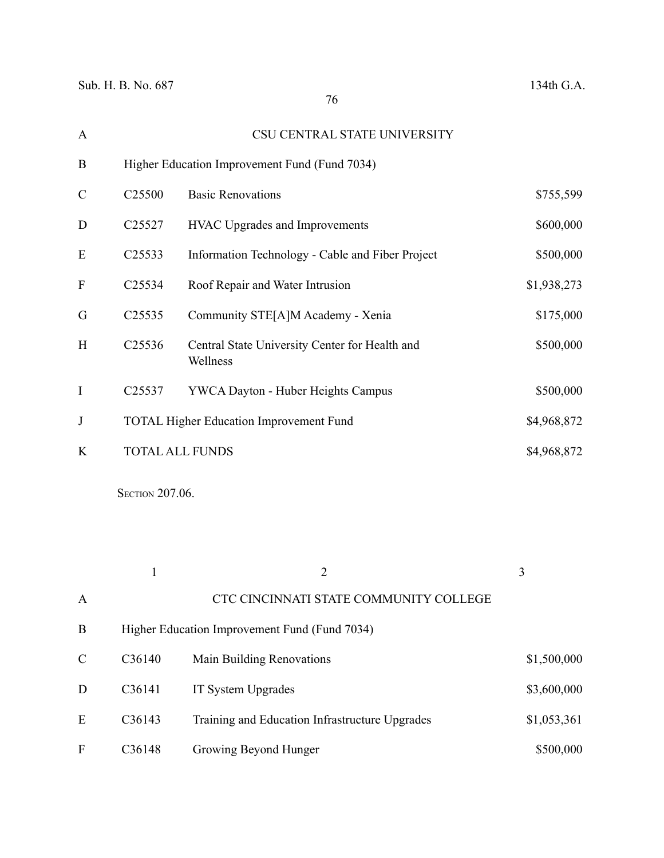| $\mathbf{A}$  |                    | CSU CENTRAL STATE UNIVERSITY                               |             |
|---------------|--------------------|------------------------------------------------------------|-------------|
| B             |                    | Higher Education Improvement Fund (Fund 7034)              |             |
| $\mathcal{C}$ | C <sub>25500</sub> | <b>Basic Renovations</b>                                   | \$755,599   |
| D             | C <sub>25527</sub> | <b>HVAC Upgrades and Improvements</b>                      | \$600,000   |
| E             | C25533             | Information Technology - Cable and Fiber Project           | \$500,000   |
| $\mathbf{F}$  | C <sub>25534</sub> | Roof Repair and Water Intrusion                            | \$1,938,273 |
| G             | C <sub>25535</sub> | Community STE[A]M Academy - Xenia                          | \$175,000   |
| H             | C <sub>25536</sub> | Central State University Center for Health and<br>Wellness | \$500,000   |
| $\bf{I}$      | C <sub>25537</sub> | YWCA Dayton - Huber Heights Campus                         | \$500,000   |
| J             |                    | <b>TOTAL Higher Education Improvement Fund</b>             | \$4,968,872 |
| K             |                    | <b>TOTAL ALL FUNDS</b>                                     | \$4,968,872 |

**SECTION 207.06.** 

|               |                     | 2                                              | 3           |
|---------------|---------------------|------------------------------------------------|-------------|
| $\mathbf{A}$  |                     | CTC CINCINNATI STATE COMMUNITY COLLEGE         |             |
| B             |                     | Higher Education Improvement Fund (Fund 7034)  |             |
| $\mathcal{C}$ | C <sub>36</sub> 140 | Main Building Renovations                      | \$1,500,000 |
| D             | C <sub>36</sub> 141 | IT System Upgrades                             | \$3,600,000 |
| E             | C36143              | Training and Education Infrastructure Upgrades | \$1,053,361 |
| F             | C <sub>36</sub> 148 | Growing Beyond Hunger                          | \$500,000   |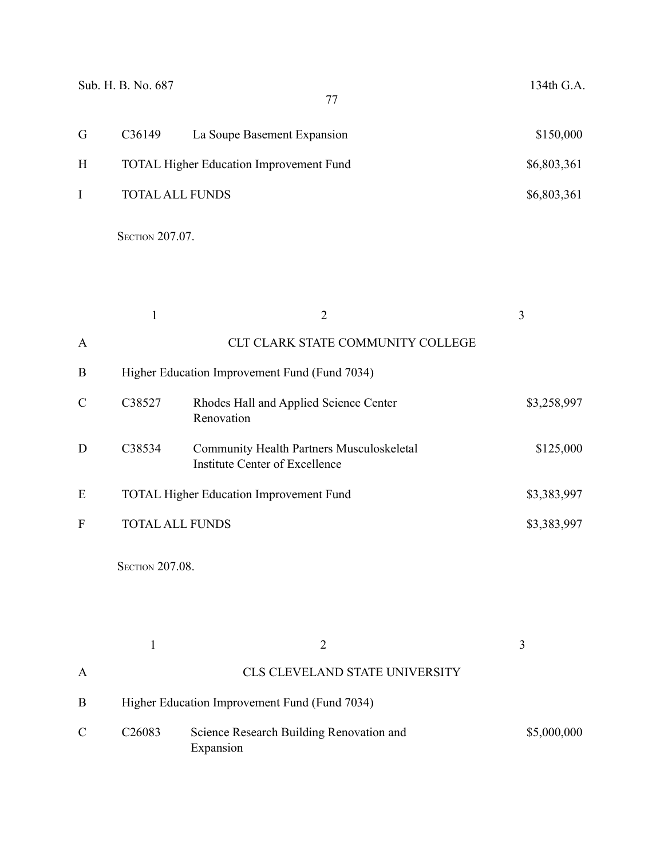|   | Sub. H. B. No. 687     | 77                                             | 134th G.A.  |
|---|------------------------|------------------------------------------------|-------------|
| G | C <sub>36</sub> 149    | La Soupe Basement Expansion                    | \$150,000   |
| H |                        | <b>TOTAL Higher Education Improvement Fund</b> | \$6,803,361 |
|   | <b>TOTAL ALL FUNDS</b> |                                                | \$6,803,361 |
|   |                        |                                                |             |

**SECTION 207.07.** 

|   |                        |                                                                                    | 3           |
|---|------------------------|------------------------------------------------------------------------------------|-------------|
| A |                        | CLT CLARK STATE COMMUNITY COLLEGE                                                  |             |
| B |                        | Higher Education Improvement Fund (Fund 7034)                                      |             |
| C | C38527                 | Rhodes Hall and Applied Science Center<br>Renovation                               | \$3,258,997 |
| D | C38534                 | <b>Community Health Partners Musculoskeletal</b><br>Institute Center of Excellence | \$125,000   |
| E |                        | <b>TOTAL Higher Education Improvement Fund</b>                                     | \$3,383,997 |
| F | <b>TOTAL ALL FUNDS</b> |                                                                                    | \$3,383,997 |
|   |                        |                                                                                    |             |

**SECTION 207.08.** 

| A |                    | <b>CLS CLEVELAND STATE UNIVERSITY</b>                 |             |
|---|--------------------|-------------------------------------------------------|-------------|
| B |                    | Higher Education Improvement Fund (Fund 7034)         |             |
| C | C <sub>26083</sub> | Science Research Building Renovation and<br>Expansion | \$5,000,000 |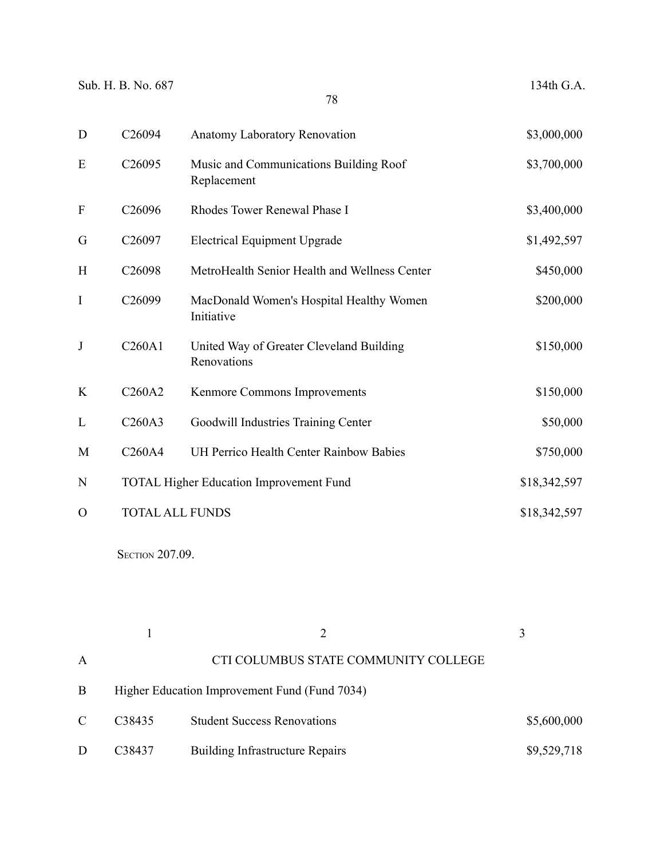| D                         | C26094                          | Anatomy Laboratory Renovation                           | \$3,000,000  |
|---------------------------|---------------------------------|---------------------------------------------------------|--------------|
| E                         | C <sub>26095</sub>              | Music and Communications Building Roof<br>Replacement   | \$3,700,000  |
| $\boldsymbol{\mathrm{F}}$ | C26096                          | Rhodes Tower Renewal Phase I                            | \$3,400,000  |
| G                         | C <sub>26097</sub>              | <b>Electrical Equipment Upgrade</b>                     | \$1,492,597  |
| H                         | C <sub>26098</sub>              | MetroHealth Senior Health and Wellness Center           | \$450,000    |
| $\rm I$                   | C26099                          | MacDonald Women's Hospital Healthy Women<br>Initiative  | \$200,000    |
| J                         | C260A1                          | United Way of Greater Cleveland Building<br>Renovations | \$150,000    |
| K                         | C260A2                          | Kenmore Commons Improvements                            | \$150,000    |
| L                         | C260A3                          | Goodwill Industries Training Center                     | \$50,000     |
| M                         | C <sub>260</sub> A <sub>4</sub> | UH Perrico Health Center Rainbow Babies                 | \$750,000    |
| $\mathbf N$               |                                 | <b>TOTAL Higher Education Improvement Fund</b>          | \$18,342,597 |
| $\Omega$                  |                                 | <b>TOTAL ALL FUNDS</b>                                  | \$18,342,597 |

**SECTION 207.09.** 

|               |                    |                                               | $\mathbf{3}$ |
|---------------|--------------------|-----------------------------------------------|--------------|
| A             |                    | CTI COLUMBUS STATE COMMUNITY COLLEGE          |              |
| B             |                    | Higher Education Improvement Fund (Fund 7034) |              |
| $\mathcal{C}$ | C <sub>38435</sub> | <b>Student Success Renovations</b>            | \$5,600,000  |
| D             | C <sub>38437</sub> | <b>Building Infrastructure Repairs</b>        | \$9,529,718  |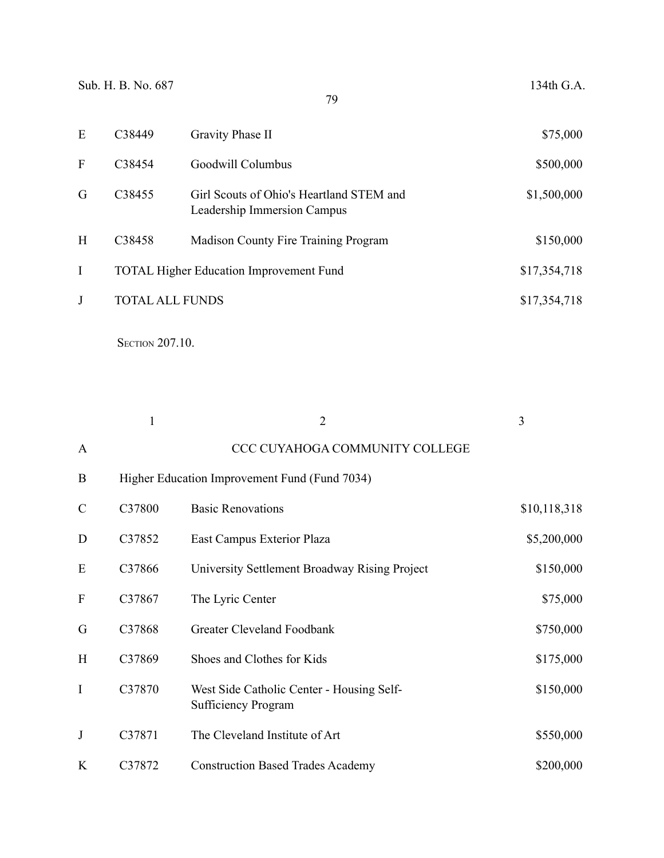| E | C38449                 | Gravity Phase II                                                        | \$75,000     |
|---|------------------------|-------------------------------------------------------------------------|--------------|
| F | C38454                 | Goodwill Columbus                                                       | \$500,000    |
| G | C <sub>3</sub> 8455    | Girl Scouts of Ohio's Heartland STEM and<br>Leadership Immersion Campus | \$1,500,000  |
| H | C38458                 | Madison County Fire Training Program                                    | \$150,000    |
| I |                        | <b>TOTAL Higher Education Improvement Fund</b>                          | \$17,354,718 |
|   | <b>TOTAL ALL FUNDS</b> |                                                                         | \$17,354,718 |
|   |                        |                                                                         |              |

**SECTION 207.10.** 

|               | $\mathbf{1}$ | $\overline{2}$                                                          | 3            |
|---------------|--------------|-------------------------------------------------------------------------|--------------|
| A             |              | CCC CUYAHOGA COMMUNITY COLLEGE                                          |              |
| B             |              | Higher Education Improvement Fund (Fund 7034)                           |              |
| $\mathcal{C}$ | C37800       | <b>Basic Renovations</b>                                                | \$10,118,318 |
| D             | C37852       | East Campus Exterior Plaza                                              | \$5,200,000  |
| E             | C37866       | University Settlement Broadway Rising Project                           | \$150,000    |
| $\mathbf{F}$  | C37867       | The Lyric Center                                                        | \$75,000     |
| G             | C37868       | <b>Greater Cleveland Foodbank</b>                                       | \$750,000    |
| H             | C37869       | Shoes and Clothes for Kids                                              | \$175,000    |
| I             | C37870       | West Side Catholic Center - Housing Self-<br><b>Sufficiency Program</b> | \$150,000    |
| J             | C37871       | The Cleveland Institute of Art                                          | \$550,000    |
| K             | C37872       | <b>Construction Based Trades Academy</b>                                | \$200,000    |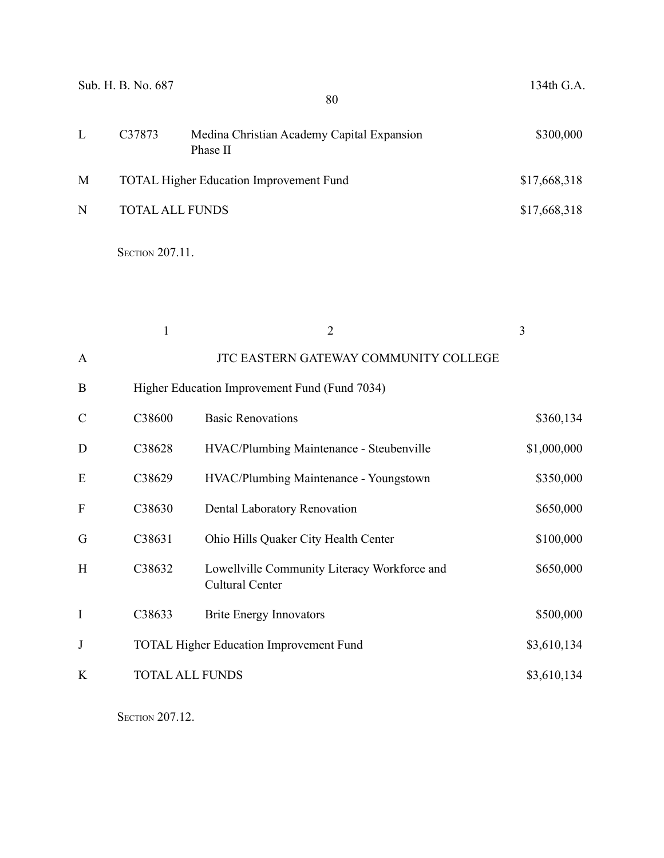|   | Sub. H. B. No. 687     | 80                                                     | 134th G.A.   |
|---|------------------------|--------------------------------------------------------|--------------|
| L | C37873                 | Medina Christian Academy Capital Expansion<br>Phase II | \$300,000    |
| M |                        | <b>TOTAL Higher Education Improvement Fund</b>         | \$17,668,318 |
| N | <b>TOTAL ALL FUNDS</b> |                                                        | \$17,668,318 |

**SECTION 207.11.** 

|               |                        | $\overline{2}$                                                         | 3           |
|---------------|------------------------|------------------------------------------------------------------------|-------------|
| $\mathbf{A}$  |                        | JTC EASTERN GATEWAY COMMUNITY COLLEGE                                  |             |
| B             |                        | Higher Education Improvement Fund (Fund 7034)                          |             |
| $\mathcal{C}$ | C38600                 | <b>Basic Renovations</b>                                               | \$360,134   |
| D             | C38628                 | HVAC/Plumbing Maintenance - Steubenville                               | \$1,000,000 |
| E             | C38629                 | HVAC/Plumbing Maintenance - Youngstown                                 | \$350,000   |
| F             | C38630                 | Dental Laboratory Renovation                                           | \$650,000   |
| G             | C38631                 | Ohio Hills Quaker City Health Center                                   | \$100,000   |
| H             | C38632                 | Lowellville Community Literacy Workforce and<br><b>Cultural Center</b> | \$650,000   |
| I             | C38633                 | <b>Brite Energy Innovators</b>                                         | \$500,000   |
| J             |                        | <b>TOTAL Higher Education Improvement Fund</b>                         | \$3,610,134 |
| K             | <b>TOTAL ALL FUNDS</b> |                                                                        | \$3,610,134 |

**SECTION 207.12.**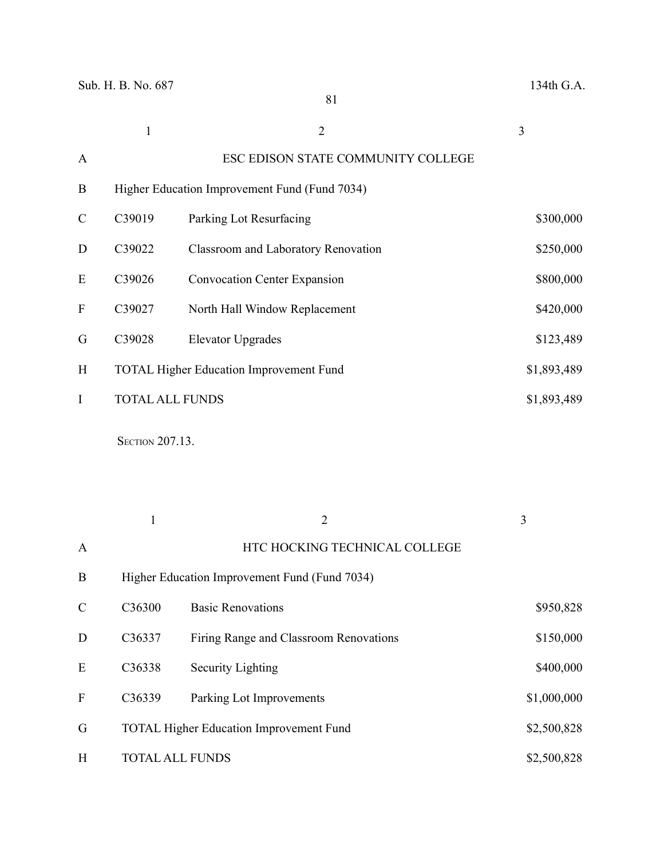|               | 1                      | 2                                              | 3           |  |
|---------------|------------------------|------------------------------------------------|-------------|--|
| A             |                        | ESC EDISON STATE COMMUNITY COLLEGE             |             |  |
| B             |                        | Higher Education Improvement Fund (Fund 7034)  |             |  |
| $\mathcal{C}$ | C39019                 | Parking Lot Resurfacing                        | \$300,000   |  |
| D             | C39022                 | Classroom and Laboratory Renovation            | \$250,000   |  |
| E             | C39026                 | <b>Convocation Center Expansion</b>            | \$800,000   |  |
| F             | C39027                 | North Hall Window Replacement                  | \$420,000   |  |
| G             | C39028                 | <b>Elevator Upgrades</b>                       | \$123,489   |  |
| H             |                        | <b>TOTAL Higher Education Improvement Fund</b> | \$1,893,489 |  |
| I             | <b>TOTAL ALL FUNDS</b> |                                                | \$1,893,489 |  |
|               |                        |                                                |             |  |

**SECTION 207.13.** 

|               | 1                  | $\overline{2}$                                 | 3           |
|---------------|--------------------|------------------------------------------------|-------------|
| $\mathbf{A}$  |                    | HTC HOCKING TECHNICAL COLLEGE                  |             |
| B             |                    | Higher Education Improvement Fund (Fund 7034)  |             |
| $\mathcal{C}$ | C <sub>36300</sub> | <b>Basic Renovations</b>                       | \$950,828   |
| D             | C36337             | Firing Range and Classroom Renovations         | \$150,000   |
| E             | C36338             | Security Lighting                              | \$400,000   |
| F             | C36339             | Parking Lot Improvements                       | \$1,000,000 |
| G             |                    | <b>TOTAL Higher Education Improvement Fund</b> | \$2,500,828 |
| H             |                    | <b>TOTAL ALL FUNDS</b>                         | \$2,500,828 |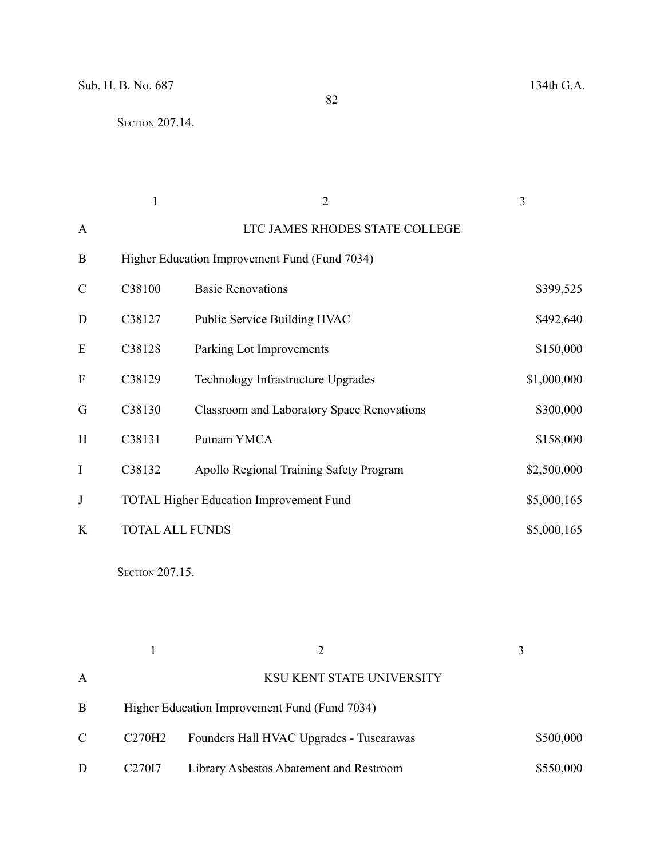|               |                        | $\overline{2}$                                    | 3           |
|---------------|------------------------|---------------------------------------------------|-------------|
| $\mathbf{A}$  |                        | LTC JAMES RHODES STATE COLLEGE                    |             |
| B             |                        | Higher Education Improvement Fund (Fund 7034)     |             |
| $\mathcal{C}$ | C38100                 | <b>Basic Renovations</b>                          | \$399,525   |
| D             | C38127                 | Public Service Building HVAC                      | \$492,640   |
| E             | C38128                 | Parking Lot Improvements                          | \$150,000   |
| ${\bf F}$     | C38129                 | Technology Infrastructure Upgrades                | \$1,000,000 |
| G             | C38130                 | <b>Classroom and Laboratory Space Renovations</b> | \$300,000   |
| H             | C38131                 | Putnam YMCA                                       | \$158,000   |
| I             | C38132                 | Apollo Regional Training Safety Program           | \$2,500,000 |
| J             |                        | <b>TOTAL Higher Education Improvement Fund</b>    | \$5,000,165 |
| K             | <b>TOTAL ALL FUNDS</b> |                                                   | \$5,000,165 |

**SECTION 207.15.** 

| A |                                 | KSU KENT STATE UNIVERSITY                     |           |
|---|---------------------------------|-----------------------------------------------|-----------|
| B |                                 | Higher Education Improvement Fund (Fund 7034) |           |
| C | C <sub>270</sub> H <sub>2</sub> | Founders Hall HVAC Upgrades - Tuscarawas      | \$500,000 |
| D | C <sub>27017</sub>              | Library Asbestos Abatement and Restroom       | \$550,000 |

82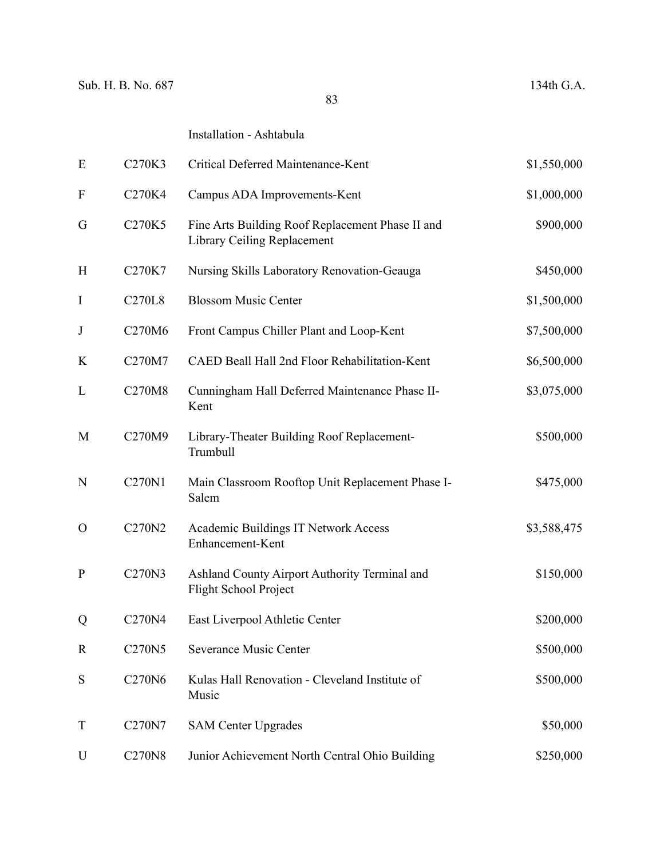### Installation - Ashtabula

| E             | C270K3        | Critical Deferred Maintenance-Kent                                              | \$1,550,000 |
|---------------|---------------|---------------------------------------------------------------------------------|-------------|
| $\mathbf{F}$  | C270K4        | Campus ADA Improvements-Kent                                                    | \$1,000,000 |
| G             | C270K5        | Fine Arts Building Roof Replacement Phase II and<br>Library Ceiling Replacement | \$900,000   |
| H             | C270K7        | Nursing Skills Laboratory Renovation-Geauga                                     | \$450,000   |
| $\bf{I}$      | <b>C270L8</b> | <b>Blossom Music Center</b>                                                     | \$1,500,000 |
| $\bf J$       | C270M6        | Front Campus Chiller Plant and Loop-Kent                                        | \$7,500,000 |
| K             | C270M7        | CAED Beall Hall 2nd Floor Rehabilitation-Kent                                   | \$6,500,000 |
| L             | C270M8        | Cunningham Hall Deferred Maintenance Phase II-<br>Kent                          | \$3,075,000 |
| M             | C270M9        | Library-Theater Building Roof Replacement-<br>Trumbull                          | \$500,000   |
| N             | C270N1        | Main Classroom Rooftop Unit Replacement Phase I-<br>Salem                       | \$475,000   |
| $\mathcal{O}$ | C270N2        | <b>Academic Buildings IT Network Access</b><br>Enhancement-Kent                 | \$3,588,475 |
| ${\bf P}$     | C270N3        | Ashland County Airport Authority Terminal and<br><b>Flight School Project</b>   | \$150,000   |
| Q             | C270N4        | East Liverpool Athletic Center                                                  | \$200,000   |
| $\mathbb{R}$  | C270N5        | Severance Music Center                                                          | \$500,000   |
| S             | C270N6        | Kulas Hall Renovation - Cleveland Institute of<br>Music                         | \$500,000   |
| T             | C270N7        | <b>SAM Center Upgrades</b>                                                      | \$50,000    |
| U             | <b>C270N8</b> | Junior Achievement North Central Ohio Building                                  | \$250,000   |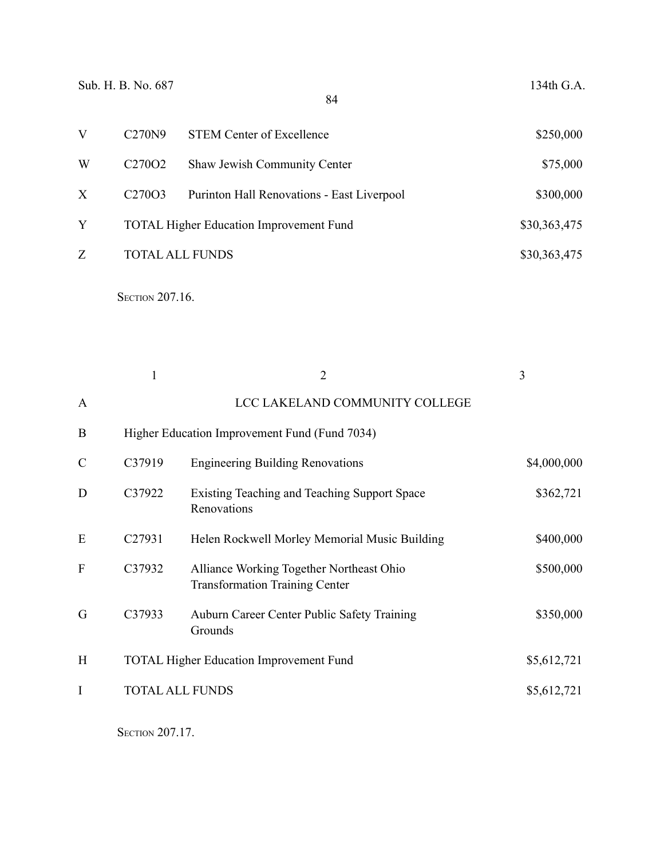|   | C270N9                          | <b>STEM Center of Excellence</b>               | \$250,000    |
|---|---------------------------------|------------------------------------------------|--------------|
| W | C <sub>270</sub> O <sub>2</sub> | Shaw Jewish Community Center                   | \$75,000     |
| X | C <sub>270</sub> O <sub>3</sub> | Purinton Hall Renovations - East Liverpool     | \$300,000    |
| Y |                                 | <b>TOTAL Higher Education Improvement Fund</b> | \$30,363,475 |
| Z |                                 | <b>TOTAL ALL FUNDS</b>                         | \$30,363,475 |

**SECTION 207.16.** 

|               | $\mathbf{1}$ | $\overline{2}$                                                                    | 3           |
|---------------|--------------|-----------------------------------------------------------------------------------|-------------|
| A             |              | LCC LAKELAND COMMUNITY COLLEGE                                                    |             |
| B             |              | Higher Education Improvement Fund (Fund 7034)                                     |             |
| $\mathcal{C}$ | C37919       | <b>Engineering Building Renovations</b>                                           | \$4,000,000 |
| D             | C37922       | Existing Teaching and Teaching Support Space<br>Renovations                       | \$362,721   |
| E             | C27931       | Helen Rockwell Morley Memorial Music Building                                     | \$400,000   |
| F             | C37932       | Alliance Working Together Northeast Ohio<br><b>Transformation Training Center</b> | \$500,000   |
| G             | C37933       | Auburn Career Center Public Safety Training<br>Grounds                            | \$350,000   |
| H             |              | <b>TOTAL Higher Education Improvement Fund</b>                                    | \$5,612,721 |
| I             |              | <b>TOTAL ALL FUNDS</b>                                                            | \$5,612,721 |
|               |              |                                                                                   |             |

**SECTION 207.17.**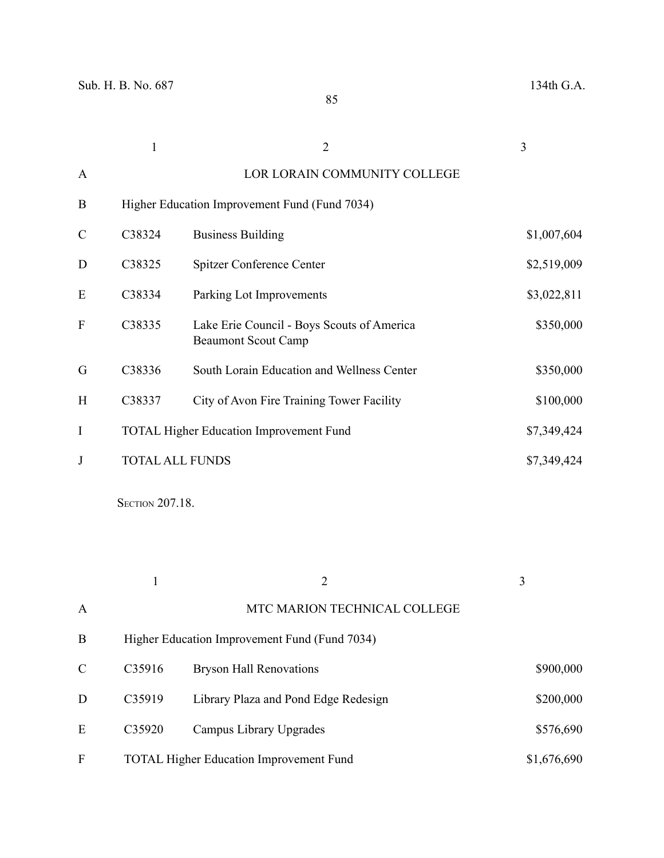|               |        | $\overline{2}$                                                           | 3           |
|---------------|--------|--------------------------------------------------------------------------|-------------|
| A             |        | LOR LORAIN COMMUNITY COLLEGE                                             |             |
| B             |        | Higher Education Improvement Fund (Fund 7034)                            |             |
| $\mathcal{C}$ | C38324 | <b>Business Building</b>                                                 | \$1,007,604 |
| D             | C38325 | Spitzer Conference Center                                                | \$2,519,009 |
| E             | C38334 | Parking Lot Improvements                                                 | \$3,022,811 |
| F             | C38335 | Lake Erie Council - Boys Scouts of America<br><b>Beaumont Scout Camp</b> | \$350,000   |
| G             | C38336 | South Lorain Education and Wellness Center                               | \$350,000   |
| H             | C38337 | City of Avon Fire Training Tower Facility                                | \$100,000   |
| $\bf{I}$      |        | <b>TOTAL Higher Education Improvement Fund</b>                           | \$7,349,424 |
| J             |        | <b>TOTAL ALL FUNDS</b>                                                   | \$7,349,424 |

**SECTION 207.18.** 

|               |        | $\overline{2}$                                 | 3           |
|---------------|--------|------------------------------------------------|-------------|
| $\mathbf{A}$  |        | MTC MARION TECHNICAL COLLEGE                   |             |
| B             |        | Higher Education Improvement Fund (Fund 7034)  |             |
| $\mathcal{C}$ | C35916 | <b>Bryson Hall Renovations</b>                 | \$900,000   |
| D             | C35919 | Library Plaza and Pond Edge Redesign           | \$200,000   |
| E             | C35920 | Campus Library Upgrades                        | \$576,690   |
| F             |        | <b>TOTAL Higher Education Improvement Fund</b> | \$1,676,690 |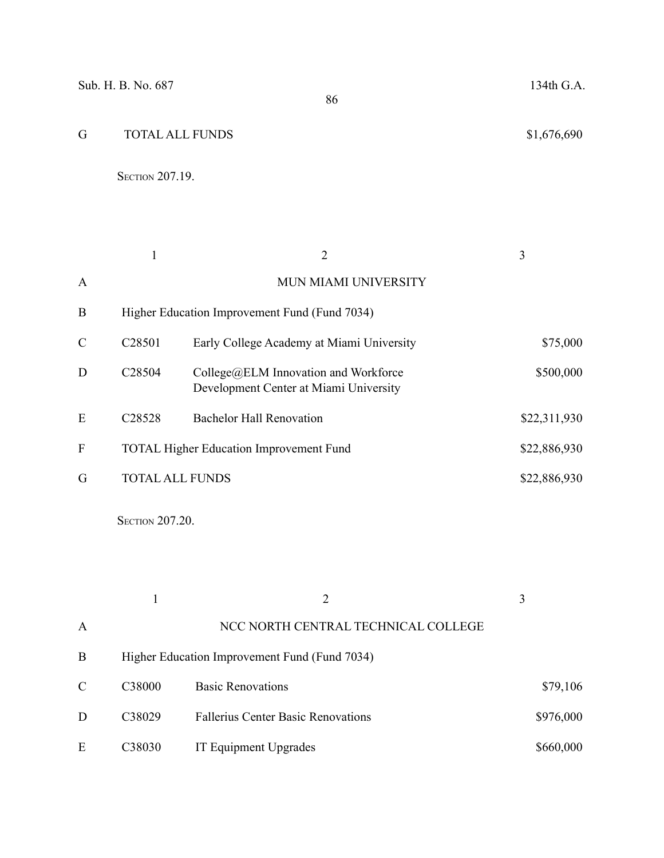# G TOTAL ALL FUNDS \$1,676,690

**SECTION 207.19.** 

|   |                    | $\overline{2}$                                                                          | 3            |
|---|--------------------|-----------------------------------------------------------------------------------------|--------------|
| A |                    | MUN MIAMI UNIVERSITY                                                                    |              |
| B |                    | Higher Education Improvement Fund (Fund 7034)                                           |              |
| C | C <sub>28501</sub> | Early College Academy at Miami University                                               | \$75,000     |
| D | C <sub>28504</sub> | $\text{Collect@ELM}$ Innovation and Workforce<br>Development Center at Miami University | \$500,000    |
| E | C <sub>28528</sub> | <b>Bachelor Hall Renovation</b>                                                         | \$22,311,930 |
| F |                    | <b>TOTAL Higher Education Improvement Fund</b>                                          | \$22,886,930 |
| G |                    | <b>TOTAL ALL FUNDS</b>                                                                  | \$22,886,930 |

**SECTION 207.20.** 

|               |                    |                                               | 3         |  |
|---------------|--------------------|-----------------------------------------------|-----------|--|
| A             |                    | NCC NORTH CENTRAL TECHNICAL COLLEGE           |           |  |
| B             |                    | Higher Education Improvement Fund (Fund 7034) |           |  |
| $\mathcal{C}$ | C <sub>38000</sub> | <b>Basic Renovations</b>                      | \$79,106  |  |
| D             | C38029             | <b>Fallerius Center Basic Renovations</b>     | \$976,000 |  |
| E             | C <sub>38030</sub> | IT Equipment Upgrades                         | \$660,000 |  |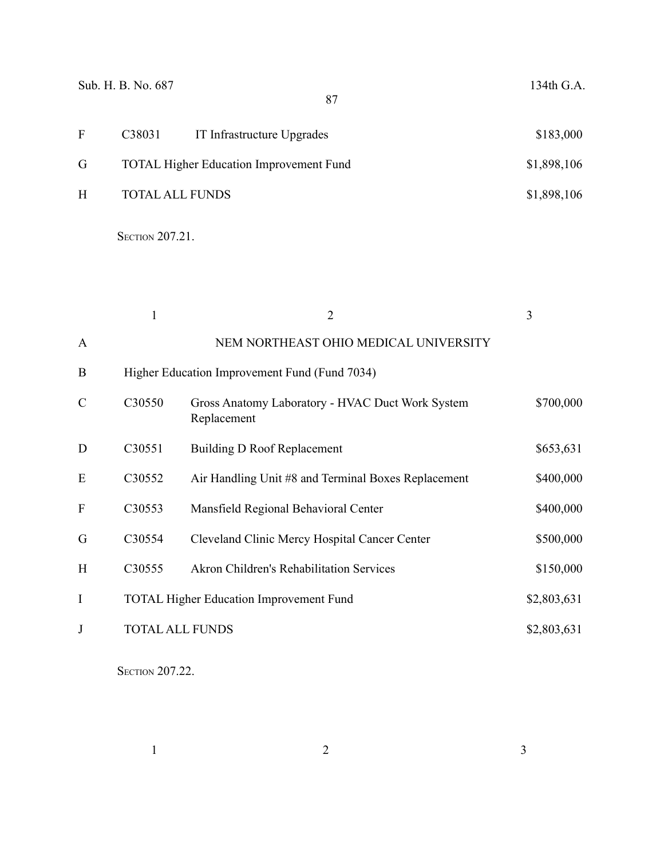|              | Sub. H. B. No. 687     | 87                                             | 134th G.A.  |
|--------------|------------------------|------------------------------------------------|-------------|
| $\mathbf{F}$ | C38031                 | IT Infrastructure Upgrades                     | \$183,000   |
| G            |                        | <b>TOTAL Higher Education Improvement Fund</b> | \$1,898,106 |
| H            | <b>TOTAL ALL FUNDS</b> |                                                | \$1,898,106 |

**SECTION 207.21.** 

|              |                        | $\overline{2}$                                                  | 3           |
|--------------|------------------------|-----------------------------------------------------------------|-------------|
| $\mathbf{A}$ |                        | NEM NORTHEAST OHIO MEDICAL UNIVERSITY                           |             |
| B            |                        | Higher Education Improvement Fund (Fund 7034)                   |             |
| C            | C30550                 | Gross Anatomy Laboratory - HVAC Duct Work System<br>Replacement | \$700,000   |
| D            | C30551                 | Building D Roof Replacement                                     | \$653,631   |
| E            | C30552                 | Air Handling Unit #8 and Terminal Boxes Replacement             | \$400,000   |
| $\mathbf{F}$ | C30553                 | Mansfield Regional Behavioral Center                            | \$400,000   |
| G            | C30554                 | Cleveland Clinic Mercy Hospital Cancer Center                   | \$500,000   |
| H            | C30555                 | Akron Children's Rehabilitation Services                        | \$150,000   |
| I            |                        | <b>TOTAL Higher Education Improvement Fund</b>                  | \$2,803,631 |
| J            | <b>TOTAL ALL FUNDS</b> |                                                                 | \$2,803,631 |

**SECTION 207.22.** 

 $1$  and  $2$  3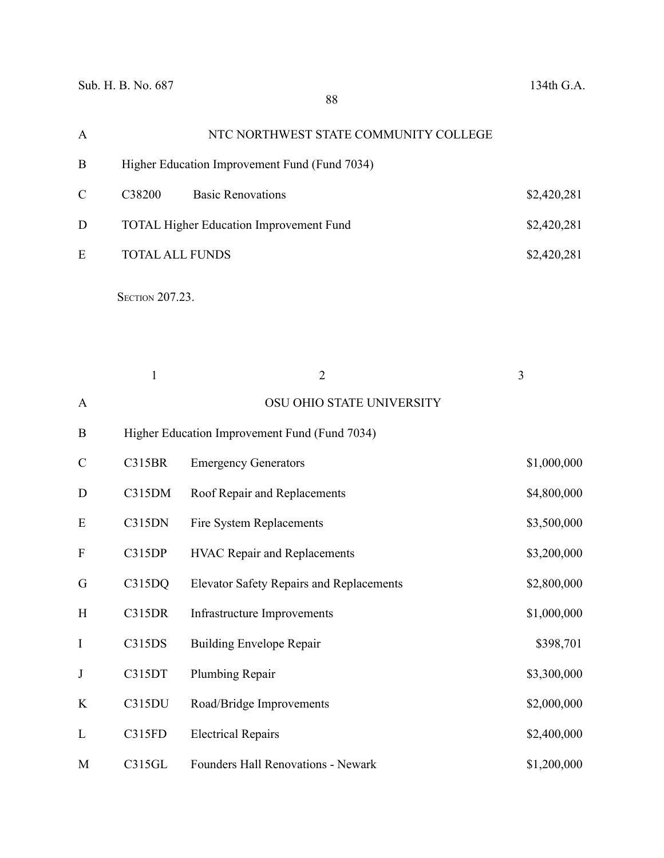| A              |                        | NTC NORTHWEST STATE COMMUNITY COLLEGE           |                |
|----------------|------------------------|-------------------------------------------------|----------------|
| B              |                        | Higher Education Improvement Fund (Fund 7034)   |                |
| $\overline{C}$ | C38200                 | <b>Basic Renovations</b>                        | \$2,420,281    |
| D              |                        | <b>TOTAL Higher Education Improvement Fund</b>  | \$2,420,281    |
| E              | <b>TOTAL ALL FUNDS</b> |                                                 | \$2,420,281    |
|                | SECTION 207.23.        |                                                 |                |
|                | $\mathbf{1}$           | $\overline{2}$                                  | $\overline{3}$ |
| A              |                        | OSU OHIO STATE UNIVERSITY                       |                |
| B              |                        | Higher Education Improvement Fund (Fund 7034)   |                |
| $\overline{C}$ | <b>C315BR</b>          | <b>Emergency Generators</b>                     | \$1,000,000    |
| D              | C315DM                 | Roof Repair and Replacements                    | \$4,800,000    |
| E              | C315DN                 | Fire System Replacements                        | \$3,500,000    |
| F              | C315DP                 | HVAC Repair and Replacements                    | \$3,200,000    |
| G              | C315DQ                 | <b>Elevator Safety Repairs and Replacements</b> | \$2,800,000    |
| H              | <b>C315DR</b>          | <b>Infrastructure Improvements</b>              | \$1,000,000    |
| I              | C315DS                 | <b>Building Envelope Repair</b>                 | \$398,701      |
| J              | C315DT                 | Plumbing Repair                                 | \$3,300,000    |

L C315FD Electrical Repairs \$2,400,000 M C315GL Founders Hall Renovations - Newark \$1,200,000

K C315DU Road/Bridge Improvements \$2,000,000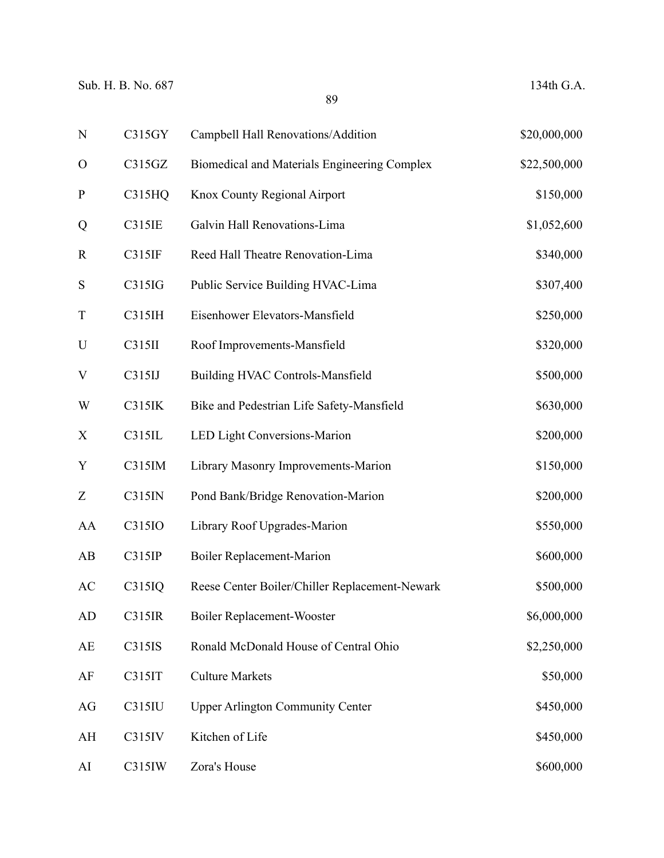| ${\bf N}$     | C315GY        | Campbell Hall Renovations/Addition             | \$20,000,000 |
|---------------|---------------|------------------------------------------------|--------------|
| $\mathcal{O}$ | C315GZ        | Biomedical and Materials Engineering Complex   | \$22,500,000 |
| ${\bf P}$     | <b>C315HQ</b> | Knox County Regional Airport                   | \$150,000    |
| Q             | C315IE        | Galvin Hall Renovations-Lima                   | \$1,052,600  |
| $\mathbf R$   | C315IF        | Reed Hall Theatre Renovation-Lima              | \$340,000    |
| ${\bf S}$     | C315IG        | Public Service Building HVAC-Lima              | \$307,400    |
| $\mathbf T$   | C315IH        | Eisenhower Elevators-Mansfield                 | \$250,000    |
| $\mathbf U$   | C315II        | Roof Improvements-Mansfield                    | \$320,000    |
| V             | C315IJ        | Building HVAC Controls-Mansfield               | \$500,000    |
| W             | C315IK        | Bike and Pedestrian Life Safety-Mansfield      | \$630,000    |
| X             | C315IL        | LED Light Conversions-Marion                   | \$200,000    |
| Y             | C315IM        | Library Masonry Improvements-Marion            | \$150,000    |
| Z             | C315IN        | Pond Bank/Bridge Renovation-Marion             | \$200,000    |
| AA            | C315IO        | Library Roof Upgrades-Marion                   | \$550,000    |
| AB            | C315IP        | <b>Boiler Replacement-Marion</b>               | \$600,000    |
| AC            | C315IQ        | Reese Center Boiler/Chiller Replacement-Newark | \$500,000    |
| AD            | C315IR        | <b>Boiler Replacement-Wooster</b>              | \$6,000,000  |
| AE            | C315IS        | Ronald McDonald House of Central Ohio          | \$2,250,000  |
| AF            | C315IT        | <b>Culture Markets</b>                         | \$50,000     |
| AG            | C315IU        | <b>Upper Arlington Community Center</b>        | \$450,000    |
| AH            | C315IV        | Kitchen of Life                                | \$450,000    |
| AI            | C315IW        | Zora's House                                   | \$600,000    |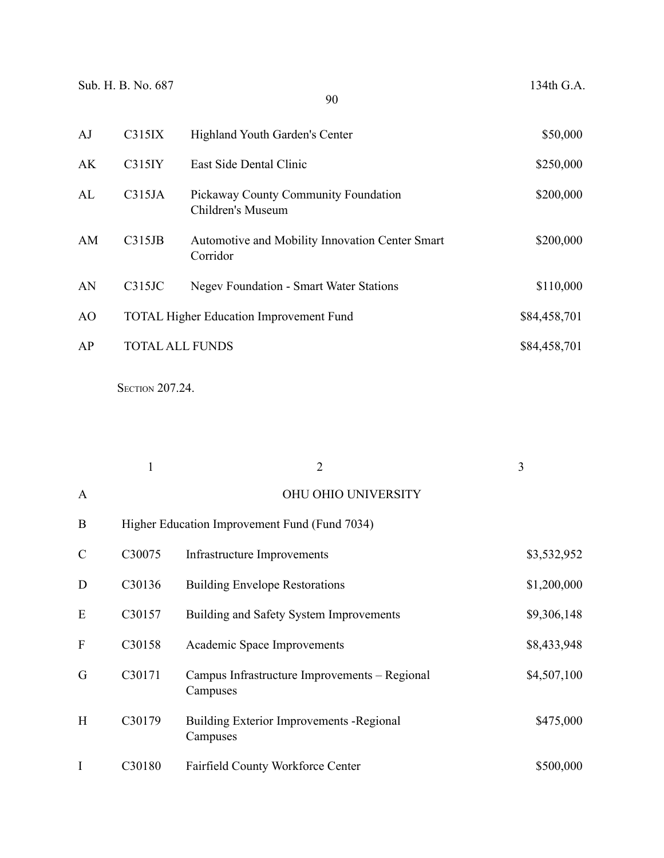|  |  |  | 134th G.A. |  |  |
|--|--|--|------------|--|--|
|--|--|--|------------|--|--|

| AJ             | C315IX | Highland Youth Garden's Center                              | \$50,000     |
|----------------|--------|-------------------------------------------------------------|--------------|
| AK             | C315IY | East Side Dental Clinic                                     | \$250,000    |
| AL             | C315JA | Pickaway County Community Foundation<br>Children's Museum   | \$200,000    |
| AM             | C315JB | Automotive and Mobility Innovation Center Smart<br>Corridor | \$200,000    |
| AN             | C315JC | <b>Negev Foundation - Smart Water Stations</b>              | \$110,000    |
| A <sub>O</sub> |        | <b>TOTAL Higher Education Improvement Fund</b>              | \$84,458,701 |
| AP             |        | <b>TOTAL ALL FUNDS</b>                                      | \$84,458,701 |

SECTION 207.24.

|               |        | $\overline{2}$                                            | 3           |
|---------------|--------|-----------------------------------------------------------|-------------|
| A             |        | OHU OHIO UNIVERSITY                                       |             |
| B             |        | Higher Education Improvement Fund (Fund 7034)             |             |
| $\mathcal{C}$ | C30075 | Infrastructure Improvements                               | \$3,532,952 |
| D             | C30136 | <b>Building Envelope Restorations</b>                     | \$1,200,000 |
| E             | C30157 | Building and Safety System Improvements                   | \$9,306,148 |
| ${\bf F}$     | C30158 | Academic Space Improvements                               | \$8,433,948 |
| G             | C30171 | Campus Infrastructure Improvements - Regional<br>Campuses | \$4,507,100 |
| H             | C30179 | Building Exterior Improvements - Regional<br>Campuses     | \$475,000   |
| I             | C30180 | Fairfield County Workforce Center                         | \$500,000   |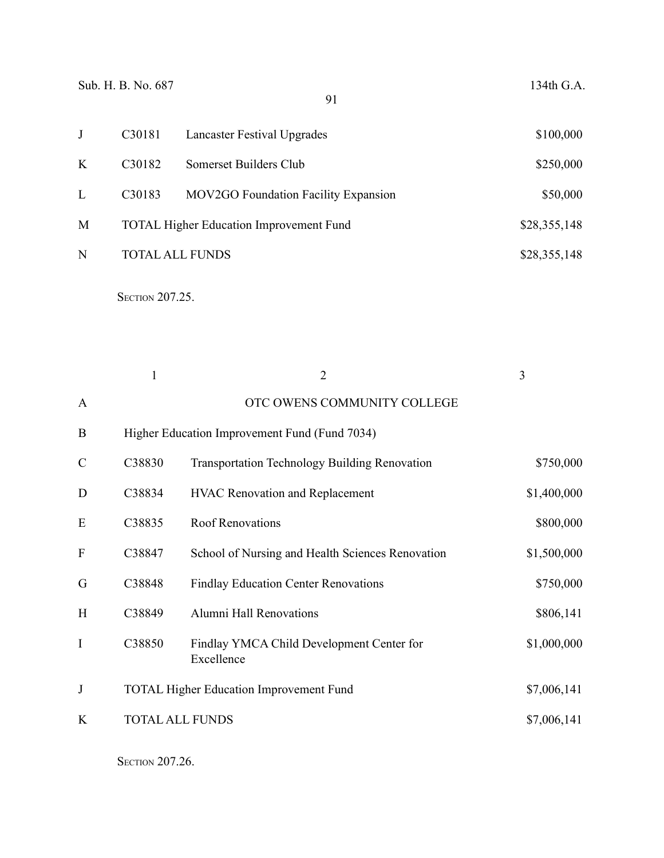|   | C30181                          | Lancaster Festival Upgrades                    | \$100,000    |
|---|---------------------------------|------------------------------------------------|--------------|
| K | C <sub>3</sub> 018 <sub>2</sub> | Somerset Builders Club                         | \$250,000    |
| L | C <sub>3</sub> 018 <sub>3</sub> | MOV2GO Foundation Facility Expansion           | \$50,000     |
| M |                                 | <b>TOTAL Higher Education Improvement Fund</b> | \$28,355,148 |
| N |                                 | <b>TOTAL ALL FUNDS</b>                         | \$28,355,148 |
|   |                                 |                                                |              |

**SECTION 207.25.** 

|               | $\mathbf{1}$           | $\overline{2}$                                          | 3           |
|---------------|------------------------|---------------------------------------------------------|-------------|
| $\mathbf{A}$  |                        | OTC OWENS COMMUNITY COLLEGE                             |             |
| B             |                        | Higher Education Improvement Fund (Fund 7034)           |             |
| $\mathcal{C}$ | C38830                 | <b>Transportation Technology Building Renovation</b>    | \$750,000   |
| D             | C38834                 | <b>HVAC Renovation and Replacement</b>                  | \$1,400,000 |
| E             | C38835                 | <b>Roof Renovations</b>                                 | \$800,000   |
| $\mathbf{F}$  | C38847                 | School of Nursing and Health Sciences Renovation        | \$1,500,000 |
| G             | C38848                 | <b>Findlay Education Center Renovations</b>             | \$750,000   |
| H             | C38849                 | Alumni Hall Renovations                                 | \$806,141   |
| I             | C38850                 | Findlay YMCA Child Development Center for<br>Excellence | \$1,000,000 |
| J             |                        | <b>TOTAL Higher Education Improvement Fund</b>          | \$7,006,141 |
| K             | <b>TOTAL ALL FUNDS</b> |                                                         | \$7,006,141 |
|               |                        |                                                         |             |

**SECTION 207.26.**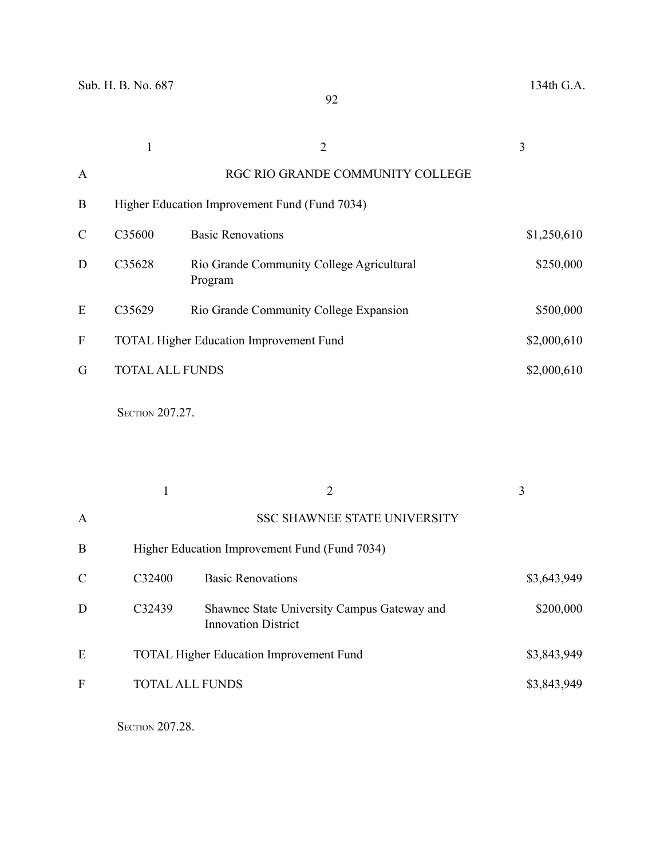|        | $\overline{2}$                                       | 3                                                                                                                         |
|--------|------------------------------------------------------|---------------------------------------------------------------------------------------------------------------------------|
|        | RGC RIO GRANDE COMMUNITY COLLEGE                     |                                                                                                                           |
|        |                                                      |                                                                                                                           |
| C35600 | <b>Basic Renovations</b>                             | \$1,250,610                                                                                                               |
| C35628 | Rio Grande Community College Agricultural<br>Program | \$250,000                                                                                                                 |
| C35629 | Rio Grande Community College Expansion               | \$500,000                                                                                                                 |
|        |                                                      | \$2,000,610                                                                                                               |
|        |                                                      | \$2,000,610                                                                                                               |
|        |                                                      | Higher Education Improvement Fund (Fund 7034)<br><b>TOTAL Higher Education Improvement Fund</b><br><b>TOTAL ALL FUNDS</b> |

**SECTION 207.27.** 

|               |                        | 2                                                                         | 3           |
|---------------|------------------------|---------------------------------------------------------------------------|-------------|
| A             |                        | <b>SSC SHAWNEE STATE UNIVERSITY</b>                                       |             |
| B             |                        | Higher Education Improvement Fund (Fund 7034)                             |             |
| $\mathcal{C}$ | C32400                 | <b>Basic Renovations</b>                                                  | \$3,643,949 |
| D             | C32439                 | Shawnee State University Campus Gateway and<br><b>Innovation District</b> | \$200,000   |
| E             |                        | <b>TOTAL Higher Education Improvement Fund</b>                            | \$3,843,949 |
| F             | <b>TOTAL ALL FUNDS</b> |                                                                           | \$3,843,949 |
|               |                        |                                                                           |             |

**SECTION 207.28.**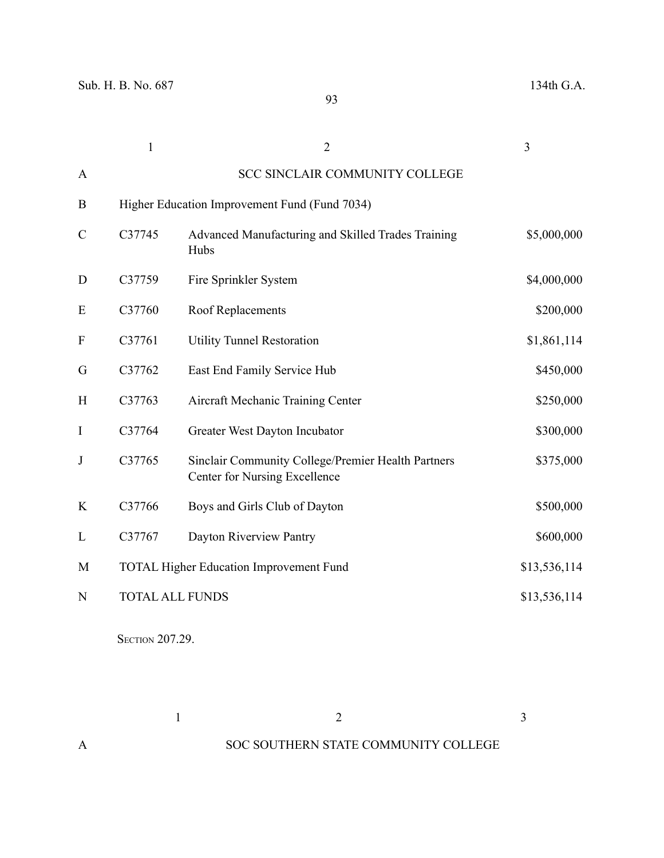|               | $\mathbf{1}$ | $\overline{2}$                                                                             | 3            |
|---------------|--------------|--------------------------------------------------------------------------------------------|--------------|
| A             |              | <b>SCC SINCLAIR COMMUNITY COLLEGE</b>                                                      |              |
| B             |              | Higher Education Improvement Fund (Fund 7034)                                              |              |
| $\mathcal{C}$ | C37745       | Advanced Manufacturing and Skilled Trades Training<br>Hubs                                 | \$5,000,000  |
| D             | C37759       | Fire Sprinkler System                                                                      | \$4,000,000  |
| E             | C37760       | <b>Roof Replacements</b>                                                                   | \$200,000    |
| F             | C37761       | <b>Utility Tunnel Restoration</b>                                                          | \$1,861,114  |
| G             | C37762       | East End Family Service Hub                                                                | \$450,000    |
| H             | C37763       | Aircraft Mechanic Training Center                                                          | \$250,000    |
| $\mathbf I$   | C37764       | Greater West Dayton Incubator                                                              | \$300,000    |
| $\mathbf J$   | C37765       | Sinclair Community College/Premier Health Partners<br><b>Center for Nursing Excellence</b> | \$375,000    |
| K             | C37766       | Boys and Girls Club of Dayton                                                              | \$500,000    |
| L             | C37767       | Dayton Riverview Pantry                                                                    | \$600,000    |
| M             |              | <b>TOTAL Higher Education Improvement Fund</b>                                             | \$13,536,114 |
| N             |              | <b>TOTAL ALL FUNDS</b>                                                                     | \$13,536,114 |

**SECTION 207.29.** 

 $1$  and  $2$  3 A SOC SOUTHERN STATE COMMUNITY COLLEGE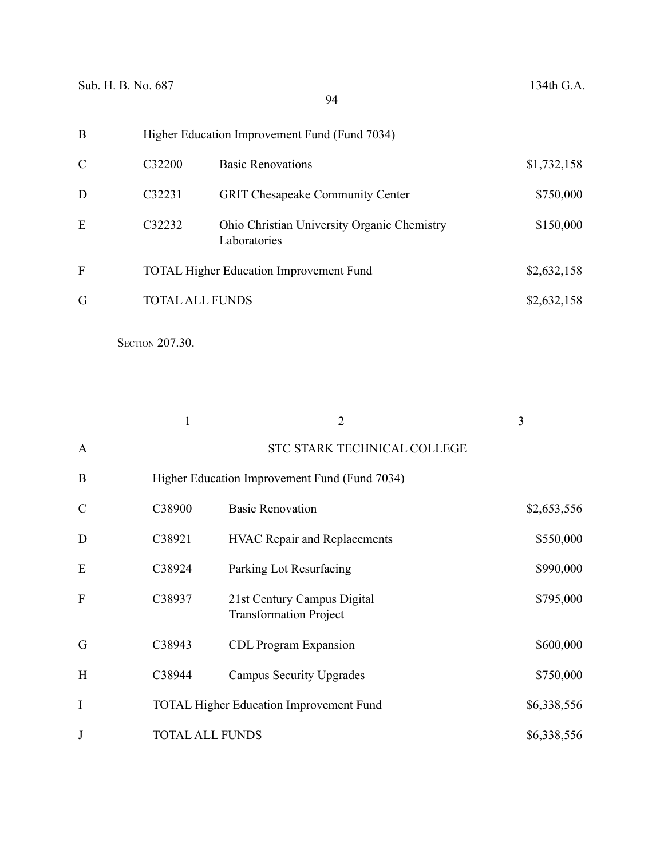| B             |                        | Higher Education Improvement Fund (Fund 7034)               |             |
|---------------|------------------------|-------------------------------------------------------------|-------------|
| $\mathcal{C}$ | C32200                 | <b>Basic Renovations</b>                                    | \$1,732,158 |
| D             | C32231                 | <b>GRIT Chesapeake Community Center</b>                     | \$750,000   |
| E             | C32232                 | Ohio Christian University Organic Chemistry<br>Laboratories | \$150,000   |
| F             |                        | <b>TOTAL Higher Education Improvement Fund</b>              | \$2,632,158 |
| G             | <b>TOTAL ALL FUNDS</b> |                                                             | \$2,632,158 |
|               |                        |                                                             |             |

**SECTION 207.30.** 

|               |                        | $\overline{2}$                                               | 3           |
|---------------|------------------------|--------------------------------------------------------------|-------------|
| $\mathbf{A}$  |                        | STC STARK TECHNICAL COLLEGE                                  |             |
| B             |                        | Higher Education Improvement Fund (Fund 7034)                |             |
| $\mathcal{C}$ | C38900                 | <b>Basic Renovation</b>                                      | \$2,653,556 |
| D             | C38921                 | <b>HVAC Repair and Replacements</b>                          | \$550,000   |
| E             | C38924                 | Parking Lot Resurfacing                                      | \$990,000   |
| F             | C38937                 | 21st Century Campus Digital<br><b>Transformation Project</b> | \$795,000   |
| G             | C38943                 | <b>CDL Program Expansion</b>                                 | \$600,000   |
| H             | C38944                 | <b>Campus Security Upgrades</b>                              | \$750,000   |
| I             |                        | <b>TOTAL Higher Education Improvement Fund</b>               | \$6,338,556 |
| J             | <b>TOTAL ALL FUNDS</b> |                                                              | \$6,338,556 |

94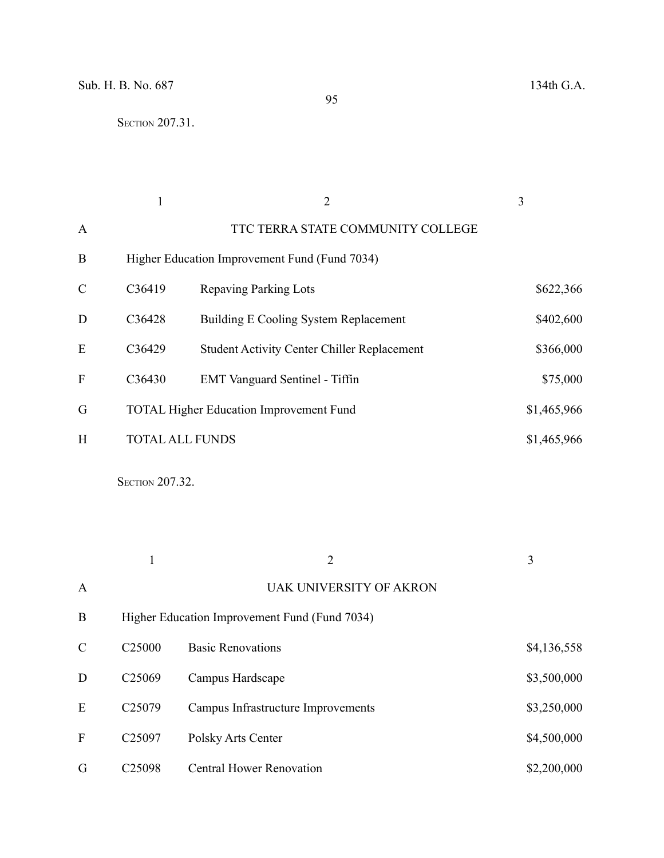|               |                        | 2                                                  | 3           |
|---------------|------------------------|----------------------------------------------------|-------------|
| A             |                        | TTC TERRA STATE COMMUNITY COLLEGE                  |             |
| B             |                        | Higher Education Improvement Fund (Fund 7034)      |             |
| $\mathcal{C}$ | C36419                 | Repaving Parking Lots                              | \$622,366   |
| D             | C36428                 | Building E Cooling System Replacement              | \$402,600   |
| E             | C36429                 | <b>Student Activity Center Chiller Replacement</b> | \$366,000   |
| F             | C36430                 | <b>EMT</b> Vanguard Sentinel - Tiffin              | \$75,000    |
| G             |                        | <b>TOTAL Higher Education Improvement Fund</b>     | \$1,465,966 |
| H             | <b>TOTAL ALL FUNDS</b> |                                                    | \$1,465,966 |

**SECTION 207.32.** 

|               |                    | 2                                             | 3           |
|---------------|--------------------|-----------------------------------------------|-------------|
| $\mathbf{A}$  |                    | <b>UAK UNIVERSITY OF AKRON</b>                |             |
| B             |                    | Higher Education Improvement Fund (Fund 7034) |             |
| $\mathcal{C}$ | C <sub>25000</sub> | <b>Basic Renovations</b>                      | \$4,136,558 |
| D             | C <sub>25069</sub> | Campus Hardscape                              | \$3,500,000 |
| E             | C <sub>25079</sub> | Campus Infrastructure Improvements            | \$3,250,000 |
| F             | C <sub>25097</sub> | Polsky Arts Center                            | \$4,500,000 |
| G             | C <sub>25098</sub> | <b>Central Hower Renovation</b>               | \$2,200,000 |

95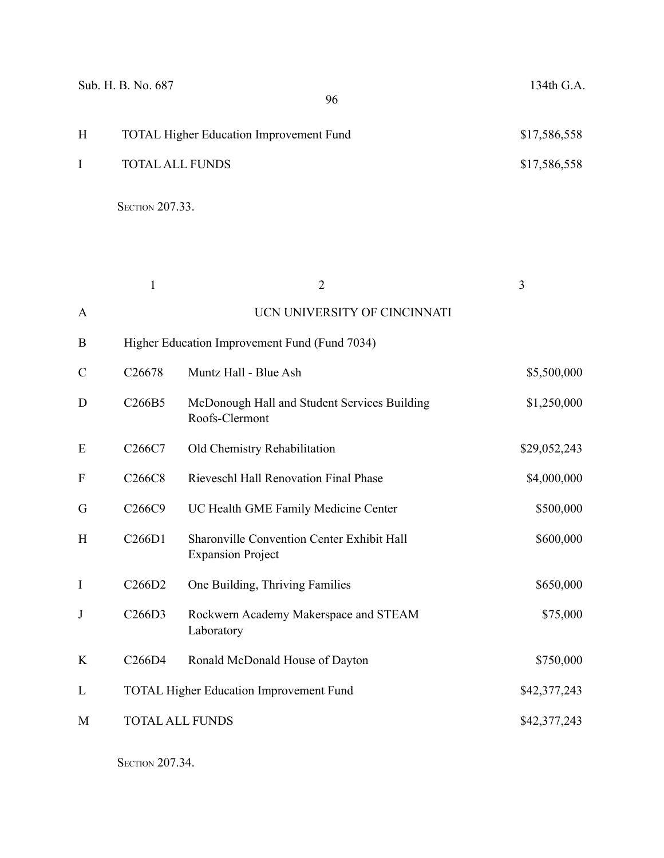|              | Sub. H. B. No. 687<br>96                       | 134th G.A.   |
|--------------|------------------------------------------------|--------------|
| H            | <b>TOTAL Higher Education Improvement Fund</b> | \$17,586,558 |
| $\mathbf{I}$ | <b>TOTAL ALL FUNDS</b>                         | \$17,586,558 |
|              | <b>SECTION 207.33.</b>                         |              |

|               | $\mathbf{1}$                    | $\overline{2}$                                                         | 3            |
|---------------|---------------------------------|------------------------------------------------------------------------|--------------|
| A             |                                 | UCN UNIVERSITY OF CINCINNATI                                           |              |
| B             |                                 | Higher Education Improvement Fund (Fund 7034)                          |              |
| $\mathcal{C}$ | C26678                          | Muntz Hall - Blue Ash                                                  | \$5,500,000  |
| D             | C <sub>266</sub> B <sub>5</sub> | McDonough Hall and Student Services Building<br>Roofs-Clermont         | \$1,250,000  |
| E             | C <sub>266</sub> C <sub>7</sub> | Old Chemistry Rehabilitation                                           | \$29,052,243 |
| F             | C266C8                          | Rieveschl Hall Renovation Final Phase                                  | \$4,000,000  |
| G             | C <sub>266</sub> C <sub>9</sub> | UC Health GME Family Medicine Center                                   | \$500,000    |
| H             | C266D1                          | Sharonville Convention Center Exhibit Hall<br><b>Expansion Project</b> | \$600,000    |
| $\mathbf I$   | C266D2                          | One Building, Thriving Families                                        | \$650,000    |
| J             | C266D3                          | Rockwern Academy Makerspace and STEAM<br>Laboratory                    | \$75,000     |
| K             | C266D4                          | Ronald McDonald House of Dayton                                        | \$750,000    |
| L             |                                 | <b>TOTAL Higher Education Improvement Fund</b>                         | \$42,377,243 |
| M             |                                 | <b>TOTAL ALL FUNDS</b>                                                 | \$42,377,243 |
|               |                                 |                                                                        |              |

**SECTION 207.34.**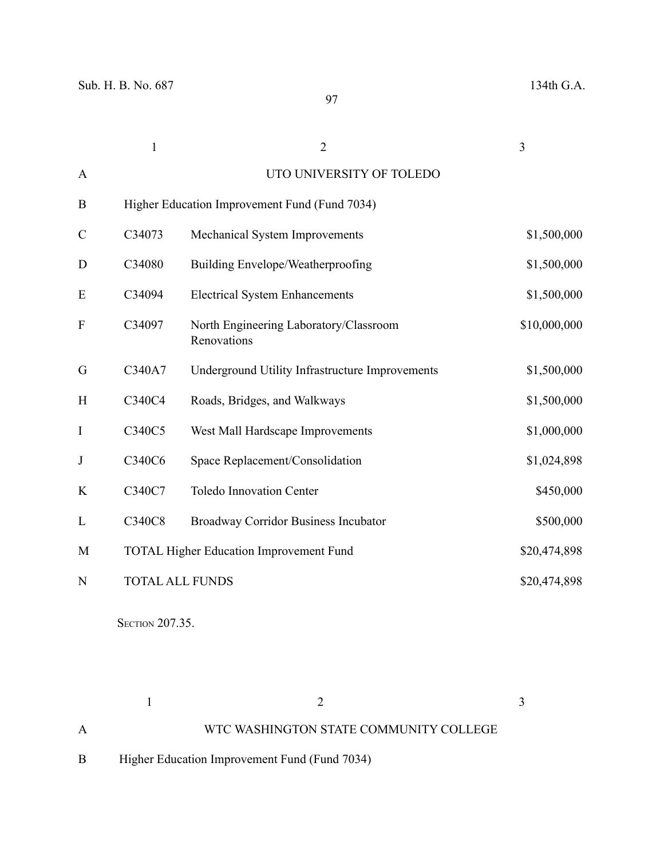|               | $\mathbf{1}$ | $\overline{2}$                                        | 3            |
|---------------|--------------|-------------------------------------------------------|--------------|
| $\mathbf{A}$  |              | UTO UNIVERSITY OF TOLEDO                              |              |
| $\bf{B}$      |              | Higher Education Improvement Fund (Fund 7034)         |              |
| $\mathcal{C}$ | C34073       | Mechanical System Improvements                        | \$1,500,000  |
| D             | C34080       | Building Envelope/Weatherproofing                     | \$1,500,000  |
| E             | C34094       | <b>Electrical System Enhancements</b>                 | \$1,500,000  |
| ${\bf F}$     | C34097       | North Engineering Laboratory/Classroom<br>Renovations | \$10,000,000 |
| G             | C340A7       | Underground Utility Infrastructure Improvements       | \$1,500,000  |
| H             | C340C4       | Roads, Bridges, and Walkways                          | \$1,500,000  |
| I             | C340C5       | West Mall Hardscape Improvements                      | \$1,000,000  |
| J             | C340C6       | Space Replacement/Consolidation                       | \$1,024,898  |
| K             | C340C7       | <b>Toledo Innovation Center</b>                       | \$450,000    |
| L             | C340C8       | Broadway Corridor Business Incubator                  | \$500,000    |
| M             |              | <b>TOTAL Higher Education Improvement Fund</b>        | \$20,474,898 |
| N             |              | <b>TOTAL ALL FUNDS</b>                                | \$20,474,898 |

**SECTION 207.35.** 

 $1$  and  $2$  3 A WTC WASHINGTON STATE COMMUNITY COLLEGE

B Higher Education Improvement Fund (Fund 7034)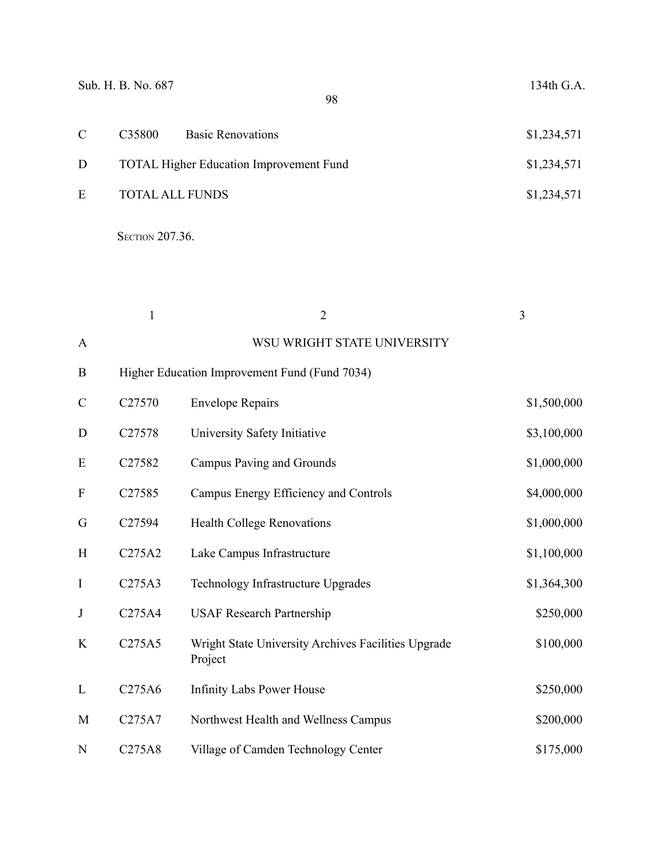| Sub. H. B. No. 687<br>98 |                        |                                                | 134th G.A.  |
|--------------------------|------------------------|------------------------------------------------|-------------|
| $\mathcal{C}$            | C35800                 | <b>Basic Renovations</b>                       | \$1,234,571 |
| D                        |                        | <b>TOTAL Higher Education Improvement Fund</b> | \$1,234,571 |
| E                        | <b>TOTAL ALL FUNDS</b> |                                                | \$1,234,571 |

**SECTION 207.36.** 

|               | $\mathbf{1}$        | $\overline{2}$                                                 | 3           |
|---------------|---------------------|----------------------------------------------------------------|-------------|
| A             |                     | WSU WRIGHT STATE UNIVERSITY                                    |             |
| B             |                     | Higher Education Improvement Fund (Fund 7034)                  |             |
| $\mathcal{C}$ | C27570              | <b>Envelope Repairs</b>                                        | \$1,500,000 |
| D             | C27578              | University Safety Initiative                                   | \$3,100,000 |
| E             | C27582              | Campus Paving and Grounds                                      | \$1,000,000 |
| F             | C <sub>27585</sub>  | Campus Energy Efficiency and Controls                          | \$4,000,000 |
| G             | C27594              | <b>Health College Renovations</b>                              | \$1,000,000 |
| H             | C275A2              | Lake Campus Infrastructure                                     | \$1,100,000 |
| $\bf{I}$      | C275A3              | Technology Infrastructure Upgrades                             | \$1,364,300 |
| J             | C275A4              | <b>USAF Research Partnership</b>                               | \$250,000   |
| K             | C275A5              | Wright State University Archives Facilities Upgrade<br>Project | \$100,000   |
| L             | C <sub>275</sub> A6 | <b>Infinity Labs Power House</b>                               | \$250,000   |
| M             | C275A7              | Northwest Health and Wellness Campus                           | \$200,000   |
| N             | C275A8              | Village of Camden Technology Center                            | \$175,000   |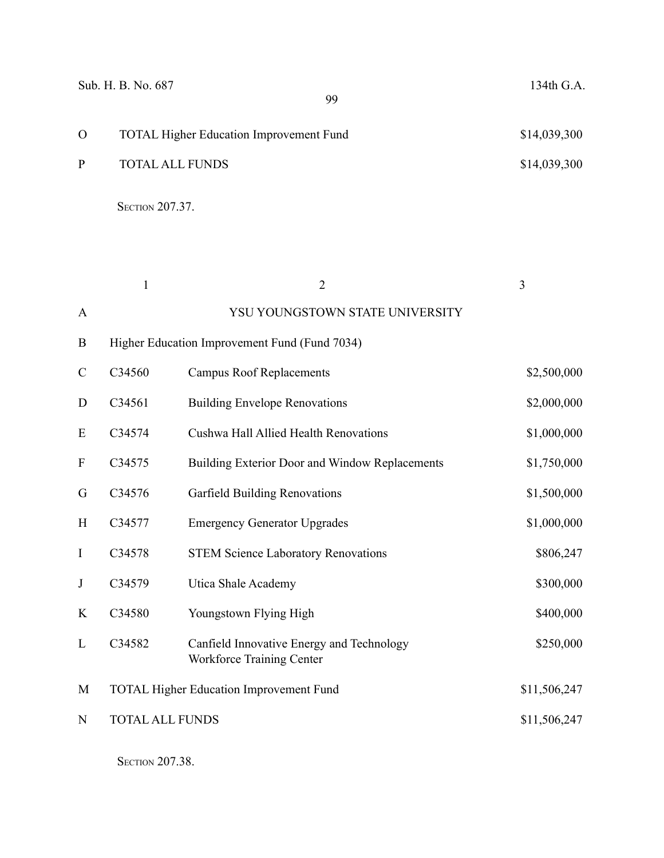|          | Sub. H. B. No. 687<br>99                       | 134th G.A.   |
|----------|------------------------------------------------|--------------|
| $\Omega$ | <b>TOTAL Higher Education Improvement Fund</b> | \$14,039,300 |
| P        | <b>TOTAL ALL FUNDS</b>                         | \$14,039,300 |
|          |                                                |              |

**SECTION 207.37.** 

|               | $\mathbf{1}$           | $\overline{2}$                                                                | 3            |
|---------------|------------------------|-------------------------------------------------------------------------------|--------------|
| A             |                        | YSU YOUNGSTOWN STATE UNIVERSITY                                               |              |
| B             |                        | Higher Education Improvement Fund (Fund 7034)                                 |              |
| $\mathcal{C}$ | C34560                 | <b>Campus Roof Replacements</b>                                               | \$2,500,000  |
| D             | C34561                 | <b>Building Envelope Renovations</b>                                          | \$2,000,000  |
| E             | C34574                 | <b>Cushwa Hall Allied Health Renovations</b>                                  | \$1,000,000  |
| F             | C34575                 | Building Exterior Door and Window Replacements                                | \$1,750,000  |
| G             | C34576                 | <b>Garfield Building Renovations</b>                                          | \$1,500,000  |
| H             | C34577                 | <b>Emergency Generator Upgrades</b>                                           | \$1,000,000  |
| $\mathbf I$   | C34578                 | <b>STEM Science Laboratory Renovations</b>                                    | \$806,247    |
| J             | C34579                 | Utica Shale Academy                                                           | \$300,000    |
| K             | C34580                 | Youngstown Flying High                                                        | \$400,000    |
| L             | C34582                 | Canfield Innovative Energy and Technology<br><b>Workforce Training Center</b> | \$250,000    |
| M             |                        | <b>TOTAL Higher Education Improvement Fund</b>                                | \$11,506,247 |
| N             | <b>TOTAL ALL FUNDS</b> |                                                                               | \$11,506,247 |
|               |                        |                                                                               |              |

**SECTION 207.38.**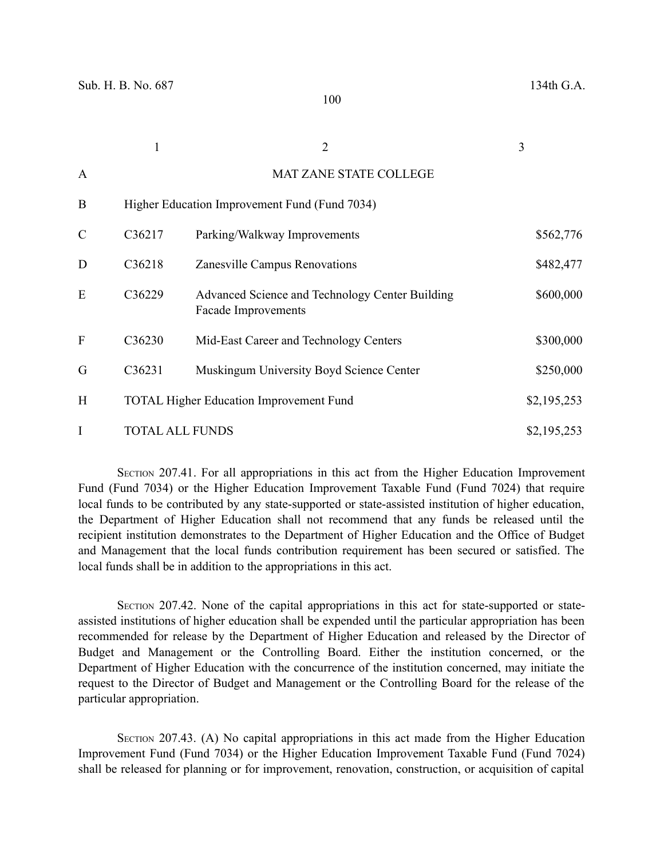|               |                        | $\overline{2}$                                                                | 3           |
|---------------|------------------------|-------------------------------------------------------------------------------|-------------|
| $\mathbf{A}$  |                        | <b>MAT ZANE STATE COLLEGE</b>                                                 |             |
| B             |                        | Higher Education Improvement Fund (Fund 7034)                                 |             |
| $\mathcal{C}$ | C36217                 | Parking/Walkway Improvements                                                  | \$562,776   |
| D             | C36218                 | Zanesville Campus Renovations                                                 | \$482,477   |
| E             | C36229                 | Advanced Science and Technology Center Building<br><b>Facade Improvements</b> | \$600,000   |
| F             | C36230                 | Mid-East Career and Technology Centers                                        | \$300,000   |
| G             | C36231                 | Muskingum University Boyd Science Center                                      | \$250,000   |
| H             |                        | <b>TOTAL Higher Education Improvement Fund</b>                                | \$2,195,253 |
| I             | <b>TOTAL ALL FUNDS</b> |                                                                               | \$2,195,253 |

SECTION 207.41. For all appropriations in this act from the Higher Education Improvement Fund (Fund 7034) or the Higher Education Improvement Taxable Fund (Fund 7024) that require local funds to be contributed by any state-supported or state-assisted institution of higher education, the Department of Higher Education shall not recommend that any funds be released until the recipient institution demonstrates to the Department of Higher Education and the Office of Budget and Management that the local funds contribution requirement has been secured or satisfied. The local funds shall be in addition to the appropriations in this act.

SECTION 207.42. None of the capital appropriations in this act for state-supported or stateassisted institutions of higher education shall be expended until the particular appropriation has been recommended for release by the Department of Higher Education and released by the Director of Budget and Management or the Controlling Board. Either the institution concerned, or the Department of Higher Education with the concurrence of the institution concerned, may initiate the request to the Director of Budget and Management or the Controlling Board for the release of the particular appropriation.

SECTION 207.43. (A) No capital appropriations in this act made from the Higher Education Improvement Fund (Fund 7034) or the Higher Education Improvement Taxable Fund (Fund 7024) shall be released for planning or for improvement, renovation, construction, or acquisition of capital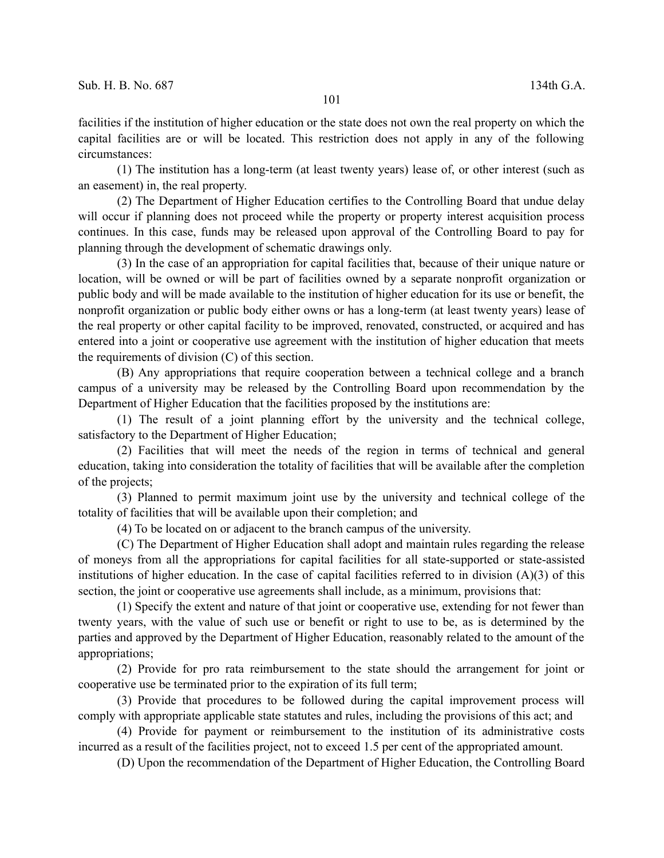facilities if the institution of higher education or the state does not own the real property on which the capital facilities are or will be located. This restriction does not apply in any of the following circumstances:

(1) The institution has a long-term (at least twenty years) lease of, or other interest (such as an easement) in, the real property.

(2) The Department of Higher Education certifies to the Controlling Board that undue delay will occur if planning does not proceed while the property or property interest acquisition process continues. In this case, funds may be released upon approval of the Controlling Board to pay for planning through the development of schematic drawings only.

(3) In the case of an appropriation for capital facilities that, because of their unique nature or location, will be owned or will be part of facilities owned by a separate nonprofit organization or public body and will be made available to the institution of higher education for its use or benefit, the nonprofit organization or public body either owns or has a long-term (at least twenty years) lease of the real property or other capital facility to be improved, renovated, constructed, or acquired and has entered into a joint or cooperative use agreement with the institution of higher education that meets the requirements of division (C) of this section.

(B) Any appropriations that require cooperation between a technical college and a branch campus of a university may be released by the Controlling Board upon recommendation by the Department of Higher Education that the facilities proposed by the institutions are:

(1) The result of a joint planning effort by the university and the technical college, satisfactory to the Department of Higher Education;

(2) Facilities that will meet the needs of the region in terms of technical and general education, taking into consideration the totality of facilities that will be available after the completion of the projects;

(3) Planned to permit maximum joint use by the university and technical college of the totality of facilities that will be available upon their completion; and

(4) To be located on or adjacent to the branch campus of the university.

(C) The Department of Higher Education shall adopt and maintain rules regarding the release of moneys from all the appropriations for capital facilities for all state-supported or state-assisted institutions of higher education. In the case of capital facilities referred to in division  $(A)(3)$  of this section, the joint or cooperative use agreements shall include, as a minimum, provisions that:

(1) Specify the extent and nature of that joint or cooperative use, extending for not fewer than twenty years, with the value of such use or benefit or right to use to be, as is determined by the parties and approved by the Department of Higher Education, reasonably related to the amount of the appropriations;

(2) Provide for pro rata reimbursement to the state should the arrangement for joint or cooperative use be terminated prior to the expiration of its full term;

(3) Provide that procedures to be followed during the capital improvement process will comply with appropriate applicable state statutes and rules, including the provisions of this act; and

(4) Provide for payment or reimbursement to the institution of its administrative costs incurred as a result of the facilities project, not to exceed 1.5 per cent of the appropriated amount.

(D) Upon the recommendation of the Department of Higher Education, the Controlling Board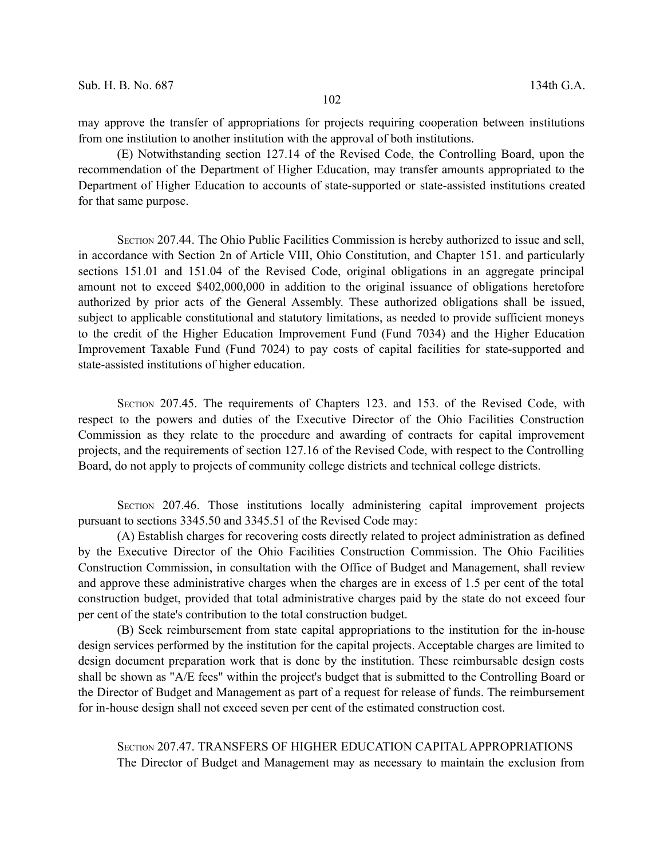may approve the transfer of appropriations for projects requiring cooperation between institutions from one institution to another institution with the approval of both institutions.

(E) Notwithstanding section 127.14 of the Revised Code, the Controlling Board, upon the recommendation of the Department of Higher Education, may transfer amounts appropriated to the Department of Higher Education to accounts of state-supported or state-assisted institutions created for that same purpose.

SECTION 207.44. The Ohio Public Facilities Commission is hereby authorized to issue and sell, in accordance with Section 2n of Article VIII, Ohio Constitution, and Chapter 151. and particularly sections 151.01 and 151.04 of the Revised Code, original obligations in an aggregate principal amount not to exceed \$402,000,000 in addition to the original issuance of obligations heretofore authorized by prior acts of the General Assembly. These authorized obligations shall be issued, subject to applicable constitutional and statutory limitations, as needed to provide sufficient moneys to the credit of the Higher Education Improvement Fund (Fund 7034) and the Higher Education Improvement Taxable Fund (Fund 7024) to pay costs of capital facilities for state-supported and state-assisted institutions of higher education.

SECTION 207.45. The requirements of Chapters 123. and 153. of the Revised Code, with respect to the powers and duties of the Executive Director of the Ohio Facilities Construction Commission as they relate to the procedure and awarding of contracts for capital improvement projects, and the requirements of section 127.16 of the Revised Code, with respect to the Controlling Board, do not apply to projects of community college districts and technical college districts.

SECTION 207.46. Those institutions locally administering capital improvement projects pursuant to sections 3345.50 and 3345.51 of the Revised Code may:

(A) Establish charges for recovering costs directly related to project administration as defined by the Executive Director of the Ohio Facilities Construction Commission. The Ohio Facilities Construction Commission, in consultation with the Office of Budget and Management, shall review and approve these administrative charges when the charges are in excess of 1.5 per cent of the total construction budget, provided that total administrative charges paid by the state do not exceed four per cent of the state's contribution to the total construction budget.

(B) Seek reimbursement from state capital appropriations to the institution for the in-house design services performed by the institution for the capital projects. Acceptable charges are limited to design document preparation work that is done by the institution. These reimbursable design costs shall be shown as "A/E fees" within the project's budget that is submitted to the Controlling Board or the Director of Budget and Management as part of a request for release of funds. The reimbursement for in-house design shall not exceed seven per cent of the estimated construction cost.

SECTION 207.47. TRANSFERS OF HIGHER EDUCATION CAPITAL APPROPRIATIONS The Director of Budget and Management may as necessary to maintain the exclusion from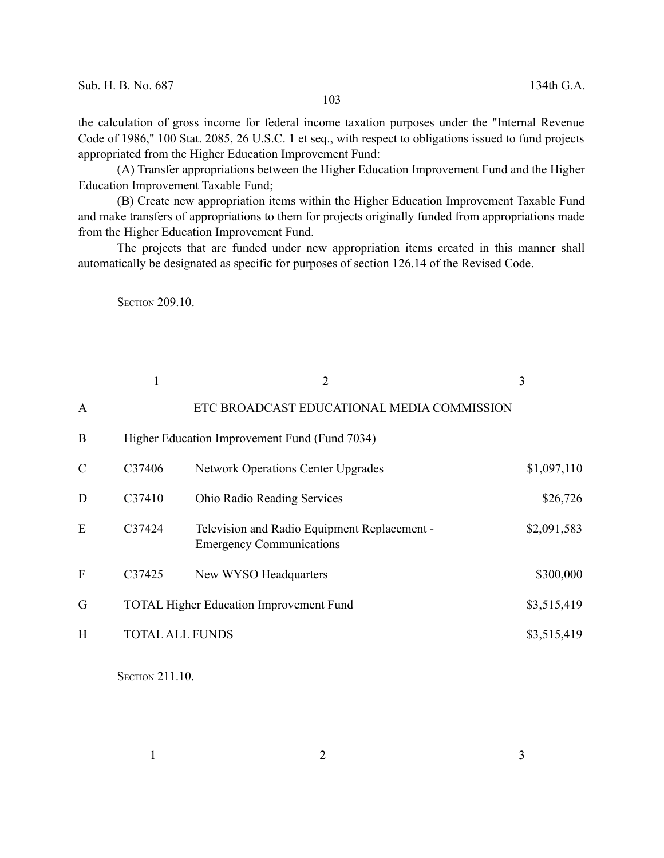the calculation of gross income for federal income taxation purposes under the "Internal Revenue Code of 1986," 100 Stat. 2085, 26 U.S.C. 1 et seq., with respect to obligations issued to fund projects appropriated from the Higher Education Improvement Fund:

(A) Transfer appropriations between the Higher Education Improvement Fund and the Higher Education Improvement Taxable Fund;

(B) Create new appropriation items within the Higher Education Improvement Taxable Fund and make transfers of appropriations to them for projects originally funded from appropriations made from the Higher Education Improvement Fund.

The projects that are funded under new appropriation items created in this manner shall automatically be designated as specific for purposes of section 126.14 of the Revised Code.

**SECTION 209.10.** 

|               |                        | $\overline{2}$                                                                  | 3           |
|---------------|------------------------|---------------------------------------------------------------------------------|-------------|
| A             |                        | ETC BROADCAST EDUCATIONAL MEDIA COMMISSION                                      |             |
| B             |                        | Higher Education Improvement Fund (Fund 7034)                                   |             |
| $\mathcal{C}$ | C <sub>37406</sub>     | <b>Network Operations Center Upgrades</b>                                       | \$1,097,110 |
| D             | C37410                 | Ohio Radio Reading Services                                                     | \$26,726    |
| E             | C37424                 | Television and Radio Equipment Replacement -<br><b>Emergency Communications</b> | \$2,091,583 |
| F             | C37425                 | New WYSO Headquarters                                                           | \$300,000   |
| G             |                        | <b>TOTAL Higher Education Improvement Fund</b>                                  | \$3,515,419 |
| H             | <b>TOTAL ALL FUNDS</b> |                                                                                 | \$3,515,419 |

**SECTION 211.10.**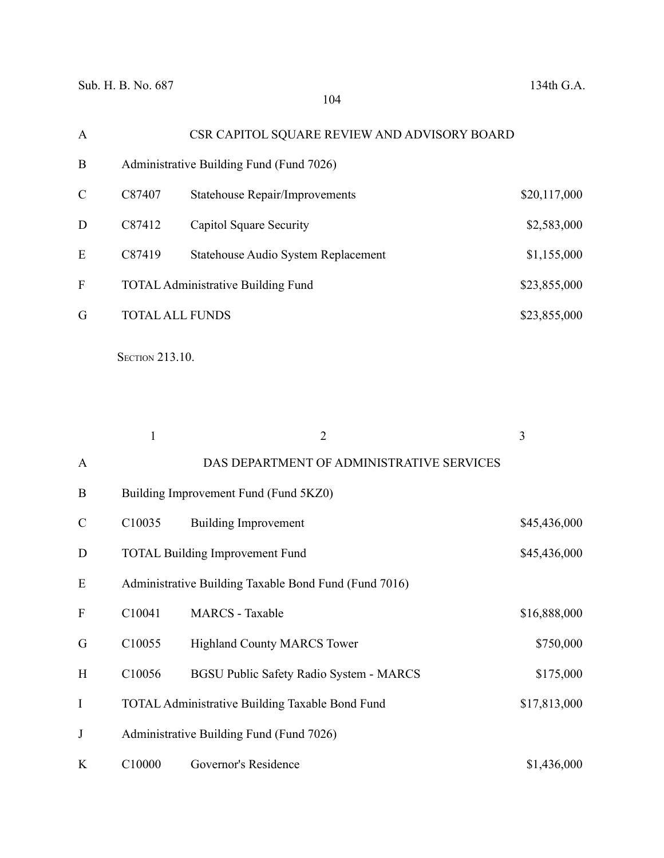| CSR CAPITOL SQUARE REVIEW AND ADVISORY BOARD<br>$\mathbf{A}$ |              |
|--------------------------------------------------------------|--------------|
| B<br>Administrative Building Fund (Fund 7026)                |              |
| C<br>C87407<br><b>Statehouse Repair/Improvements</b>         | \$20,117,000 |
| D<br>C87412<br>Capitol Square Security                       | \$2,583,000  |
| E<br>C87419<br>Statehouse Audio System Replacement           | \$1,155,000  |
| F<br><b>TOTAL Administrative Building Fund</b>               | \$23,855,000 |
| G<br><b>TOTAL ALL FUNDS</b>                                  | \$23,855,000 |

**SECTION 213.10.** 

|                  | $\mathbf{1}$ | $\overline{2}$                                         | 3            |
|------------------|--------------|--------------------------------------------------------|--------------|
| $\mathbf{A}$     |              | DAS DEPARTMENT OF ADMINISTRATIVE SERVICES              |              |
| B                |              | Building Improvement Fund (Fund 5KZ0)                  |              |
| $\mathcal{C}$    | C10035       | <b>Building Improvement</b>                            | \$45,436,000 |
| D                |              | <b>TOTAL Building Improvement Fund</b>                 | \$45,436,000 |
| E                |              | Administrative Building Taxable Bond Fund (Fund 7016)  |              |
| $\boldsymbol{F}$ | C10041       | <b>MARCS</b> - Taxable                                 | \$16,888,000 |
| G                | C10055       | <b>Highland County MARCS Tower</b>                     | \$750,000    |
| H                | C10056       | <b>BGSU Public Safety Radio System - MARCS</b>         | \$175,000    |
| I                |              | <b>TOTAL Administrative Building Taxable Bond Fund</b> | \$17,813,000 |
| J                |              | Administrative Building Fund (Fund 7026)               |              |
| K                | C10000       | Governor's Residence                                   | \$1,436,000  |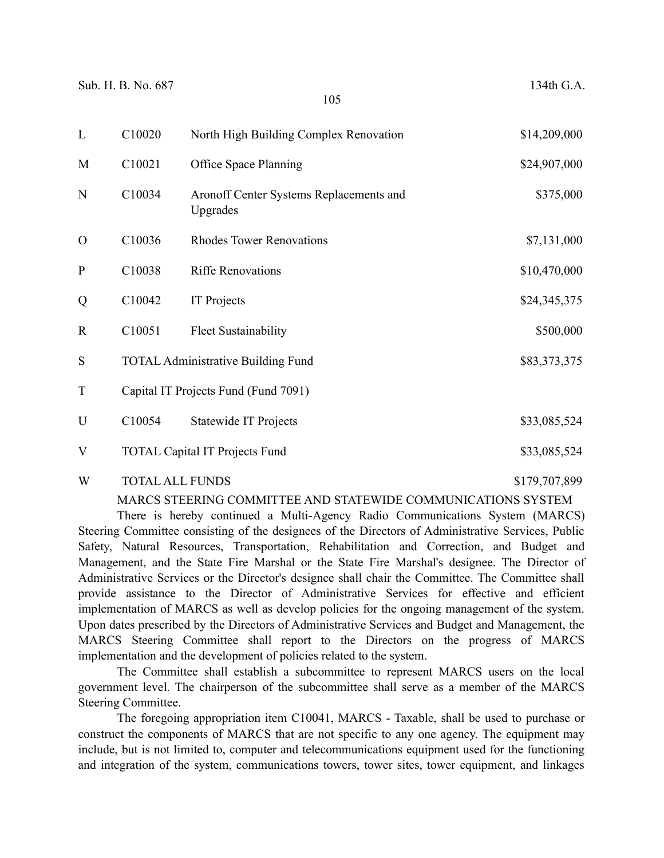| L            | C10020 | North High Building Complex Renovation              | \$14,209,000 |
|--------------|--------|-----------------------------------------------------|--------------|
| M            | C10021 | Office Space Planning                               | \$24,907,000 |
| N            | C10034 | Aronoff Center Systems Replacements and<br>Upgrades | \$375,000    |
| $\Omega$     | C10036 | <b>Rhodes Tower Renovations</b>                     | \$7,131,000  |
| $\mathbf{P}$ | C10038 | <b>Riffe Renovations</b>                            | \$10,470,000 |
| Q            | C10042 | <b>IT Projects</b>                                  | \$24,345,375 |
| $\mathbf R$  | C10051 | <b>Fleet Sustainability</b>                         | \$500,000    |
| S            |        | <b>TOTAL Administrative Building Fund</b>           | \$83,373,375 |
| T            |        | Capital IT Projects Fund (Fund 7091)                |              |
| U            | C10054 | Statewide IT Projects                               | \$33,085,524 |
| V            |        | <b>TOTAL Capital IT Projects Fund</b>               | \$33,085,524 |
|              |        |                                                     |              |

#### W TOTAL ALL FUNDS \$179,707,899

#### MARCS STEERING COMMITTEE AND STATEWIDE COMMUNICATIONS SYSTEM

There is hereby continued a Multi-Agency Radio Communications System (MARCS) Steering Committee consisting of the designees of the Directors of Administrative Services, Public Safety, Natural Resources, Transportation, Rehabilitation and Correction, and Budget and Management, and the State Fire Marshal or the State Fire Marshal's designee. The Director of Administrative Services or the Director's designee shall chair the Committee. The Committee shall provide assistance to the Director of Administrative Services for effective and efficient implementation of MARCS as well as develop policies for the ongoing management of the system. Upon dates prescribed by the Directors of Administrative Services and Budget and Management, the MARCS Steering Committee shall report to the Directors on the progress of MARCS implementation and the development of policies related to the system.

The Committee shall establish a subcommittee to represent MARCS users on the local government level. The chairperson of the subcommittee shall serve as a member of the MARCS Steering Committee.

The foregoing appropriation item C10041, MARCS - Taxable, shall be used to purchase or construct the components of MARCS that are not specific to any one agency. The equipment may include, but is not limited to, computer and telecommunications equipment used for the functioning and integration of the system, communications towers, tower sites, tower equipment, and linkages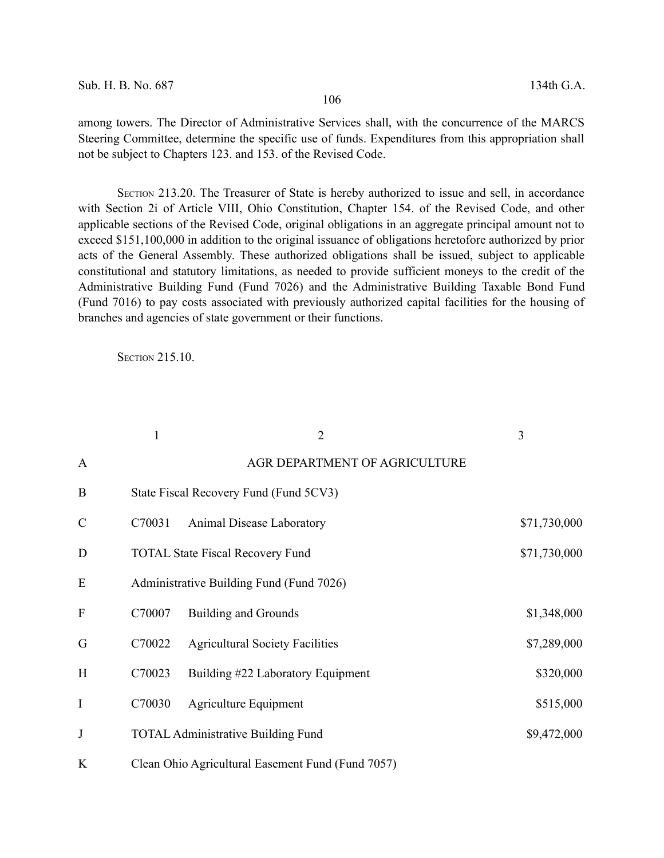among towers. The Director of Administrative Services shall, with the concurrence of the MARCS Steering Committee, determine the specific use of funds. Expenditures from this appropriation shall not be subject to Chapters 123. and 153. of the Revised Code.

SECTION 213.20. The Treasurer of State is hereby authorized to issue and sell, in accordance with Section 2i of Article VIII, Ohio Constitution, Chapter 154. of the Revised Code, and other applicable sections of the Revised Code, original obligations in an aggregate principal amount not to exceed \$151,100,000 in addition to the original issuance of obligations heretofore authorized by prior acts of the General Assembly. These authorized obligations shall be issued, subject to applicable constitutional and statutory limitations, as needed to provide sufficient moneys to the credit of the Administrative Building Fund (Fund 7026) and the Administrative Building Taxable Bond Fund (Fund 7016) to pay costs associated with previously authorized capital facilities for the housing of branches and agencies of state government or their functions.

**SECTION 215.10.** 

|               | $\mathbf{1}$ | $\overline{2}$                                    | 3            |
|---------------|--------------|---------------------------------------------------|--------------|
| $\mathbf{A}$  |              | AGR DEPARTMENT OF AGRICULTURE                     |              |
| B             |              | State Fiscal Recovery Fund (Fund 5CV3)            |              |
| $\mathcal{C}$ | C70031       | Animal Disease Laboratory                         | \$71,730,000 |
| D             |              | <b>TOTAL State Fiscal Recovery Fund</b>           | \$71,730,000 |
| E             |              | Administrative Building Fund (Fund 7026)          |              |
| $\mathbf{F}$  | C70007       | Building and Grounds                              | \$1,348,000  |
| G             | C70022       | <b>Agricultural Society Facilities</b>            | \$7,289,000  |
| H             | C70023       | Building #22 Laboratory Equipment                 | \$320,000    |
| I             | C70030       | Agriculture Equipment                             | \$515,000    |
| J             |              | <b>TOTAL Administrative Building Fund</b>         | \$9,472,000  |
| K             |              | Clean Ohio Agricultural Easement Fund (Fund 7057) |              |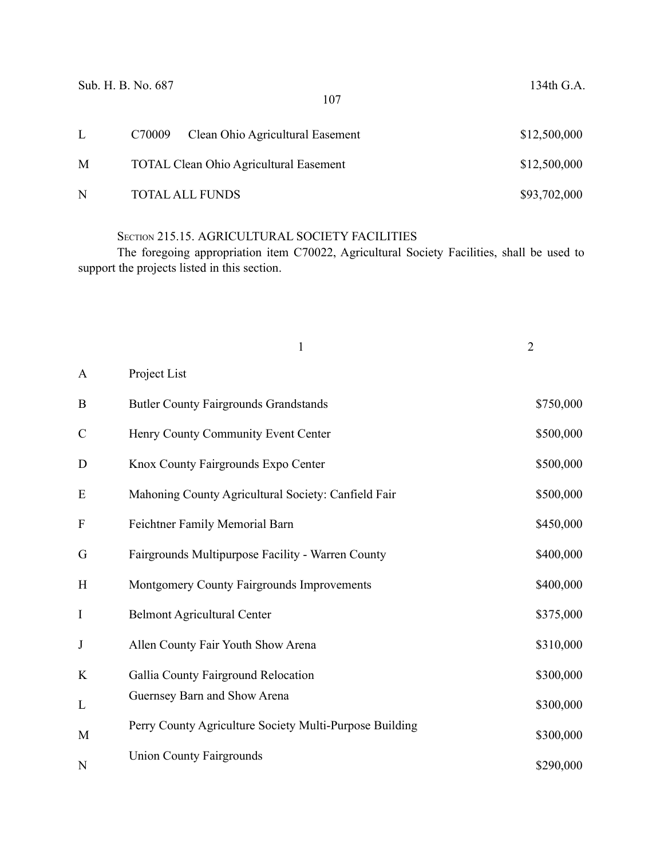| Sub. H. B. No. 687 |        | 107                                           | 134th G.A.   |
|--------------------|--------|-----------------------------------------------|--------------|
| L                  | C70009 | Clean Ohio Agricultural Easement              | \$12,500,000 |
| M                  |        | <b>TOTAL Clean Ohio Agricultural Easement</b> | \$12,500,000 |
| N                  |        | <b>TOTAL ALL FUNDS</b>                        | \$93,702,000 |

# SECTION 215.15. AGRICULTURAL SOCIETY FACILITIES

The foregoing appropriation item C70022, Agricultural Society Facilities, shall be used to support the projects listed in this section.

|                           | 1                                                       | $\overline{2}$ |
|---------------------------|---------------------------------------------------------|----------------|
| $\mathbf{A}$              | Project List                                            |                |
| $\bf{B}$                  | <b>Butler County Fairgrounds Grandstands</b>            | \$750,000      |
| $\mathcal{C}$             | Henry County Community Event Center                     | \$500,000      |
| D                         | Knox County Fairgrounds Expo Center                     | \$500,000      |
| E                         | Mahoning County Agricultural Society: Canfield Fair     | \$500,000      |
| $\boldsymbol{\mathrm{F}}$ | Feichtner Family Memorial Barn                          | \$450,000      |
| G                         | Fairgrounds Multipurpose Facility - Warren County       | \$400,000      |
| H                         | Montgomery County Fairgrounds Improvements              | \$400,000      |
| $\mathbf I$               | <b>Belmont Agricultural Center</b>                      | \$375,000      |
| $\bf J$                   | Allen County Fair Youth Show Arena                      | \$310,000      |
| K                         | Gallia County Fairground Relocation                     | \$300,000      |
| L                         | Guernsey Barn and Show Arena                            | \$300,000      |
| M                         | Perry County Agriculture Society Multi-Purpose Building | \$300,000      |
| N                         | <b>Union County Fairgrounds</b>                         | \$290,000      |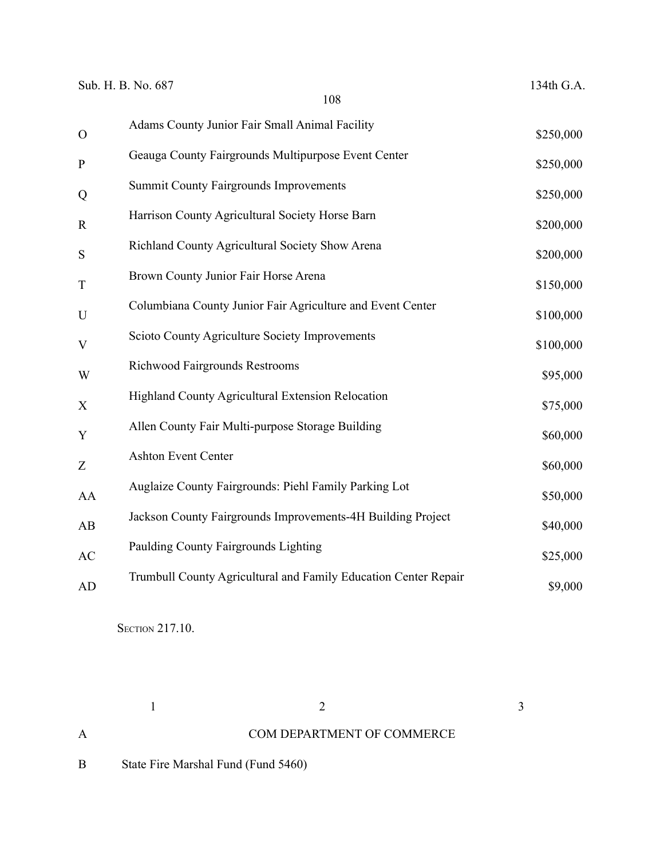| $\mathbf O$  | Adams County Junior Fair Small Animal Facility                  | \$250,000 |
|--------------|-----------------------------------------------------------------|-----------|
| $\mathbf{P}$ | Geauga County Fairgrounds Multipurpose Event Center             | \$250,000 |
| Q            | <b>Summit County Fairgrounds Improvements</b>                   | \$250,000 |
| $\mathbf R$  | Harrison County Agricultural Society Horse Barn                 | \$200,000 |
| S            | Richland County Agricultural Society Show Arena                 | \$200,000 |
| $\mathbf T$  | Brown County Junior Fair Horse Arena                            | \$150,000 |
| $\mathbf U$  | Columbiana County Junior Fair Agriculture and Event Center      | \$100,000 |
| $\mathbf{V}$ | Scioto County Agriculture Society Improvements                  | \$100,000 |
| W            | <b>Richwood Fairgrounds Restrooms</b>                           | \$95,000  |
| X            | Highland County Agricultural Extension Relocation               | \$75,000  |
| Y            | Allen County Fair Multi-purpose Storage Building                | \$60,000  |
| Z            | Ashton Event Center                                             | \$60,000  |
| AA           | Auglaize County Fairgrounds: Piehl Family Parking Lot           | \$50,000  |
| AB           | Jackson County Fairgrounds Improvements-4H Building Project     | \$40,000  |
| AC           | Paulding County Fairgrounds Lighting                            | \$25,000  |
| AD           | Trumbull County Agricultural and Family Education Center Repair | \$9,000   |
|              |                                                                 |           |

**SECTION 217.10.** 

A COM DEPARTMENT OF COMMERCE

 $1$  2 3

B State Fire Marshal Fund (Fund 5460)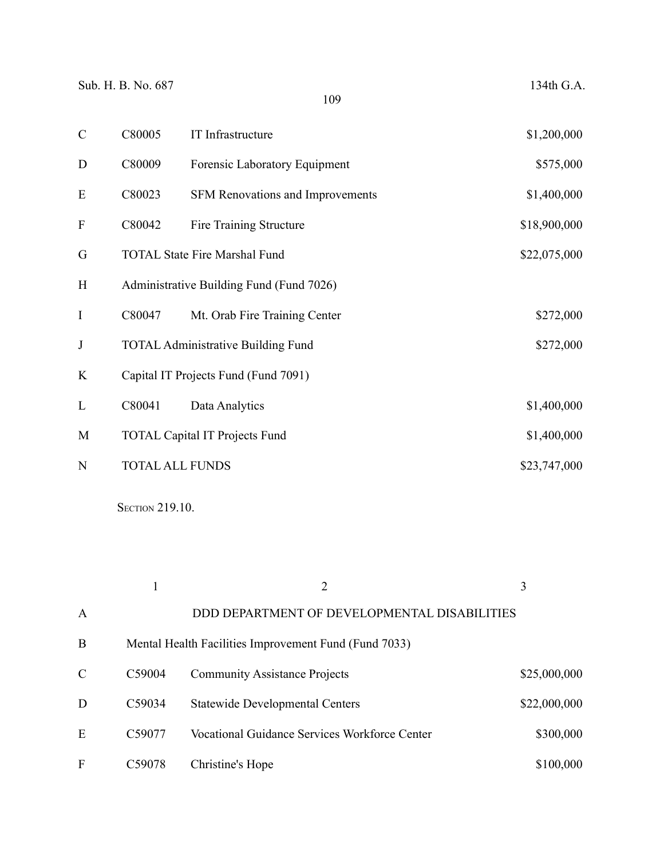| $\mathcal{C}$             | C80005                 | IT Infrastructure                         | \$1,200,000  |
|---------------------------|------------------------|-------------------------------------------|--------------|
| D                         | C80009                 | Forensic Laboratory Equipment             | \$575,000    |
| E                         | C80023                 | <b>SFM Renovations and Improvements</b>   | \$1,400,000  |
| $\boldsymbol{\mathrm{F}}$ | C80042                 | Fire Training Structure                   | \$18,900,000 |
| G                         |                        | <b>TOTAL State Fire Marshal Fund</b>      | \$22,075,000 |
| H                         |                        | Administrative Building Fund (Fund 7026)  |              |
| I                         | C80047                 | Mt. Orab Fire Training Center             | \$272,000    |
| $\bf J$                   |                        | <b>TOTAL Administrative Building Fund</b> | \$272,000    |
| K                         |                        | Capital IT Projects Fund (Fund 7091)      |              |
| L                         | C80041                 | Data Analytics                            | \$1,400,000  |
| M                         |                        | <b>TOTAL Capital IT Projects Fund</b>     | \$1,400,000  |
| N                         | <b>TOTAL ALL FUNDS</b> |                                           | \$23,747,000 |

**SECTION 219.10.** 

|               |                    | 2                                                     | 3            |
|---------------|--------------------|-------------------------------------------------------|--------------|
| $\mathbf{A}$  |                    | DDD DEPARTMENT OF DEVELOPMENTAL DISABILITIES          |              |
| B             |                    | Mental Health Facilities Improvement Fund (Fund 7033) |              |
| $\mathcal{C}$ | C <sub>59004</sub> | <b>Community Assistance Projects</b>                  | \$25,000,000 |
| D             | C59034             | <b>Statewide Developmental Centers</b>                | \$22,000,000 |
| E             | C <sub>59077</sub> | <b>Vocational Guidance Services Workforce Center</b>  | \$300,000    |
| F             | C <sub>59078</sub> | Christine's Hope                                      | \$100,000    |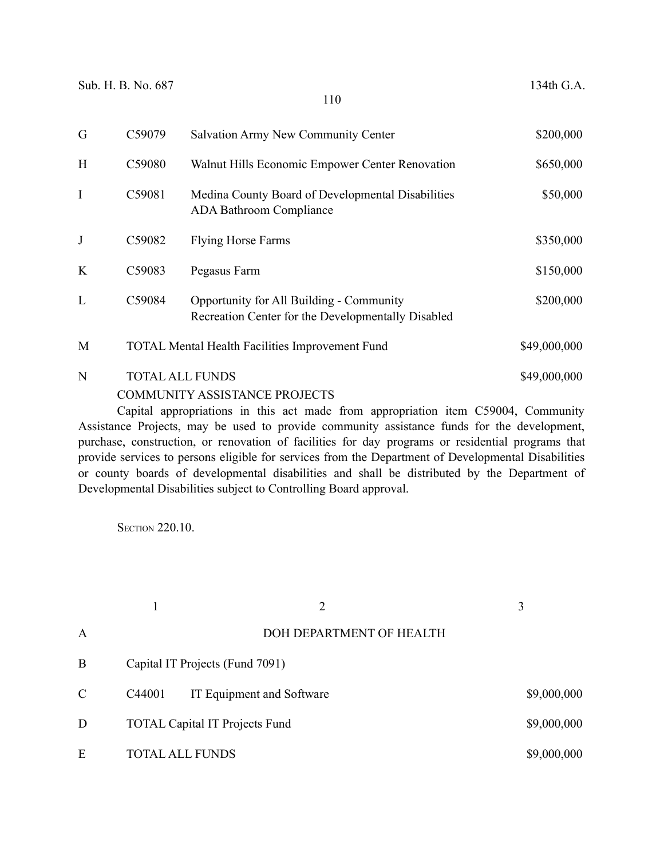| G           | C59079 | <b>Salvation Army New Community Center</b>                                                     | \$200,000    |
|-------------|--------|------------------------------------------------------------------------------------------------|--------------|
| H           | C59080 | Walnut Hills Economic Empower Center Renovation                                                | \$650,000    |
| $\mathbf I$ | C59081 | Medina County Board of Developmental Disabilities<br><b>ADA Bathroom Compliance</b>            | \$50,000     |
| J           | C59082 | <b>Flying Horse Farms</b>                                                                      | \$350,000    |
| K           | C59083 | Pegasus Farm                                                                                   | \$150,000    |
| L           | C59084 | Opportunity for All Building - Community<br>Recreation Center for the Developmentally Disabled | \$200,000    |
| M           |        | <b>TOTAL Mental Health Facilities Improvement Fund</b>                                         | \$49,000,000 |
| N           |        | <b>TOTAL ALL FUNDS</b><br><b>COMMUNITY ASSISTANCE PROJECTS</b>                                 | \$49,000,000 |

Capital appropriations in this act made from appropriation item C59004, Community Assistance Projects, may be used to provide community assistance funds for the development, purchase, construction, or renovation of facilities for day programs or residential programs that provide services to persons eligible for services from the Department of Developmental Disabilities or county boards of developmental disabilities and shall be distributed by the Department of Developmental Disabilities subject to Controlling Board approval.

**SECTION 220.10.** 

|               |        | $\overline{2}$                        | 3           |
|---------------|--------|---------------------------------------|-------------|
| A             |        | DOH DEPARTMENT OF HEALTH              |             |
| B             |        | Capital IT Projects (Fund 7091)       |             |
| $\mathcal{C}$ | C44001 | IT Equipment and Software             | \$9,000,000 |
| D             |        | <b>TOTAL Capital IT Projects Fund</b> | \$9,000,000 |
| E             |        | <b>TOTAL ALL FUNDS</b>                | \$9,000,000 |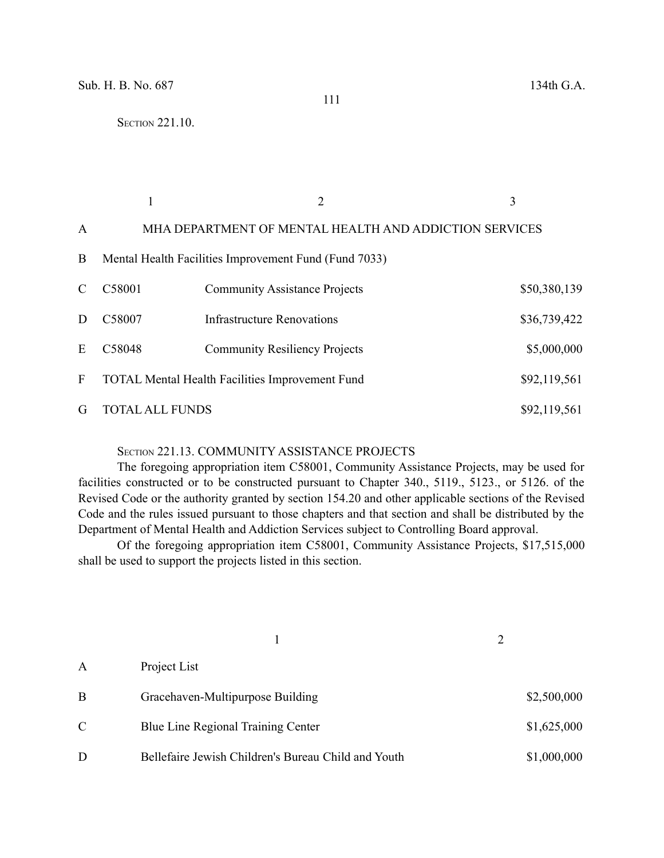|               |                        |                                                        | 3            |
|---------------|------------------------|--------------------------------------------------------|--------------|
| A             |                        | MHA DEPARTMENT OF MENTAL HEALTH AND ADDICTION SERVICES |              |
| B             |                        | Mental Health Facilities Improvement Fund (Fund 7033)  |              |
| $\mathcal{C}$ | C58001                 | <b>Community Assistance Projects</b>                   | \$50,380,139 |
| D             | C58007                 | <b>Infrastructure Renovations</b>                      | \$36,739,422 |
| E             | C58048                 | <b>Community Resiliency Projects</b>                   | \$5,000,000  |
| F             |                        | <b>TOTAL Mental Health Facilities Improvement Fund</b> | \$92,119,561 |
| G             | <b>TOTAL ALL FUNDS</b> |                                                        | \$92,119,561 |

# SECTION 221.13. COMMUNITY ASSISTANCE PROJECTS

The foregoing appropriation item C58001, Community Assistance Projects, may be used for facilities constructed or to be constructed pursuant to Chapter 340., 5119., 5123., or 5126. of the Revised Code or the authority granted by section 154.20 and other applicable sections of the Revised Code and the rules issued pursuant to those chapters and that section and shall be distributed by the Department of Mental Health and Addiction Services subject to Controlling Board approval.

Of the foregoing appropriation item C58001, Community Assistance Projects, \$17,515,000 shall be used to support the projects listed in this section.

| A             | Project List                                        |             |  |
|---------------|-----------------------------------------------------|-------------|--|
| B             | Gracehaven-Multipurpose Building                    | \$2,500,000 |  |
| $\mathcal{C}$ | Blue Line Regional Training Center                  | \$1,625,000 |  |
| D             | Bellefaire Jewish Children's Bureau Child and Youth | \$1,000,000 |  |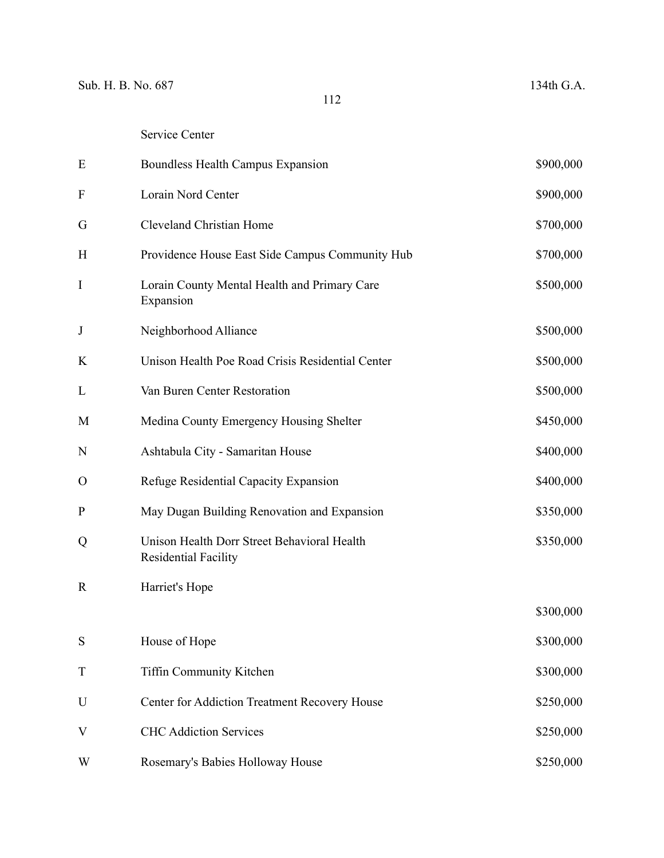| E            | Boundless Health Campus Expansion                                   | \$900,000 |
|--------------|---------------------------------------------------------------------|-----------|
| $\mathbf{F}$ | Lorain Nord Center                                                  | \$900,000 |
| G            | Cleveland Christian Home                                            | \$700,000 |
| H            | Providence House East Side Campus Community Hub                     | \$700,000 |
| $\mathbf I$  | Lorain County Mental Health and Primary Care<br>Expansion           | \$500,000 |
| J            | Neighborhood Alliance                                               | \$500,000 |
| K            | Unison Health Poe Road Crisis Residential Center                    | \$500,000 |
| L            | Van Buren Center Restoration                                        | \$500,000 |
| M            | Medina County Emergency Housing Shelter                             | \$450,000 |
| N            | Ashtabula City - Samaritan House                                    | \$400,000 |
| $\mathbf{O}$ | Refuge Residential Capacity Expansion                               | \$400,000 |
| $\mathbf{P}$ | May Dugan Building Renovation and Expansion                         | \$350,000 |
| Q            | Unison Health Dorr Street Behavioral Health<br>Residential Facility | \$350,000 |
| $\mathbf R$  | Harriet's Hope                                                      |           |
|              |                                                                     | \$300,000 |
| S            | House of Hope                                                       | \$300,000 |
| $\mathbf T$  | Tiffin Community Kitchen                                            | \$300,000 |
| U            | Center for Addiction Treatment Recovery House                       | \$250,000 |
| V            | <b>CHC Addiction Services</b>                                       | \$250,000 |
| W            | Rosemary's Babies Holloway House                                    | \$250,000 |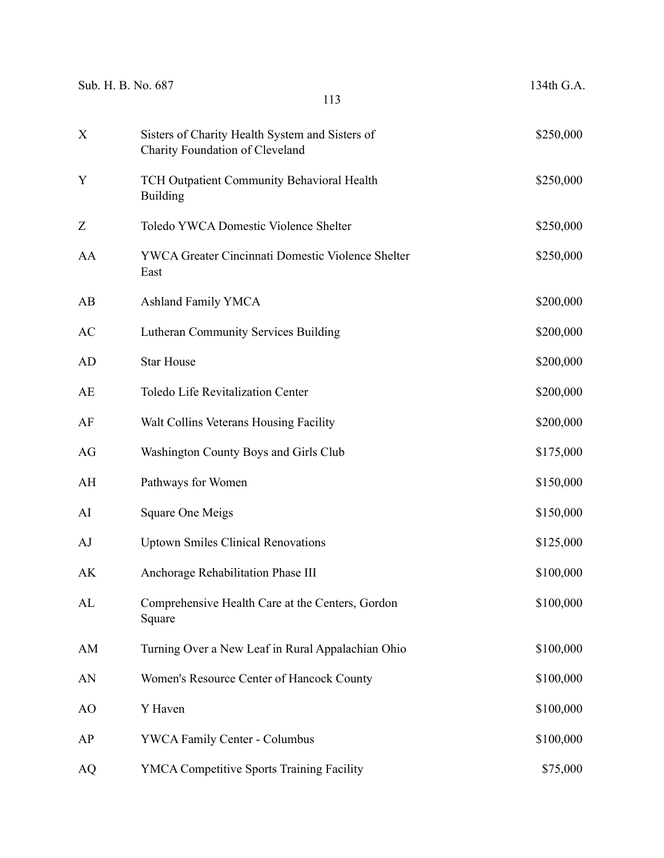| Sub. H. B. No. 687<br>113 |                                                                                    | 134th G.A. |
|---------------------------|------------------------------------------------------------------------------------|------------|
| X                         | Sisters of Charity Health System and Sisters of<br>Charity Foundation of Cleveland | \$250,000  |
| Y                         | TCH Outpatient Community Behavioral Health<br><b>Building</b>                      | \$250,000  |
| Ζ                         | Toledo YWCA Domestic Violence Shelter                                              | \$250,000  |
| AA                        | YWCA Greater Cincinnati Domestic Violence Shelter<br>East                          | \$250,000  |
| AB                        | <b>Ashland Family YMCA</b>                                                         | \$200,000  |
| AC                        | <b>Lutheran Community Services Building</b>                                        | \$200,000  |
| <b>AD</b>                 | <b>Star House</b>                                                                  | \$200,000  |
| AE                        | <b>Toledo Life Revitalization Center</b>                                           | \$200,000  |
| AF                        | Walt Collins Veterans Housing Facility                                             | \$200,000  |
| AG                        | Washington County Boys and Girls Club                                              | \$175,000  |
| AH                        | Pathways for Women                                                                 | \$150,000  |
| AI                        | Square One Meigs                                                                   | \$150,000  |
| AJ                        | <b>Uptown Smiles Clinical Renovations</b>                                          | \$125,000  |
| AK                        | Anchorage Rehabilitation Phase III                                                 | \$100,000  |
| AL                        | Comprehensive Health Care at the Centers, Gordon<br>Square                         | \$100,000  |
| AM                        | Turning Over a New Leaf in Rural Appalachian Ohio                                  | \$100,000  |
| AN                        | Women's Resource Center of Hancock County                                          | \$100,000  |
| AO                        | Y Haven                                                                            | \$100,000  |
| AP                        | <b>YWCA Family Center - Columbus</b>                                               | \$100,000  |
| AQ                        | YMCA Competitive Sports Training Facility                                          | \$75,000   |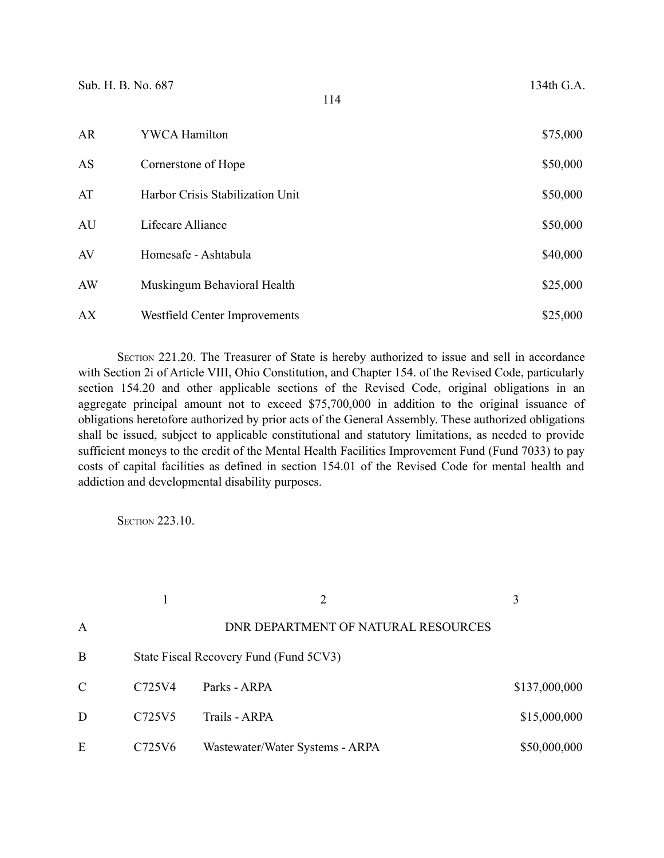| AR | YWCA Hamilton                    | \$75,000 |
|----|----------------------------------|----------|
| AS | Cornerstone of Hope              | \$50,000 |
| AT | Harbor Crisis Stabilization Unit | \$50,000 |
| AU | Lifecare Alliance                | \$50,000 |
| AV | Homesafe - Ashtabula             | \$40,000 |
| AW | Muskingum Behavioral Health      | \$25,000 |
| АX | Westfield Center Improvements    | \$25,000 |

SECTION 221.20. The Treasurer of State is hereby authorized to issue and sell in accordance with Section 2i of Article VIII, Ohio Constitution, and Chapter 154. of the Revised Code, particularly section 154.20 and other applicable sections of the Revised Code, original obligations in an aggregate principal amount not to exceed \$75,700,000 in addition to the original issuance of obligations heretofore authorized by prior acts of the General Assembly. These authorized obligations shall be issued, subject to applicable constitutional and statutory limitations, as needed to provide sufficient moneys to the credit of the Mental Health Facilities Improvement Fund (Fund 7033) to pay costs of capital facilities as defined in section 154.01 of the Revised Code for mental health and addiction and developmental disability purposes.

**SECTION 223.10.** 

| A |                                 | DNR DEPARTMENT OF NATURAL RESOURCES    |               |
|---|---------------------------------|----------------------------------------|---------------|
| B |                                 | State Fiscal Recovery Fund (Fund 5CV3) |               |
| C | C725V4                          | Parks - ARPA                           | \$137,000,000 |
| D | C <sub>725</sub> V <sub>5</sub> | Trails - ARPA                          | \$15,000,000  |
| E | C725V6                          | Wastewater/Water Systems - ARPA        | \$50,000,000  |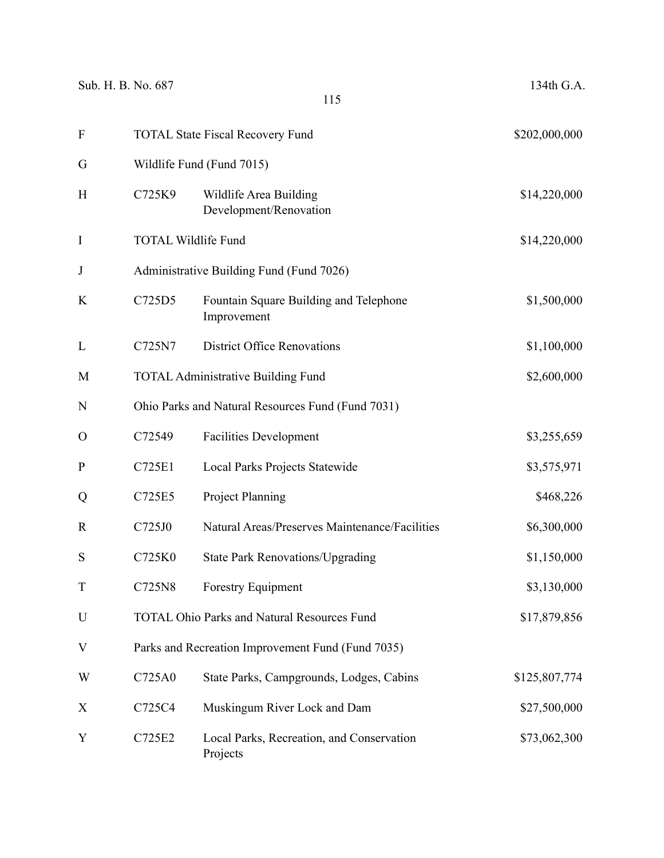| $\mathbf{F}$ |        | <b>TOTAL State Fiscal Recovery Fund</b>               |               |  |
|--------------|--------|-------------------------------------------------------|---------------|--|
| G            |        | Wildlife Fund (Fund 7015)                             |               |  |
| H            | C725K9 | Wildlife Area Building<br>Development/Renovation      | \$14,220,000  |  |
| $\mathbf I$  |        | <b>TOTAL Wildlife Fund</b>                            | \$14,220,000  |  |
| J            |        | Administrative Building Fund (Fund 7026)              |               |  |
| K            | C725D5 | Fountain Square Building and Telephone<br>Improvement | \$1,500,000   |  |
| L            | C725N7 | <b>District Office Renovations</b>                    | \$1,100,000   |  |
| M            |        | <b>TOTAL Administrative Building Fund</b>             | \$2,600,000   |  |
| N            |        | Ohio Parks and Natural Resources Fund (Fund 7031)     |               |  |
| $\Omega$     | C72549 | <b>Facilities Development</b>                         | \$3,255,659   |  |
| $\mathbf{P}$ | C725E1 | Local Parks Projects Statewide                        | \$3,575,971   |  |
| Q            | C725E5 | <b>Project Planning</b>                               | \$468,226     |  |
| R            | C725J0 | Natural Areas/Preserves Maintenance/Facilities        | \$6,300,000   |  |
| S            | C725K0 | <b>State Park Renovations/Upgrading</b>               | \$1,150,000   |  |
| T            | C725N8 | <b>Forestry Equipment</b>                             | \$3,130,000   |  |
| U            |        | <b>TOTAL Ohio Parks and Natural Resources Fund</b>    | \$17,879,856  |  |
| V            |        | Parks and Recreation Improvement Fund (Fund 7035)     |               |  |
| W            | C725A0 | State Parks, Campgrounds, Lodges, Cabins              | \$125,807,774 |  |
| X            | C725C4 | Muskingum River Lock and Dam                          | \$27,500,000  |  |
| Y            | C725E2 | Local Parks, Recreation, and Conservation<br>Projects | \$73,062,300  |  |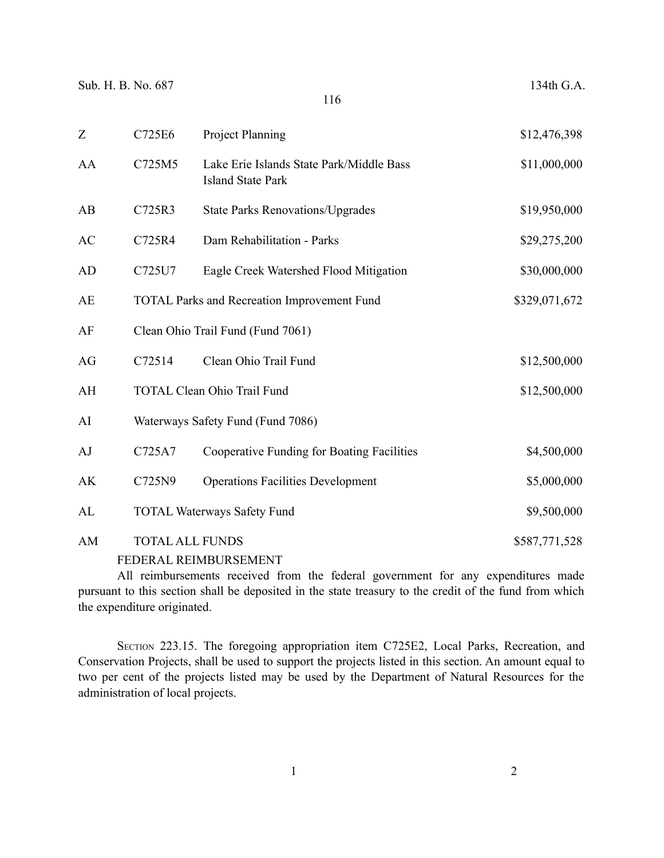| Z         | C725E6                 | <b>Project Planning</b>                                              | \$12,476,398  |
|-----------|------------------------|----------------------------------------------------------------------|---------------|
| AA        | C725M5                 | Lake Erie Islands State Park/Middle Bass<br><b>Island State Park</b> | \$11,000,000  |
| AB        | C725R3                 | <b>State Parks Renovations/Upgrades</b>                              | \$19,950,000  |
| AC        | C725R4                 | Dam Rehabilitation - Parks                                           | \$29,275,200  |
| AD        | C725U7                 | Eagle Creek Watershed Flood Mitigation                               | \$30,000,000  |
| <b>AE</b> |                        | <b>TOTAL Parks and Recreation Improvement Fund</b>                   | \$329,071,672 |
| AF        |                        | Clean Ohio Trail Fund (Fund 7061)                                    |               |
| AG        | C72514                 | Clean Ohio Trail Fund                                                | \$12,500,000  |
| AH        |                        | <b>TOTAL Clean Ohio Trail Fund</b>                                   | \$12,500,000  |
| AI        |                        | Waterways Safety Fund (Fund 7086)                                    |               |
| AJ        | C725A7                 | Cooperative Funding for Boating Facilities                           | \$4,500,000   |
| AK        | C725N9                 | <b>Operations Facilities Development</b>                             | \$5,000,000   |
| AL        |                        | <b>TOTAL Waterways Safety Fund</b>                                   | \$9,500,000   |
| AM        | <b>TOTAL ALL FUNDS</b> |                                                                      | \$587,771,528 |
|           |                        | FEDERAL REIMBURSEMENT                                                |               |

All reimbursements received from the federal government for any expenditures made pursuant to this section shall be deposited in the state treasury to the credit of the fund from which the expenditure originated.

SECTION 223.15. The foregoing appropriation item C725E2, Local Parks, Recreation, and Conservation Projects, shall be used to support the projects listed in this section. An amount equal to two per cent of the projects listed may be used by the Department of Natural Resources for the administration of local projects.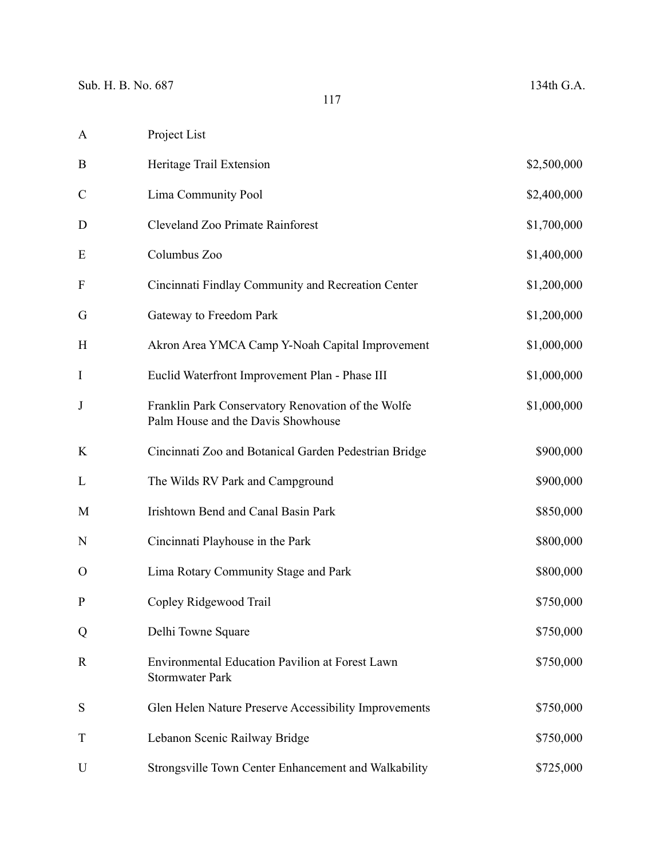| A             | Project List                                                                             |             |
|---------------|------------------------------------------------------------------------------------------|-------------|
| B             | Heritage Trail Extension                                                                 | \$2,500,000 |
| $\mathcal{C}$ | Lima Community Pool                                                                      | \$2,400,000 |
| D             | Cleveland Zoo Primate Rainforest                                                         | \$1,700,000 |
| E             | Columbus Zoo                                                                             | \$1,400,000 |
| F             | Cincinnati Findlay Community and Recreation Center                                       | \$1,200,000 |
| G             | Gateway to Freedom Park                                                                  | \$1,200,000 |
| H             | Akron Area YMCA Camp Y-Noah Capital Improvement                                          | \$1,000,000 |
| I             | Euclid Waterfront Improvement Plan - Phase III                                           | \$1,000,000 |
| $\bf J$       | Franklin Park Conservatory Renovation of the Wolfe<br>Palm House and the Davis Showhouse | \$1,000,000 |
| K             | Cincinnati Zoo and Botanical Garden Pedestrian Bridge                                    | \$900,000   |
| L             | The Wilds RV Park and Campground                                                         | \$900,000   |
| M             | <b>Irishtown Bend and Canal Basin Park</b>                                               | \$850,000   |
| N             | Cincinnati Playhouse in the Park                                                         | \$800,000   |
| 0             | Lima Rotary Community Stage and Park                                                     | \$800,000   |
| $\mathbf P$   | Copley Ridgewood Trail                                                                   | \$750,000   |
| Q             | Delhi Towne Square                                                                       | \$750,000   |
| R             | Environmental Education Pavilion at Forest Lawn<br><b>Stormwater Park</b>                | \$750,000   |
| S             | Glen Helen Nature Preserve Accessibility Improvements                                    | \$750,000   |
| T             | Lebanon Scenic Railway Bridge                                                            | \$750,000   |
| U             | Strongsville Town Center Enhancement and Walkability                                     | \$725,000   |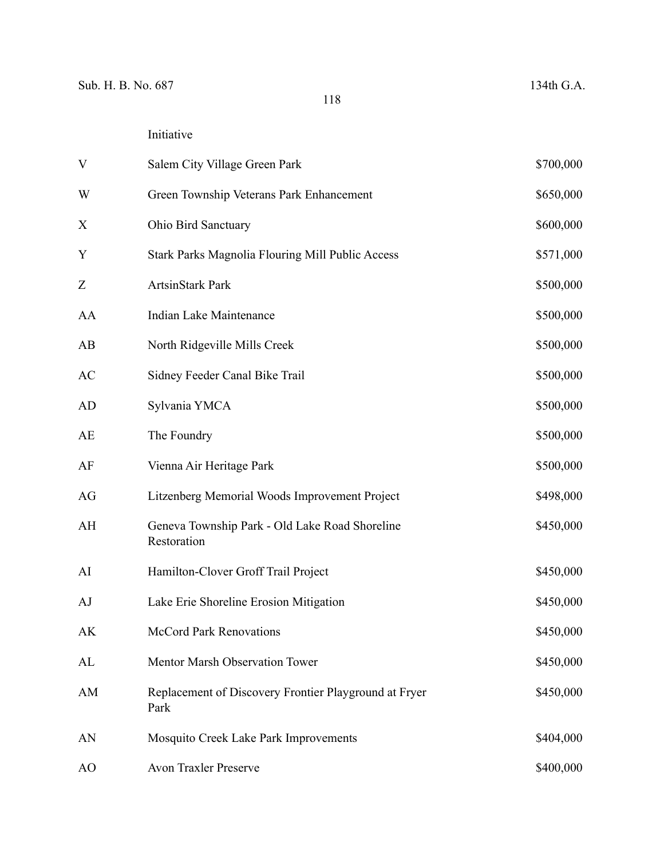| V  | Salem City Village Green Park                                 | \$700,000 |
|----|---------------------------------------------------------------|-----------|
| W  | Green Township Veterans Park Enhancement                      | \$650,000 |
| X  | Ohio Bird Sanctuary                                           | \$600,000 |
| Y  | <b>Stark Parks Magnolia Flouring Mill Public Access</b>       | \$571,000 |
| Z  | ArtsinStark Park                                              | \$500,000 |
| AA | Indian Lake Maintenance                                       | \$500,000 |
| AB | North Ridgeville Mills Creek                                  | \$500,000 |
| AC | Sidney Feeder Canal Bike Trail                                | \$500,000 |
| AD | Sylvania YMCA                                                 | \$500,000 |
| AE | The Foundry                                                   | \$500,000 |
| AF | Vienna Air Heritage Park                                      | \$500,000 |
| AG | Litzenberg Memorial Woods Improvement Project                 | \$498,000 |
| AH | Geneva Township Park - Old Lake Road Shoreline<br>Restoration | \$450,000 |
| AI | Hamilton-Clover Groff Trail Project                           | \$450,000 |
| AJ | Lake Erie Shoreline Erosion Mitigation                        | \$450,000 |
| AK | <b>McCord Park Renovations</b>                                | \$450,000 |
| AL | Mentor Marsh Observation Tower                                | \$450,000 |
| AM | Replacement of Discovery Frontier Playground at Fryer<br>Park | \$450,000 |
| AN | Mosquito Creek Lake Park Improvements                         | \$404,000 |
| AO | <b>Avon Traxler Preserve</b>                                  | \$400,000 |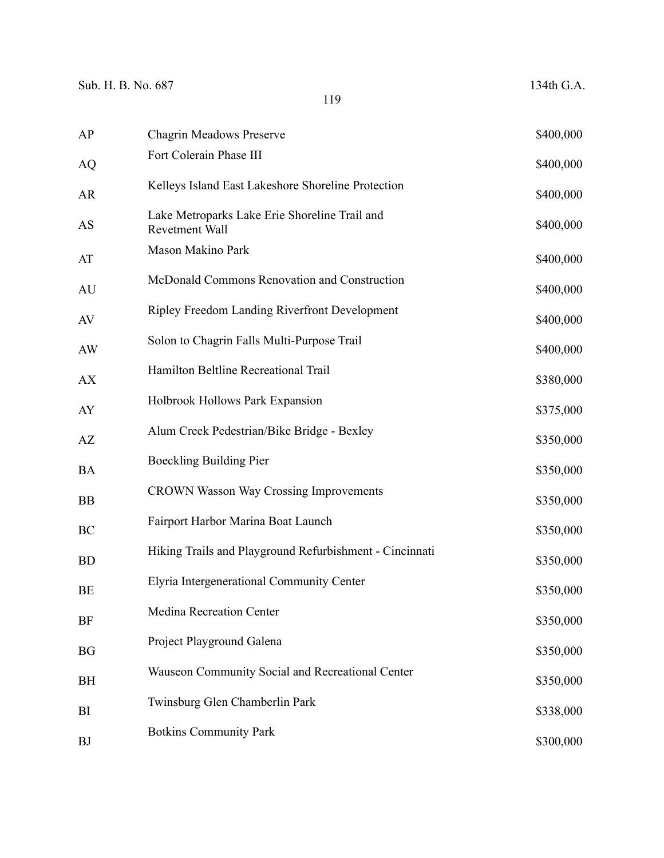| AP        | <b>Chagrin Meadows Preserve</b>                                 | \$400,000 |
|-----------|-----------------------------------------------------------------|-----------|
| <b>AQ</b> | Fort Colerain Phase III                                         | \$400,000 |
| AR        | Kelleys Island East Lakeshore Shoreline Protection              | \$400,000 |
| AS        | Lake Metroparks Lake Erie Shoreline Trail and<br>Revetment Wall | \$400,000 |
| AT        | Mason Makino Park                                               | \$400,000 |
| AU        | McDonald Commons Renovation and Construction                    | \$400,000 |
| AV        | <b>Ripley Freedom Landing Riverfront Development</b>            | \$400,000 |
| AW        | Solon to Chagrin Falls Multi-Purpose Trail                      | \$400,000 |
| <b>AX</b> | Hamilton Beltline Recreational Trail                            | \$380,000 |
| AY        | Holbrook Hollows Park Expansion                                 | \$375,000 |
| AZ        | Alum Creek Pedestrian/Bike Bridge - Bexley                      | \$350,000 |
| <b>BA</b> | <b>Boeckling Building Pier</b>                                  | \$350,000 |
| <b>BB</b> | <b>CROWN Wasson Way Crossing Improvements</b>                   | \$350,000 |
| BC        | Fairport Harbor Marina Boat Launch                              | \$350,000 |
| <b>BD</b> | Hiking Trails and Playground Refurbishment - Cincinnati         | \$350,000 |
| BE        | Elyria Intergenerational Community Center                       | \$350,000 |
| <b>BF</b> | <b>Medina Recreation Center</b>                                 | \$350,000 |
| <b>BG</b> | Project Playground Galena                                       | \$350,000 |
| BH        | Wauseon Community Social and Recreational Center                | \$350,000 |
| BI        | Twinsburg Glen Chamberlin Park                                  | \$338,000 |
| <b>BJ</b> | <b>Botkins Community Park</b>                                   | \$300,000 |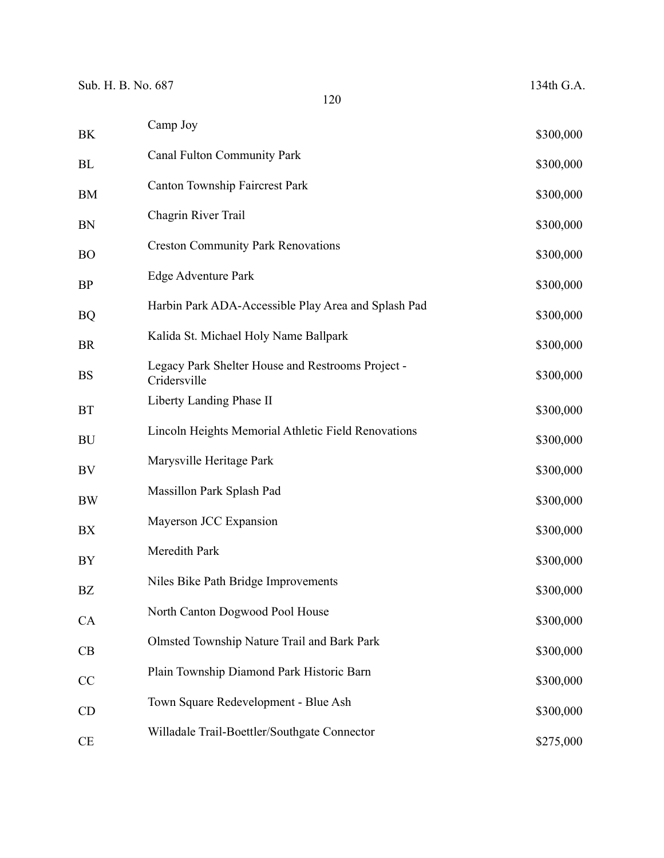| ΒK | Camp Joy                                                          | \$300,000 |
|----|-------------------------------------------------------------------|-----------|
| ВL | <b>Canal Fulton Community Park</b>                                | \$300,000 |
| BM | Canton Township Faircrest Park                                    | \$300,000 |
| BN | Chagrin River Trail                                               | \$300,000 |
| ВO | <b>Creston Community Park Renovations</b>                         | \$300,000 |
| ВP | Edge Adventure Park                                               | \$300,000 |
| BQ | Harbin Park ADA-Accessible Play Area and Splash Pad               | \$300,000 |
| BR | Kalida St. Michael Holy Name Ballpark                             | \$300,000 |
| BS | Legacy Park Shelter House and Restrooms Project -<br>Cridersville | \$300,000 |
| BT | Liberty Landing Phase II                                          | \$300,000 |
| BU | Lincoln Heights Memorial Athletic Field Renovations               | \$300,000 |
| BV | Marysville Heritage Park                                          | \$300,000 |
| BW | Massillon Park Splash Pad                                         | \$300,000 |
| BX | Mayerson JCC Expansion                                            | \$300,000 |
| BY | Meredith Park                                                     | \$300,000 |
| ΒZ | Niles Bike Path Bridge Improvements                               | \$300,000 |
| CA | North Canton Dogwood Pool House                                   | \$300,000 |
| CB | Olmsted Township Nature Trail and Bark Park                       | \$300,000 |
|    | Plain Township Diamond Park Historic Barn                         | \$300,000 |
| CC | Town Square Redevelopment - Blue Ash                              |           |
| CD | Willadale Trail-Boettler/Southgate Connector                      | \$300,000 |
| CE |                                                                   | \$275,000 |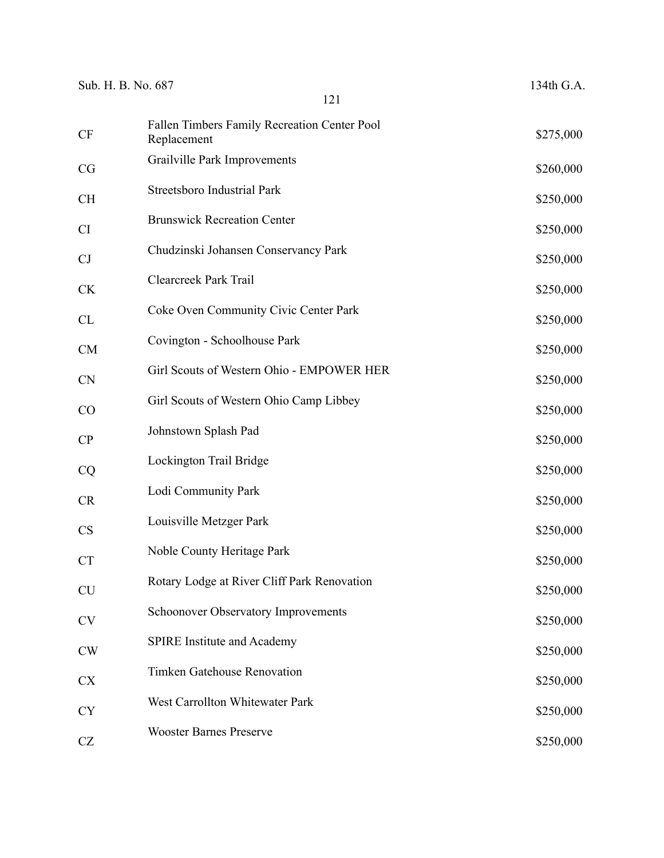| Sub. H. B. No. 687 |                                                             | 134th G.A. |
|--------------------|-------------------------------------------------------------|------------|
|                    | 121                                                         |            |
| <b>CF</b>          | Fallen Timbers Family Recreation Center Pool<br>Replacement | \$275,000  |
| CG                 | Grailville Park Improvements                                | \$260,000  |
| <b>CH</b>          | <b>Streetsboro Industrial Park</b>                          | \$250,000  |
| CI                 | <b>Brunswick Recreation Center</b>                          | \$250,000  |
| CJ                 | Chudzinski Johansen Conservancy Park                        | \$250,000  |
| <b>CK</b>          | Clearcreek Park Trail                                       | \$250,000  |
| CL                 | Coke Oven Community Civic Center Park                       | \$250,000  |
| <b>CM</b>          | Covington - Schoolhouse Park                                | \$250,000  |
| <b>CN</b>          | Girl Scouts of Western Ohio - EMPOWER HER                   | \$250,000  |
| CO                 | Girl Scouts of Western Ohio Camp Libbey                     | \$250,000  |
| CP                 | Johnstown Splash Pad                                        | \$250,000  |
| CQ                 | Lockington Trail Bridge                                     | \$250,000  |
| CR                 | Lodi Community Park                                         | \$250,000  |
| <b>CS</b>          | Louisville Metzger Park                                     | \$250,000  |
| CT                 | Noble County Heritage Park                                  | \$250,000  |
| <b>CU</b>          | Rotary Lodge at River Cliff Park Renovation                 | \$250,000  |
| <b>CV</b>          | <b>Schoonover Observatory Improvements</b>                  | \$250,000  |
| <b>CW</b>          | <b>SPIRE Institute and Academy</b>                          | \$250,000  |
| <b>CX</b>          | Timken Gatehouse Renovation                                 | \$250,000  |
| <b>CY</b>          | West Carrollton Whitewater Park                             | \$250,000  |
| CZ                 | <b>Wooster Barnes Preserve</b>                              | \$250,000  |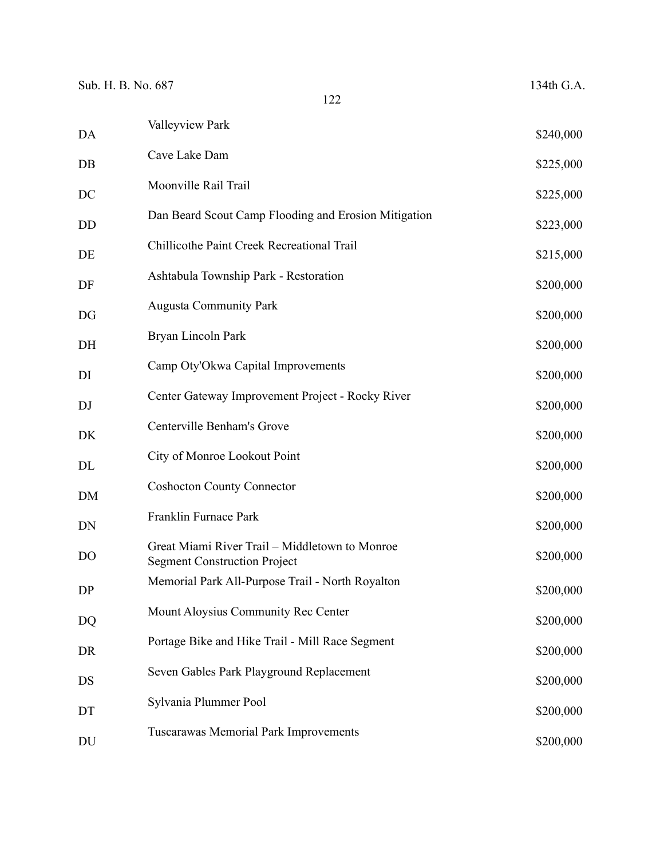| Sub. H. B. No. 687 | 122                                                                                   | 134th G.A. |
|--------------------|---------------------------------------------------------------------------------------|------------|
| DA                 | Valleyview Park                                                                       | \$240,000  |
| DB                 | Cave Lake Dam                                                                         | \$225,000  |
| DC                 | Moonville Rail Trail                                                                  | \$225,000  |
| <b>DD</b>          | Dan Beard Scout Camp Flooding and Erosion Mitigation                                  | \$223,000  |
| DE                 | Chillicothe Paint Creek Recreational Trail                                            | \$215,000  |
| DF                 | Ashtabula Township Park - Restoration                                                 | \$200,000  |
| DG                 | <b>Augusta Community Park</b>                                                         | \$200,000  |
| DH                 | Bryan Lincoln Park                                                                    | \$200,000  |
| DI                 | Camp Oty'Okwa Capital Improvements                                                    | \$200,000  |
| DJ                 | Center Gateway Improvement Project - Rocky River                                      | \$200,000  |
| DK                 | Centerville Benham's Grove                                                            | \$200,000  |
| DL                 | City of Monroe Lookout Point                                                          | \$200,000  |
| DM                 | <b>Coshocton County Connector</b>                                                     | \$200,000  |
| DN                 | Franklin Furnace Park                                                                 | \$200,000  |
| DO                 | Great Miami River Trail - Middletown to Monroe<br><b>Segment Construction Project</b> | \$200,000  |
| DP                 | Memorial Park All-Purpose Trail - North Royalton                                      | \$200,000  |
| DQ                 | Mount Aloysius Community Rec Center                                                   | \$200,000  |
| <b>DR</b>          | Portage Bike and Hike Trail - Mill Race Segment                                       | \$200,000  |
| DS                 | Seven Gables Park Playground Replacement                                              | \$200,000  |
| DT                 | Sylvania Plummer Pool                                                                 | \$200,000  |
| DU                 | Tuscarawas Memorial Park Improvements                                                 | \$200,000  |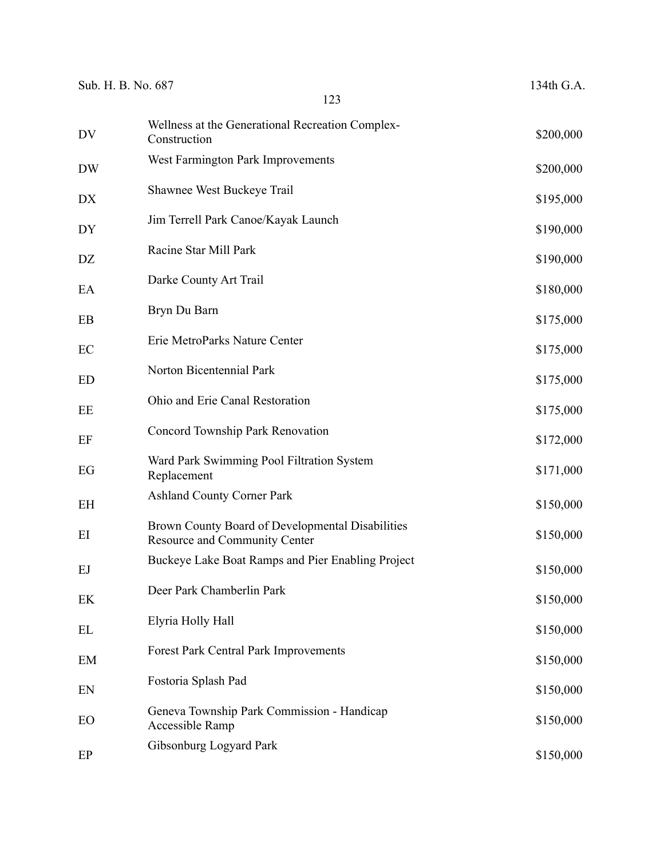| Sub. H. B. No. 687 | 123                                                                               | 134th G.A. |
|--------------------|-----------------------------------------------------------------------------------|------------|
| DV                 | Wellness at the Generational Recreation Complex-<br>Construction                  | \$200,000  |
| <b>DW</b>          | West Farmington Park Improvements                                                 | \$200,000  |
| DX                 | Shawnee West Buckeye Trail                                                        | \$195,000  |
| DY                 | Jim Terrell Park Canoe/Kayak Launch                                               | \$190,000  |
| DZ                 | Racine Star Mill Park                                                             | \$190,000  |
| EA                 | Darke County Art Trail                                                            | \$180,000  |
| EB                 | Bryn Du Barn                                                                      | \$175,000  |
| EC                 | Erie MetroParks Nature Center                                                     | \$175,000  |
| <b>ED</b>          | Norton Bicentennial Park                                                          | \$175,000  |
| EE                 | Ohio and Erie Canal Restoration                                                   | \$175,000  |
| EF                 | Concord Township Park Renovation                                                  | \$172,000  |
| EG                 | Ward Park Swimming Pool Filtration System<br>Replacement                          | \$171,000  |
| EH                 | <b>Ashland County Corner Park</b>                                                 | \$150,000  |
| EI                 | Brown County Board of Developmental Disabilities<br>Resource and Community Center | \$150,000  |
| EJ                 | Buckeye Lake Boat Ramps and Pier Enabling Project                                 | \$150,000  |
| EK                 | Deer Park Chamberlin Park                                                         | \$150,000  |
| EL                 | Elyria Holly Hall                                                                 | \$150,000  |
| EM                 | <b>Forest Park Central Park Improvements</b>                                      | \$150,000  |
| EN                 | Fostoria Splash Pad                                                               | \$150,000  |
| EO                 | Geneva Township Park Commission - Handicap<br>Accessible Ramp                     | \$150,000  |
| EP                 | Gibsonburg Logyard Park                                                           | \$150,000  |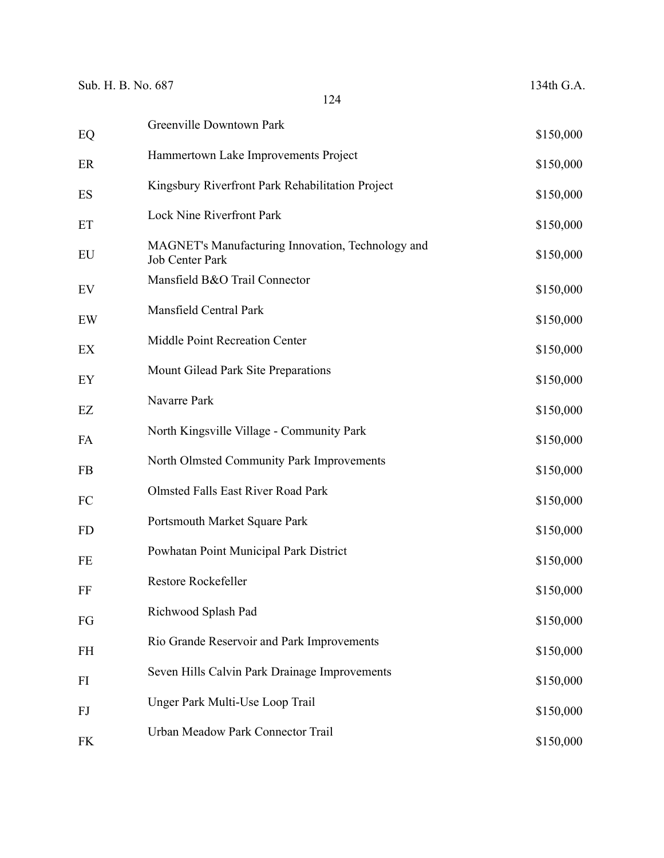| EQ        | Greenville Downtown Park                                                    | \$150,000 |
|-----------|-----------------------------------------------------------------------------|-----------|
| ER        | Hammertown Lake Improvements Project                                        | \$150,000 |
| ES        | Kingsbury Riverfront Park Rehabilitation Project                            | \$150,000 |
| ET        | <b>Lock Nine Riverfront Park</b>                                            | \$150,000 |
| EU        | MAGNET's Manufacturing Innovation, Technology and<br><b>Job Center Park</b> | \$150,000 |
| EV        | Mansfield B&O Trail Connector                                               | \$150,000 |
| EW        | Mansfield Central Park                                                      | \$150,000 |
| EX        | Middle Point Recreation Center                                              | \$150,000 |
| EY        | Mount Gilead Park Site Preparations                                         | \$150,000 |
| EZ        | Navarre Park                                                                | \$150,000 |
| FA        | North Kingsville Village - Community Park                                   | \$150,000 |
| <b>FB</b> | North Olmsted Community Park Improvements                                   | \$150,000 |
| FC        | <b>Olmsted Falls East River Road Park</b>                                   | \$150,000 |
| <b>FD</b> | Portsmouth Market Square Park                                               | \$150,000 |
| FE        | Powhatan Point Municipal Park District                                      | \$150,000 |
| FF        | Restore Rockefeller                                                         | \$150,000 |
| FG        | Richwood Splash Pad                                                         | \$150,000 |
| FH        | Rio Grande Reservoir and Park Improvements                                  | \$150,000 |
| FI        | Seven Hills Calvin Park Drainage Improvements                               | \$150,000 |
| FJ        | Unger Park Multi-Use Loop Trail                                             | \$150,000 |
| <b>FK</b> | Urban Meadow Park Connector Trail                                           | \$150,000 |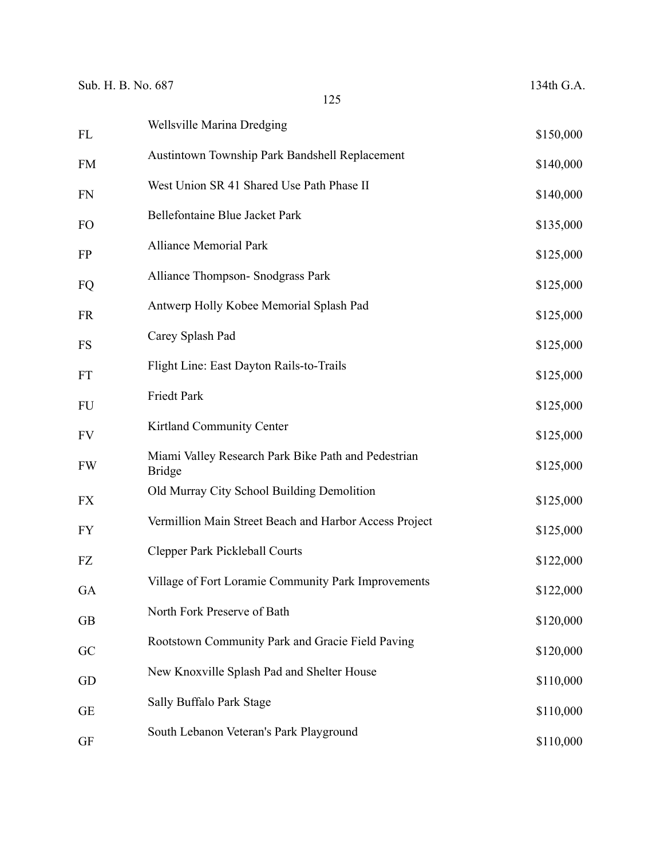|            | Wellsville Marina Dredging                                           |           |
|------------|----------------------------------------------------------------------|-----------|
| ${\rm FL}$ |                                                                      | \$150,000 |
| ${\rm FM}$ | Austintown Township Park Bandshell Replacement                       | \$140,000 |
| <b>FN</b>  | West Union SR 41 Shared Use Path Phase II                            | \$140,000 |
| FO         | Bellefontaine Blue Jacket Park                                       | \$135,000 |
| <b>FP</b>  | <b>Alliance Memorial Park</b>                                        | \$125,000 |
| FQ         | Alliance Thompson- Snodgrass Park                                    | \$125,000 |
| <b>FR</b>  | Antwerp Holly Kobee Memorial Splash Pad                              | \$125,000 |
| <b>FS</b>  | Carey Splash Pad                                                     | \$125,000 |
| FT         | Flight Line: East Dayton Rails-to-Trails                             | \$125,000 |
| <b>FU</b>  | Friedt Park                                                          | \$125,000 |
| <b>FV</b>  | Kirtland Community Center                                            | \$125,000 |
| <b>FW</b>  | Miami Valley Research Park Bike Path and Pedestrian<br><b>Bridge</b> | \$125,000 |
| <b>FX</b>  | Old Murray City School Building Demolition                           | \$125,000 |
| <b>FY</b>  | Vermillion Main Street Beach and Harbor Access Project               | \$125,000 |
| ${\rm FZ}$ | Clepper Park Pickleball Courts                                       | \$122,000 |
| GA         | Village of Fort Loramie Community Park Improvements                  | \$122,000 |
| <b>GB</b>  | North Fork Preserve of Bath                                          | \$120,000 |
| GC         | Rootstown Community Park and Gracie Field Paving                     | \$120,000 |
| GD         | New Knoxville Splash Pad and Shelter House                           | \$110,000 |
| <b>GE</b>  | Sally Buffalo Park Stage                                             | \$110,000 |
| <b>GF</b>  | South Lebanon Veteran's Park Playground                              | \$110,000 |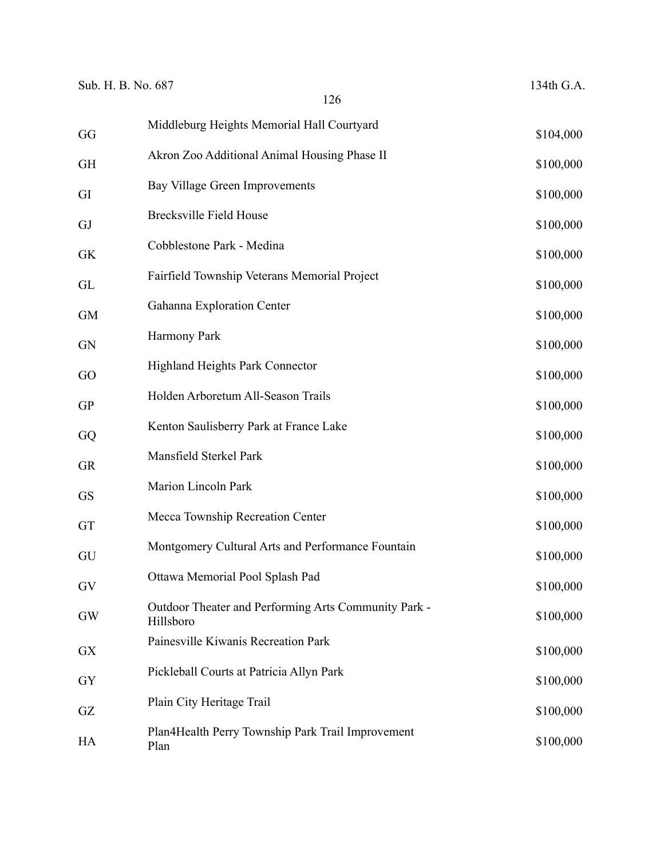| Sub. H. B. No. 687 |                                                                   | 134th G.A. |
|--------------------|-------------------------------------------------------------------|------------|
|                    | 126                                                               |            |
| GG                 | Middleburg Heights Memorial Hall Courtyard                        | \$104,000  |
| <b>GH</b>          | Akron Zoo Additional Animal Housing Phase II                      | \$100,000  |
| GI                 | Bay Village Green Improvements                                    | \$100,000  |
| GJ                 | <b>Brecksville Field House</b>                                    | \$100,000  |
| <b>GK</b>          | Cobblestone Park - Medina                                         | \$100,000  |
| GL                 | Fairfield Township Veterans Memorial Project                      | \$100,000  |
| <b>GM</b>          | Gahanna Exploration Center                                        | \$100,000  |
| <b>GN</b>          | Harmony Park                                                      | \$100,000  |
| GO                 | <b>Highland Heights Park Connector</b>                            | \$100,000  |
| <b>GP</b>          | Holden Arboretum All-Season Trails                                | \$100,000  |
| GQ                 | Kenton Saulisberry Park at France Lake                            | \$100,000  |
| <b>GR</b>          | Mansfield Sterkel Park                                            | \$100,000  |
| <b>GS</b>          | <b>Marion Lincoln Park</b>                                        | \$100,000  |
| GT                 | Mecca Township Recreation Center                                  | \$100,000  |
| GU                 | Montgomery Cultural Arts and Performance Fountain                 | \$100,000  |
| GV                 | Ottawa Memorial Pool Splash Pad                                   | \$100,000  |
| GW                 | Outdoor Theater and Performing Arts Community Park -<br>Hillsboro | \$100,000  |
| <b>GX</b>          | Painesville Kiwanis Recreation Park                               | \$100,000  |
| GY                 | Pickleball Courts at Patricia Allyn Park                          | \$100,000  |
| GZ                 | Plain City Heritage Trail                                         | \$100,000  |
| HA                 | Plan4Health Perry Township Park Trail Improvement<br>Plan         | \$100,000  |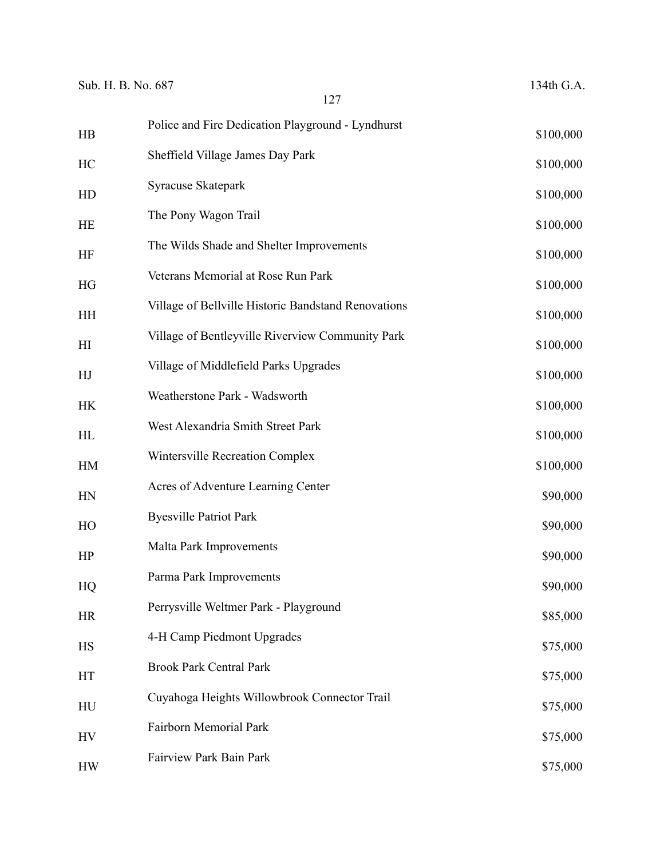| Sub. H. B. No. 687 | 127                                                 | 134th G.A. |
|--------------------|-----------------------------------------------------|------------|
| HB                 | Police and Fire Dedication Playground - Lyndhurst   | \$100,000  |
| HC                 | Sheffield Village James Day Park                    | \$100,000  |
| HD                 | Syracuse Skatepark                                  | \$100,000  |
| HE                 | The Pony Wagon Trail                                | \$100,000  |
| <b>HF</b>          | The Wilds Shade and Shelter Improvements            | \$100,000  |
| HG                 | Veterans Memorial at Rose Run Park                  | \$100,000  |
| <b>HH</b>          | Village of Bellville Historic Bandstand Renovations | \$100,000  |
| H I                | Village of Bentleyville Riverview Community Park    | \$100,000  |
| HJ                 | Village of Middlefield Parks Upgrades               | \$100,000  |
| <b>HK</b>          | Weatherstone Park - Wadsworth                       | \$100,000  |
| HL                 | West Alexandria Smith Street Park                   | \$100,000  |
| HM                 | Wintersville Recreation Complex                     | \$100,000  |
| HN                 | Acres of Adventure Learning Center                  | \$90,000   |
| HO                 | <b>Byesville Patriot Park</b>                       | \$90,000   |
| HP                 | Malta Park Improvements                             | \$90,000   |
| HQ                 | Parma Park Improvements                             | \$90,000   |
| <b>HR</b>          | Perrysville Weltmer Park - Playground               | \$85,000   |
| <b>HS</b>          | 4-H Camp Piedmont Upgrades                          | \$75,000   |
| HT                 | <b>Brook Park Central Park</b>                      | \$75,000   |
| HU                 | Cuyahoga Heights Willowbrook Connector Trail        | \$75,000   |
| HV                 | Fairborn Memorial Park                              | \$75,000   |
| <b>HW</b>          | Fairview Park Bain Park                             | \$75,000   |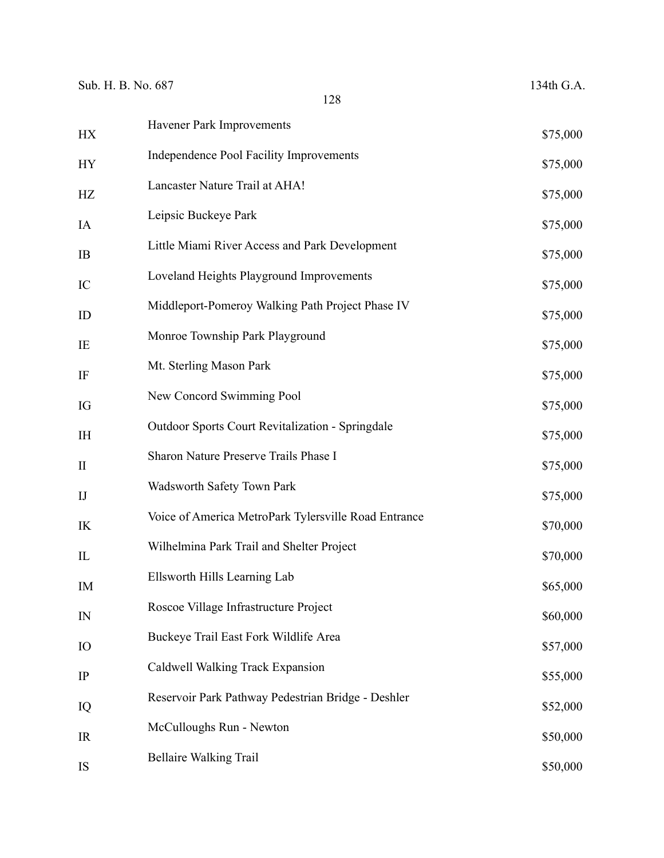| HX                     | Havener Park Improvements                               | \$75,000 |
|------------------------|---------------------------------------------------------|----------|
| <b>HY</b>              | Independence Pool Facility Improvements                 | \$75,000 |
| HZ                     | Lancaster Nature Trail at AHA!                          | \$75,000 |
| IA                     | Leipsic Buckeye Park                                    | \$75,000 |
| IB                     | Little Miami River Access and Park Development          | \$75,000 |
| IC                     | Loveland Heights Playground Improvements                | \$75,000 |
| ID                     | Middleport-Pomeroy Walking Path Project Phase IV        | \$75,000 |
| IE                     | Monroe Township Park Playground                         | \$75,000 |
| IF                     | Mt. Sterling Mason Park                                 | \$75,000 |
| IG                     | New Concord Swimming Pool                               | \$75,000 |
| IH                     | <b>Outdoor Sports Court Revitalization - Springdale</b> | \$75,000 |
| $\mathbf{I}$           | Sharon Nature Preserve Trails Phase I                   | \$75,000 |
| $\mathbf{I}\mathbf{J}$ | Wadsworth Safety Town Park                              | \$75,000 |
| IK                     | Voice of America MetroPark Tylersville Road Entrance    | \$70,000 |
| IL                     | Wilhelmina Park Trail and Shelter Project               | \$70,000 |
| IM                     | Ellsworth Hills Learning Lab                            | \$65,000 |
| IN                     | Roscoe Village Infrastructure Project                   | \$60,000 |
| IO                     | Buckeye Trail East Fork Wildlife Area                   | \$57,000 |
| IP                     | Caldwell Walking Track Expansion                        | \$55,000 |
| IQ                     | Reservoir Park Pathway Pedestrian Bridge - Deshler      | \$52,000 |
| IR                     | McCulloughs Run - Newton                                | \$50,000 |
| IS                     | <b>Bellaire Walking Trail</b>                           | \$50,000 |
|                        |                                                         |          |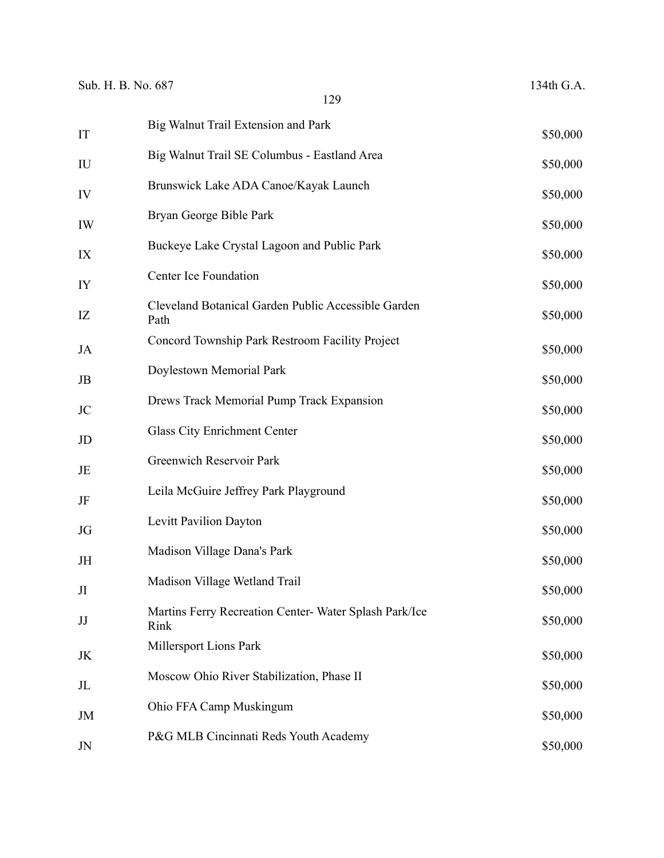| IT               | Big Walnut Trail Extension and Park                            | \$50,000 |
|------------------|----------------------------------------------------------------|----------|
| ${\rm I}{\rm U}$ | Big Walnut Trail SE Columbus - Eastland Area                   | \$50,000 |
| IV               | Brunswick Lake ADA Canoe/Kayak Launch                          | \$50,000 |
| IW               | Bryan George Bible Park                                        | \$50,000 |
| IX               | Buckeye Lake Crystal Lagoon and Public Park                    | \$50,000 |
| IY               | Center Ice Foundation                                          | \$50,000 |
| IZ               | Cleveland Botanical Garden Public Accessible Garden<br>Path    | \$50,000 |
| JA               | Concord Township Park Restroom Facility Project                | \$50,000 |
| JB               | Doylestown Memorial Park                                       | \$50,000 |
| JC               | Drews Track Memorial Pump Track Expansion                      | \$50,000 |
| JD               | Glass City Enrichment Center                                   | \$50,000 |
| JE               | Greenwich Reservoir Park                                       | \$50,000 |
| JF               | Leila McGuire Jeffrey Park Playground                          | \$50,000 |
| JG               | Levitt Pavilion Dayton                                         | \$50,000 |
| JH               | Madison Village Dana's Park                                    | \$50,000 |
| JI               | Madison Village Wetland Trail                                  | \$50,000 |
| JJ               | Martins Ferry Recreation Center- Water Splash Park/Ice<br>Rink | \$50,000 |
| JK               | Millersport Lions Park                                         | \$50,000 |
| JL               | Moscow Ohio River Stabilization, Phase II                      | \$50,000 |
| JM               | Ohio FFA Camp Muskingum                                        | \$50,000 |
| JN               | P&G MLB Cincinnati Reds Youth Academy                          | \$50,000 |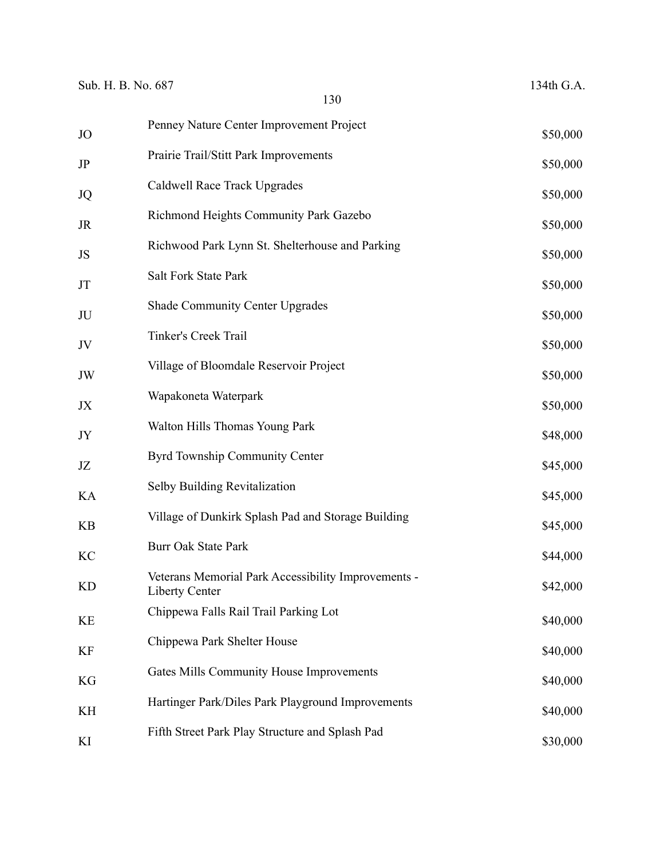| Sub. H. B. No. 687 | 130                                                                          | 134th G.A. |
|--------------------|------------------------------------------------------------------------------|------------|
|                    | Penney Nature Center Improvement Project                                     |            |
| JO                 | Prairie Trail/Stitt Park Improvements                                        | \$50,000   |
| JP                 | Caldwell Race Track Upgrades                                                 | \$50,000   |
| JQ                 |                                                                              | \$50,000   |
| JR                 | Richmond Heights Community Park Gazebo                                       | \$50,000   |
| JS                 | Richwood Park Lynn St. Shelterhouse and Parking                              | \$50,000   |
| JT                 | Salt Fork State Park                                                         | \$50,000   |
| JU                 | <b>Shade Community Center Upgrades</b>                                       | \$50,000   |
| JV                 | Tinker's Creek Trail                                                         | \$50,000   |
| JW                 | Village of Bloomdale Reservoir Project                                       | \$50,000   |
| JX                 | Wapakoneta Waterpark                                                         | \$50,000   |
| JY                 | Walton Hills Thomas Young Park                                               | \$48,000   |
| JZ                 | Byrd Township Community Center                                               | \$45,000   |
| KA                 | Selby Building Revitalization                                                | \$45,000   |
| <b>KB</b>          | Village of Dunkirk Splash Pad and Storage Building                           | \$45,000   |
| KC                 | <b>Burr Oak State Park</b>                                                   | \$44,000   |
| KD                 | Veterans Memorial Park Accessibility Improvements -<br><b>Liberty Center</b> | \$42,000   |
| KE                 | Chippewa Falls Rail Trail Parking Lot                                        | \$40,000   |
| KF                 | Chippewa Park Shelter House                                                  | \$40,000   |
| KG                 | Gates Mills Community House Improvements                                     | \$40,000   |
| KH                 | Hartinger Park/Diles Park Playground Improvements                            | \$40,000   |
| KI                 | Fifth Street Park Play Structure and Splash Pad                              | \$30,000   |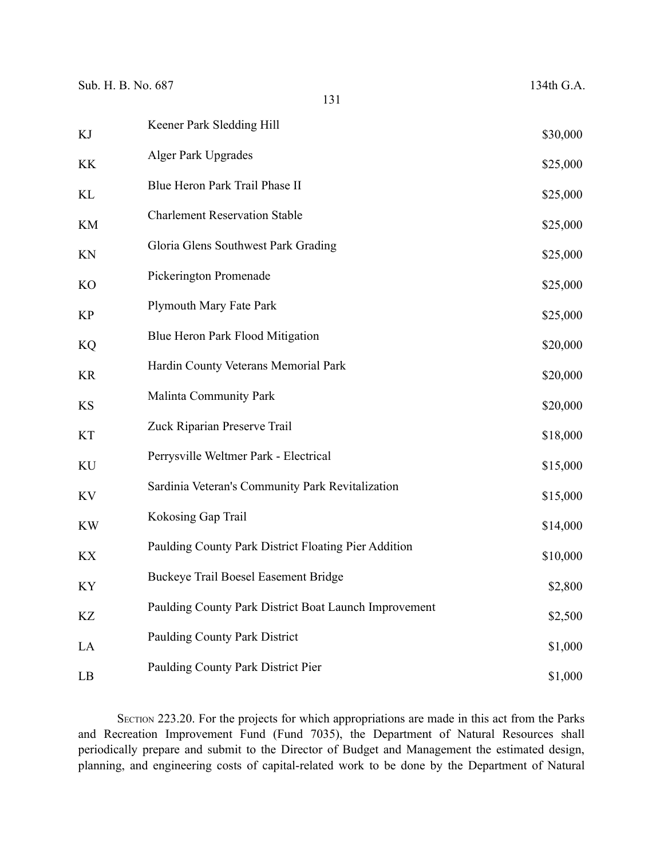| Sub. H. B. No. 687<br>131 |                                                       | 134th G.A. |
|---------------------------|-------------------------------------------------------|------------|
|                           | Keener Park Sledding Hill                             |            |
| KJ                        |                                                       | \$30,000   |
| KK                        | <b>Alger Park Upgrades</b>                            | \$25,000   |
| KL                        | Blue Heron Park Trail Phase II                        | \$25,000   |
| KM                        | <b>Charlement Reservation Stable</b>                  | \$25,000   |
| KN                        | Gloria Glens Southwest Park Grading                   | \$25,000   |
| KO                        | Pickerington Promenade                                | \$25,000   |
| KP                        | Plymouth Mary Fate Park                               | \$25,000   |
| <b>KQ</b>                 | Blue Heron Park Flood Mitigation                      | \$20,000   |
| KR                        | Hardin County Veterans Memorial Park                  | \$20,000   |
| KS                        | Malinta Community Park                                | \$20,000   |
| KT                        | Zuck Riparian Preserve Trail                          | \$18,000   |
| KU                        | Perrysville Weltmer Park - Electrical                 | \$15,000   |
| KV                        | Sardinia Veteran's Community Park Revitalization      | \$15,000   |
| <b>KW</b>                 | Kokosing Gap Trail                                    | \$14,000   |
| KX                        | Paulding County Park District Floating Pier Addition  | \$10,000   |
| KY                        | Buckeye Trail Boesel Easement Bridge                  | \$2,800    |
| KZ                        | Paulding County Park District Boat Launch Improvement | \$2,500    |
| LA                        | Paulding County Park District                         | \$1,000    |
| LB                        | Paulding County Park District Pier                    | \$1,000    |

SECTION 223.20. For the projects for which appropriations are made in this act from the Parks and Recreation Improvement Fund (Fund 7035), the Department of Natural Resources shall periodically prepare and submit to the Director of Budget and Management the estimated design, planning, and engineering costs of capital-related work to be done by the Department of Natural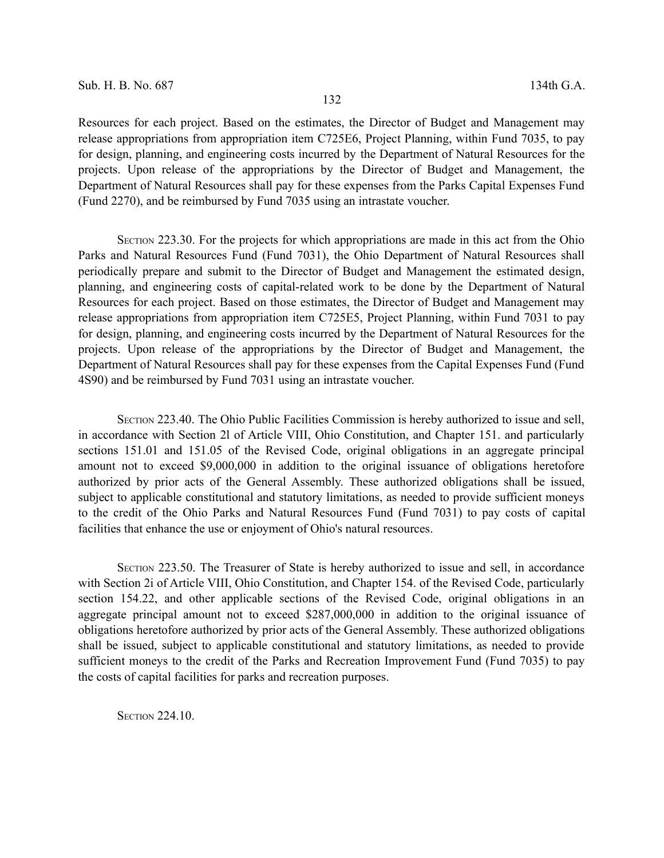Resources for each project. Based on the estimates, the Director of Budget and Management may release appropriations from appropriation item C725E6, Project Planning, within Fund 7035, to pay for design, planning, and engineering costs incurred by the Department of Natural Resources for the projects. Upon release of the appropriations by the Director of Budget and Management, the Department of Natural Resources shall pay for these expenses from the Parks Capital Expenses Fund (Fund 2270), and be reimbursed by Fund 7035 using an intrastate voucher.

SECTION 223.30. For the projects for which appropriations are made in this act from the Ohio Parks and Natural Resources Fund (Fund 7031), the Ohio Department of Natural Resources shall periodically prepare and submit to the Director of Budget and Management the estimated design, planning, and engineering costs of capital-related work to be done by the Department of Natural Resources for each project. Based on those estimates, the Director of Budget and Management may release appropriations from appropriation item C725E5, Project Planning, within Fund 7031 to pay for design, planning, and engineering costs incurred by the Department of Natural Resources for the projects. Upon release of the appropriations by the Director of Budget and Management, the Department of Natural Resources shall pay for these expenses from the Capital Expenses Fund (Fund 4S90) and be reimbursed by Fund 7031 using an intrastate voucher.

SECTION 223.40. The Ohio Public Facilities Commission is hereby authorized to issue and sell, in accordance with Section 2l of Article VIII, Ohio Constitution, and Chapter 151. and particularly sections 151.01 and 151.05 of the Revised Code, original obligations in an aggregate principal amount not to exceed \$9,000,000 in addition to the original issuance of obligations heretofore authorized by prior acts of the General Assembly. These authorized obligations shall be issued, subject to applicable constitutional and statutory limitations, as needed to provide sufficient moneys to the credit of the Ohio Parks and Natural Resources Fund (Fund 7031) to pay costs of capital facilities that enhance the use or enjoyment of Ohio's natural resources.

SECTION 223.50. The Treasurer of State is hereby authorized to issue and sell, in accordance with Section 2i of Article VIII, Ohio Constitution, and Chapter 154. of the Revised Code, particularly section 154.22, and other applicable sections of the Revised Code, original obligations in an aggregate principal amount not to exceed \$287,000,000 in addition to the original issuance of obligations heretofore authorized by prior acts of the General Assembly. These authorized obligations shall be issued, subject to applicable constitutional and statutory limitations, as needed to provide sufficient moneys to the credit of the Parks and Recreation Improvement Fund (Fund 7035) to pay the costs of capital facilities for parks and recreation purposes.

**SECTION 224.10.**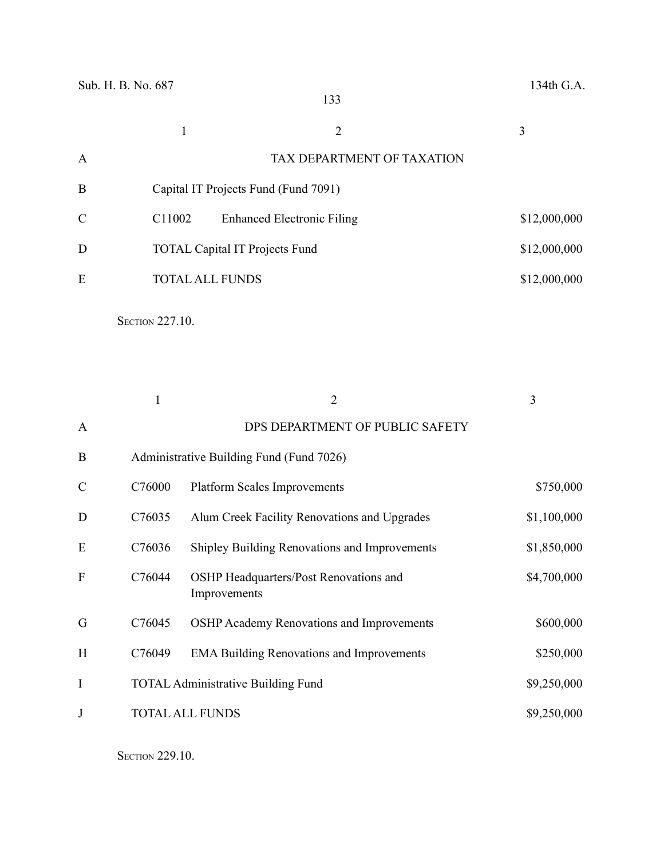|               |                    |                                       | 3            |
|---------------|--------------------|---------------------------------------|--------------|
| A             |                    | TAX DEPARTMENT OF TAXATION            |              |
| B             |                    | Capital IT Projects Fund (Fund 7091)  |              |
| $\mathcal{C}$ | C <sub>11002</sub> | <b>Enhanced Electronic Filing</b>     | \$12,000,000 |
| D             |                    | <b>TOTAL Capital IT Projects Fund</b> | \$12,000,000 |
| E             |                    | <b>TOTAL ALL FUNDS</b>                | \$12,000,000 |
|               |                    |                                       |              |

**SECTION 227.10.** 

|               |        | $\overline{2}$                                         | 3           |
|---------------|--------|--------------------------------------------------------|-------------|
| $\mathbf{A}$  |        | DPS DEPARTMENT OF PUBLIC SAFETY                        |             |
| B             |        | Administrative Building Fund (Fund 7026)               |             |
| $\mathcal{C}$ | C76000 | <b>Platform Scales Improvements</b>                    | \$750,000   |
| D             | C76035 | Alum Creek Facility Renovations and Upgrades           | \$1,100,000 |
| E             | C76036 | Shipley Building Renovations and Improvements          | \$1,850,000 |
| F             | C76044 | OSHP Headquarters/Post Renovations and<br>Improvements | \$4,700,000 |
| G             | C76045 | <b>OSHP Academy Renovations and Improvements</b>       | \$600,000   |
| H             | C76049 | <b>EMA Building Renovations and Improvements</b>       | \$250,000   |
| I             |        | <b>TOTAL Administrative Building Fund</b>              | \$9,250,000 |
| $\mathbf{J}$  |        | <b>TOTAL ALL FUNDS</b>                                 | \$9,250,000 |

**SECTION 229.10.**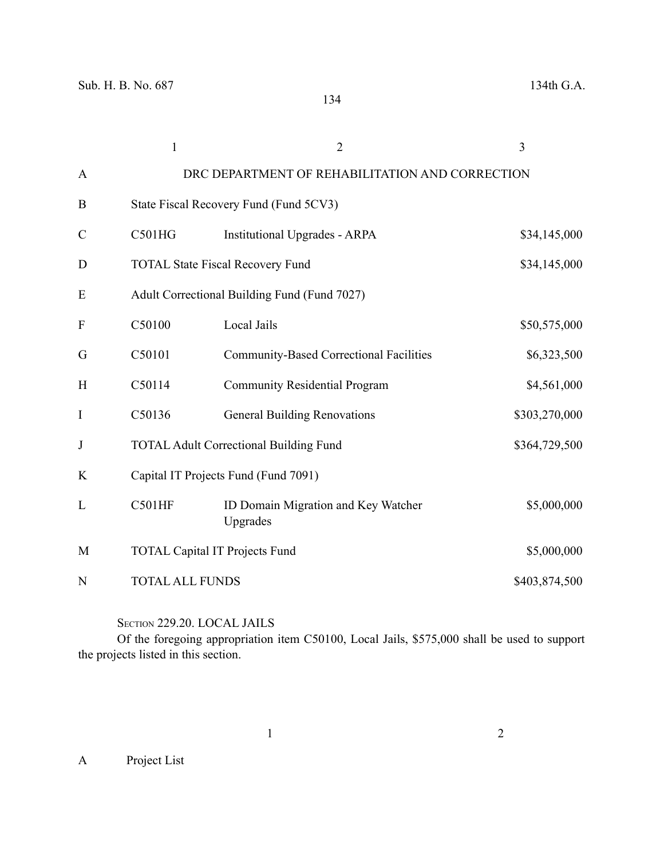|                           | $\mathbf{1}$                         | $\overline{2}$                                  | 3             |
|---------------------------|--------------------------------------|-------------------------------------------------|---------------|
| $\mathbf{A}$              |                                      | DRC DEPARTMENT OF REHABILITATION AND CORRECTION |               |
| B                         |                                      | State Fiscal Recovery Fund (Fund 5CV3)          |               |
| $\mathsf{C}$              | C501HG                               | <b>Institutional Upgrades - ARPA</b>            | \$34,145,000  |
| D                         |                                      | <b>TOTAL State Fiscal Recovery Fund</b>         | \$34,145,000  |
| E                         |                                      | Adult Correctional Building Fund (Fund 7027)    |               |
| $\boldsymbol{\mathrm{F}}$ | C50100                               | Local Jails                                     | \$50,575,000  |
| G                         | C50101                               | <b>Community-Based Correctional Facilities</b>  | \$6,323,500   |
| H                         | C50114                               | <b>Community Residential Program</b>            | \$4,561,000   |
| I                         | C50136                               | <b>General Building Renovations</b>             | \$303,270,000 |
| J                         |                                      | <b>TOTAL Adult Correctional Building Fund</b>   | \$364,729,500 |
| K                         | Capital IT Projects Fund (Fund 7091) |                                                 |               |
| L                         | <b>C501HF</b>                        | ID Domain Migration and Key Watcher<br>Upgrades | \$5,000,000   |
| M                         |                                      | <b>TOTAL Capital IT Projects Fund</b>           | \$5,000,000   |
| N                         | <b>TOTAL ALL FUNDS</b>               |                                                 | \$403,874,500 |

SECTION 229.20. LOCAL JAILS

Of the foregoing appropriation item C50100, Local Jails, \$575,000 shall be used to support the projects listed in this section.

A Project List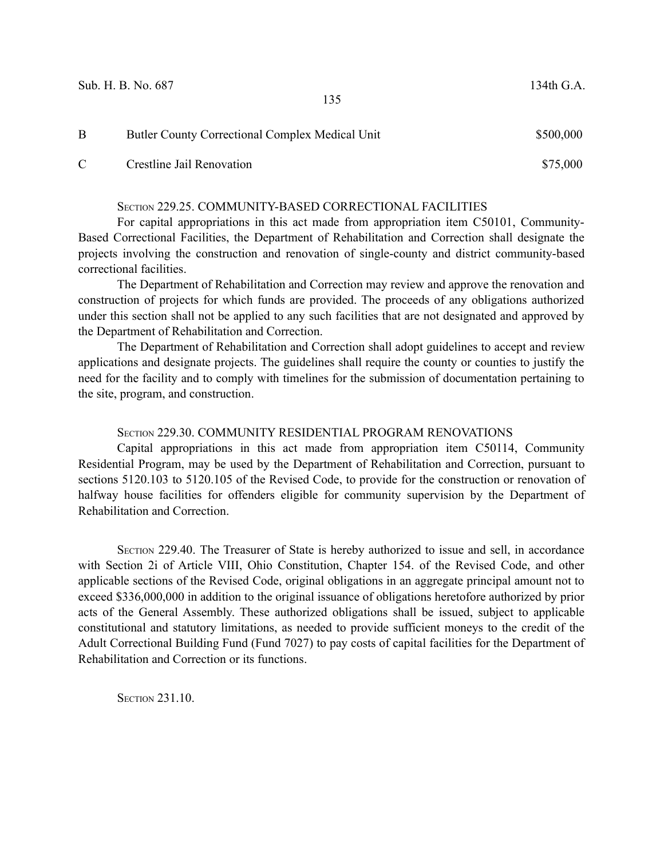| В | Butler County Correctional Complex Medical Unit | \$500,000 |
|---|-------------------------------------------------|-----------|
|   | Crestline Jail Renovation                       | \$75,000  |

#### SECTION 229.25. COMMUNITY-BASED CORRECTIONAL FACILITIES

For capital appropriations in this act made from appropriation item C50101, Community-Based Correctional Facilities, the Department of Rehabilitation and Correction shall designate the projects involving the construction and renovation of single-county and district community-based correctional facilities.

The Department of Rehabilitation and Correction may review and approve the renovation and construction of projects for which funds are provided. The proceeds of any obligations authorized under this section shall not be applied to any such facilities that are not designated and approved by the Department of Rehabilitation and Correction.

The Department of Rehabilitation and Correction shall adopt guidelines to accept and review applications and designate projects. The guidelines shall require the county or counties to justify the need for the facility and to comply with timelines for the submission of documentation pertaining to the site, program, and construction.

#### SECTION 229.30. COMMUNITY RESIDENTIAL PROGRAM RENOVATIONS

Capital appropriations in this act made from appropriation item C50114, Community Residential Program, may be used by the Department of Rehabilitation and Correction, pursuant to sections 5120.103 to 5120.105 of the Revised Code, to provide for the construction or renovation of halfway house facilities for offenders eligible for community supervision by the Department of Rehabilitation and Correction.

SECTION 229.40. The Treasurer of State is hereby authorized to issue and sell, in accordance with Section 2i of Article VIII, Ohio Constitution, Chapter 154. of the Revised Code, and other applicable sections of the Revised Code, original obligations in an aggregate principal amount not to exceed \$336,000,000 in addition to the original issuance of obligations heretofore authorized by prior acts of the General Assembly. These authorized obligations shall be issued, subject to applicable constitutional and statutory limitations, as needed to provide sufficient moneys to the credit of the Adult Correctional Building Fund (Fund 7027) to pay costs of capital facilities for the Department of Rehabilitation and Correction or its functions.

**SECTION 231.10.**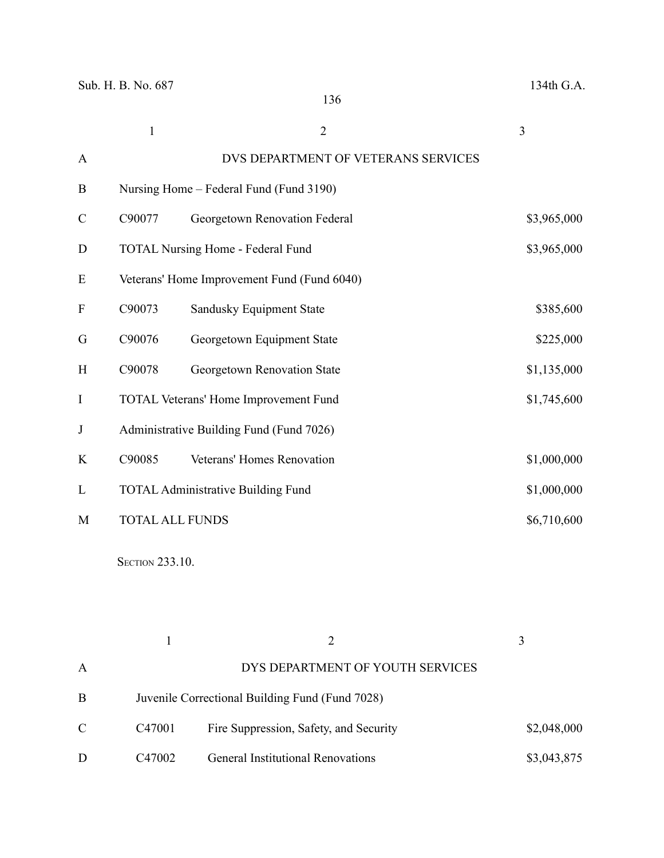|               | $\mathbf{1}$           | $\overline{2}$                              | 3           |
|---------------|------------------------|---------------------------------------------|-------------|
| A             |                        | DVS DEPARTMENT OF VETERANS SERVICES         |             |
| $\mathbf{B}$  |                        | Nursing Home – Federal Fund (Fund 3190)     |             |
| $\mathcal{C}$ | C90077                 | Georgetown Renovation Federal               | \$3,965,000 |
| D             |                        | <b>TOTAL Nursing Home - Federal Fund</b>    | \$3,965,000 |
| E             |                        | Veterans' Home Improvement Fund (Fund 6040) |             |
| F             | C90073                 | Sandusky Equipment State                    | \$385,600   |
| G             | C90076                 | Georgetown Equipment State                  | \$225,000   |
| H             | C90078                 | Georgetown Renovation State                 | \$1,135,000 |
| I             |                        | TOTAL Veterans' Home Improvement Fund       | \$1,745,600 |
| J             |                        | Administrative Building Fund (Fund 7026)    |             |
| K             | C90085                 | Veterans' Homes Renovation                  | \$1,000,000 |
| L             |                        | <b>TOTAL Administrative Building Fund</b>   | \$1,000,000 |
| M             | <b>TOTAL ALL FUNDS</b> |                                             | \$6,710,600 |

**SECTION 233.10.** 

| $\mathbf{A}$ |                    | DYS DEPARTMENT OF YOUTH SERVICES                |             |  |
|--------------|--------------------|-------------------------------------------------|-------------|--|
| B            |                    | Juvenile Correctional Building Fund (Fund 7028) |             |  |
| $\mathbf C$  | C <sub>47001</sub> | Fire Suppression, Safety, and Security          | \$2,048,000 |  |
| D            | C <sub>47002</sub> | <b>General Institutional Renovations</b>        | \$3,043,875 |  |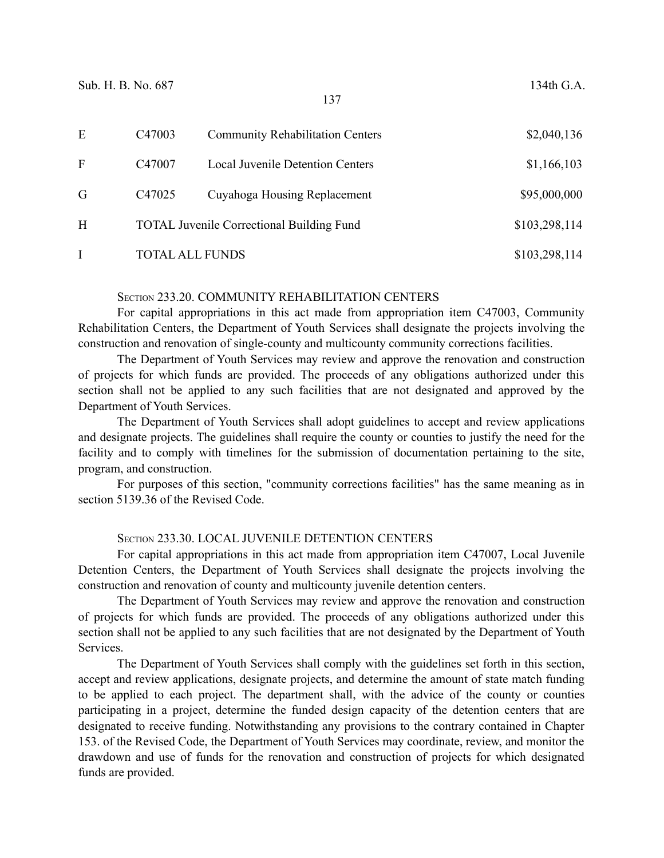| E            | C <sub>47003</sub> | <b>Community Rehabilitation Centers</b>          | \$2,040,136   |
|--------------|--------------------|--------------------------------------------------|---------------|
| $\mathbf{F}$ | C <sub>47007</sub> | <b>Local Juvenile Detention Centers</b>          | \$1,166,103   |
| G            | C <sub>47025</sub> | Cuyahoga Housing Replacement                     | \$95,000,000  |
| H            |                    | <b>TOTAL Juvenile Correctional Building Fund</b> | \$103,298,114 |
|              |                    | TOTAL ALL FUNDS                                  | \$103,298,114 |

#### SECTION 233.20. COMMUNITY REHABILITATION CENTERS

For capital appropriations in this act made from appropriation item C47003, Community Rehabilitation Centers, the Department of Youth Services shall designate the projects involving the construction and renovation of single-county and multicounty community corrections facilities.

The Department of Youth Services may review and approve the renovation and construction of projects for which funds are provided. The proceeds of any obligations authorized under this section shall not be applied to any such facilities that are not designated and approved by the Department of Youth Services.

The Department of Youth Services shall adopt guidelines to accept and review applications and designate projects. The guidelines shall require the county or counties to justify the need for the facility and to comply with timelines for the submission of documentation pertaining to the site, program, and construction.

For purposes of this section, "community corrections facilities" has the same meaning as in section 5139.36 of the Revised Code.

## SECTION 233.30. LOCAL JUVENILE DETENTION CENTERS

For capital appropriations in this act made from appropriation item C47007, Local Juvenile Detention Centers, the Department of Youth Services shall designate the projects involving the construction and renovation of county and multicounty juvenile detention centers.

The Department of Youth Services may review and approve the renovation and construction of projects for which funds are provided. The proceeds of any obligations authorized under this section shall not be applied to any such facilities that are not designated by the Department of Youth Services.

The Department of Youth Services shall comply with the guidelines set forth in this section, accept and review applications, designate projects, and determine the amount of state match funding to be applied to each project. The department shall, with the advice of the county or counties participating in a project, determine the funded design capacity of the detention centers that are designated to receive funding. Notwithstanding any provisions to the contrary contained in Chapter 153. of the Revised Code, the Department of Youth Services may coordinate, review, and monitor the drawdown and use of funds for the renovation and construction of projects for which designated funds are provided.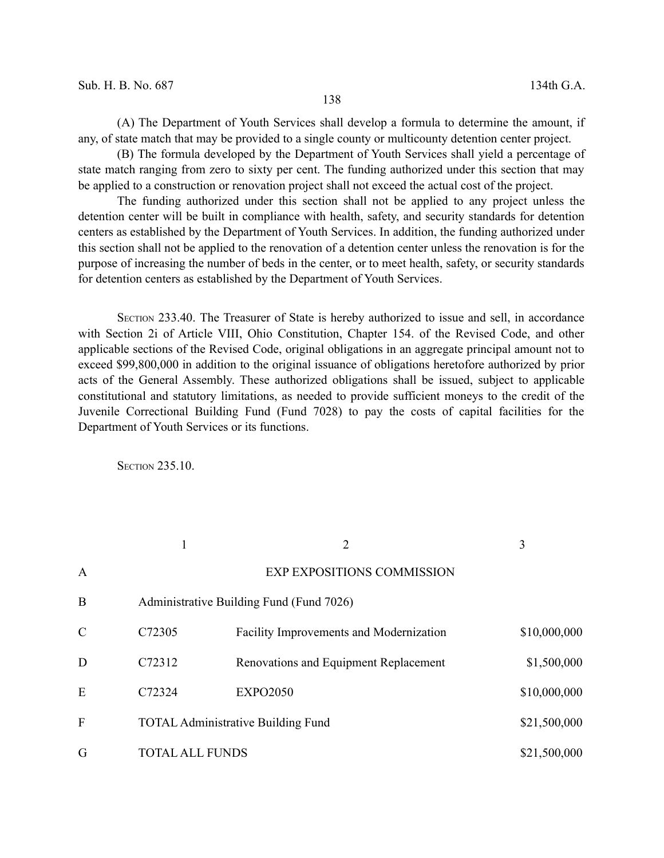(A) The Department of Youth Services shall develop a formula to determine the amount, if any, of state match that may be provided to a single county or multicounty detention center project.

(B) The formula developed by the Department of Youth Services shall yield a percentage of state match ranging from zero to sixty per cent. The funding authorized under this section that may be applied to a construction or renovation project shall not exceed the actual cost of the project.

The funding authorized under this section shall not be applied to any project unless the detention center will be built in compliance with health, safety, and security standards for detention centers as established by the Department of Youth Services. In addition, the funding authorized under this section shall not be applied to the renovation of a detention center unless the renovation is for the purpose of increasing the number of beds in the center, or to meet health, safety, or security standards for detention centers as established by the Department of Youth Services.

SECTION 233.40. The Treasurer of State is hereby authorized to issue and sell, in accordance with Section 2i of Article VIII, Ohio Constitution, Chapter 154. of the Revised Code, and other applicable sections of the Revised Code, original obligations in an aggregate principal amount not to exceed \$99,800,000 in addition to the original issuance of obligations heretofore authorized by prior acts of the General Assembly. These authorized obligations shall be issued, subject to applicable constitutional and statutory limitations, as needed to provide sufficient moneys to the credit of the Juvenile Correctional Building Fund (Fund 7028) to pay the costs of capital facilities for the Department of Youth Services or its functions.

**SECTION 235.10.** 

|               |                        | 2                                              | 3            |
|---------------|------------------------|------------------------------------------------|--------------|
| $\mathbf{A}$  |                        | <b>EXP EXPOSITIONS COMMISSION</b>              |              |
| B             |                        | Administrative Building Fund (Fund 7026)       |              |
| $\mathcal{C}$ | C72305                 | <b>Facility Improvements and Modernization</b> | \$10,000,000 |
| D             | C72312                 | Renovations and Equipment Replacement          | \$1,500,000  |
| E             | C72324                 | <b>EXPO2050</b>                                | \$10,000,000 |
| F             |                        | <b>TOTAL Administrative Building Fund</b>      | \$21,500,000 |
| G             | <b>TOTAL ALL FUNDS</b> |                                                | \$21,500,000 |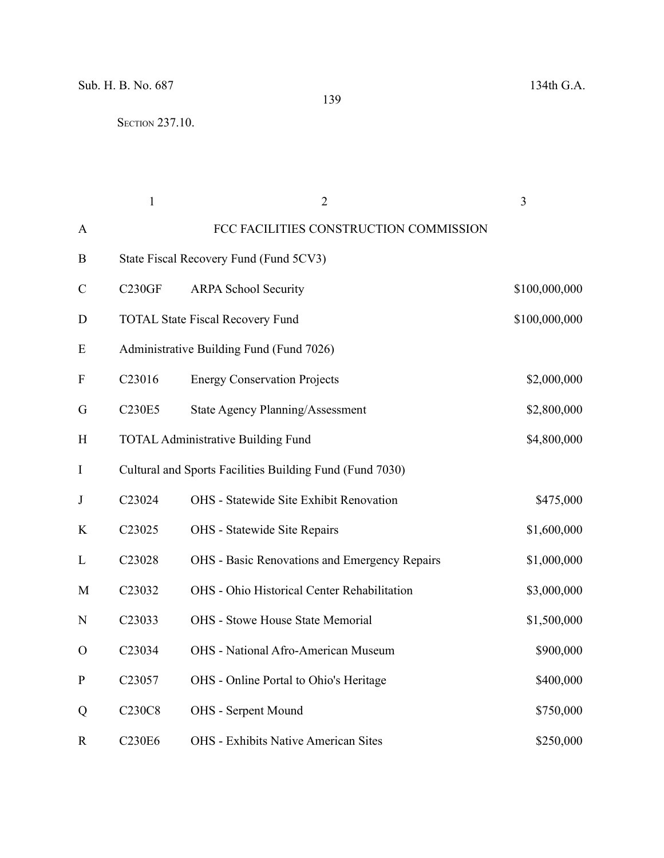**SECTION 237.10.** 

|                           | $\mathbf{1}$        | $\overline{2}$                                           | 3             |
|---------------------------|---------------------|----------------------------------------------------------|---------------|
| A                         |                     | FCC FACILITIES CONSTRUCTION COMMISSION                   |               |
| B                         |                     | State Fiscal Recovery Fund (Fund 5CV3)                   |               |
| $\mathcal{C}$             | C <sub>230</sub> GF | <b>ARPA School Security</b>                              | \$100,000,000 |
| D                         |                     | <b>TOTAL State Fiscal Recovery Fund</b>                  | \$100,000,000 |
| E                         |                     | Administrative Building Fund (Fund 7026)                 |               |
| $\boldsymbol{\mathrm{F}}$ | C23016              | <b>Energy Conservation Projects</b>                      | \$2,000,000   |
| G                         | C230E5              | <b>State Agency Planning/Assessment</b>                  | \$2,800,000   |
| H                         |                     | <b>TOTAL Administrative Building Fund</b>                | \$4,800,000   |
| $\bf{I}$                  |                     | Cultural and Sports Facilities Building Fund (Fund 7030) |               |
| $\mathbf{J}$              | C23024              | <b>OHS</b> - Statewide Site Exhibit Renovation           | \$475,000     |
| K                         | C23025              | OHS - Statewide Site Repairs                             | \$1,600,000   |
| L                         | C23028              | OHS - Basic Renovations and Emergency Repairs            | \$1,000,000   |
| M                         | C23032              | OHS - Ohio Historical Center Rehabilitation              | \$3,000,000   |
| N                         | C23033              | OHS - Stowe House State Memorial                         | \$1,500,000   |
| $\mathcal{O}$             | C23034              | OHS - National Afro-American Museum                      | \$900,000     |
| ${\bf P}$                 | C23057              | OHS - Online Portal to Ohio's Heritage                   | \$400,000     |
| Q                         | <b>C230C8</b>       | <b>OHS</b> - Serpent Mound                               | \$750,000     |
| $\mathbf R$               | <b>C230E6</b>       | <b>OHS</b> - Exhibits Native American Sites              | \$250,000     |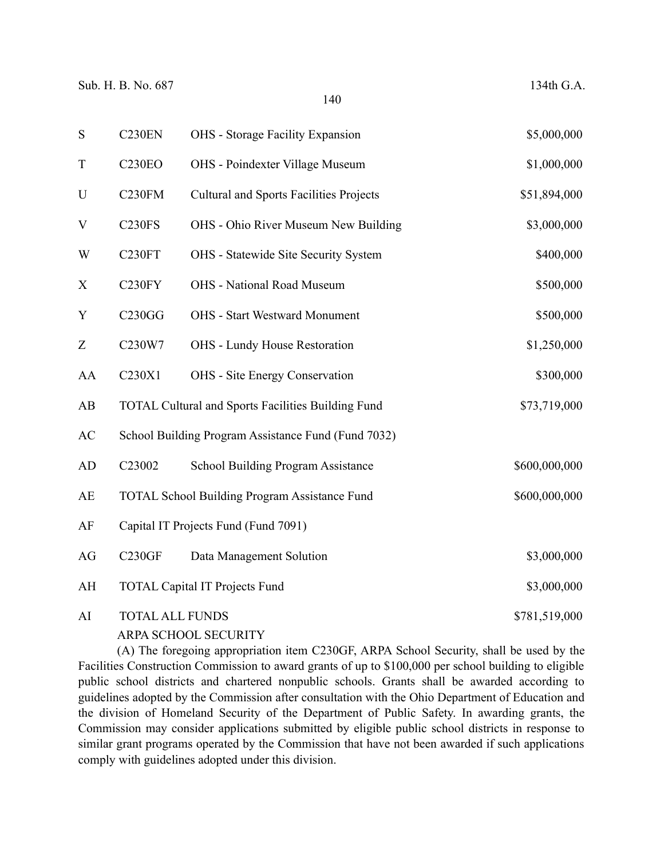| S                         | C <sub>230</sub> EN    | OHS - Storage Facility Expansion                     | \$5,000,000   |
|---------------------------|------------------------|------------------------------------------------------|---------------|
| $\mathbf T$               | <b>C230EO</b>          | OHS - Poindexter Village Museum                      | \$1,000,000   |
| U                         | C <sub>230FM</sub>     | <b>Cultural and Sports Facilities Projects</b>       | \$51,894,000  |
| $\mathbf V$               | <b>C230FS</b>          | OHS - Ohio River Museum New Building                 | \$3,000,000   |
| W                         | C <sub>230FT</sub>     | OHS - Statewide Site Security System                 | \$400,000     |
| $\boldsymbol{\mathrm{X}}$ | C230FY                 | <b>OHS</b> - National Road Museum                    | \$500,000     |
| Y                         | C230GG                 | <b>OHS</b> - Start Westward Monument                 | \$500,000     |
| Z                         | C230W7                 | OHS - Lundy House Restoration                        | \$1,250,000   |
| AA                        | C230X1                 | <b>OHS</b> - Site Energy Conservation                | \$300,000     |
| AB                        |                        | TOTAL Cultural and Sports Facilities Building Fund   | \$73,719,000  |
| AC                        |                        | School Building Program Assistance Fund (Fund 7032)  |               |
| <b>AD</b>                 | C23002                 | School Building Program Assistance                   | \$600,000,000 |
| AE                        |                        | <b>TOTAL School Building Program Assistance Fund</b> | \$600,000,000 |
| AF                        |                        | Capital IT Projects Fund (Fund 7091)                 |               |
| AG                        | <b>C230GF</b>          | Data Management Solution                             | \$3,000,000   |
| AH                        |                        | <b>TOTAL Capital IT Projects Fund</b>                | \$3,000,000   |
| AI                        | <b>TOTAL ALL FUNDS</b> |                                                      | \$781,519,000 |

ARPA SCHOOL SECURITY

(A) The foregoing appropriation item C230GF, ARPA School Security, shall be used by the Facilities Construction Commission to award grants of up to \$100,000 per school building to eligible public school districts and chartered nonpublic schools. Grants shall be awarded according to guidelines adopted by the Commission after consultation with the Ohio Department of Education and the division of Homeland Security of the Department of Public Safety. In awarding grants, the Commission may consider applications submitted by eligible public school districts in response to similar grant programs operated by the Commission that have not been awarded if such applications comply with guidelines adopted under this division.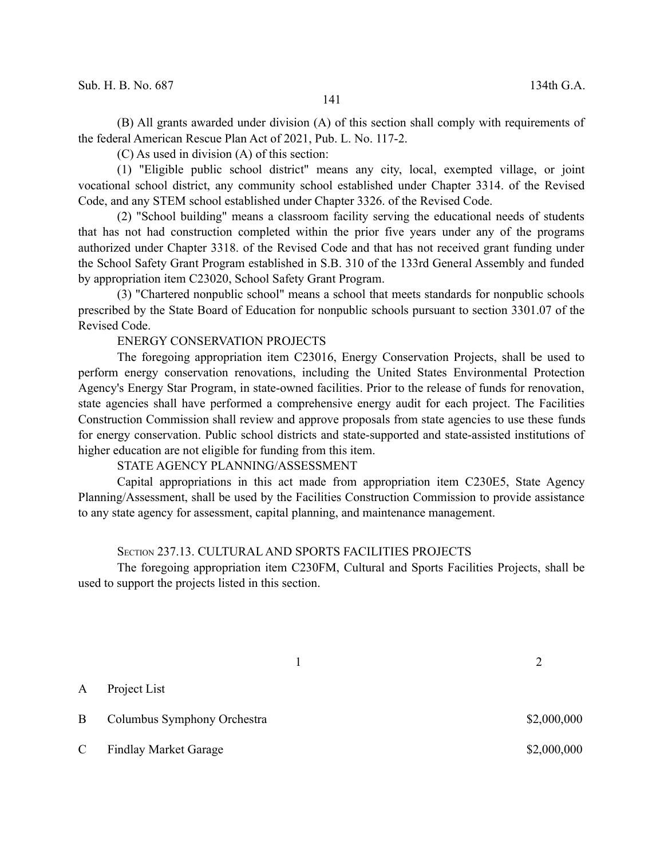(B) All grants awarded under division (A) of this section shall comply with requirements of the federal American Rescue Plan Act of 2021, Pub. L. No. 117-2.

(C) As used in division (A) of this section:

(1) "Eligible public school district" means any city, local, exempted village, or joint vocational school district, any community school established under Chapter 3314. of the Revised Code, and any STEM school established under Chapter 3326. of the Revised Code.

(2) "School building" means a classroom facility serving the educational needs of students that has not had construction completed within the prior five years under any of the programs authorized under Chapter 3318. of the Revised Code and that has not received grant funding under the School Safety Grant Program established in S.B. 310 of the 133rd General Assembly and funded by appropriation item C23020, School Safety Grant Program.

(3) "Chartered nonpublic school" means a school that meets standards for nonpublic schools prescribed by the State Board of Education for nonpublic schools pursuant to section 3301.07 of the Revised Code.

## ENERGY CONSERVATION PROJECTS

The foregoing appropriation item C23016, Energy Conservation Projects, shall be used to perform energy conservation renovations, including the United States Environmental Protection Agency's Energy Star Program, in state-owned facilities. Prior to the release of funds for renovation, state agencies shall have performed a comprehensive energy audit for each project. The Facilities Construction Commission shall review and approve proposals from state agencies to use these funds for energy conservation. Public school districts and state-supported and state-assisted institutions of higher education are not eligible for funding from this item.

STATE AGENCY PLANNING/ASSESSMENT

Capital appropriations in this act made from appropriation item C230E5, State Agency Planning/Assessment, shall be used by the Facilities Construction Commission to provide assistance to any state agency for assessment, capital planning, and maintenance management.

## SECTION 237.13. CULTURAL AND SPORTS FACILITIES PROJECTS

The foregoing appropriation item C230FM, Cultural and Sports Facilities Projects, shall be used to support the projects listed in this section.

1 2 A Project List B Columbus Symphony Orchestra  $\qquad$  \$2,000,000 C Findlay Market Garage \$2,000,000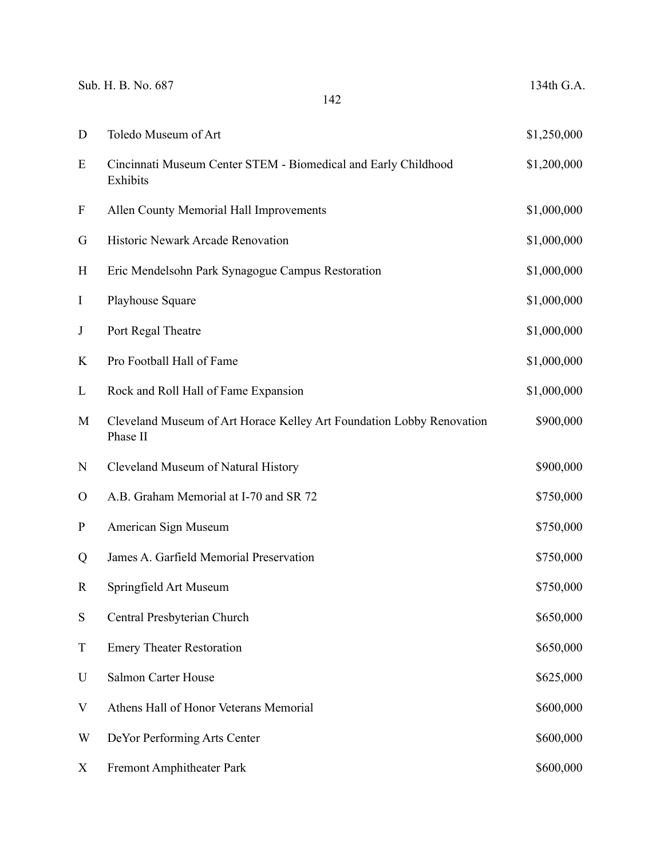|              | Sub. H. B. No. 687<br>142                                                         | 134th G.A.  |
|--------------|-----------------------------------------------------------------------------------|-------------|
| D            | Toledo Museum of Art                                                              | \$1,250,000 |
| E            | Cincinnati Museum Center STEM - Biomedical and Early Childhood<br>Exhibits        | \$1,200,000 |
| F            | Allen County Memorial Hall Improvements                                           | \$1,000,000 |
| G            | Historic Newark Arcade Renovation                                                 | \$1,000,000 |
| H            | Eric Mendelsohn Park Synagogue Campus Restoration                                 | \$1,000,000 |
| $\bf I$      | Playhouse Square                                                                  | \$1,000,000 |
| $\bf J$      | Port Regal Theatre                                                                | \$1,000,000 |
| K            | Pro Football Hall of Fame                                                         | \$1,000,000 |
| L            | Rock and Roll Hall of Fame Expansion                                              | \$1,000,000 |
| M            | Cleveland Museum of Art Horace Kelley Art Foundation Lobby Renovation<br>Phase II | \$900,000   |
| N            | Cleveland Museum of Natural History                                               | \$900,000   |
| $\mathbf{O}$ | A.B. Graham Memorial at I-70 and SR 72                                            | \$750,000   |
| $\mathbf P$  | American Sign Museum                                                              | \$750,000   |
| Q            | James A. Garfield Memorial Preservation                                           | \$750,000   |
| R            | Springfield Art Museum                                                            | \$750,000   |
| S            | Central Presbyterian Church                                                       | \$650,000   |
| $\mathbf T$  | <b>Emery Theater Restoration</b>                                                  | \$650,000   |
| U            | Salmon Carter House                                                               | \$625,000   |
| V            | Athens Hall of Honor Veterans Memorial                                            | \$600,000   |
| W            | DeYor Performing Arts Center                                                      | \$600,000   |
| X            | <b>Fremont Amphitheater Park</b>                                                  | \$600,000   |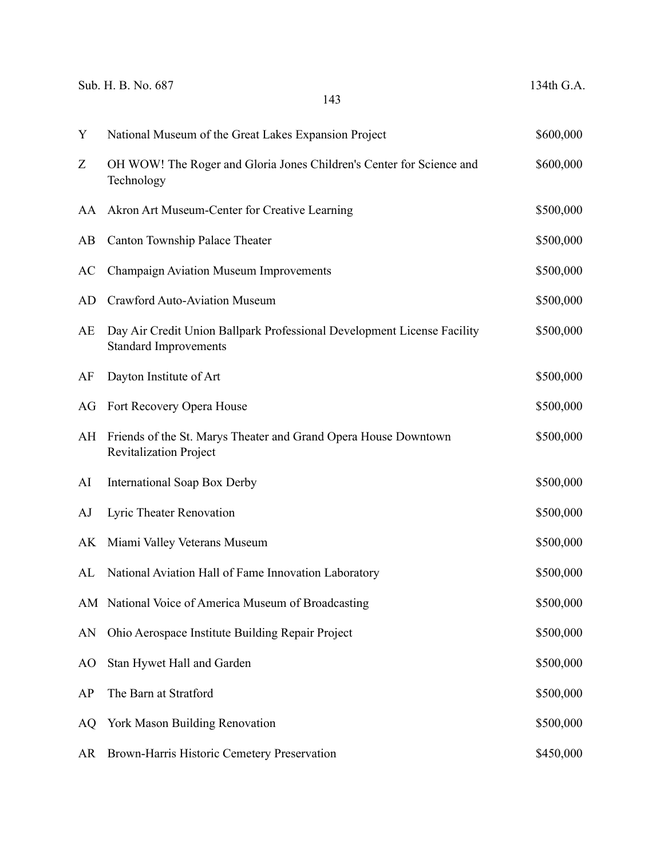|    | Sub. H. B. No. 687<br>143                                                                               | 134th G.A. |
|----|---------------------------------------------------------------------------------------------------------|------------|
| Y  | National Museum of the Great Lakes Expansion Project                                                    | \$600,000  |
| Z  | OH WOW! The Roger and Gloria Jones Children's Center for Science and<br>Technology                      | \$600,000  |
| AA | Akron Art Museum-Center for Creative Learning                                                           | \$500,000  |
| AB | Canton Township Palace Theater                                                                          | \$500,000  |
| AC | Champaign Aviation Museum Improvements                                                                  | \$500,000  |
| AD | <b>Crawford Auto-Aviation Museum</b>                                                                    | \$500,000  |
| AE | Day Air Credit Union Ballpark Professional Development License Facility<br><b>Standard Improvements</b> | \$500,000  |
| AF | Dayton Institute of Art                                                                                 | \$500,000  |
| AG | Fort Recovery Opera House                                                                               | \$500,000  |
| AH | Friends of the St. Marys Theater and Grand Opera House Downtown<br><b>Revitalization Project</b>        | \$500,000  |
| AI | International Soap Box Derby                                                                            | \$500,000  |
| AJ | Lyric Theater Renovation                                                                                | \$500,000  |
| AK | Miami Valley Veterans Museum                                                                            | \$500,000  |
| AL | National Aviation Hall of Fame Innovation Laboratory                                                    | \$500,000  |
|    | AM National Voice of America Museum of Broadcasting                                                     | \$500,000  |
| AN | Ohio Aerospace Institute Building Repair Project                                                        | \$500,000  |
| AO | Stan Hywet Hall and Garden                                                                              | \$500,000  |
| AP | The Barn at Stratford                                                                                   | \$500,000  |
| AQ | York Mason Building Renovation                                                                          | \$500,000  |
| AR | Brown-Harris Historic Cemetery Preservation                                                             | \$450,000  |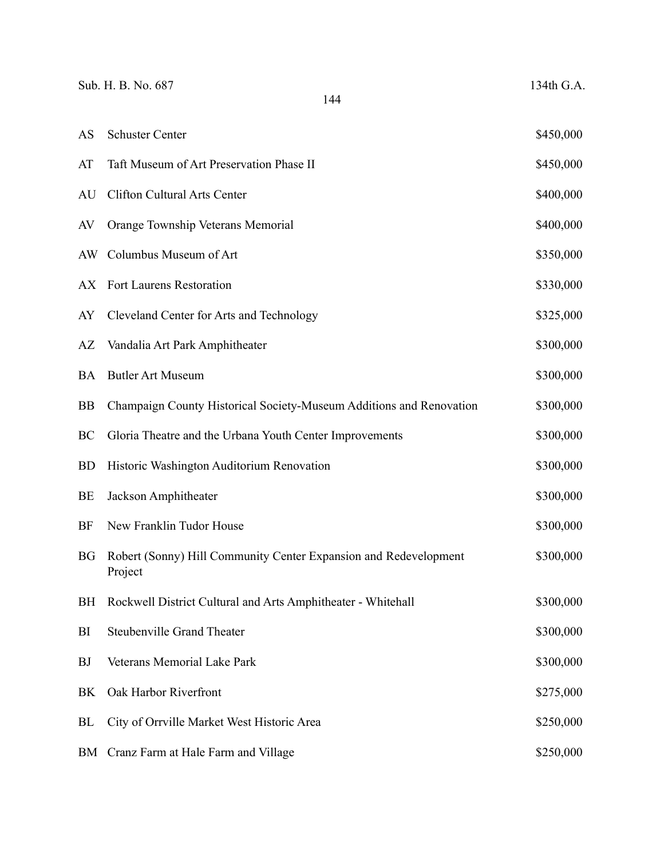|           | Sub. H. B. No. 687<br>144                                                   | 134th G.A. |
|-----------|-----------------------------------------------------------------------------|------------|
| AS        | <b>Schuster Center</b>                                                      | \$450,000  |
| AT        | Taft Museum of Art Preservation Phase II                                    | \$450,000  |
| AU        | Clifton Cultural Arts Center                                                | \$400,000  |
| AV        | Orange Township Veterans Memorial                                           | \$400,000  |
| AW.       | Columbus Museum of Art                                                      | \$350,000  |
| AX        | Fort Laurens Restoration                                                    | \$330,000  |
| AY        | Cleveland Center for Arts and Technology                                    | \$325,000  |
| AZ        | Vandalia Art Park Amphitheater                                              | \$300,000  |
| <b>BA</b> | <b>Butler Art Museum</b>                                                    | \$300,000  |
| <b>BB</b> | Champaign County Historical Society-Museum Additions and Renovation         | \$300,000  |
| BC        | Gloria Theatre and the Urbana Youth Center Improvements                     | \$300,000  |
| <b>BD</b> | Historic Washington Auditorium Renovation                                   | \$300,000  |
| BE        | Jackson Amphitheater                                                        | \$300,000  |
| BF        | New Franklin Tudor House                                                    | \$300,000  |
| <b>BG</b> | Robert (Sonny) Hill Community Center Expansion and Redevelopment<br>Project | \$300,000  |
| <b>BH</b> | Rockwell District Cultural and Arts Amphitheater - Whitehall                | \$300,000  |
| BI        | <b>Steubenville Grand Theater</b>                                           | \$300,000  |
| <b>BJ</b> | Veterans Memorial Lake Park                                                 | \$300,000  |
| BK        | Oak Harbor Riverfront                                                       | \$275,000  |
| BL        | City of Orrville Market West Historic Area                                  | \$250,000  |
| BM        | Cranz Farm at Hale Farm and Village                                         | \$250,000  |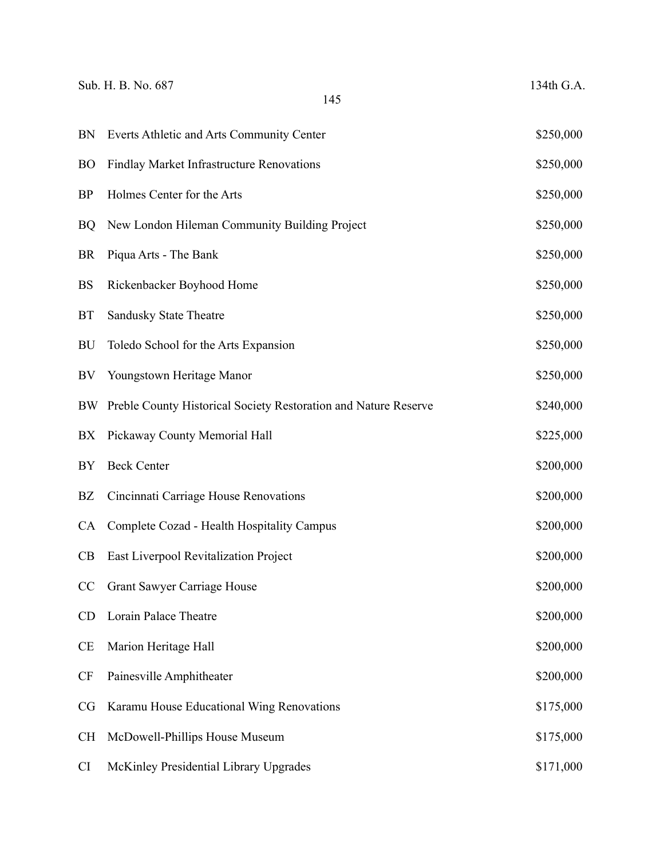| Sub. H. B. No. 687<br>145 |                                                                 | 134th G.A. |
|---------------------------|-----------------------------------------------------------------|------------|
| <b>BN</b>                 | Everts Athletic and Arts Community Center                       | \$250,000  |
| <b>BO</b>                 | Findlay Market Infrastructure Renovations                       | \$250,000  |
| <b>BP</b>                 | Holmes Center for the Arts                                      | \$250,000  |
| <b>BQ</b>                 | New London Hileman Community Building Project                   | \$250,000  |
| <b>BR</b>                 | Piqua Arts - The Bank                                           | \$250,000  |
| <b>BS</b>                 | Rickenbacker Boyhood Home                                       | \$250,000  |
| <b>BT</b>                 | <b>Sandusky State Theatre</b>                                   | \$250,000  |
| BU                        | Toledo School for the Arts Expansion                            | \$250,000  |
| BV                        | Youngstown Heritage Manor                                       | \$250,000  |
| BW                        | Preble County Historical Society Restoration and Nature Reserve | \$240,000  |
| BX                        | Pickaway County Memorial Hall                                   | \$225,000  |
| BY                        | <b>Beck Center</b>                                              | \$200,000  |
| <b>BZ</b>                 | Cincinnati Carriage House Renovations                           | \$200,000  |
| <b>CA</b>                 | Complete Cozad - Health Hospitality Campus                      | \$200,000  |
| CB                        | East Liverpool Revitalization Project                           | \$200,000  |
| CC                        | <b>Grant Sawyer Carriage House</b>                              | \$200,000  |
| CD                        | Lorain Palace Theatre                                           | \$200,000  |
| <b>CE</b>                 | Marion Heritage Hall                                            | \$200,000  |
| <b>CF</b>                 | Painesville Amphitheater                                        | \$200,000  |
| <b>CG</b>                 | Karamu House Educational Wing Renovations                       | \$175,000  |
| <b>CH</b>                 | McDowell-Phillips House Museum                                  | \$175,000  |
| <b>CI</b>                 | McKinley Presidential Library Upgrades                          | \$171,000  |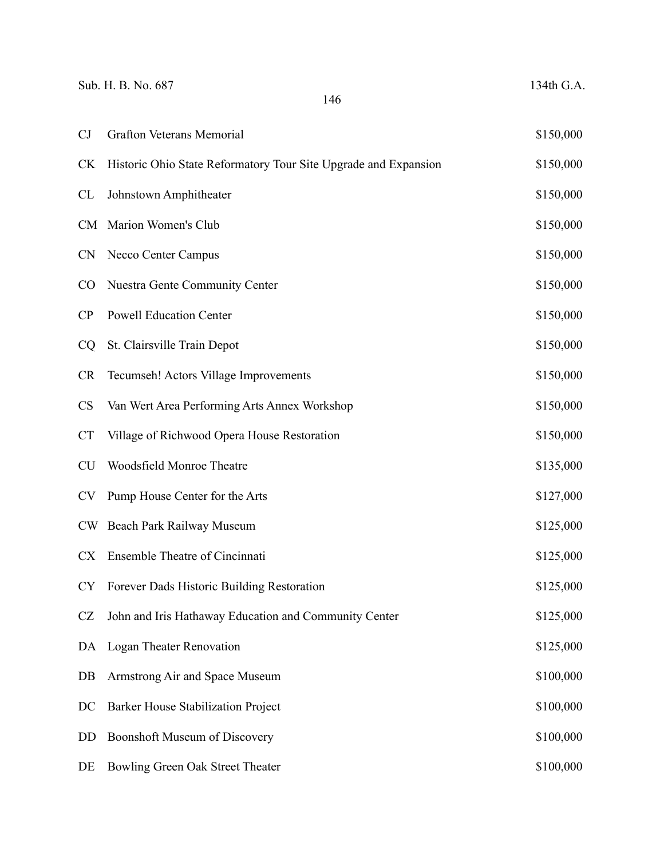| Sub. H. B. No. 687<br>146 |                                                                 |           |
|---------------------------|-----------------------------------------------------------------|-----------|
| CJ                        | <b>Grafton Veterans Memorial</b>                                | \$150,000 |
| <b>CK</b>                 | Historic Ohio State Reformatory Tour Site Upgrade and Expansion | \$150,000 |
| <b>CL</b>                 | Johnstown Amphitheater                                          | \$150,000 |
| <b>CM</b>                 | Marion Women's Club                                             | \$150,000 |
| <b>CN</b>                 | Necco Center Campus                                             | \$150,000 |
| $\rm CO$                  | Nuestra Gente Community Center                                  | \$150,000 |
| CP                        | <b>Powell Education Center</b>                                  | \$150,000 |
| <b>CQ</b>                 | St. Clairsville Train Depot                                     | \$150,000 |
| <b>CR</b>                 | Tecumseh! Actors Village Improvements                           | \$150,000 |
| <b>CS</b>                 | Van Wert Area Performing Arts Annex Workshop                    | \$150,000 |
| <b>CT</b>                 | Village of Richwood Opera House Restoration                     | \$150,000 |
| <b>CU</b>                 | Woodsfield Monroe Theatre                                       | \$135,000 |
| <b>CV</b>                 | Pump House Center for the Arts                                  | \$127,000 |
| <b>CW</b>                 | Beach Park Railway Museum                                       | \$125,000 |
| CX                        | Ensemble Theatre of Cincinnati                                  | \$125,000 |
| <b>CY</b>                 | Forever Dads Historic Building Restoration                      | \$125,000 |
| <b>CZ</b>                 | John and Iris Hathaway Education and Community Center           | \$125,000 |
| DA                        | <b>Logan Theater Renovation</b>                                 | \$125,000 |
| $DB$                      | Armstrong Air and Space Museum                                  | \$100,000 |
| DC                        | Barker House Stabilization Project                              | \$100,000 |
| DD                        | Boonshoft Museum of Discovery                                   | \$100,000 |
| DE                        | Bowling Green Oak Street Theater                                | \$100,000 |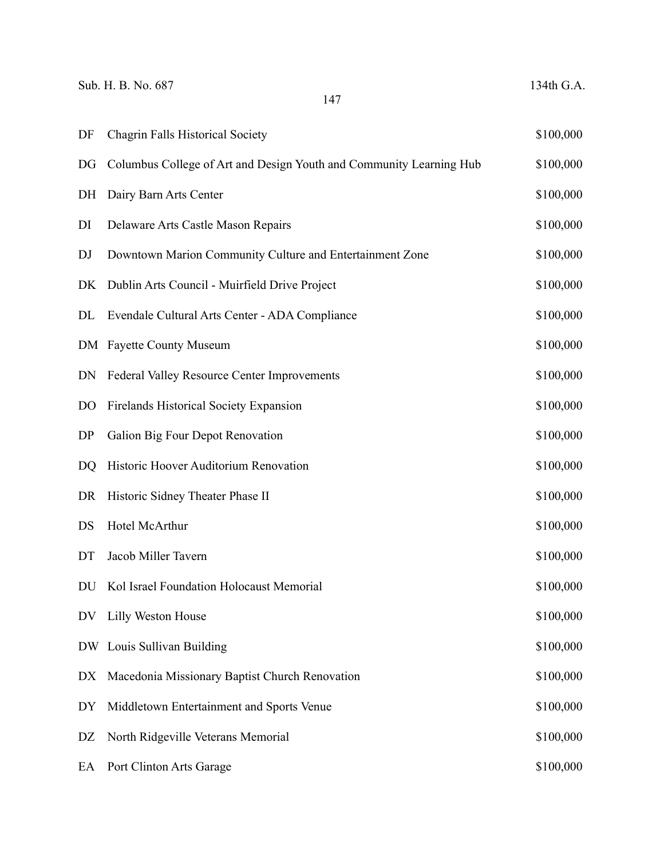| Sub. H. B. No. 687<br>147 |                                                                     | 134th G.A. |
|---------------------------|---------------------------------------------------------------------|------------|
| DF                        | <b>Chagrin Falls Historical Society</b>                             | \$100,000  |
| DG                        | Columbus College of Art and Design Youth and Community Learning Hub | \$100,000  |
| DH                        | Dairy Barn Arts Center                                              | \$100,000  |
| DI                        | Delaware Arts Castle Mason Repairs                                  | \$100,000  |
| DJ                        | Downtown Marion Community Culture and Entertainment Zone            | \$100,000  |
| DK                        | Dublin Arts Council - Muirfield Drive Project                       | \$100,000  |
| DL                        | Evendale Cultural Arts Center - ADA Compliance                      | \$100,000  |
|                           | DM Fayette County Museum                                            | \$100,000  |
| DN                        | Federal Valley Resource Center Improvements                         | \$100,000  |
| D <sub>O</sub>            | <b>Firelands Historical Society Expansion</b>                       | \$100,000  |
| DP                        | Galion Big Four Depot Renovation                                    | \$100,000  |
| DQ                        | Historic Hoover Auditorium Renovation                               | \$100,000  |
| DR                        | Historic Sidney Theater Phase II                                    | \$100,000  |
| DS                        | Hotel McArthur                                                      | \$100,000  |
| DT                        | Jacob Miller Tavern                                                 | \$100,000  |
| DU                        | Kol Israel Foundation Holocaust Memorial                            | \$100,000  |
| DV                        | Lilly Weston House                                                  | \$100,000  |
|                           | DW Louis Sullivan Building                                          | \$100,000  |
| DX                        | Macedonia Missionary Baptist Church Renovation                      | \$100,000  |
| DY                        | Middletown Entertainment and Sports Venue                           | \$100,000  |
| DZ                        | North Ridgeville Veterans Memorial                                  | \$100,000  |
| EA                        | Port Clinton Arts Garage                                            | \$100,000  |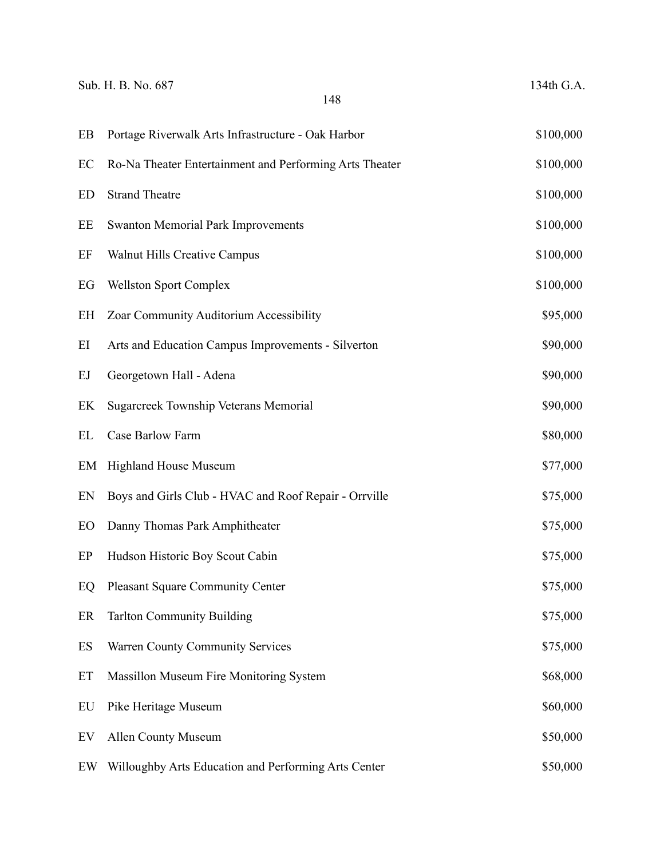|    | Sub. H. B. No. 687<br>148                               | 134th G.A. |
|----|---------------------------------------------------------|------------|
| EB | Portage Riverwalk Arts Infrastructure - Oak Harbor      | \$100,000  |
| EC | Ro-Na Theater Entertainment and Performing Arts Theater | \$100,000  |
| ED | <b>Strand Theatre</b>                                   | \$100,000  |
| EE | <b>Swanton Memorial Park Improvements</b>               | \$100,000  |
| EF | <b>Walnut Hills Creative Campus</b>                     | \$100,000  |
| EG | <b>Wellston Sport Complex</b>                           | \$100,000  |
| EH | Zoar Community Auditorium Accessibility                 | \$95,000   |
| EI | Arts and Education Campus Improvements - Silverton      | \$90,000   |
| EJ | Georgetown Hall - Adena                                 | \$90,000   |
| EK | <b>Sugarcreek Township Veterans Memorial</b>            | \$90,000   |
| EL | Case Barlow Farm                                        | \$80,000   |
| EM | <b>Highland House Museum</b>                            | \$77,000   |
| EN | Boys and Girls Club - HVAC and Roof Repair - Orrville   | \$75,000   |
| EO | Danny Thomas Park Amphitheater                          | \$75,000   |
| EP | Hudson Historic Boy Scout Cabin                         | \$75,000   |
| EQ | <b>Pleasant Square Community Center</b>                 | \$75,000   |
| ER | <b>Tarlton Community Building</b>                       | \$75,000   |
| ES | <b>Warren County Community Services</b>                 | \$75,000   |
| ET | Massillon Museum Fire Monitoring System                 | \$68,000   |
| EU | Pike Heritage Museum                                    | \$60,000   |
| EV | <b>Allen County Museum</b>                              | \$50,000   |
| EW | Willoughby Arts Education and Performing Arts Center    | \$50,000   |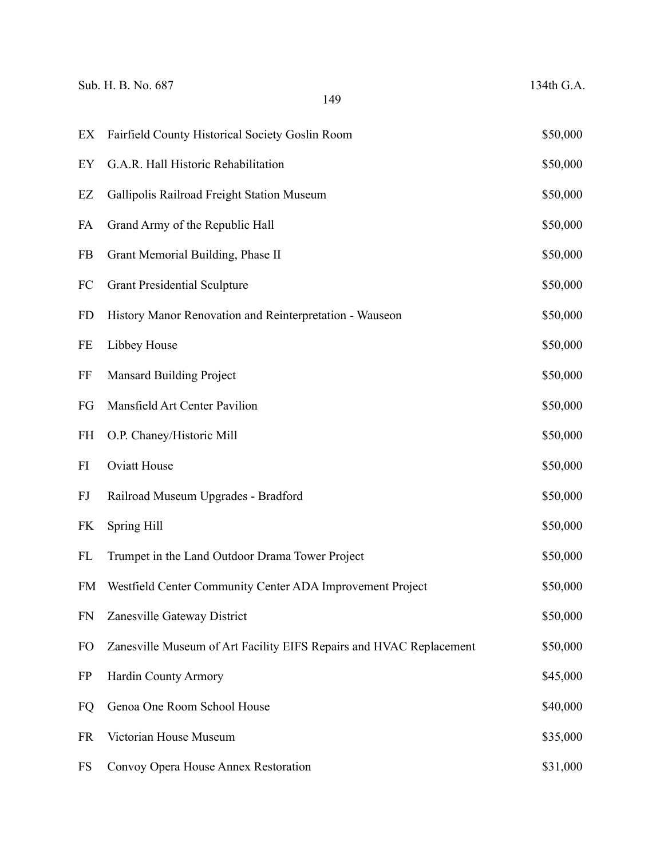|           | Sub. H. B. No. 687<br>149                                           | 134th G.A. |
|-----------|---------------------------------------------------------------------|------------|
| EX        | Fairfield County Historical Society Goslin Room                     | \$50,000   |
| EY        | G.A.R. Hall Historic Rehabilitation                                 | \$50,000   |
| EZ        | Gallipolis Railroad Freight Station Museum                          | \$50,000   |
| FA        | Grand Army of the Republic Hall                                     | \$50,000   |
| FB        | Grant Memorial Building, Phase II                                   | \$50,000   |
| FC        | <b>Grant Presidential Sculpture</b>                                 | \$50,000   |
| <b>FD</b> | History Manor Renovation and Reinterpretation - Wauseon             | \$50,000   |
| FE        | Libbey House                                                        | \$50,000   |
| FF        | <b>Mansard Building Project</b>                                     | \$50,000   |
| FG        | Mansfield Art Center Pavilion                                       | \$50,000   |
| <b>FH</b> | O.P. Chaney/Historic Mill                                           | \$50,000   |
| FI        | <b>Oviatt House</b>                                                 | \$50,000   |
| FJ        | Railroad Museum Upgrades - Bradford                                 | \$50,000   |
| FK        | Spring Hill                                                         | \$50,000   |
| FL        | Trumpet in the Land Outdoor Drama Tower Project                     | \$50,000   |
| FM        | Westfield Center Community Center ADA Improvement Project           | \$50,000   |
| <b>FN</b> | Zanesville Gateway District                                         | \$50,000   |
| FO        | Zanesville Museum of Art Facility EIFS Repairs and HVAC Replacement | \$50,000   |
| <b>FP</b> | Hardin County Armory                                                | \$45,000   |
| FQ        | Genoa One Room School House                                         | \$40,000   |
| <b>FR</b> | Victorian House Museum                                              | \$35,000   |
| <b>FS</b> | Convoy Opera House Annex Restoration                                | \$31,000   |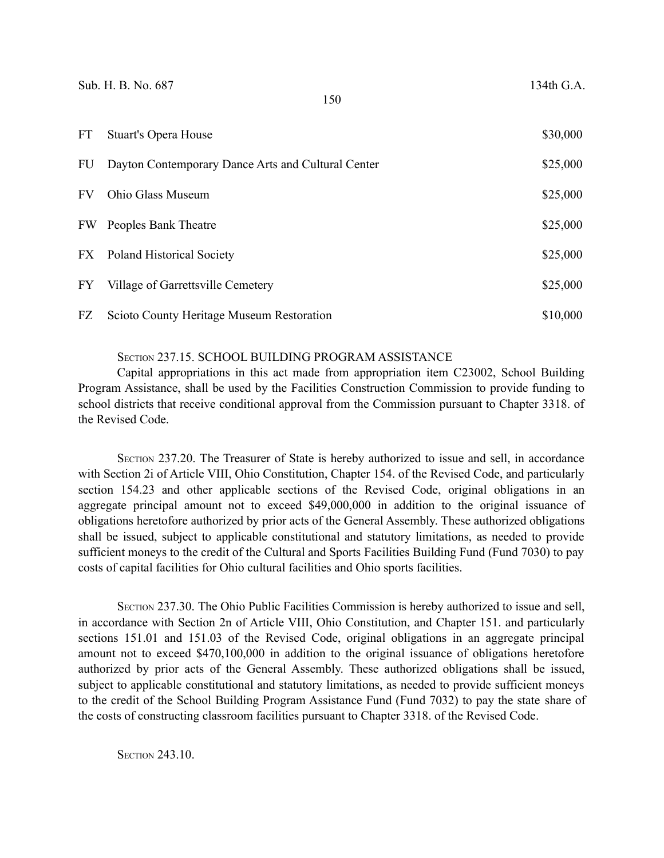| <b>FT</b> | <b>Stuart's Opera House</b>                        | \$30,000 |
|-----------|----------------------------------------------------|----------|
| FU        | Dayton Contemporary Dance Arts and Cultural Center | \$25,000 |
| <b>FV</b> | Ohio Glass Museum                                  | \$25,000 |
| FW        | Peoples Bank Theatre                               | \$25,000 |
|           | FX Poland Historical Society                       | \$25,000 |
| FY        | Village of Garrettsville Cemetery                  | \$25,000 |
| FZ        | Scioto County Heritage Museum Restoration          | \$10,000 |

### SECTION 237.15. SCHOOL BUILDING PROGRAM ASSISTANCE

Capital appropriations in this act made from appropriation item C23002, School Building Program Assistance, shall be used by the Facilities Construction Commission to provide funding to school districts that receive conditional approval from the Commission pursuant to Chapter 3318. of the Revised Code.

SECTION 237.20. The Treasurer of State is hereby authorized to issue and sell, in accordance with Section 2i of Article VIII, Ohio Constitution, Chapter 154. of the Revised Code, and particularly section 154.23 and other applicable sections of the Revised Code, original obligations in an aggregate principal amount not to exceed \$49,000,000 in addition to the original issuance of obligations heretofore authorized by prior acts of the General Assembly. These authorized obligations shall be issued, subject to applicable constitutional and statutory limitations, as needed to provide sufficient moneys to the credit of the Cultural and Sports Facilities Building Fund (Fund 7030) to pay costs of capital facilities for Ohio cultural facilities and Ohio sports facilities.

SECTION 237.30. The Ohio Public Facilities Commission is hereby authorized to issue and sell, in accordance with Section 2n of Article VIII, Ohio Constitution, and Chapter 151. and particularly sections 151.01 and 151.03 of the Revised Code, original obligations in an aggregate principal amount not to exceed \$470,100,000 in addition to the original issuance of obligations heretofore authorized by prior acts of the General Assembly. These authorized obligations shall be issued, subject to applicable constitutional and statutory limitations, as needed to provide sufficient moneys to the credit of the School Building Program Assistance Fund (Fund 7032) to pay the state share of the costs of constructing classroom facilities pursuant to Chapter 3318. of the Revised Code.

**SECTION 243.10.**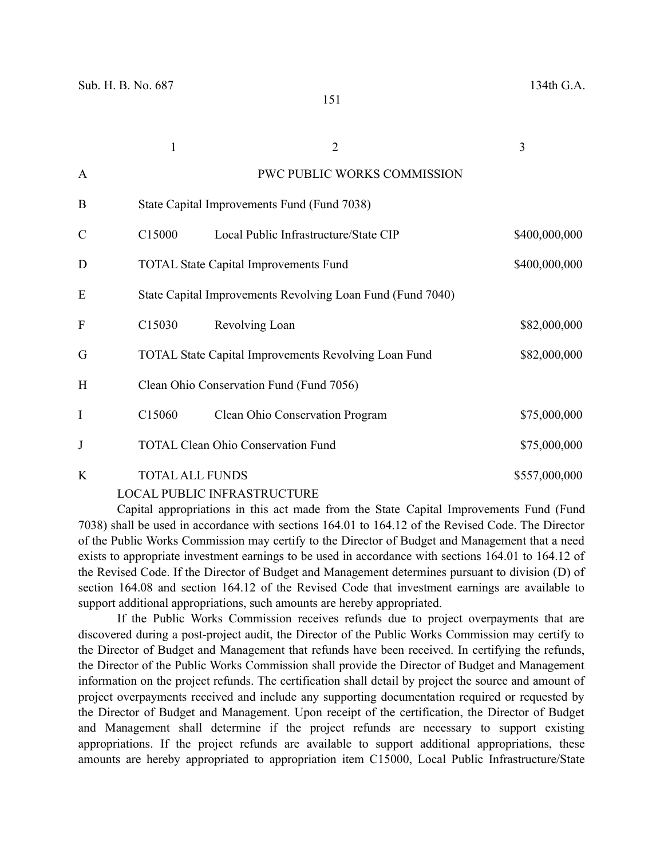|               |                        |                                                             | 3             |
|---------------|------------------------|-------------------------------------------------------------|---------------|
| A             |                        | PWC PUBLIC WORKS COMMISSION                                 |               |
| B             |                        | State Capital Improvements Fund (Fund 7038)                 |               |
| $\mathcal{C}$ | C <sub>15000</sub>     | Local Public Infrastructure/State CIP                       | \$400,000,000 |
| D             |                        | <b>TOTAL State Capital Improvements Fund</b>                | \$400,000,000 |
| E             |                        | State Capital Improvements Revolving Loan Fund (Fund 7040)  |               |
| $\mathbf F$   | C15030                 | Revolving Loan                                              | \$82,000,000  |
| G             |                        | <b>TOTAL State Capital Improvements Revolving Loan Fund</b> | \$82,000,000  |
| H             |                        | Clean Ohio Conservation Fund (Fund 7056)                    |               |
| I             | C <sub>15060</sub>     | Clean Ohio Conservation Program                             | \$75,000,000  |
| $\bf J$       |                        | <b>TOTAL Clean Ohio Conservation Fund</b>                   | \$75,000,000  |
| K             | <b>TOTAL ALL FUNDS</b> |                                                             | \$557,000,000 |

#### LOCAL PUBLIC INFRASTRUCTURE

Capital appropriations in this act made from the State Capital Improvements Fund (Fund 7038) shall be used in accordance with sections 164.01 to 164.12 of the Revised Code. The Director of the Public Works Commission may certify to the Director of Budget and Management that a need exists to appropriate investment earnings to be used in accordance with sections 164.01 to 164.12 of the Revised Code. If the Director of Budget and Management determines pursuant to division (D) of section 164.08 and section 164.12 of the Revised Code that investment earnings are available to support additional appropriations, such amounts are hereby appropriated.

If the Public Works Commission receives refunds due to project overpayments that are discovered during a post-project audit, the Director of the Public Works Commission may certify to the Director of Budget and Management that refunds have been received. In certifying the refunds, the Director of the Public Works Commission shall provide the Director of Budget and Management information on the project refunds. The certification shall detail by project the source and amount of project overpayments received and include any supporting documentation required or requested by the Director of Budget and Management. Upon receipt of the certification, the Director of Budget and Management shall determine if the project refunds are necessary to support existing appropriations. If the project refunds are available to support additional appropriations, these amounts are hereby appropriated to appropriation item C15000, Local Public Infrastructure/State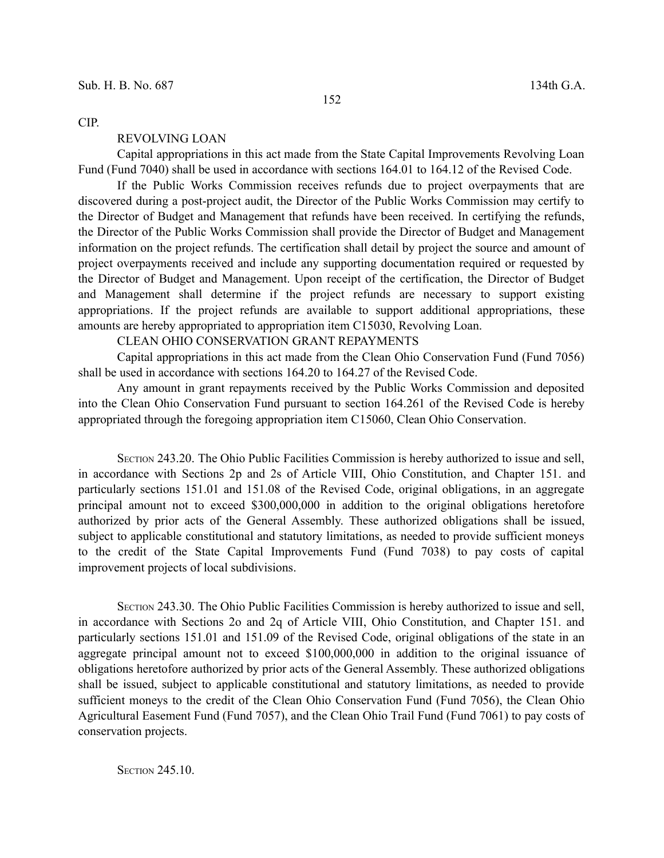CIP.

#### REVOLVING LOAN

Capital appropriations in this act made from the State Capital Improvements Revolving Loan Fund (Fund 7040) shall be used in accordance with sections 164.01 to 164.12 of the Revised Code.

If the Public Works Commission receives refunds due to project overpayments that are discovered during a post-project audit, the Director of the Public Works Commission may certify to the Director of Budget and Management that refunds have been received. In certifying the refunds, the Director of the Public Works Commission shall provide the Director of Budget and Management information on the project refunds. The certification shall detail by project the source and amount of project overpayments received and include any supporting documentation required or requested by the Director of Budget and Management. Upon receipt of the certification, the Director of Budget and Management shall determine if the project refunds are necessary to support existing appropriations. If the project refunds are available to support additional appropriations, these amounts are hereby appropriated to appropriation item C15030, Revolving Loan.

## CLEAN OHIO CONSERVATION GRANT REPAYMENTS

Capital appropriations in this act made from the Clean Ohio Conservation Fund (Fund 7056) shall be used in accordance with sections 164.20 to 164.27 of the Revised Code.

Any amount in grant repayments received by the Public Works Commission and deposited into the Clean Ohio Conservation Fund pursuant to section 164.261 of the Revised Code is hereby appropriated through the foregoing appropriation item C15060, Clean Ohio Conservation.

SECTION 243.20. The Ohio Public Facilities Commission is hereby authorized to issue and sell, in accordance with Sections 2p and 2s of Article VIII, Ohio Constitution, and Chapter 151. and particularly sections 151.01 and 151.08 of the Revised Code, original obligations, in an aggregate principal amount not to exceed \$300,000,000 in addition to the original obligations heretofore authorized by prior acts of the General Assembly. These authorized obligations shall be issued, subject to applicable constitutional and statutory limitations, as needed to provide sufficient moneys to the credit of the State Capital Improvements Fund (Fund 7038) to pay costs of capital improvement projects of local subdivisions.

SECTION 243.30. The Ohio Public Facilities Commission is hereby authorized to issue and sell, in accordance with Sections 2o and 2q of Article VIII, Ohio Constitution, and Chapter 151. and particularly sections 151.01 and 151.09 of the Revised Code, original obligations of the state in an aggregate principal amount not to exceed \$100,000,000 in addition to the original issuance of obligations heretofore authorized by prior acts of the General Assembly. These authorized obligations shall be issued, subject to applicable constitutional and statutory limitations, as needed to provide sufficient moneys to the credit of the Clean Ohio Conservation Fund (Fund 7056), the Clean Ohio Agricultural Easement Fund (Fund 7057), and the Clean Ohio Trail Fund (Fund 7061) to pay costs of conservation projects.

**SECTION 245.10.**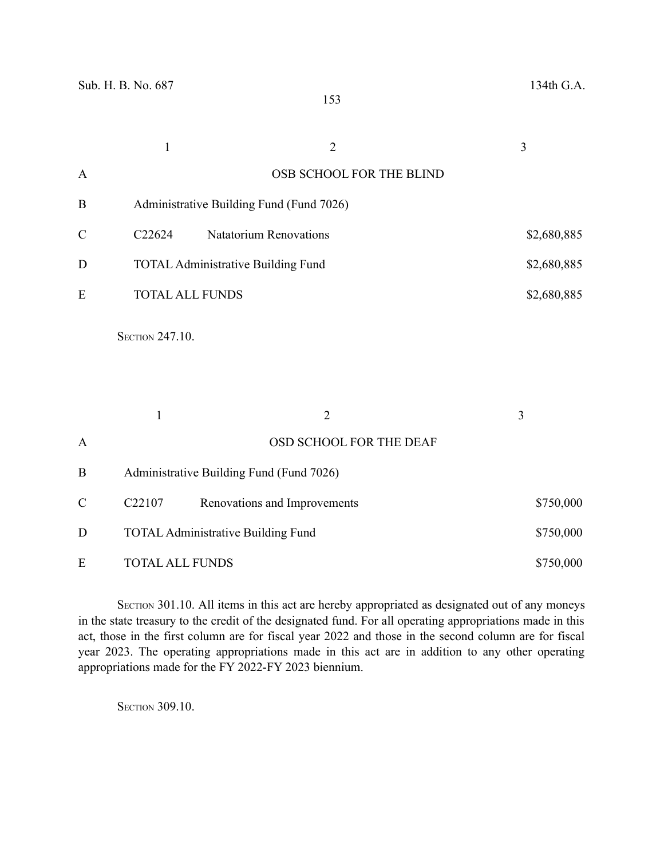|               | $\mathbf{1}$                                           | $\overline{2}$                | 3           |
|---------------|--------------------------------------------------------|-------------------------------|-------------|
| $\mathbf{A}$  |                                                        | OSB SCHOOL FOR THE BLIND      |             |
| $\, {\bf B}$  | Administrative Building Fund (Fund 7026)               |                               |             |
| $\mathcal{C}$ | C22624                                                 | <b>Natatorium Renovations</b> | \$2,680,885 |
| D             | <b>TOTAL Administrative Building Fund</b>              |                               | \$2,680,885 |
| E             | <b>TOTAL ALL FUNDS</b>                                 |                               | \$2,680,885 |
|               | SECTION 247.10.                                        |                               |             |
|               | $\mathbf{1}$                                           | $\overline{2}$                | 3           |
| $\mathbf{A}$  |                                                        | OSD SCHOOL FOR THE DEAF       |             |
| $\, {\bf B}$  | Administrative Building Fund (Fund 7026)               |                               |             |
| $\mathcal{C}$ | C22107                                                 | Renovations and Improvements  | \$750,000   |
| D             | <b>TOTAL Administrative Building Fund</b><br>\$750,000 |                               |             |
| E             | <b>TOTAL ALL FUNDS</b>                                 |                               | \$750,000   |

SECTION 301.10. All items in this act are hereby appropriated as designated out of any moneys in the state treasury to the credit of the designated fund. For all operating appropriations made in this act, those in the first column are for fiscal year 2022 and those in the second column are for fiscal year 2023. The operating appropriations made in this act are in addition to any other operating appropriations made for the FY 2022-FY 2023 biennium.

**SECTION 309.10.**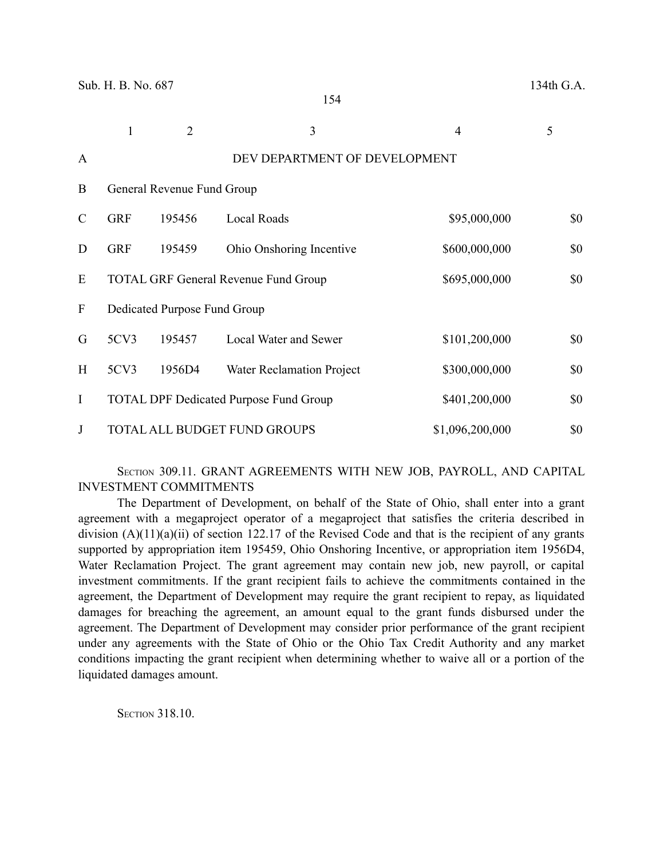|   |            | 2                            | 3                                             | 4               | 5   |
|---|------------|------------------------------|-----------------------------------------------|-----------------|-----|
| A |            |                              | DEV DEPARTMENT OF DEVELOPMENT                 |                 |     |
| B |            | General Revenue Fund Group   |                                               |                 |     |
| C | <b>GRF</b> | 195456                       | Local Roads                                   | \$95,000,000    | \$0 |
| D | <b>GRF</b> | 195459                       | Ohio Onshoring Incentive                      | \$600,000,000   | \$0 |
| E |            |                              | <b>TOTAL GRF General Revenue Fund Group</b>   | \$695,000,000   | \$0 |
| F |            | Dedicated Purpose Fund Group |                                               |                 |     |
| G | 5CV3       | 195457                       | <b>Local Water and Sewer</b>                  | \$101,200,000   | \$0 |
| H | 5CV3       | 1956D4                       | Water Reclamation Project                     | \$300,000,000   | \$0 |
| I |            |                              | <b>TOTAL DPF Dedicated Purpose Fund Group</b> | \$401,200,000   | \$0 |
| J |            |                              | TOTAL ALL BUDGET FUND GROUPS                  | \$1,096,200,000 | \$0 |

## SECTION 309.11. GRANT AGREEMENTS WITH NEW JOB, PAYROLL, AND CAPITAL INVESTMENT COMMITMENTS

The Department of Development, on behalf of the State of Ohio, shall enter into a grant agreement with a megaproject operator of a megaproject that satisfies the criteria described in division  $(A)(11)(a)(ii)$  of section 122.17 of the Revised Code and that is the recipient of any grants supported by appropriation item 195459, Ohio Onshoring Incentive, or appropriation item 1956D4, Water Reclamation Project. The grant agreement may contain new job, new payroll, or capital investment commitments. If the grant recipient fails to achieve the commitments contained in the agreement, the Department of Development may require the grant recipient to repay, as liquidated damages for breaching the agreement, an amount equal to the grant funds disbursed under the agreement. The Department of Development may consider prior performance of the grant recipient under any agreements with the State of Ohio or the Ohio Tax Credit Authority and any market conditions impacting the grant recipient when determining whether to waive all or a portion of the liquidated damages amount.

**SECTION 318.10.**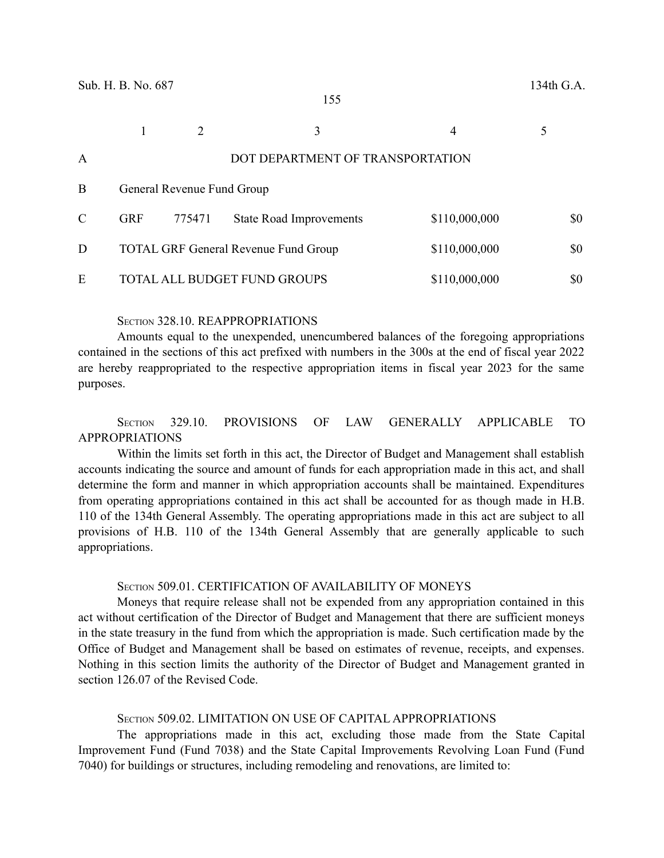|   |            |                            | 3                                           | 4             |     |
|---|------------|----------------------------|---------------------------------------------|---------------|-----|
| A |            |                            | DOT DEPARTMENT OF TRANSPORTATION            |               |     |
| B |            | General Revenue Fund Group |                                             |               |     |
| C | <b>GRF</b> | 775471                     | <b>State Road Improvements</b>              | \$110,000,000 | \$0 |
| D |            |                            | <b>TOTAL GRF General Revenue Fund Group</b> | \$110,000,000 | \$0 |
| E |            |                            | TOTAL ALL BUDGET FUND GROUPS                | \$110,000,000 | \$0 |

### SECTION 328.10. REAPPROPRIATIONS

Amounts equal to the unexpended, unencumbered balances of the foregoing appropriations contained in the sections of this act prefixed with numbers in the 300s at the end of fiscal year 2022 are hereby reappropriated to the respective appropriation items in fiscal year 2023 for the same purposes.

## SECTION 329.10. PROVISIONS OF LAW GENERALLY APPLICABLE TO APPROPRIATIONS

Within the limits set forth in this act, the Director of Budget and Management shall establish accounts indicating the source and amount of funds for each appropriation made in this act, and shall determine the form and manner in which appropriation accounts shall be maintained. Expenditures from operating appropriations contained in this act shall be accounted for as though made in H.B. 110 of the 134th General Assembly. The operating appropriations made in this act are subject to all provisions of H.B. 110 of the 134th General Assembly that are generally applicable to such appropriations.

#### SECTION 509.01. CERTIFICATION OF AVAILABILITY OF MONEYS

Moneys that require release shall not be expended from any appropriation contained in this act without certification of the Director of Budget and Management that there are sufficient moneys in the state treasury in the fund from which the appropriation is made. Such certification made by the Office of Budget and Management shall be based on estimates of revenue, receipts, and expenses. Nothing in this section limits the authority of the Director of Budget and Management granted in section 126.07 of the Revised Code.

#### SECTION 509.02. LIMITATION ON USE OF CAPITAL APPROPRIATIONS

The appropriations made in this act, excluding those made from the State Capital Improvement Fund (Fund 7038) and the State Capital Improvements Revolving Loan Fund (Fund 7040) for buildings or structures, including remodeling and renovations, are limited to: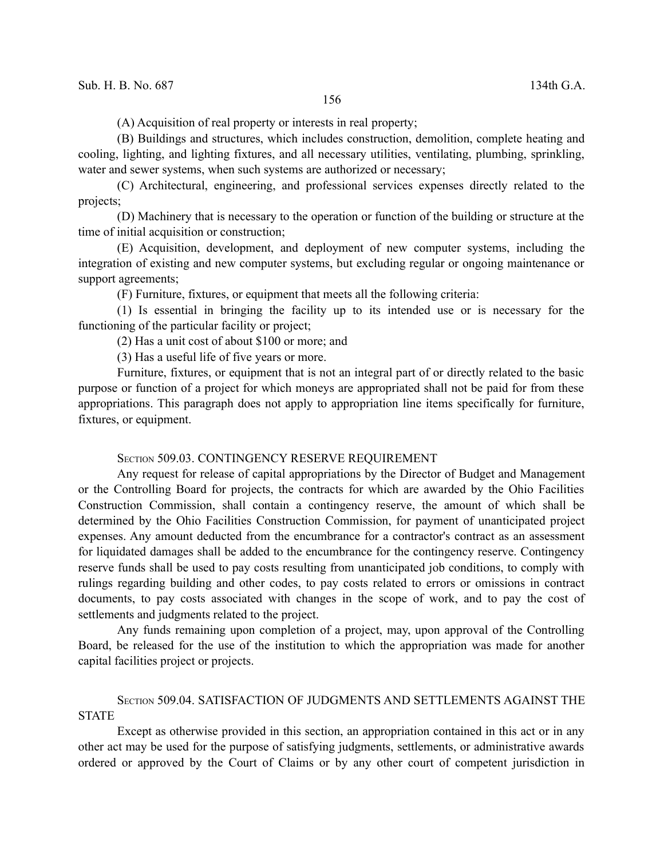(A) Acquisition of real property or interests in real property;

(B) Buildings and structures, which includes construction, demolition, complete heating and cooling, lighting, and lighting fixtures, and all necessary utilities, ventilating, plumbing, sprinkling, water and sewer systems, when such systems are authorized or necessary;

(C) Architectural, engineering, and professional services expenses directly related to the projects;

(D) Machinery that is necessary to the operation or function of the building or structure at the time of initial acquisition or construction;

(E) Acquisition, development, and deployment of new computer systems, including the integration of existing and new computer systems, but excluding regular or ongoing maintenance or support agreements;

(F) Furniture, fixtures, or equipment that meets all the following criteria:

(1) Is essential in bringing the facility up to its intended use or is necessary for the functioning of the particular facility or project;

(2) Has a unit cost of about \$100 or more; and

(3) Has a useful life of five years or more.

Furniture, fixtures, or equipment that is not an integral part of or directly related to the basic purpose or function of a project for which moneys are appropriated shall not be paid for from these appropriations. This paragraph does not apply to appropriation line items specifically for furniture, fixtures, or equipment.

### SECTION 509.03. CONTINGENCY RESERVE REQUIREMENT

Any request for release of capital appropriations by the Director of Budget and Management or the Controlling Board for projects, the contracts for which are awarded by the Ohio Facilities Construction Commission, shall contain a contingency reserve, the amount of which shall be determined by the Ohio Facilities Construction Commission, for payment of unanticipated project expenses. Any amount deducted from the encumbrance for a contractor's contract as an assessment for liquidated damages shall be added to the encumbrance for the contingency reserve. Contingency reserve funds shall be used to pay costs resulting from unanticipated job conditions, to comply with rulings regarding building and other codes, to pay costs related to errors or omissions in contract documents, to pay costs associated with changes in the scope of work, and to pay the cost of settlements and judgments related to the project.

Any funds remaining upon completion of a project, may, upon approval of the Controlling Board, be released for the use of the institution to which the appropriation was made for another capital facilities project or projects.

## SECTION 509.04. SATISFACTION OF JUDGMENTS AND SETTLEMENTS AGAINST THE **STATE**

Except as otherwise provided in this section, an appropriation contained in this act or in any other act may be used for the purpose of satisfying judgments, settlements, or administrative awards ordered or approved by the Court of Claims or by any other court of competent jurisdiction in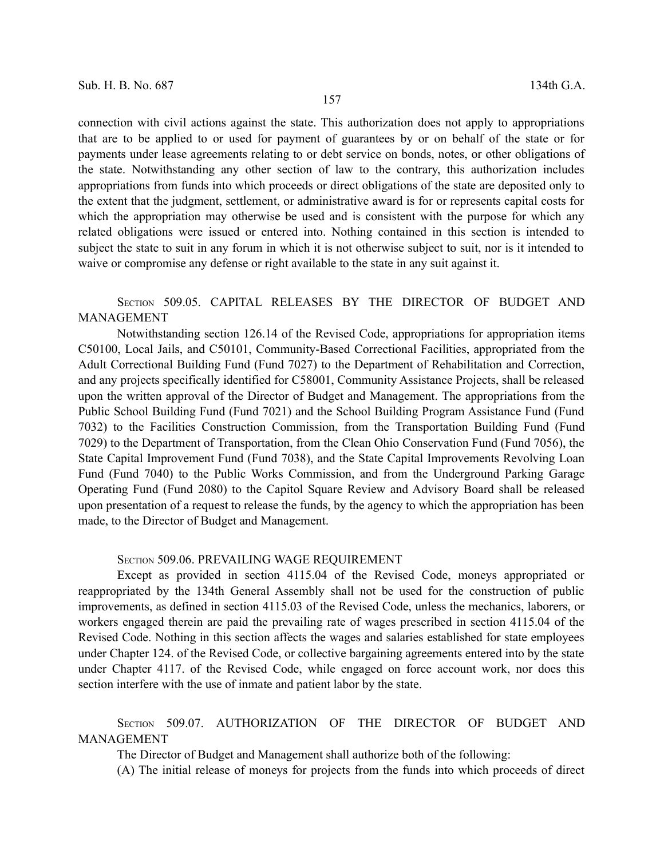connection with civil actions against the state. This authorization does not apply to appropriations that are to be applied to or used for payment of guarantees by or on behalf of the state or for payments under lease agreements relating to or debt service on bonds, notes, or other obligations of the state. Notwithstanding any other section of law to the contrary, this authorization includes appropriations from funds into which proceeds or direct obligations of the state are deposited only to the extent that the judgment, settlement, or administrative award is for or represents capital costs for which the appropriation may otherwise be used and is consistent with the purpose for which any related obligations were issued or entered into. Nothing contained in this section is intended to subject the state to suit in any forum in which it is not otherwise subject to suit, nor is it intended to waive or compromise any defense or right available to the state in any suit against it.

## SECTION 509.05. CAPITAL RELEASES BY THE DIRECTOR OF BUDGET AND MANAGEMENT

Notwithstanding section 126.14 of the Revised Code, appropriations for appropriation items C50100, Local Jails, and C50101, Community-Based Correctional Facilities, appropriated from the Adult Correctional Building Fund (Fund 7027) to the Department of Rehabilitation and Correction, and any projects specifically identified for C58001, Community Assistance Projects, shall be released upon the written approval of the Director of Budget and Management. The appropriations from the Public School Building Fund (Fund 7021) and the School Building Program Assistance Fund (Fund 7032) to the Facilities Construction Commission, from the Transportation Building Fund (Fund 7029) to the Department of Transportation, from the Clean Ohio Conservation Fund (Fund 7056), the State Capital Improvement Fund (Fund 7038), and the State Capital Improvements Revolving Loan Fund (Fund 7040) to the Public Works Commission, and from the Underground Parking Garage Operating Fund (Fund 2080) to the Capitol Square Review and Advisory Board shall be released upon presentation of a request to release the funds, by the agency to which the appropriation has been made, to the Director of Budget and Management.

#### SECTION 509.06. PREVAILING WAGE REQUIREMENT

Except as provided in section 4115.04 of the Revised Code, moneys appropriated or reappropriated by the 134th General Assembly shall not be used for the construction of public improvements, as defined in section 4115.03 of the Revised Code, unless the mechanics, laborers, or workers engaged therein are paid the prevailing rate of wages prescribed in section 4115.04 of the Revised Code. Nothing in this section affects the wages and salaries established for state employees under Chapter 124. of the Revised Code, or collective bargaining agreements entered into by the state under Chapter 4117. of the Revised Code, while engaged on force account work, nor does this section interfere with the use of inmate and patient labor by the state.

SECTION 509.07. AUTHORIZATION OF THE DIRECTOR OF BUDGET AND MANAGEMENT

The Director of Budget and Management shall authorize both of the following:

(A) The initial release of moneys for projects from the funds into which proceeds of direct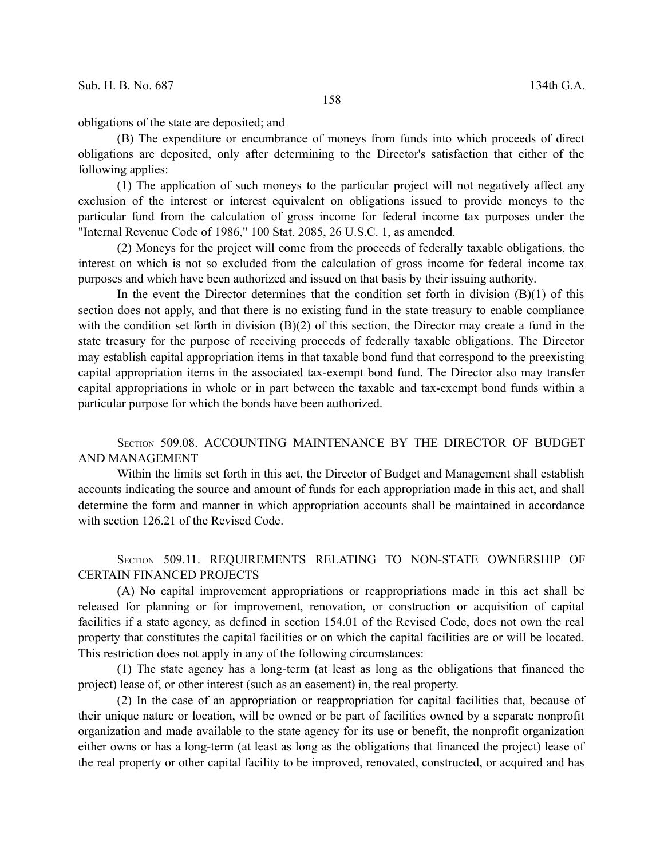obligations of the state are deposited; and

(B) The expenditure or encumbrance of moneys from funds into which proceeds of direct obligations are deposited, only after determining to the Director's satisfaction that either of the following applies:

(1) The application of such moneys to the particular project will not negatively affect any exclusion of the interest or interest equivalent on obligations issued to provide moneys to the particular fund from the calculation of gross income for federal income tax purposes under the "Internal Revenue Code of 1986," 100 Stat. 2085, 26 U.S.C. 1, as amended.

(2) Moneys for the project will come from the proceeds of federally taxable obligations, the interest on which is not so excluded from the calculation of gross income for federal income tax purposes and which have been authorized and issued on that basis by their issuing authority.

In the event the Director determines that the condition set forth in division  $(B)(1)$  of this section does not apply, and that there is no existing fund in the state treasury to enable compliance with the condition set forth in division (B)(2) of this section, the Director may create a fund in the state treasury for the purpose of receiving proceeds of federally taxable obligations. The Director may establish capital appropriation items in that taxable bond fund that correspond to the preexisting capital appropriation items in the associated tax-exempt bond fund. The Director also may transfer capital appropriations in whole or in part between the taxable and tax-exempt bond funds within a particular purpose for which the bonds have been authorized.

## SECTION 509.08. ACCOUNTING MAINTENANCE BY THE DIRECTOR OF BUDGET AND MANAGEMENT

Within the limits set forth in this act, the Director of Budget and Management shall establish accounts indicating the source and amount of funds for each appropriation made in this act, and shall determine the form and manner in which appropriation accounts shall be maintained in accordance with section 126.21 of the Revised Code.

SECTION 509.11. REQUIREMENTS RELATING TO NON-STATE OWNERSHIP OF CERTAIN FINANCED PROJECTS

(A) No capital improvement appropriations or reappropriations made in this act shall be released for planning or for improvement, renovation, or construction or acquisition of capital facilities if a state agency, as defined in section 154.01 of the Revised Code, does not own the real property that constitutes the capital facilities or on which the capital facilities are or will be located. This restriction does not apply in any of the following circumstances:

(1) The state agency has a long-term (at least as long as the obligations that financed the project) lease of, or other interest (such as an easement) in, the real property.

(2) In the case of an appropriation or reappropriation for capital facilities that, because of their unique nature or location, will be owned or be part of facilities owned by a separate nonprofit organization and made available to the state agency for its use or benefit, the nonprofit organization either owns or has a long-term (at least as long as the obligations that financed the project) lease of the real property or other capital facility to be improved, renovated, constructed, or acquired and has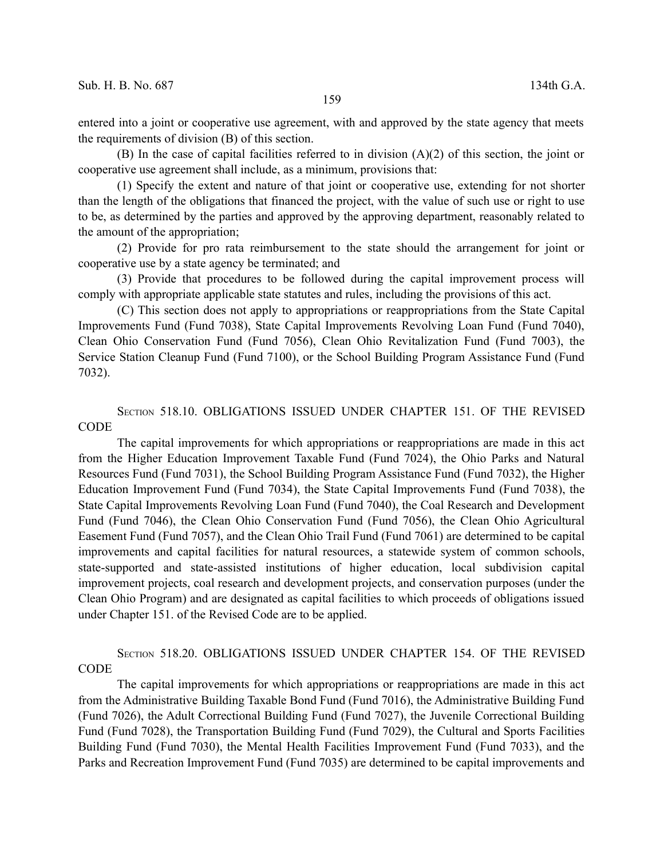entered into a joint or cooperative use agreement, with and approved by the state agency that meets the requirements of division (B) of this section.

(B) In the case of capital facilities referred to in division  $(A)(2)$  of this section, the joint or cooperative use agreement shall include, as a minimum, provisions that:

(1) Specify the extent and nature of that joint or cooperative use, extending for not shorter than the length of the obligations that financed the project, with the value of such use or right to use to be, as determined by the parties and approved by the approving department, reasonably related to the amount of the appropriation;

(2) Provide for pro rata reimbursement to the state should the arrangement for joint or cooperative use by a state agency be terminated; and

(3) Provide that procedures to be followed during the capital improvement process will comply with appropriate applicable state statutes and rules, including the provisions of this act.

(C) This section does not apply to appropriations or reappropriations from the State Capital Improvements Fund (Fund 7038), State Capital Improvements Revolving Loan Fund (Fund 7040), Clean Ohio Conservation Fund (Fund 7056), Clean Ohio Revitalization Fund (Fund 7003), the Service Station Cleanup Fund (Fund 7100), or the School Building Program Assistance Fund (Fund 7032).

## SECTION 518.10. OBLIGATIONS ISSUED UNDER CHAPTER 151. OF THE REVISED CODE

The capital improvements for which appropriations or reappropriations are made in this act from the Higher Education Improvement Taxable Fund (Fund 7024), the Ohio Parks and Natural Resources Fund (Fund 7031), the School Building Program Assistance Fund (Fund 7032), the Higher Education Improvement Fund (Fund 7034), the State Capital Improvements Fund (Fund 7038), the State Capital Improvements Revolving Loan Fund (Fund 7040), the Coal Research and Development Fund (Fund 7046), the Clean Ohio Conservation Fund (Fund 7056), the Clean Ohio Agricultural Easement Fund (Fund 7057), and the Clean Ohio Trail Fund (Fund 7061) are determined to be capital improvements and capital facilities for natural resources, a statewide system of common schools, state-supported and state-assisted institutions of higher education, local subdivision capital improvement projects, coal research and development projects, and conservation purposes (under the Clean Ohio Program) and are designated as capital facilities to which proceeds of obligations issued under Chapter 151. of the Revised Code are to be applied.

SECTION 518.20. OBLIGATIONS ISSUED UNDER CHAPTER 154. OF THE REVISED **CODE** 

The capital improvements for which appropriations or reappropriations are made in this act from the Administrative Building Taxable Bond Fund (Fund 7016), the Administrative Building Fund (Fund 7026), the Adult Correctional Building Fund (Fund 7027), the Juvenile Correctional Building Fund (Fund 7028), the Transportation Building Fund (Fund 7029), the Cultural and Sports Facilities Building Fund (Fund 7030), the Mental Health Facilities Improvement Fund (Fund 7033), and the Parks and Recreation Improvement Fund (Fund 7035) are determined to be capital improvements and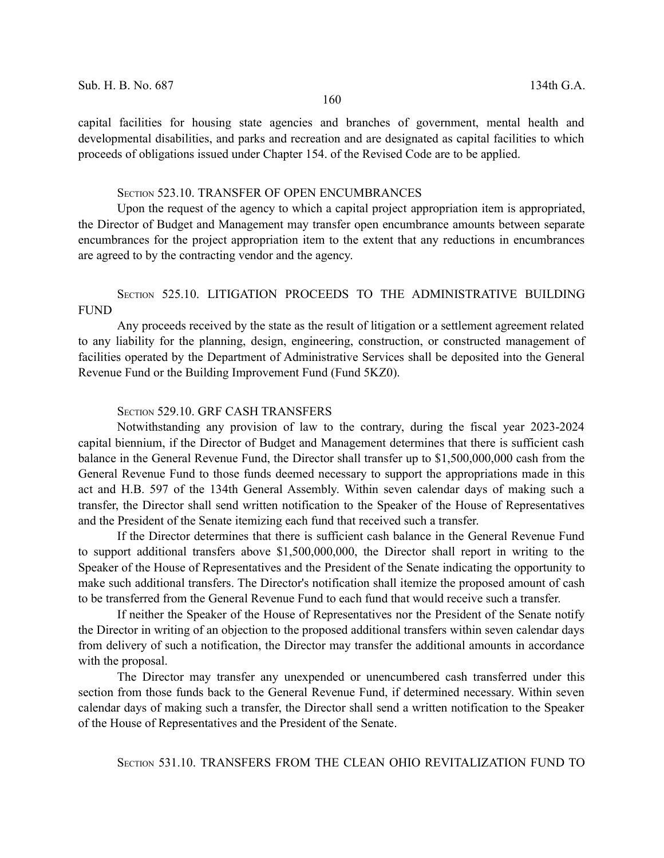capital facilities for housing state agencies and branches of government, mental health and developmental disabilities, and parks and recreation and are designated as capital facilities to which proceeds of obligations issued under Chapter 154. of the Revised Code are to be applied.

## SECTION 523.10. TRANSFER OF OPEN ENCUMBRANCES

Upon the request of the agency to which a capital project appropriation item is appropriated, the Director of Budget and Management may transfer open encumbrance amounts between separate encumbrances for the project appropriation item to the extent that any reductions in encumbrances are agreed to by the contracting vendor and the agency.

## SECTION 525.10. LITIGATION PROCEEDS TO THE ADMINISTRATIVE BUILDING FUND

Any proceeds received by the state as the result of litigation or a settlement agreement related to any liability for the planning, design, engineering, construction, or constructed management of facilities operated by the Department of Administrative Services shall be deposited into the General Revenue Fund or the Building Improvement Fund (Fund 5KZ0).

## SECTION 529.10. GRF CASH TRANSFERS

Notwithstanding any provision of law to the contrary, during the fiscal year 2023-2024 capital biennium, if the Director of Budget and Management determines that there is sufficient cash balance in the General Revenue Fund, the Director shall transfer up to \$1,500,000,000 cash from the General Revenue Fund to those funds deemed necessary to support the appropriations made in this act and H.B. 597 of the 134th General Assembly. Within seven calendar days of making such a transfer, the Director shall send written notification to the Speaker of the House of Representatives and the President of the Senate itemizing each fund that received such a transfer.

If the Director determines that there is sufficient cash balance in the General Revenue Fund to support additional transfers above \$1,500,000,000, the Director shall report in writing to the Speaker of the House of Representatives and the President of the Senate indicating the opportunity to make such additional transfers. The Director's notification shall itemize the proposed amount of cash to be transferred from the General Revenue Fund to each fund that would receive such a transfer.

If neither the Speaker of the House of Representatives nor the President of the Senate notify the Director in writing of an objection to the proposed additional transfers within seven calendar days from delivery of such a notification, the Director may transfer the additional amounts in accordance with the proposal.

The Director may transfer any unexpended or unencumbered cash transferred under this section from those funds back to the General Revenue Fund, if determined necessary. Within seven calendar days of making such a transfer, the Director shall send a written notification to the Speaker of the House of Representatives and the President of the Senate.

SECTION 531.10. TRANSFERS FROM THE CLEAN OHIO REVITALIZATION FUND TO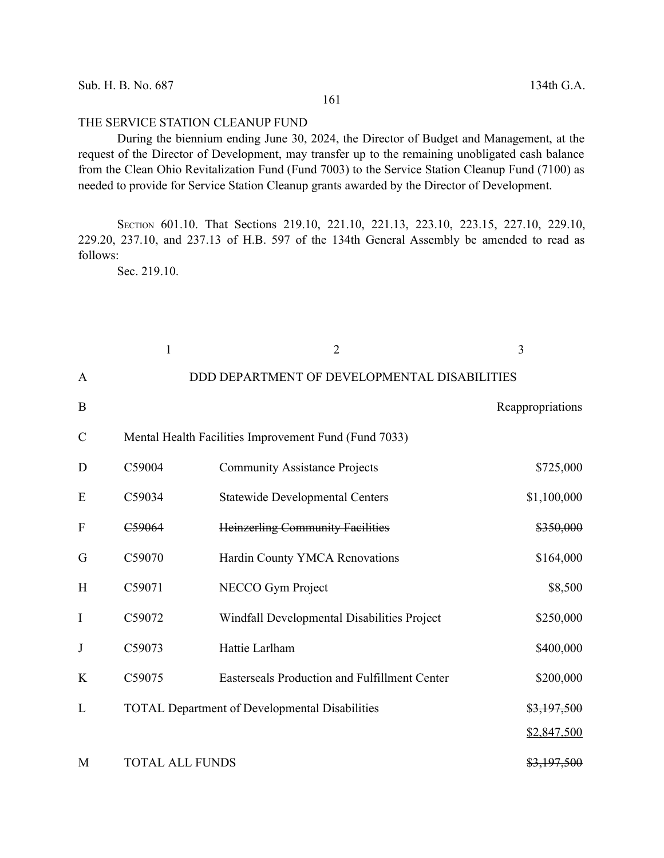### THE SERVICE STATION CLEANUP FUND

During the biennium ending June 30, 2024, the Director of Budget and Management, at the request of the Director of Development, may transfer up to the remaining unobligated cash balance from the Clean Ohio Revitalization Fund (Fund 7003) to the Service Station Cleanup Fund (7100) as needed to provide for Service Station Cleanup grants awarded by the Director of Development.

SECTION 601.10. That Sections 219.10, 221.10, 221.13, 223.10, 223.15, 227.10, 229.10, 229.20, 237.10, and 237.13 of H.B. 597 of the 134th General Assembly be amended to read as follows:

Sec. 219.10.

|                           | $\mathbf{1}$           | $\overline{2}$                                        | 3                |
|---------------------------|------------------------|-------------------------------------------------------|------------------|
| A                         |                        | DDD DEPARTMENT OF DEVELOPMENTAL DISABILITIES          |                  |
| B                         |                        |                                                       | Reappropriations |
| $\mathcal{C}$             |                        | Mental Health Facilities Improvement Fund (Fund 7033) |                  |
| D                         | C59004                 | <b>Community Assistance Projects</b>                  | \$725,000        |
| E                         | C59034                 | <b>Statewide Developmental Centers</b>                | \$1,100,000      |
| $\boldsymbol{\mathrm{F}}$ | C59064                 | <b>Heinzerling Community Facilities</b>               | \$350,000        |
| G                         | C59070                 | Hardin County YMCA Renovations                        | \$164,000        |
| H                         | C59071                 | NECCO Gym Project                                     | \$8,500          |
| I                         | C59072                 | Windfall Developmental Disabilities Project           | \$250,000        |
| J                         | C59073                 | Hattie Larlham                                        | \$400,000        |
| K                         | C59075                 | Easterseals Production and Fulfillment Center         | \$200,000        |
| L                         |                        | <b>TOTAL Department of Developmental Disabilities</b> | \$3,197,500      |
|                           |                        |                                                       | \$2,847,500      |
| M                         | <b>TOTAL ALL FUNDS</b> |                                                       | \$3,197,500      |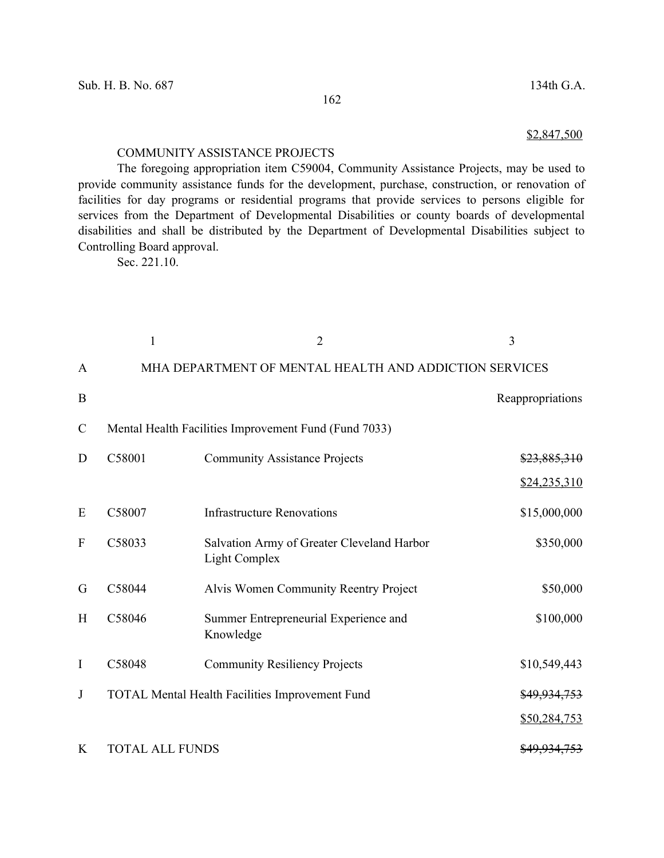\$2,847,500

#### COMMUNITY ASSISTANCE PROJECTS

The foregoing appropriation item C59004, Community Assistance Projects, may be used to provide community assistance funds for the development, purchase, construction, or renovation of facilities for day programs or residential programs that provide services to persons eligible for services from the Department of Developmental Disabilities or county boards of developmental disabilities and shall be distributed by the Department of Developmental Disabilities subject to Controlling Board approval.

Sec. 221.10.

|                           | 1                      | $\overline{2}$                                                     | 3                       |
|---------------------------|------------------------|--------------------------------------------------------------------|-------------------------|
| A                         |                        | MHA DEPARTMENT OF MENTAL HEALTH AND ADDICTION SERVICES             |                         |
| B                         |                        |                                                                    | Reappropriations        |
| $\mathcal{C}$             |                        | Mental Health Facilities Improvement Fund (Fund 7033)              |                         |
| D                         | C58001                 | <b>Community Assistance Projects</b>                               | \$23,885,310            |
|                           |                        |                                                                    | \$24,235,310            |
| E                         | C58007                 | <b>Infrastructure Renovations</b>                                  | \$15,000,000            |
| $\boldsymbol{\mathrm{F}}$ | C58033                 | Salvation Army of Greater Cleveland Harbor<br><b>Light Complex</b> | \$350,000               |
| G                         | C58044                 | Alvis Women Community Reentry Project                              | \$50,000                |
| H                         | C58046                 | Summer Entrepreneurial Experience and<br>Knowledge                 | \$100,000               |
| $\rm I$                   | C58048                 | <b>Community Resiliency Projects</b>                               | \$10,549,443            |
| J                         |                        | TOTAL Mental Health Facilities Improvement Fund                    | \$49,934,753            |
|                           |                        |                                                                    | \$50,284,753            |
| K                         | <b>TOTAL ALL FUNDS</b> |                                                                    | <del>\$49.934.753</del> |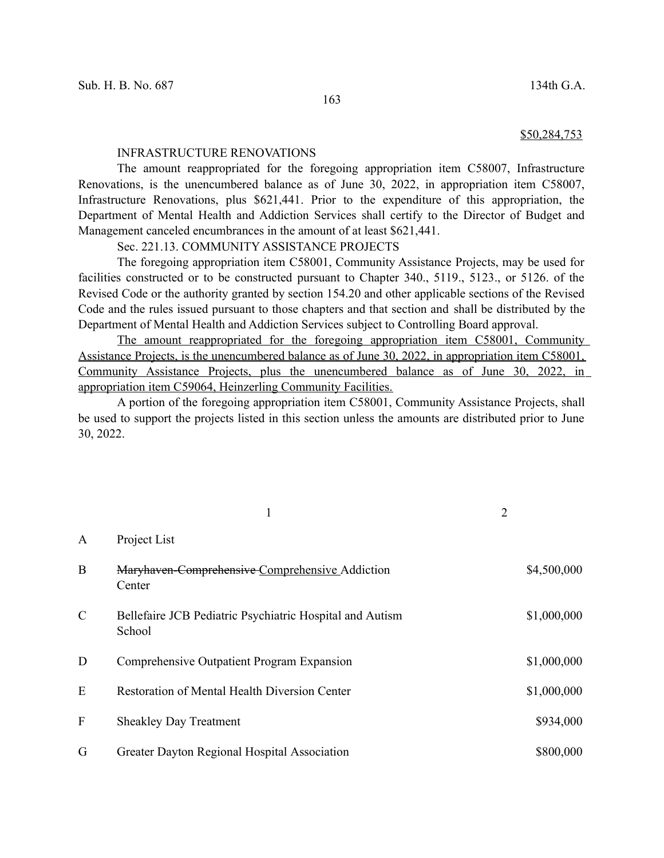#### \$50,284,753

#### INFRASTRUCTURE RENOVATIONS

The amount reappropriated for the foregoing appropriation item C58007, Infrastructure Renovations, is the unencumbered balance as of June 30, 2022, in appropriation item C58007, Infrastructure Renovations, plus \$621,441. Prior to the expenditure of this appropriation, the Department of Mental Health and Addiction Services shall certify to the Director of Budget and Management canceled encumbrances in the amount of at least \$621,441.

Sec. 221.13. COMMUNITY ASSISTANCE PROJECTS

The foregoing appropriation item C58001, Community Assistance Projects, may be used for facilities constructed or to be constructed pursuant to Chapter 340., 5119., 5123., or 5126. of the Revised Code or the authority granted by section 154.20 and other applicable sections of the Revised Code and the rules issued pursuant to those chapters and that section and shall be distributed by the Department of Mental Health and Addiction Services subject to Controlling Board approval.

The amount reappropriated for the foregoing appropriation item C58001, Community Assistance Projects, is the unencumbered balance as of June 30, 2022, in appropriation item C58001, Community Assistance Projects, plus the unencumbered balance as of June 30, 2022, in appropriation item C59064, Heinzerling Community Facilities.

A portion of the foregoing appropriation item C58001, Community Assistance Projects, shall be used to support the projects listed in this section unless the amounts are distributed prior to June 30, 2022.

|               | 1                                                                  | $\overline{2}$ |             |
|---------------|--------------------------------------------------------------------|----------------|-------------|
| A             | Project List                                                       |                |             |
| $\mathbf{B}$  | Maryhaven-Comprehensive-Comprehensive-Addiction<br>Center          |                | \$4,500,000 |
| $\mathcal{C}$ | Bellefaire JCB Pediatric Psychiatric Hospital and Autism<br>School |                | \$1,000,000 |
| D             | Comprehensive Outpatient Program Expansion                         |                | \$1,000,000 |
| E             | <b>Restoration of Mental Health Diversion Center</b>               |                | \$1,000,000 |
| F             | <b>Sheakley Day Treatment</b>                                      |                | \$934,000   |
| G             | Greater Dayton Regional Hospital Association                       |                | \$800,000   |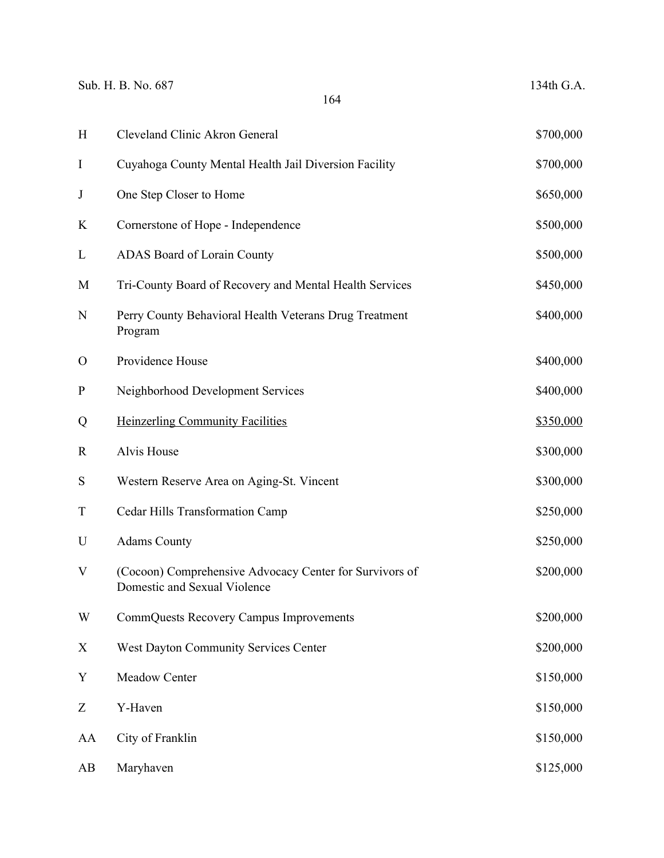Sub. H. B. No. 687 134th G.A.

| H                         | Cleveland Clinic Akron General                                                          | \$700,000 |
|---------------------------|-----------------------------------------------------------------------------------------|-----------|
| I                         | Cuyahoga County Mental Health Jail Diversion Facility                                   | \$700,000 |
| J                         | One Step Closer to Home                                                                 | \$650,000 |
| K                         | Cornerstone of Hope - Independence                                                      | \$500,000 |
| L                         | ADAS Board of Lorain County                                                             | \$500,000 |
| M                         | Tri-County Board of Recovery and Mental Health Services                                 | \$450,000 |
| N                         | Perry County Behavioral Health Veterans Drug Treatment<br>Program                       | \$400,000 |
| $\mathbf{O}$              | Providence House                                                                        | \$400,000 |
| ${\bf P}$                 | Neighborhood Development Services                                                       | \$400,000 |
| Q                         | <b>Heinzerling Community Facilities</b>                                                 | \$350,000 |
| $\mathbf R$               | Alvis House                                                                             | \$300,000 |
| S                         | Western Reserve Area on Aging-St. Vincent                                               | \$300,000 |
| $\mathbf T$               | Cedar Hills Transformation Camp                                                         | \$250,000 |
| U                         | <b>Adams County</b>                                                                     | \$250,000 |
| V                         | (Cocoon) Comprehensive Advocacy Center for Survivors of<br>Domestic and Sexual Violence | \$200,000 |
| W                         | CommQuests Recovery Campus Improvements                                                 | \$200,000 |
| $\boldsymbol{\mathrm{X}}$ | West Dayton Community Services Center                                                   | \$200,000 |
| $\mathbf Y$               | Meadow Center                                                                           | \$150,000 |
| Z                         | Y-Haven                                                                                 | \$150,000 |
| AA                        | City of Franklin                                                                        | \$150,000 |
| AB                        | Maryhaven                                                                               | \$125,000 |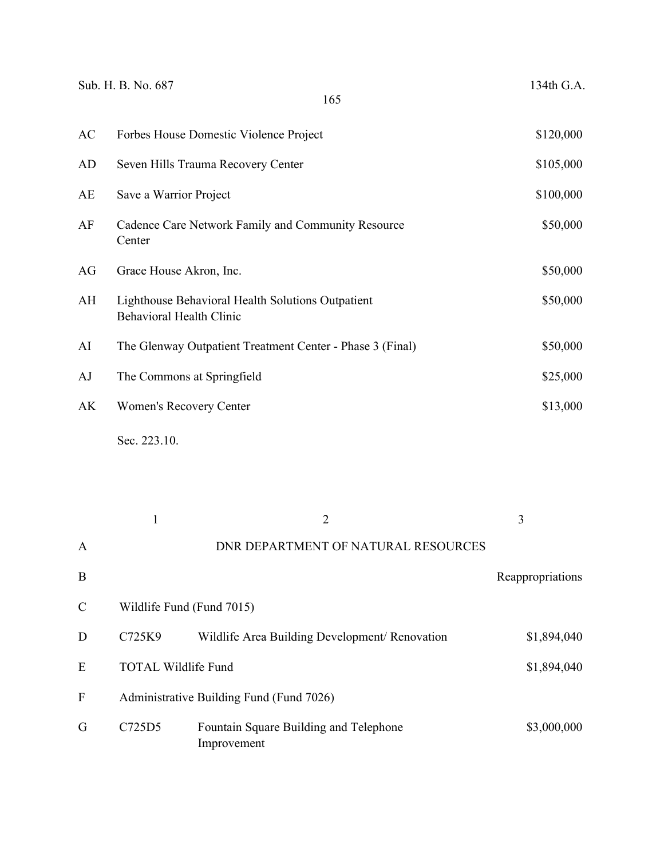|                  | Sub. H. B. No. 687                                           | 165                                                       | 134th G.A.       |
|------------------|--------------------------------------------------------------|-----------------------------------------------------------|------------------|
| AC               |                                                              | Forbes House Domestic Violence Project                    | \$120,000        |
| AD               |                                                              | Seven Hills Trauma Recovery Center                        | \$105,000        |
| AE               | Save a Warrior Project                                       |                                                           | \$100,000        |
| AF               | Cadence Care Network Family and Community Resource<br>Center | \$50,000                                                  |                  |
| AG               | Grace House Akron, Inc.                                      |                                                           | \$50,000         |
| AH               | <b>Behavioral Health Clinic</b>                              | Lighthouse Behavioral Health Solutions Outpatient         | \$50,000         |
| AI               |                                                              | The Glenway Outpatient Treatment Center - Phase 3 (Final) | \$50,000         |
| AJ               | The Commons at Springfield                                   |                                                           | \$25,000         |
| AK               | Women's Recovery Center                                      |                                                           | \$13,000         |
|                  | Sec. 223.10.                                                 |                                                           |                  |
|                  | $\mathbf{1}$                                                 | $\overline{2}$                                            | 3                |
| A                |                                                              | DNR DEPARTMENT OF NATURAL RESOURCES                       |                  |
| $\boldsymbol{B}$ |                                                              |                                                           | Reappropriations |
| $\mathcal{C}$    | Wildlife Fund (Fund 7015)                                    |                                                           |                  |
| $\mathbf D$      | C725K9                                                       | Wildlife Area Building Development/ Renovation            | \$1,894,040      |
| E                | <b>TOTAL Wildlife Fund</b>                                   | \$1,894,040                                               |                  |
| F                |                                                              | Administrative Building Fund (Fund 7026)                  |                  |
| G                | C725D5                                                       | Fountain Square Building and Telephone<br>Improvement     | \$3,000,000      |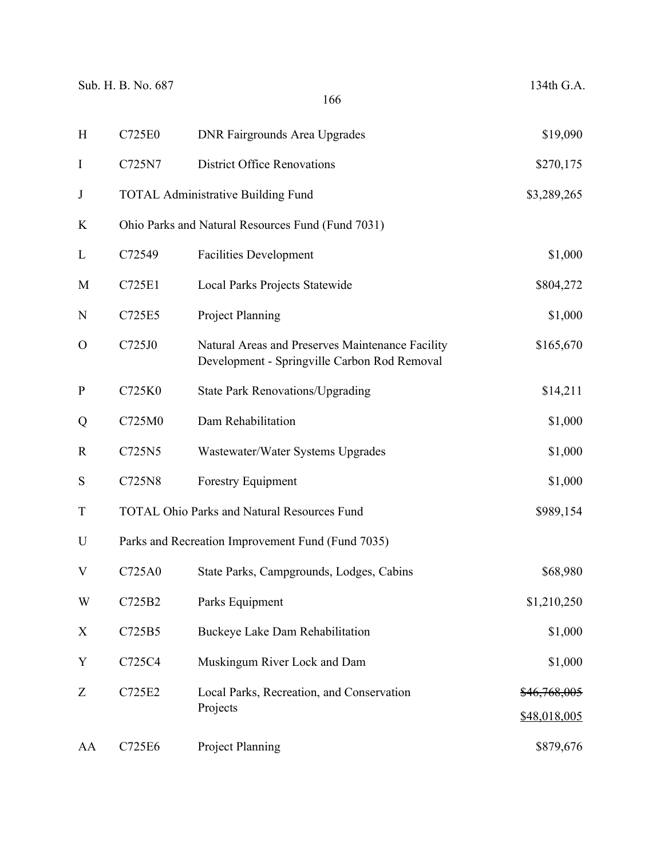| H            | C725E0 | <b>DNR Fairgrounds Area Upgrades</b>                                                             | \$19,090                |
|--------------|--------|--------------------------------------------------------------------------------------------------|-------------------------|
| I            | C725N7 | <b>District Office Renovations</b>                                                               | \$270,175               |
| J            |        | <b>TOTAL Administrative Building Fund</b>                                                        | \$3,289,265             |
| K            |        | Ohio Parks and Natural Resources Fund (Fund 7031)                                                |                         |
| L            | C72549 | <b>Facilities Development</b>                                                                    | \$1,000                 |
| M            | C725E1 | Local Parks Projects Statewide                                                                   | \$804,272               |
| N            | C725E5 | Project Planning                                                                                 | \$1,000                 |
| $\mathbf{O}$ | C725J0 | Natural Areas and Preserves Maintenance Facility<br>Development - Springville Carbon Rod Removal | \$165,670               |
| $\mathbf P$  | C725K0 | <b>State Park Renovations/Upgrading</b>                                                          | \$14,211                |
| Q            | C725M0 | Dam Rehabilitation                                                                               | \$1,000                 |
| $\mathbf R$  | C725N5 | Wastewater/Water Systems Upgrades                                                                | \$1,000                 |
| S            | C725N8 | <b>Forestry Equipment</b>                                                                        | \$1,000                 |
| $\mathbf T$  |        | <b>TOTAL Ohio Parks and Natural Resources Fund</b>                                               | \$989,154               |
| U            |        | Parks and Recreation Improvement Fund (Fund 7035)                                                |                         |
| V            | C725A0 | State Parks, Campgrounds, Lodges, Cabins                                                         | \$68,980                |
| W            | C725B2 | Parks Equipment                                                                                  | \$1,210,250             |
| X            | C725B5 | Buckeye Lake Dam Rehabilitation                                                                  | \$1,000                 |
| Y            | C725C4 | Muskingum River Lock and Dam                                                                     | \$1,000                 |
| Z            | C725E2 | Local Parks, Recreation, and Conservation                                                        | <del>\$46,768,005</del> |
|              |        | Projects                                                                                         | \$48,018,005            |
| AA           | C725E6 | Project Planning                                                                                 | \$879,676               |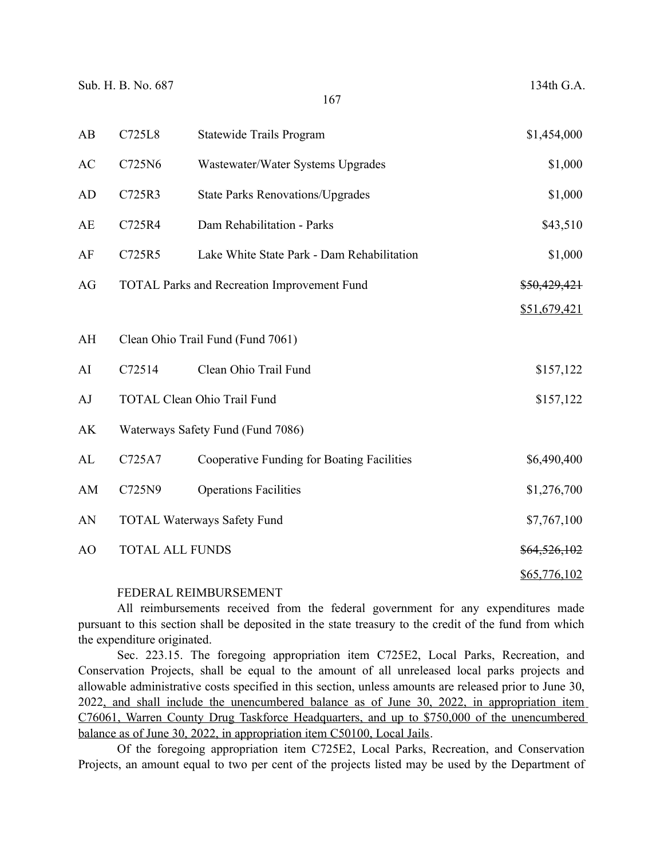| AB | C725L8                 | Statewide Trails Program                           | \$1,454,000  |
|----|------------------------|----------------------------------------------------|--------------|
| AC | C725N6                 | Wastewater/Water Systems Upgrades                  | \$1,000      |
| AD | C725R3                 | <b>State Parks Renovations/Upgrades</b>            | \$1,000      |
| AE | C725R4                 | Dam Rehabilitation - Parks                         | \$43,510     |
| AF | C725R5                 | Lake White State Park - Dam Rehabilitation         | \$1,000      |
| AG |                        | <b>TOTAL Parks and Recreation Improvement Fund</b> | \$50,429,421 |
|    |                        |                                                    | \$51,679,421 |
| AH |                        | Clean Ohio Trail Fund (Fund 7061)                  |              |
| AI | C72514                 | Clean Ohio Trail Fund                              | \$157,122    |
| AJ |                        | <b>TOTAL Clean Ohio Trail Fund</b>                 | \$157,122    |
| AK |                        | Waterways Safety Fund (Fund 7086)                  |              |
| AL | C725A7                 | Cooperative Funding for Boating Facilities         | \$6,490,400  |
| AM | C725N9                 | <b>Operations Facilities</b>                       | \$1,276,700  |
| AN |                        | <b>TOTAL Waterways Safety Fund</b>                 | \$7,767,100  |
| AO | <b>TOTAL ALL FUNDS</b> |                                                    | \$64,526,102 |
|    |                        |                                                    | \$65,776,102 |

### FEDERAL REIMBURSEMENT

All reimbursements received from the federal government for any expenditures made pursuant to this section shall be deposited in the state treasury to the credit of the fund from which the expenditure originated.

Sec. 223.15. The foregoing appropriation item C725E2, Local Parks, Recreation, and Conservation Projects, shall be equal to the amount of all unreleased local parks projects and allowable administrative costs specified in this section, unless amounts are released prior to June 30, 2022, and shall include the unencumbered balance as of June 30, 2022, in appropriation item C76061, Warren County Drug Taskforce Headquarters, and up to \$750,000 of the unencumbered balance as of June 30, 2022, in appropriation item C50100, Local Jails.

Of the foregoing appropriation item C725E2, Local Parks, Recreation, and Conservation Projects, an amount equal to two per cent of the projects listed may be used by the Department of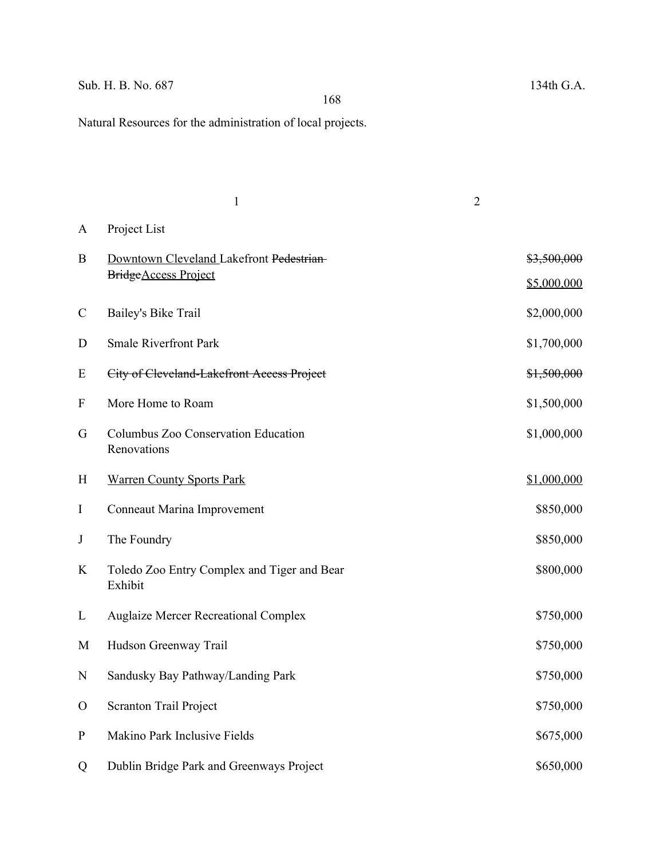# Sub. H. B. No. 687 134th G.A.

Natural Resources for the administration of local projects.

|                  | $\mathbf{1}$                                                      | $\overline{2}$ |                            |
|------------------|-------------------------------------------------------------------|----------------|----------------------------|
| A                | Project List                                                      |                |                            |
| B                | Downtown Cleveland Lakefront Pedestrian-<br>Bridge Access Project |                | \$3,500,000<br>\$5,000,000 |
| $\mathcal{C}$    | Bailey's Bike Trail                                               |                | \$2,000,000                |
| D                | <b>Smale Riverfront Park</b>                                      |                | \$1,700,000                |
| E                | City of Cleveland-Lakefront Access Project                        |                | \$1,500,000                |
| $\boldsymbol{F}$ | More Home to Roam                                                 |                | \$1,500,000                |
| G                | Columbus Zoo Conservation Education<br>Renovations                |                | \$1,000,000                |
| H                | <b>Warren County Sports Park</b>                                  |                | \$1,000,000                |
| I                | Conneaut Marina Improvement                                       |                | \$850,000                  |
| J                | The Foundry                                                       |                | \$850,000                  |
| K                | Toledo Zoo Entry Complex and Tiger and Bear<br>Exhibit            |                | \$800,000                  |
| L                | <b>Auglaize Mercer Recreational Complex</b>                       |                | \$750,000                  |
| M                | Hudson Greenway Trail                                             |                | \$750,000                  |
| N                | Sandusky Bay Pathway/Landing Park                                 |                | \$750,000                  |
| $\mathbf{O}$     | Scranton Trail Project                                            |                | \$750,000                  |
| ${\bf P}$        | Makino Park Inclusive Fields                                      |                | \$675,000                  |
| Q                | Dublin Bridge Park and Greenways Project                          |                | \$650,000                  |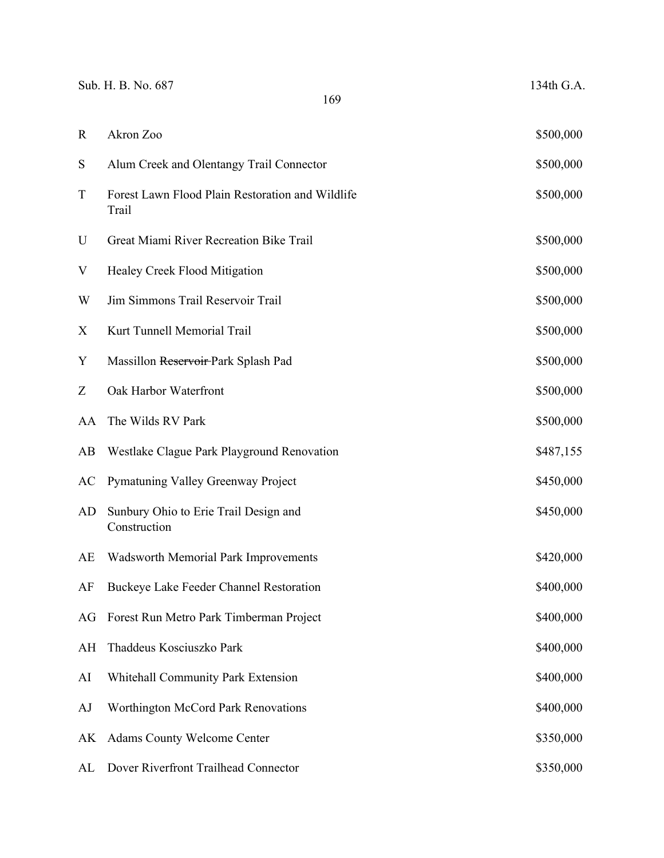|             | Sub. H. B. No. 687<br>169                                 | 134th G.A. |
|-------------|-----------------------------------------------------------|------------|
| $\mathbf R$ | Akron Zoo                                                 | \$500,000  |
| S           | Alum Creek and Olentangy Trail Connector                  | \$500,000  |
| $\mathbf T$ | Forest Lawn Flood Plain Restoration and Wildlife<br>Trail | \$500,000  |
| U           | Great Miami River Recreation Bike Trail                   | \$500,000  |
| V           | <b>Healey Creek Flood Mitigation</b>                      | \$500,000  |
| W           | Jim Simmons Trail Reservoir Trail                         | \$500,000  |
| X           | Kurt Tunnell Memorial Trail                               | \$500,000  |
| Y           | Massillon Reservoir-Park Splash Pad                       | \$500,000  |
| Z           | Oak Harbor Waterfront                                     | \$500,000  |
| AA          | The Wilds RV Park                                         | \$500,000  |
| AB          | Westlake Clague Park Playground Renovation                | \$487,155  |
| AC          | Pymatuning Valley Greenway Project                        | \$450,000  |
| AD          | Sunbury Ohio to Erie Trail Design and<br>Construction     | \$450,000  |
| AE          | <b>Wadsworth Memorial Park Improvements</b>               | \$420,000  |
| AF          | Buckeye Lake Feeder Channel Restoration                   | \$400,000  |
| AG          | Forest Run Metro Park Timberman Project                   | \$400,000  |
| AH          | Thaddeus Kosciuszko Park                                  | \$400,000  |
| AI          | Whitehall Community Park Extension                        | \$400,000  |
| AJ          | Worthington McCord Park Renovations                       | \$400,000  |
| AK          | <b>Adams County Welcome Center</b>                        | \$350,000  |
| AL          | Dover Riverfront Trailhead Connector                      | \$350,000  |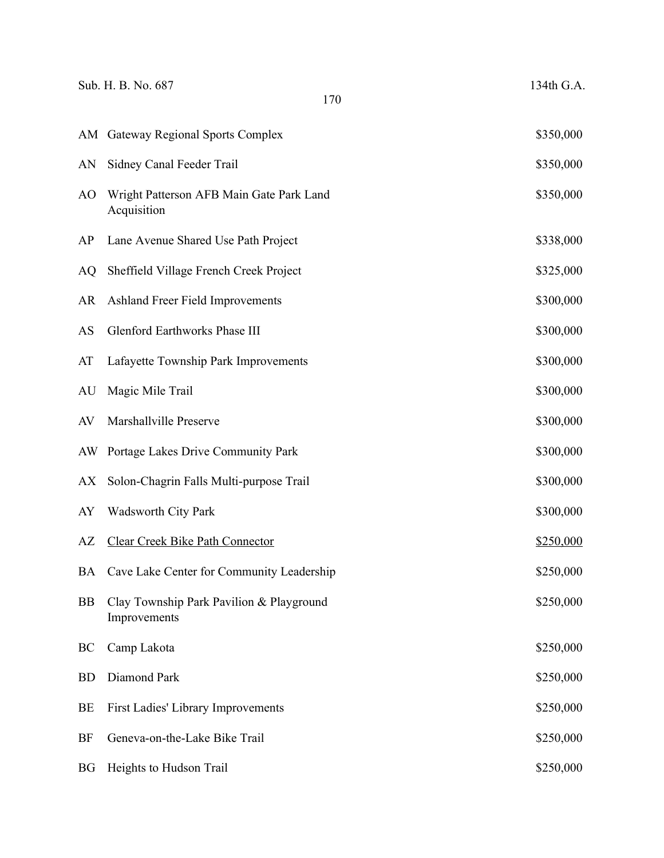|           | Sub. H. B. No. 687<br>170                                | 134th G.A. |
|-----------|----------------------------------------------------------|------------|
|           | AM Gateway Regional Sports Complex                       | \$350,000  |
| AN        | Sidney Canal Feeder Trail                                | \$350,000  |
| AO        | Wright Patterson AFB Main Gate Park Land<br>Acquisition  | \$350,000  |
| AP        | Lane Avenue Shared Use Path Project                      | \$338,000  |
| AQ        | Sheffield Village French Creek Project                   | \$325,000  |
| AR        | Ashland Freer Field Improvements                         | \$300,000  |
| AS        | <b>Glenford Earthworks Phase III</b>                     | \$300,000  |
| AT        | Lafayette Township Park Improvements                     | \$300,000  |
| AU        | Magic Mile Trail                                         | \$300,000  |
| AV        | Marshallville Preserve                                   | \$300,000  |
| AW        | Portage Lakes Drive Community Park                       | \$300,000  |
| AX        | Solon-Chagrin Falls Multi-purpose Trail                  | \$300,000  |
| AY        | <b>Wadsworth City Park</b>                               | \$300,000  |
| AZ        | <b>Clear Creek Bike Path Connector</b>                   | \$250,000  |
| BA        | Cave Lake Center for Community Leadership                | \$250,000  |
| <b>BB</b> | Clay Township Park Pavilion & Playground<br>Improvements | \$250,000  |
| BC        | Camp Lakota                                              | \$250,000  |
| <b>BD</b> | Diamond Park                                             | \$250,000  |
| BE        | First Ladies' Library Improvements                       | \$250,000  |
| BF        | Geneva-on-the-Lake Bike Trail                            | \$250,000  |
| <b>BG</b> | Heights to Hudson Trail                                  | \$250,000  |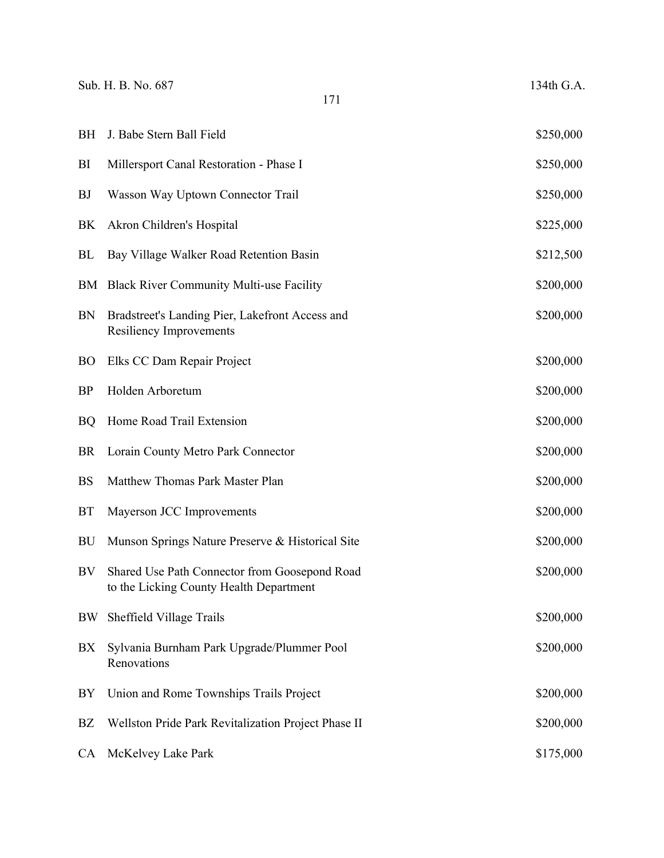| BH        | J. Babe Stern Ball Field                                                                 | \$250,000 |
|-----------|------------------------------------------------------------------------------------------|-----------|
| BI        | Millersport Canal Restoration - Phase I                                                  | \$250,000 |
| <b>BJ</b> | Wasson Way Uptown Connector Trail                                                        | \$250,000 |
| BK        | Akron Children's Hospital                                                                | \$225,000 |
| <b>BL</b> | Bay Village Walker Road Retention Basin                                                  | \$212,500 |
| BM        | <b>Black River Community Multi-use Facility</b>                                          | \$200,000 |
| <b>BN</b> | Bradstreet's Landing Pier, Lakefront Access and<br><b>Resiliency Improvements</b>        | \$200,000 |
| <b>BO</b> | Elks CC Dam Repair Project                                                               | \$200,000 |
| <b>BP</b> | Holden Arboretum                                                                         | \$200,000 |
| <b>BQ</b> | Home Road Trail Extension                                                                | \$200,000 |
| <b>BR</b> | Lorain County Metro Park Connector                                                       | \$200,000 |
| <b>BS</b> | Matthew Thomas Park Master Plan                                                          | \$200,000 |
| <b>BT</b> | Mayerson JCC Improvements                                                                | \$200,000 |
| <b>BU</b> | Munson Springs Nature Preserve & Historical Site                                         | \$200,000 |
| BV        | Shared Use Path Connector from Goosepond Road<br>to the Licking County Health Department | \$200,000 |
| BW        | Sheffield Village Trails                                                                 | \$200,000 |
| BX        | Sylvania Burnham Park Upgrade/Plummer Pool<br>Renovations                                | \$200,000 |
| BY        | Union and Rome Townships Trails Project                                                  | \$200,000 |
| BZ        | Wellston Pride Park Revitalization Project Phase II                                      | \$200,000 |
| <b>CA</b> | McKelvey Lake Park                                                                       | \$175,000 |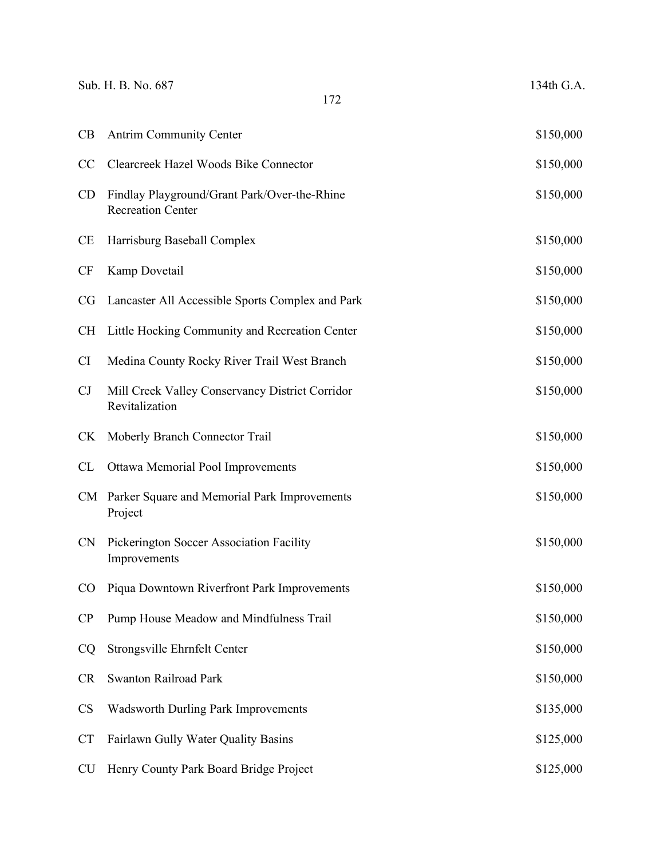|           | Sub. H. B. No. 687<br>172                                                | 134th G.A. |
|-----------|--------------------------------------------------------------------------|------------|
| CB        | <b>Antrim Community Center</b>                                           | \$150,000  |
| CC        | Clearcreek Hazel Woods Bike Connector                                    | \$150,000  |
| <b>CD</b> | Findlay Playground/Grant Park/Over-the-Rhine<br><b>Recreation Center</b> | \$150,000  |
| <b>CE</b> | Harrisburg Baseball Complex                                              | \$150,000  |
| <b>CF</b> | Kamp Dovetail                                                            | \$150,000  |
| <b>CG</b> | Lancaster All Accessible Sports Complex and Park                         | \$150,000  |
| <b>CH</b> | Little Hocking Community and Recreation Center                           | \$150,000  |
| CI        | Medina County Rocky River Trail West Branch                              | \$150,000  |
| CJ        | Mill Creek Valley Conservancy District Corridor<br>Revitalization        | \$150,000  |
| <b>CK</b> | Moberly Branch Connector Trail                                           | \$150,000  |
| CL        | Ottawa Memorial Pool Improvements                                        | \$150,000  |
| CM        | Parker Square and Memorial Park Improvements<br>Project                  | \$150,000  |
| <b>CN</b> | Pickerington Soccer Association Facility<br>Improvements                 | \$150,000  |
| CO        | Piqua Downtown Riverfront Park Improvements                              | \$150,000  |
| CP        | Pump House Meadow and Mindfulness Trail                                  | \$150,000  |
| CQ        | Strongsville Ehrnfelt Center                                             | \$150,000  |
| <b>CR</b> | Swanton Railroad Park                                                    | \$150,000  |
| <b>CS</b> | <b>Wadsworth Durling Park Improvements</b>                               | \$135,000  |
| <b>CT</b> | Fairlawn Gully Water Quality Basins                                      | \$125,000  |
| <b>CU</b> | Henry County Park Board Bridge Project                                   | \$125,000  |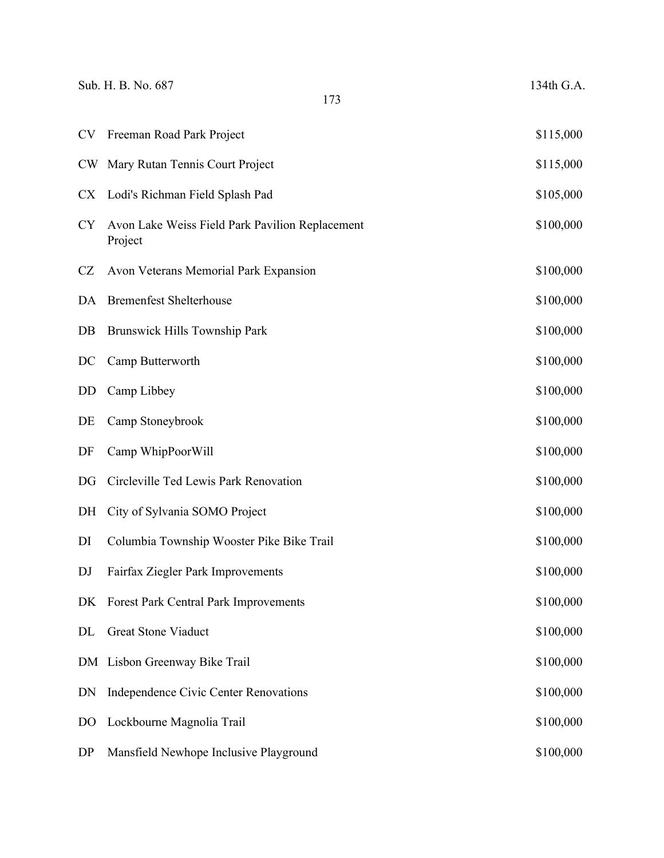|                | Sub. H. B. No. 687<br>134th G.A.<br>173                    |           |
|----------------|------------------------------------------------------------|-----------|
| CV             | Freeman Road Park Project                                  | \$115,000 |
| <b>CW</b>      | Mary Rutan Tennis Court Project                            | \$115,000 |
| <b>CX</b>      | Lodi's Richman Field Splash Pad                            | \$105,000 |
| <b>CY</b>      | Avon Lake Weiss Field Park Pavilion Replacement<br>Project | \$100,000 |
| CZ             | Avon Veterans Memorial Park Expansion                      | \$100,000 |
| DA             | <b>Bremenfest Shelterhouse</b>                             | \$100,000 |
| $DB$           | Brunswick Hills Township Park                              | \$100,000 |
| DC             | Camp Butterworth                                           | \$100,000 |
| DD             | Camp Libbey                                                | \$100,000 |
| DE             | Camp Stoneybrook                                           | \$100,000 |
| DF             | Camp WhipPoorWill                                          | \$100,000 |
| DG             | Circleville Ted Lewis Park Renovation                      | \$100,000 |
| DH             | City of Sylvania SOMO Project                              | \$100,000 |
| DI             | Columbia Township Wooster Pike Bike Trail                  | \$100,000 |
| DJ             | Fairfax Ziegler Park Improvements                          | \$100,000 |
| DK             | Forest Park Central Park Improvements                      | \$100,000 |
| DL             | <b>Great Stone Viaduct</b>                                 | \$100,000 |
|                | DM Lisbon Greenway Bike Trail                              | \$100,000 |
| DN             | Independence Civic Center Renovations                      | \$100,000 |
| D <sub>O</sub> | Lockbourne Magnolia Trail                                  | \$100,000 |
| DP             | Mansfield Newhope Inclusive Playground                     | \$100,000 |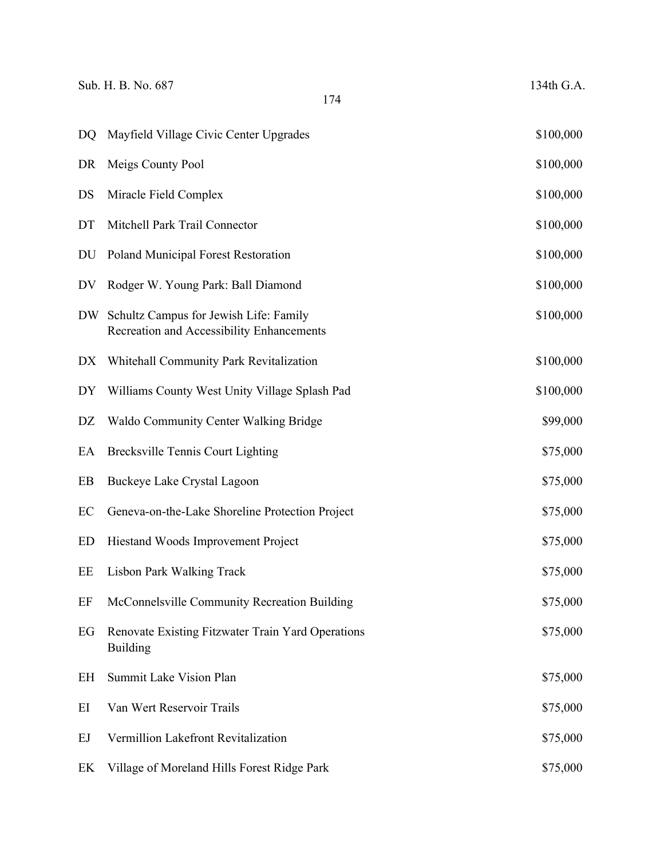| Sub. H. B. No. 687 |  |  |  |
|--------------------|--|--|--|
|                    |  |  |  |

| DQ | Mayfield Village Civic Center Upgrades                                              | \$100,000 |
|----|-------------------------------------------------------------------------------------|-----------|
| DR | Meigs County Pool                                                                   | \$100,000 |
| DS | Miracle Field Complex                                                               | \$100,000 |
| DT | Mitchell Park Trail Connector                                                       | \$100,000 |
| DU | <b>Poland Municipal Forest Restoration</b>                                          | \$100,000 |
| DV | Rodger W. Young Park: Ball Diamond                                                  | \$100,000 |
| DW | Schultz Campus for Jewish Life: Family<br>Recreation and Accessibility Enhancements | \$100,000 |
| DX | Whitehall Community Park Revitalization                                             | \$100,000 |
| DY | Williams County West Unity Village Splash Pad                                       | \$100,000 |
| DZ | <b>Waldo Community Center Walking Bridge</b>                                        | \$99,000  |
| EA | <b>Brecksville Tennis Court Lighting</b>                                            | \$75,000  |
| EB | Buckeye Lake Crystal Lagoon                                                         | \$75,000  |
| EC | Geneva-on-the-Lake Shoreline Protection Project                                     | \$75,000  |
| ED | Hiestand Woods Improvement Project                                                  | \$75,000  |
| EE | <b>Lisbon Park Walking Track</b>                                                    | \$75,000  |
| EF | McConnelsville Community Recreation Building                                        | \$75,000  |
| EG | Renovate Existing Fitzwater Train Yard Operations<br><b>Building</b>                | \$75,000  |
| EH | Summit Lake Vision Plan                                                             | \$75,000  |
| EI | Van Wert Reservoir Trails                                                           | \$75,000  |
| EJ | Vermillion Lakefront Revitalization                                                 | \$75,000  |
| EK | Village of Moreland Hills Forest Ridge Park                                         | \$75,000  |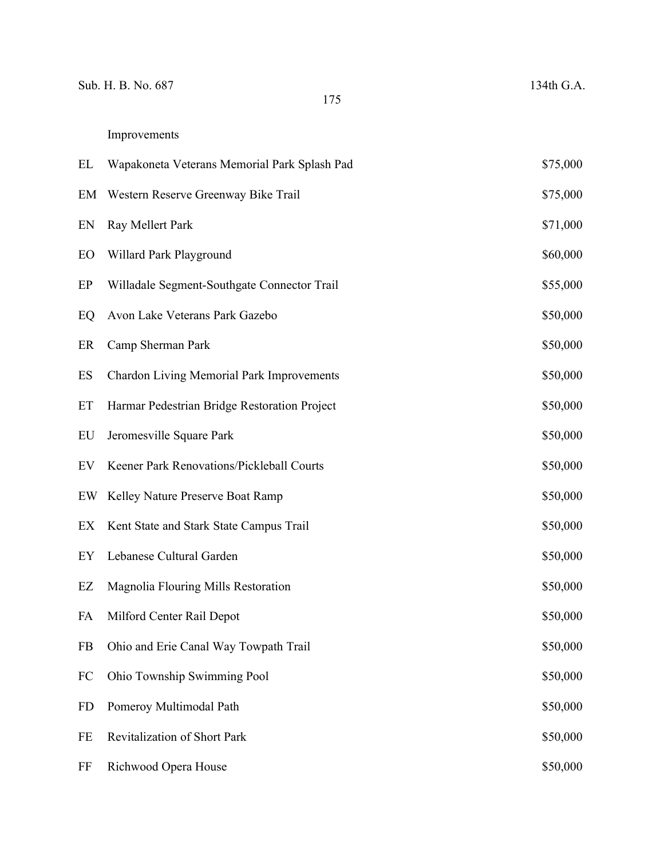| EL        | Wapakoneta Veterans Memorial Park Splash Pad | \$75,000 |
|-----------|----------------------------------------------|----------|
| EM        | Western Reserve Greenway Bike Trail          |          |
| EN        | Ray Mellert Park                             |          |
| EO        | Willard Park Playground                      |          |
| EP        | Willadale Segment-Southgate Connector Trail  |          |
| EQ        | Avon Lake Veterans Park Gazebo               |          |
| ER        | Camp Sherman Park                            |          |
| ES        | Chardon Living Memorial Park Improvements    |          |
| ET        | Harmar Pedestrian Bridge Restoration Project | \$50,000 |
| EU        | Jeromesville Square Park                     | \$50,000 |
| EV        | Keener Park Renovations/Pickleball Courts    | \$50,000 |
| EW        | Kelley Nature Preserve Boat Ramp             | \$50,000 |
| EX        | Kent State and Stark State Campus Trail      | \$50,000 |
| EY        | Lebanese Cultural Garden                     | \$50,000 |
| EZ        | Magnolia Flouring Mills Restoration          | \$50,000 |
| FA        | Milford Center Rail Depot                    | \$50,000 |
| FB        | Ohio and Erie Canal Way Towpath Trail        | \$50,000 |
| FC        | Ohio Township Swimming Pool                  | \$50,000 |
| <b>FD</b> | Pomeroy Multimodal Path                      | \$50,000 |
| $\rm FE$  | Revitalization of Short Park                 | \$50,000 |
| FF        | Richwood Opera House                         | \$50,000 |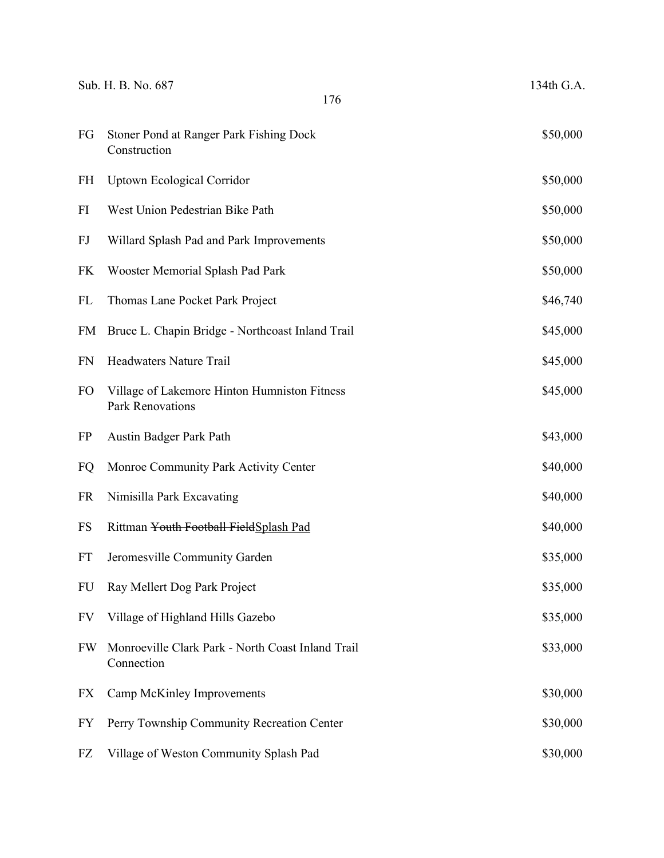|           | Sub. H. B. No. 687<br>176                                               | 134th G.A. |
|-----------|-------------------------------------------------------------------------|------------|
| FG        | Stoner Pond at Ranger Park Fishing Dock<br>Construction                 | \$50,000   |
| FH        | <b>Uptown Ecological Corridor</b>                                       | \$50,000   |
| FI        | West Union Pedestrian Bike Path                                         | \$50,000   |
| FJ        | Willard Splash Pad and Park Improvements                                | \$50,000   |
| FK        | Wooster Memorial Splash Pad Park                                        | \$50,000   |
| FL        | Thomas Lane Pocket Park Project                                         | \$46,740   |
| <b>FM</b> | Bruce L. Chapin Bridge - Northcoast Inland Trail                        | \$45,000   |
| <b>FN</b> | <b>Headwaters Nature Trail</b>                                          | \$45,000   |
| <b>FO</b> | Village of Lakemore Hinton Humniston Fitness<br><b>Park Renovations</b> | \$45,000   |
| <b>FP</b> | Austin Badger Park Path                                                 | \$43,000   |
| FQ        | Monroe Community Park Activity Center                                   | \$40,000   |
| <b>FR</b> | Nimisilla Park Excavating                                               | \$40,000   |
| <b>FS</b> | Rittman Youth Football FieldSplash Pad                                  | \$40,000   |
| <b>FT</b> | Jeromesville Community Garden                                           | \$35,000   |
| <b>FU</b> | Ray Mellert Dog Park Project                                            | \$35,000   |
| FV        | Village of Highland Hills Gazebo                                        | \$35,000   |
| <b>FW</b> | Monroeville Clark Park - North Coast Inland Trail<br>Connection         | \$33,000   |
| FX        | Camp McKinley Improvements                                              | \$30,000   |
| <b>FY</b> | Perry Township Community Recreation Center                              | \$30,000   |
| FZ        | Village of Weston Community Splash Pad                                  | \$30,000   |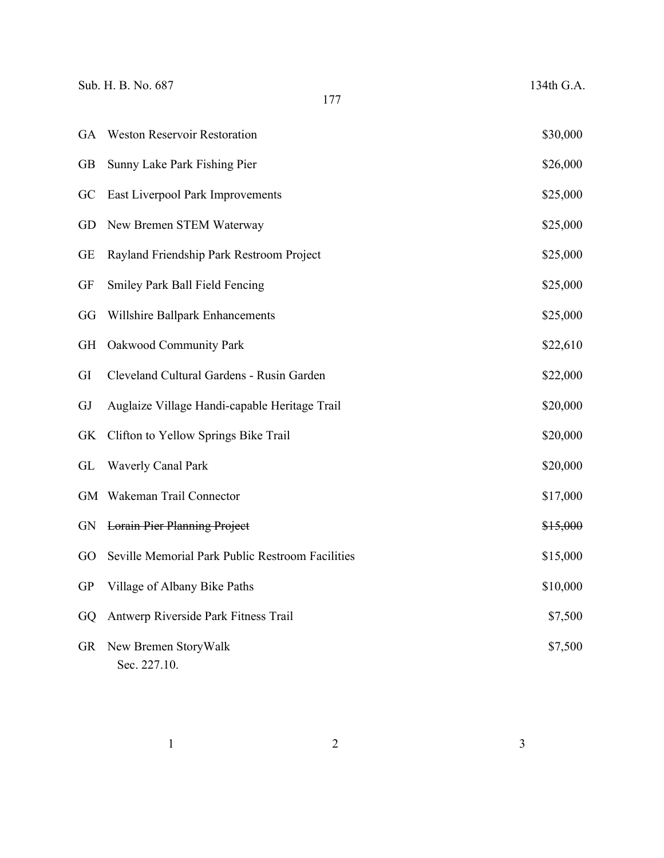Sub. H. B. No. 687 134th G.A.

| <b>GA</b> | <b>Weston Reservoir Restoration</b>              | \$30,000 |
|-----------|--------------------------------------------------|----------|
| <b>GB</b> | Sunny Lake Park Fishing Pier                     | \$26,000 |
| GC        | East Liverpool Park Improvements                 | \$25,000 |
| GD        | New Bremen STEM Waterway                         | \$25,000 |
| <b>GE</b> | Rayland Friendship Park Restroom Project         | \$25,000 |
| <b>GF</b> | Smiley Park Ball Field Fencing                   | \$25,000 |
| GG        | Willshire Ballpark Enhancements                  | \$25,000 |
| <b>GH</b> | Oakwood Community Park                           | \$22,610 |
| GI        | Cleveland Cultural Gardens - Rusin Garden        | \$22,000 |
| GJ        | Auglaize Village Handi-capable Heritage Trail    | \$20,000 |
| <b>GK</b> | Clifton to Yellow Springs Bike Trail             | \$20,000 |
| GL        | <b>Waverly Canal Park</b>                        | \$20,000 |
| <b>GM</b> | Wakeman Trail Connector                          | \$17,000 |
| <b>GN</b> | <b>Lorain Pier Planning Project</b>              | \$15,000 |
| GO        | Seville Memorial Park Public Restroom Facilities | \$15,000 |
| <b>GP</b> | Village of Albany Bike Paths                     | \$10,000 |
| GQ        | Antwerp Riverside Park Fitness Trail             | \$7,500  |
| GR        | New Bremen StoryWalk<br>Sec. 227.10.             | \$7,500  |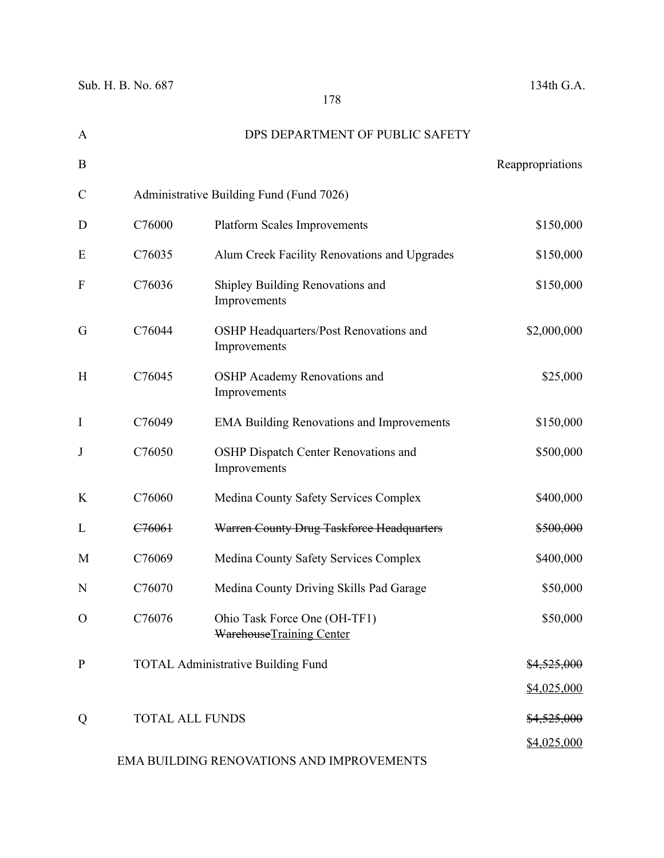| A            |                        | DPS DEPARTMENT OF PUBLIC SAFETY                          |                        |
|--------------|------------------------|----------------------------------------------------------|------------------------|
| B            |                        |                                                          | Reappropriations       |
| $\mathsf{C}$ |                        | Administrative Building Fund (Fund 7026)                 |                        |
| D            | C76000                 | <b>Platform Scales Improvements</b>                      | \$150,000              |
| E            | C76035                 | Alum Creek Facility Renovations and Upgrades             | \$150,000              |
| F            | C76036                 | Shipley Building Renovations and<br>Improvements         | \$150,000              |
| G            | C76044                 | OSHP Headquarters/Post Renovations and<br>Improvements   | \$2,000,000            |
| H            | C76045                 | OSHP Academy Renovations and<br>Improvements             | \$25,000               |
| $\mathbf I$  | C76049                 | <b>EMA Building Renovations and Improvements</b>         | \$150,000              |
| J            | C76050                 | OSHP Dispatch Center Renovations and<br>Improvements     | \$500,000              |
| K            | C76060                 | Medina County Safety Services Complex                    | \$400,000              |
| L            | C <sub>76061</sub>     | Warren County Drug Taskforce Headquarters                | \$500,000              |
| M            | C76069                 | Medina County Safety Services Complex                    | \$400,000              |
| N            | C76070                 | Medina County Driving Skills Pad Garage                  | \$50,000               |
| $\Omega$     | C76076                 | Ohio Task Force One (OH-TF1)<br>WarehouseTraining Center | \$50,000               |
| $\mathbf{P}$ |                        | <b>TOTAL Administrative Building Fund</b>                | \$4,525,000            |
|              |                        |                                                          | \$4,025,000            |
| Q            | <b>TOTAL ALL FUNDS</b> |                                                          | <del>\$4,525,000</del> |
|              |                        |                                                          | \$4,025,000            |

# EMA BUILDING RENOVATIONS AND IMPROVEMENTS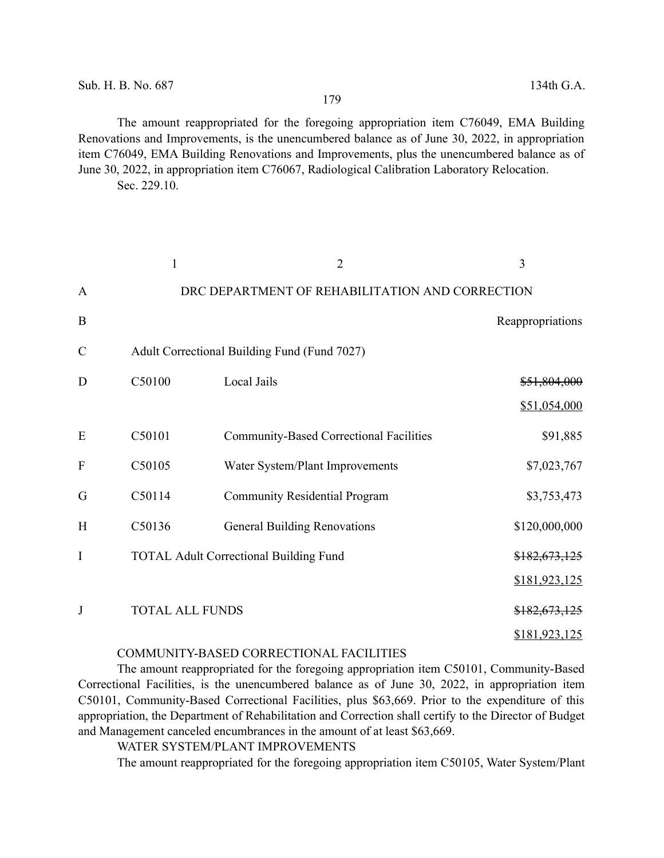The amount reappropriated for the foregoing appropriation item C76049, EMA Building Renovations and Improvements, is the unencumbered balance as of June 30, 2022, in appropriation item C76049, EMA Building Renovations and Improvements, plus the unencumbered balance as of June 30, 2022, in appropriation item C76067, Radiological Calibration Laboratory Relocation. Sec. 229.10.

|                           | 1                      | $\overline{2}$                                  | 3                |
|---------------------------|------------------------|-------------------------------------------------|------------------|
| $\mathbf{A}$              |                        | DRC DEPARTMENT OF REHABILITATION AND CORRECTION |                  |
| B                         |                        |                                                 | Reappropriations |
| $\mathcal{C}$             |                        | Adult Correctional Building Fund (Fund 7027)    |                  |
| D                         | C50100                 | Local Jails                                     | \$51,804,000     |
|                           |                        |                                                 | \$51,054,000     |
| E                         | C50101                 | <b>Community-Based Correctional Facilities</b>  | \$91,885         |
| $\boldsymbol{\mathrm{F}}$ | C50105                 | Water System/Plant Improvements                 | \$7,023,767      |
| G                         | C50114                 | <b>Community Residential Program</b>            | \$3,753,473      |
| H                         | C50136                 | <b>General Building Renovations</b>             | \$120,000,000    |
| I                         |                        | <b>TOTAL Adult Correctional Building Fund</b>   | \$182,673,125    |
|                           |                        |                                                 | \$181,923,125    |
| J                         | <b>TOTAL ALL FUNDS</b> |                                                 | \$182,673,125    |
|                           |                        |                                                 | \$181,923,125    |

#### COMMUNITY-BASED CORRECTIONAL FACILITIES

The amount reappropriated for the foregoing appropriation item C50101, Community-Based Correctional Facilities, is the unencumbered balance as of June 30, 2022, in appropriation item C50101, Community-Based Correctional Facilities, plus \$63,669. Prior to the expenditure of this appropriation, the Department of Rehabilitation and Correction shall certify to the Director of Budget and Management canceled encumbrances in the amount of at least \$63,669.

WATER SYSTEM/PLANT IMPROVEMENTS

The amount reappropriated for the foregoing appropriation item C50105, Water System/Plant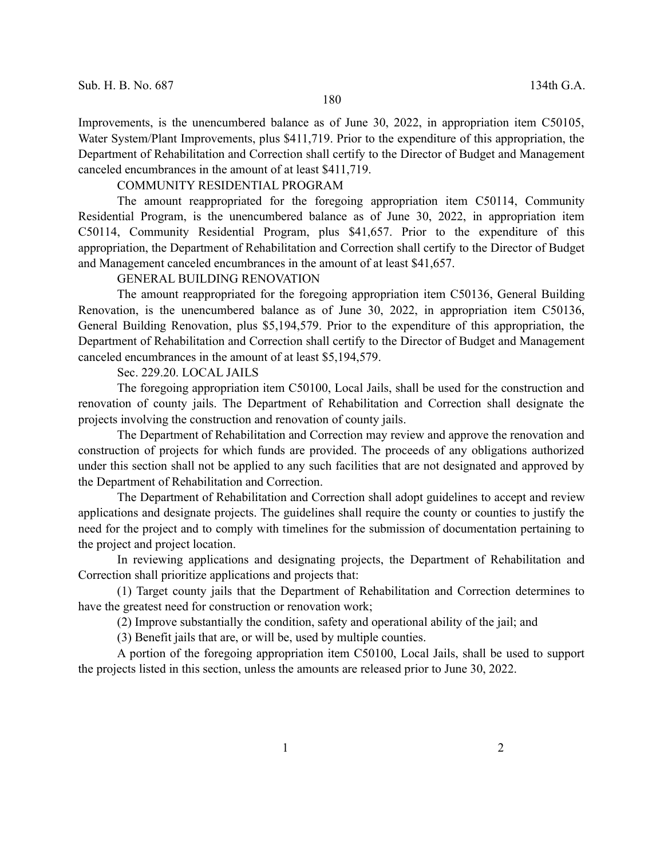Improvements, is the unencumbered balance as of June 30, 2022, in appropriation item C50105, Water System/Plant Improvements, plus \$411,719. Prior to the expenditure of this appropriation, the Department of Rehabilitation and Correction shall certify to the Director of Budget and Management canceled encumbrances in the amount of at least \$411,719.

## COMMUNITY RESIDENTIAL PROGRAM

The amount reappropriated for the foregoing appropriation item C50114, Community Residential Program, is the unencumbered balance as of June 30, 2022, in appropriation item C50114, Community Residential Program, plus \$41,657. Prior to the expenditure of this appropriation, the Department of Rehabilitation and Correction shall certify to the Director of Budget and Management canceled encumbrances in the amount of at least \$41,657.

#### GENERAL BUILDING RENOVATION

The amount reappropriated for the foregoing appropriation item C50136, General Building Renovation, is the unencumbered balance as of June 30, 2022, in appropriation item C50136, General Building Renovation, plus \$5,194,579. Prior to the expenditure of this appropriation, the Department of Rehabilitation and Correction shall certify to the Director of Budget and Management canceled encumbrances in the amount of at least \$5,194,579.

## Sec. 229.20. LOCAL JAILS

The foregoing appropriation item C50100, Local Jails, shall be used for the construction and renovation of county jails. The Department of Rehabilitation and Correction shall designate the projects involving the construction and renovation of county jails.

The Department of Rehabilitation and Correction may review and approve the renovation and construction of projects for which funds are provided. The proceeds of any obligations authorized under this section shall not be applied to any such facilities that are not designated and approved by the Department of Rehabilitation and Correction.

The Department of Rehabilitation and Correction shall adopt guidelines to accept and review applications and designate projects. The guidelines shall require the county or counties to justify the need for the project and to comply with timelines for the submission of documentation pertaining to the project and project location.

In reviewing applications and designating projects, the Department of Rehabilitation and Correction shall prioritize applications and projects that:

(1) Target county jails that the Department of Rehabilitation and Correction determines to have the greatest need for construction or renovation work;

(2) Improve substantially the condition, safety and operational ability of the jail; and

(3) Benefit jails that are, or will be, used by multiple counties.

A portion of the foregoing appropriation item C50100, Local Jails, shall be used to support the projects listed in this section, unless the amounts are released prior to June 30, 2022.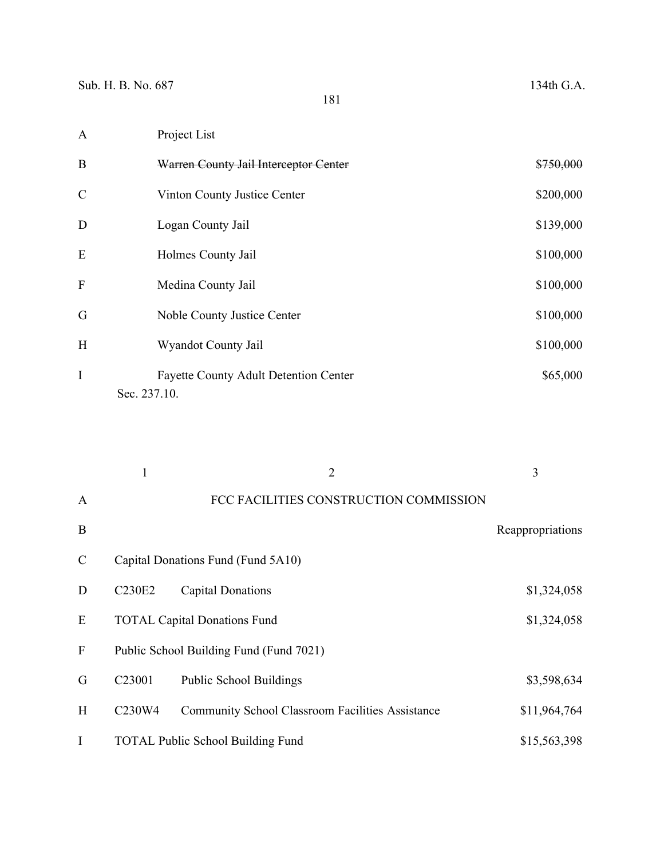| $\mathbf{A}$  | Project List                                 |           |
|---------------|----------------------------------------------|-----------|
| $\mathbf B$   | Warren County Jail Interceptor Center        | \$750,000 |
| $\mathcal{C}$ | Vinton County Justice Center                 | \$200,000 |
| $\mathbf D$   | Logan County Jail                            | \$139,000 |
| E             | Holmes County Jail                           | \$100,000 |
| $\mathbf{F}$  | Medina County Jail                           | \$100,000 |
| G             | Noble County Justice Center                  | \$100,000 |
| H             | Wyandot County Jail                          | \$100,000 |
| $\bf{I}$      | <b>Fayette County Adult Detention Center</b> | \$65,000  |
|               | Sec. 237.10.                                 |           |

|               |                    | $\overline{2}$                                          | 3                |
|---------------|--------------------|---------------------------------------------------------|------------------|
| $\mathbf{A}$  |                    | FCC FACILITIES CONSTRUCTION COMMISSION                  |                  |
| B             |                    |                                                         | Reappropriations |
| $\mathcal{C}$ |                    | Capital Donations Fund (Fund 5A10)                      |                  |
| D             | <b>C230E2</b>      | Capital Donations                                       | \$1,324,058      |
| E             |                    | <b>TOTAL Capital Donations Fund</b>                     | \$1,324,058      |
| $\mathbf{F}$  |                    | Public School Building Fund (Fund 7021)                 |                  |
| G             | C <sub>23001</sub> | <b>Public School Buildings</b>                          | \$3,598,634      |
| H             | C230W4             | <b>Community School Classroom Facilities Assistance</b> | \$11,964,764     |
| I             |                    | <b>TOTAL Public School Building Fund</b>                | \$15,563,398     |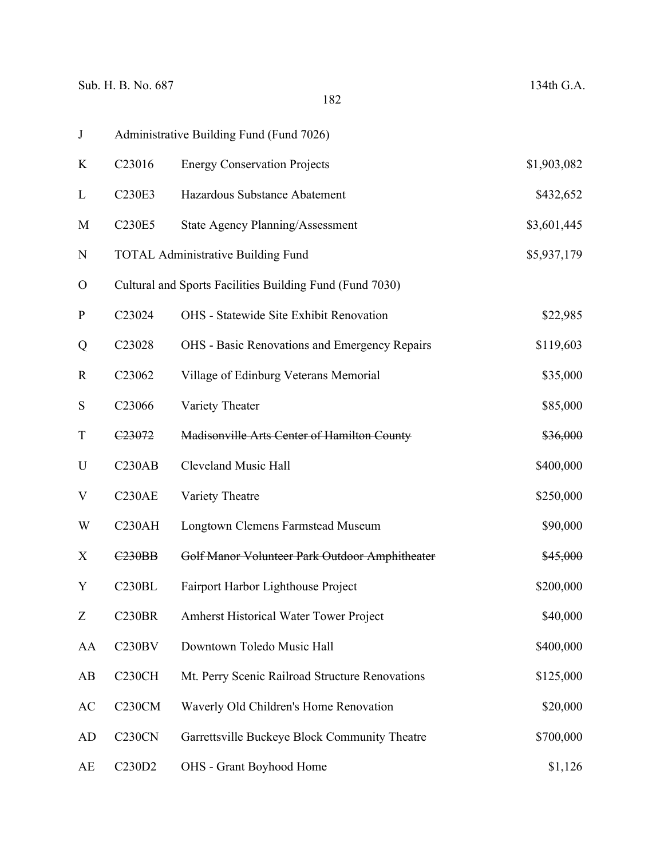| $\bf J$                   |                     | Administrative Building Fund (Fund 7026)                 |             |
|---------------------------|---------------------|----------------------------------------------------------|-------------|
| K                         | C23016              | <b>Energy Conservation Projects</b>                      | \$1,903,082 |
| L                         | C230E3              | Hazardous Substance Abatement                            | \$432,652   |
| M                         | C230E5              | <b>State Agency Planning/Assessment</b>                  | \$3,601,445 |
| N                         |                     | <b>TOTAL Administrative Building Fund</b>                | \$5,937,179 |
| $\mathbf{O}$              |                     | Cultural and Sports Facilities Building Fund (Fund 7030) |             |
| ${\bf P}$                 | C23024              | OHS - Statewide Site Exhibit Renovation                  | \$22,985    |
| Q                         | C23028              | OHS - Basic Renovations and Emergency Repairs            | \$119,603   |
| $\mathbf R$               | C23062              | Village of Edinburg Veterans Memorial                    | \$35,000    |
| ${\bf S}$                 | C23066              | Variety Theater                                          | \$85,000    |
| $\mathbf T$               | C <sub>23072</sub>  | Madisonville Arts Center of Hamilton County              | \$36,000    |
| U                         | C230AB              | <b>Cleveland Music Hall</b>                              | \$400,000   |
| $\boldsymbol{\mathrm{V}}$ | C230AE              | Variety Theatre                                          | \$250,000   |
| W                         | C230AH              | <b>Longtown Clemens Farmstead Museum</b>                 | \$90,000    |
| X                         | <b>C230BB</b>       | Golf Manor Volunteer Park Outdoor Amphitheater           | \$45,000    |
| Y                         | C230BL              | Fairport Harbor Lighthouse Project                       | \$200,000   |
| $\boldsymbol{Z}$          | <b>C230BR</b>       | Amherst Historical Water Tower Project                   | \$40,000    |
| AA                        | C230BV              | Downtown Toledo Music Hall                               | \$400,000   |
| AB                        | C <sub>230</sub> CH | Mt. Perry Scenic Railroad Structure Renovations          | \$125,000   |
| AC                        | <b>C230CM</b>       | Waverly Old Children's Home Renovation                   | \$20,000    |
| <b>AD</b>                 | C <sub>230</sub> CN | Garrettsville Buckeye Block Community Theatre            | \$700,000   |
| AE                        | C230D2              | OHS - Grant Boyhood Home                                 | \$1,126     |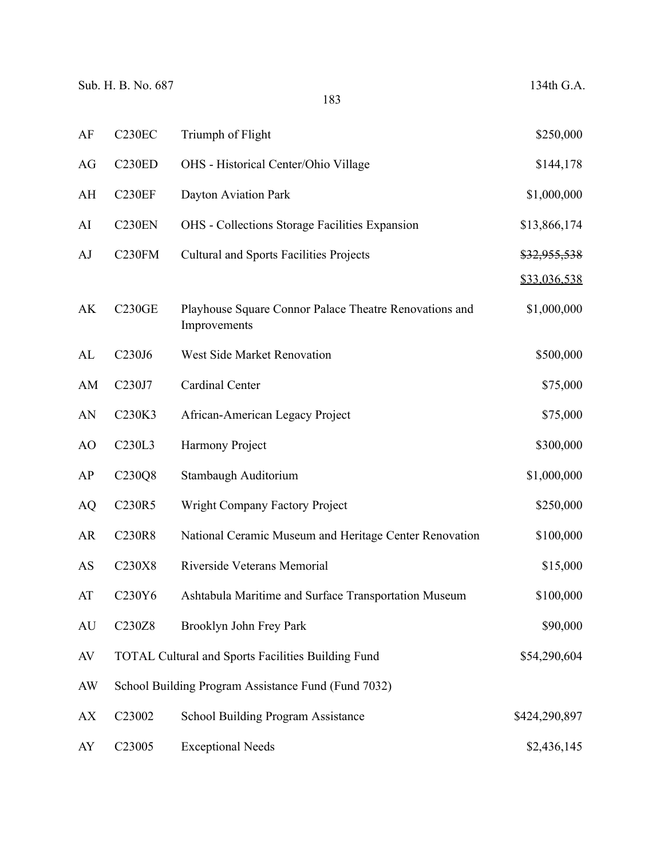| AF        | <b>C230EC</b>                   | Triumph of Flight                                                      | \$250,000               |
|-----------|---------------------------------|------------------------------------------------------------------------|-------------------------|
| AG        | <b>C230ED</b>                   | OHS - Historical Center/Ohio Village                                   | \$144,178               |
| AH        | <b>C230EF</b>                   | Dayton Aviation Park                                                   | \$1,000,000             |
| AI        | C230EN                          | <b>OHS</b> - Collections Storage Facilities Expansion                  | \$13,866,174            |
| AJ        | C <sub>230FM</sub>              | <b>Cultural and Sports Facilities Projects</b>                         | <del>\$32,955,538</del> |
|           |                                 |                                                                        | \$33,036,538            |
| AK        | <b>C230GE</b>                   | Playhouse Square Connor Palace Theatre Renovations and<br>Improvements | \$1,000,000             |
| AL        | C230J6                          | West Side Market Renovation                                            | \$500,000               |
| AM        | C230J7                          | Cardinal Center                                                        | \$75,000                |
| AN        | C230K3                          | African-American Legacy Project                                        | \$75,000                |
| AO        | C230L3                          | Harmony Project                                                        | \$300,000               |
| AP        | C230Q8                          | Stambaugh Auditorium                                                   | \$1,000,000             |
| AQ        | C230R5                          | Wright Company Factory Project                                         | \$250,000               |
| AR        | C230R8                          | National Ceramic Museum and Heritage Center Renovation                 | \$100,000               |
| AS        | C230X8                          | Riverside Veterans Memorial                                            | \$15,000                |
| AT        | C230Y6                          | Ashtabula Maritime and Surface Transportation Museum                   | \$100,000               |
| AU        | C <sub>230</sub> Z <sub>8</sub> | Brooklyn John Frey Park                                                | \$90,000                |
| $\rm{AV}$ |                                 | <b>TOTAL Cultural and Sports Facilities Building Fund</b>              | \$54,290,604            |
| AW        |                                 | School Building Program Assistance Fund (Fund 7032)                    |                         |
| <b>AX</b> | C23002                          | School Building Program Assistance                                     | \$424,290,897           |
| AY        | C23005                          | <b>Exceptional Needs</b>                                               | \$2,436,145             |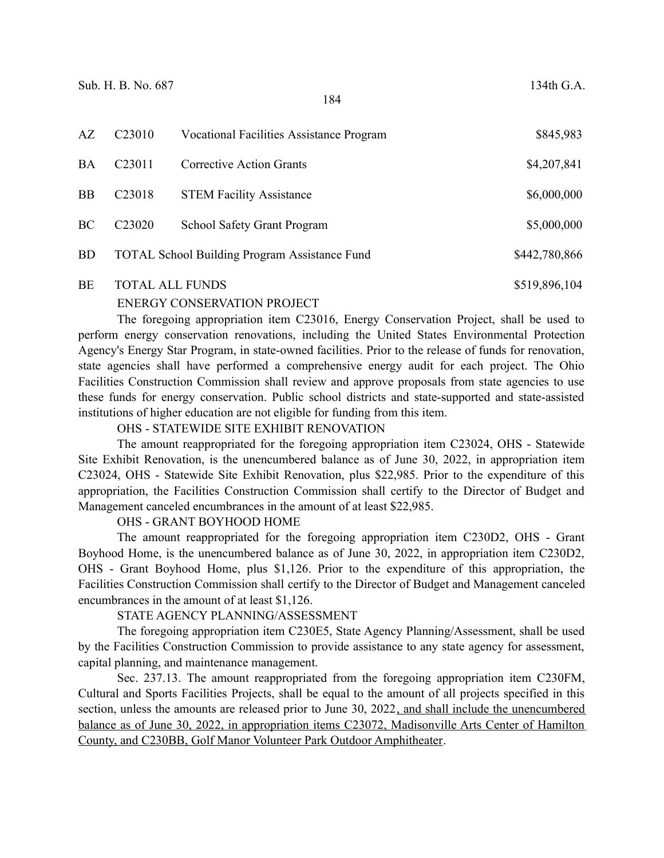| AZ        | C <sub>23010</sub>     | <b>Vocational Facilities Assistance Program</b>      | \$845,983     |
|-----------|------------------------|------------------------------------------------------|---------------|
| <b>BA</b> | C <sub>23011</sub>     | <b>Corrective Action Grants</b>                      | \$4,207,841   |
| <b>BB</b> | C <sub>23018</sub>     | <b>STEM Facility Assistance</b>                      | \$6,000,000   |
| <b>BC</b> | C <sub>23020</sub>     | School Safety Grant Program                          | \$5,000,000   |
| <b>BD</b> |                        | <b>TOTAL School Building Program Assistance Fund</b> | \$442,780,866 |
| <b>BE</b> | <b>TOTAL ALL FUNDS</b> |                                                      | \$519,896,104 |

## ENERGY CONSERVATION PROJECT

The foregoing appropriation item C23016, Energy Conservation Project, shall be used to perform energy conservation renovations, including the United States Environmental Protection Agency's Energy Star Program, in state-owned facilities. Prior to the release of funds for renovation, state agencies shall have performed a comprehensive energy audit for each project. The Ohio Facilities Construction Commission shall review and approve proposals from state agencies to use these funds for energy conservation. Public school districts and state-supported and state-assisted institutions of higher education are not eligible for funding from this item.

OHS - STATEWIDE SITE EXHIBIT RENOVATION

The amount reappropriated for the foregoing appropriation item C23024, OHS - Statewide Site Exhibit Renovation, is the unencumbered balance as of June 30, 2022, in appropriation item C23024, OHS - Statewide Site Exhibit Renovation, plus \$22,985. Prior to the expenditure of this appropriation, the Facilities Construction Commission shall certify to the Director of Budget and Management canceled encumbrances in the amount of at least \$22,985.

### OHS - GRANT BOYHOOD HOME

The amount reappropriated for the foregoing appropriation item C230D2, OHS - Grant Boyhood Home, is the unencumbered balance as of June 30, 2022, in appropriation item C230D2, OHS - Grant Boyhood Home, plus \$1,126. Prior to the expenditure of this appropriation, the Facilities Construction Commission shall certify to the Director of Budget and Management canceled encumbrances in the amount of at least \$1,126.

### STATE AGENCY PLANNING/ASSESSMENT

The foregoing appropriation item C230E5, State Agency Planning/Assessment, shall be used by the Facilities Construction Commission to provide assistance to any state agency for assessment, capital planning, and maintenance management.

Sec. 237.13. The amount reappropriated from the foregoing appropriation item C230FM, Cultural and Sports Facilities Projects, shall be equal to the amount of all projects specified in this section, unless the amounts are released prior to June 30, 2022, and shall include the unencumbered balance as of June 30, 2022, in appropriation items C23072, Madisonville Arts Center of Hamilton County, and C230BB, Golf Manor Volunteer Park Outdoor Amphitheater.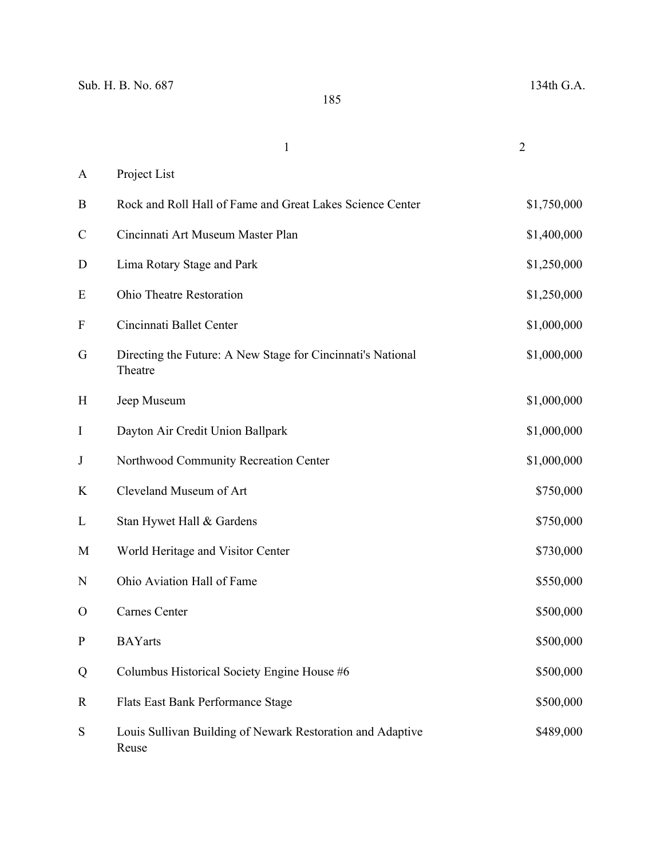|                           | $\mathbf{1}$                                                           | $\overline{2}$ |
|---------------------------|------------------------------------------------------------------------|----------------|
| A                         | Project List                                                           |                |
| B                         | Rock and Roll Hall of Fame and Great Lakes Science Center              | \$1,750,000    |
| $\mathcal{C}$             | Cincinnati Art Museum Master Plan                                      | \$1,400,000    |
| $\mathbf D$               | Lima Rotary Stage and Park                                             | \$1,250,000    |
| E                         | Ohio Theatre Restoration                                               | \$1,250,000    |
| $\boldsymbol{\mathrm{F}}$ | Cincinnati Ballet Center                                               | \$1,000,000    |
| G                         | Directing the Future: A New Stage for Cincinnati's National<br>Theatre | \$1,000,000    |
| H                         | Jeep Museum                                                            | \$1,000,000    |
| I                         | Dayton Air Credit Union Ballpark                                       | \$1,000,000    |
| J                         | Northwood Community Recreation Center                                  | \$1,000,000    |
| K                         | Cleveland Museum of Art                                                | \$750,000      |
| L                         | Stan Hywet Hall & Gardens                                              | \$750,000      |
| M                         | World Heritage and Visitor Center                                      | \$730,000      |
| N                         | Ohio Aviation Hall of Fame                                             | \$550,000      |
| $\mathbf{O}$              | Carnes Center                                                          | \$500,000      |
| ${\bf P}$                 | <b>BAYarts</b>                                                         | \$500,000      |
| Q                         | Columbus Historical Society Engine House #6                            | \$500,000      |
| R                         | Flats East Bank Performance Stage                                      | \$500,000      |
| ${\bf S}$                 | Louis Sullivan Building of Newark Restoration and Adaptive<br>Reuse    | \$489,000      |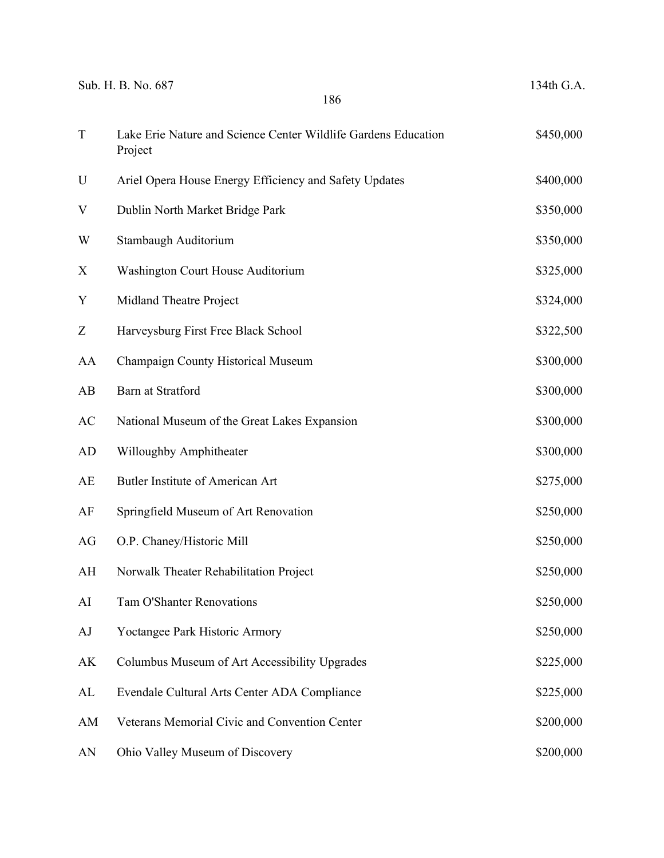|             | Sub. H. B. No. 687<br>186                                                 | 134th G.A. |
|-------------|---------------------------------------------------------------------------|------------|
| $\mathbf T$ | Lake Erie Nature and Science Center Wildlife Gardens Education<br>Project | \$450,000  |
| U           | Ariel Opera House Energy Efficiency and Safety Updates                    | \$400,000  |
| V           | Dublin North Market Bridge Park                                           | \$350,000  |
| W           | Stambaugh Auditorium                                                      | \$350,000  |
| X           | Washington Court House Auditorium                                         | \$325,000  |
| Y           | Midland Theatre Project                                                   | \$324,000  |
| Z           | Harveysburg First Free Black School                                       | \$322,500  |
| AA          | Champaign County Historical Museum                                        | \$300,000  |
| AB          | <b>Barn at Stratford</b>                                                  | \$300,000  |
| AC          | National Museum of the Great Lakes Expansion                              | \$300,000  |
| AD          | Willoughby Amphitheater                                                   | \$300,000  |
| AE          | Butler Institute of American Art                                          | \$275,000  |
| AF          | Springfield Museum of Art Renovation                                      | \$250,000  |
| AG          | O.P. Chaney/Historic Mill                                                 | \$250,000  |
| AH          | Norwalk Theater Rehabilitation Project                                    | \$250,000  |
| AI          | <b>Tam O'Shanter Renovations</b>                                          | \$250,000  |
| AJ          | Yoctangee Park Historic Armory                                            | \$250,000  |
| AK          | Columbus Museum of Art Accessibility Upgrades                             | \$225,000  |
| AL          | Evendale Cultural Arts Center ADA Compliance                              | \$225,000  |
| AM          | Veterans Memorial Civic and Convention Center                             | \$200,000  |
| AN          | Ohio Valley Museum of Discovery                                           | \$200,000  |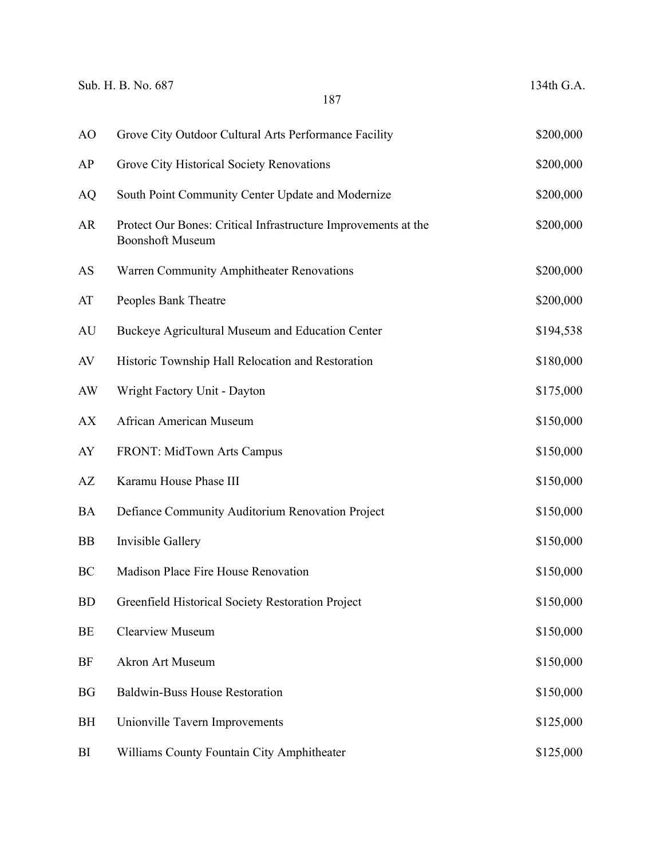|           | Sub. H. B. No. 687<br>187                                                                 | 134th G.A. |
|-----------|-------------------------------------------------------------------------------------------|------------|
| AO        | Grove City Outdoor Cultural Arts Performance Facility                                     | \$200,000  |
| AP        | Grove City Historical Society Renovations                                                 | \$200,000  |
| <b>AQ</b> | South Point Community Center Update and Modernize                                         | \$200,000  |
| AR        | Protect Our Bones: Critical Infrastructure Improvements at the<br><b>Boonshoft Museum</b> | \$200,000  |
| AS        | Warren Community Amphitheater Renovations                                                 | \$200,000  |
| AT        | Peoples Bank Theatre                                                                      | \$200,000  |
| AU        | Buckeye Agricultural Museum and Education Center                                          | \$194,538  |
| AV        | Historic Township Hall Relocation and Restoration                                         | \$180,000  |
| AW        | Wright Factory Unit - Dayton                                                              | \$175,000  |
| AX        | African American Museum                                                                   | \$150,000  |
| AY        | FRONT: MidTown Arts Campus                                                                | \$150,000  |
| AZ        | Karamu House Phase III                                                                    | \$150,000  |
| <b>BA</b> | Defiance Community Auditorium Renovation Project                                          | \$150,000  |
| <b>BB</b> | Invisible Gallery                                                                         | \$150,000  |
| <b>BC</b> | Madison Place Fire House Renovation                                                       | \$150,000  |
| <b>BD</b> | Greenfield Historical Society Restoration Project                                         | \$150,000  |
| BE        | Clearview Museum                                                                          | \$150,000  |
| BF        | Akron Art Museum                                                                          | \$150,000  |
| <b>BG</b> | <b>Baldwin-Buss House Restoration</b>                                                     | \$150,000  |
| BH        | Unionville Tavern Improvements                                                            | \$125,000  |
| BI        | Williams County Fountain City Amphitheater                                                | \$125,000  |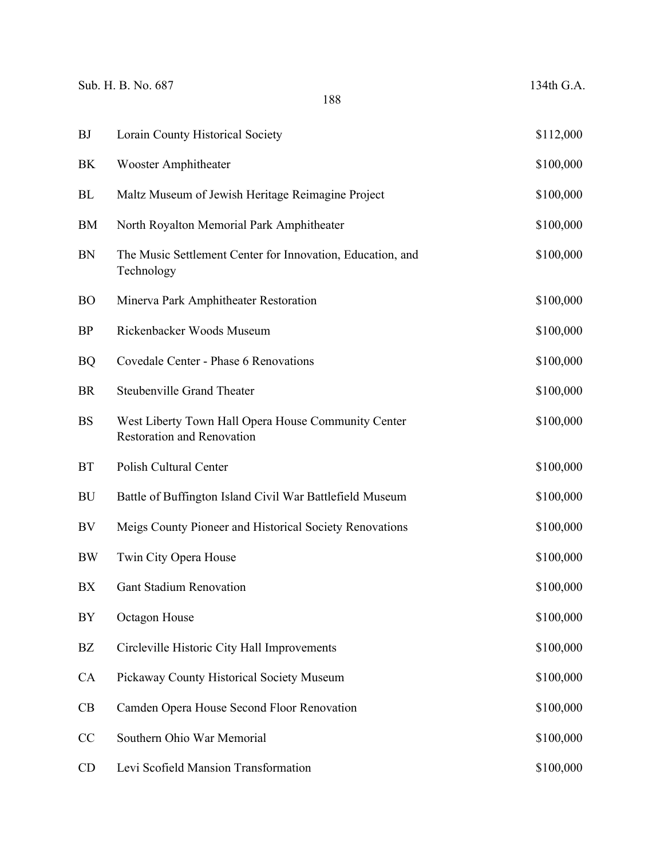| <b>BJ</b>  | Lorain County Historical Society                                                         | \$112,000 |
|------------|------------------------------------------------------------------------------------------|-----------|
| BK         | <b>Wooster Amphitheater</b>                                                              | \$100,000 |
| BL         | Maltz Museum of Jewish Heritage Reimagine Project                                        | \$100,000 |
| <b>BM</b>  | North Royalton Memorial Park Amphitheater                                                | \$100,000 |
| <b>BN</b>  | The Music Settlement Center for Innovation, Education, and<br>Technology                 | \$100,000 |
| <b>BO</b>  | Minerva Park Amphitheater Restoration                                                    | \$100,000 |
| <b>BP</b>  | Rickenbacker Woods Museum                                                                | \$100,000 |
| <b>BQ</b>  | Covedale Center - Phase 6 Renovations                                                    | \$100,000 |
| <b>BR</b>  | <b>Steubenville Grand Theater</b>                                                        | \$100,000 |
| <b>BS</b>  | West Liberty Town Hall Opera House Community Center<br><b>Restoration and Renovation</b> | \$100,000 |
| <b>BT</b>  | Polish Cultural Center                                                                   | \$100,000 |
| BU         | Battle of Buffington Island Civil War Battlefield Museum                                 | \$100,000 |
| BV         | Meigs County Pioneer and Historical Society Renovations                                  | \$100,000 |
| <b>BW</b>  | Twin City Opera House                                                                    | \$100,000 |
| BX         | <b>Gant Stadium Renovation</b>                                                           | \$100,000 |
| ${\rm BY}$ | Octagon House                                                                            | \$100,000 |
| BZ         | Circleville Historic City Hall Improvements                                              | \$100,000 |
| CA         | Pickaway County Historical Society Museum                                                | \$100,000 |
| CB         | Camden Opera House Second Floor Renovation                                               | \$100,000 |
| CC         | Southern Ohio War Memorial                                                               | \$100,000 |
| CD         | Levi Scofield Mansion Transformation                                                     | \$100,000 |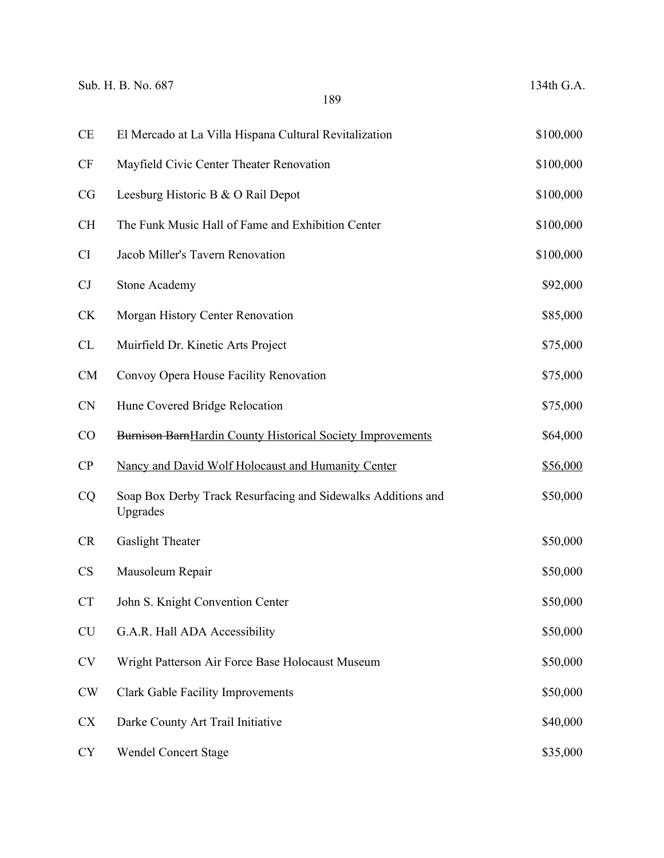|           | Sub. H. B. No. 687<br>189                                                | 134th G.A. |
|-----------|--------------------------------------------------------------------------|------------|
| <b>CE</b> | El Mercado at La Villa Hispana Cultural Revitalization                   | \$100,000  |
| <b>CF</b> | Mayfield Civic Center Theater Renovation                                 | \$100,000  |
| CG        | Leesburg Historic B & O Rail Depot                                       | \$100,000  |
| <b>CH</b> | The Funk Music Hall of Fame and Exhibition Center                        | \$100,000  |
| <b>CI</b> | Jacob Miller's Tavern Renovation                                         | \$100,000  |
| CJ        | <b>Stone Academy</b>                                                     | \$92,000   |
| <b>CK</b> | Morgan History Center Renovation                                         | \$85,000   |
| CL        | Muirfield Dr. Kinetic Arts Project                                       | \$75,000   |
| CM        | Convoy Opera House Facility Renovation                                   | \$75,000   |
| <b>CN</b> | Hune Covered Bridge Relocation                                           | \$75,000   |
| CO        | Burnison BarnHardin County Historical Society Improvements               | \$64,000   |
| CP        | Nancy and David Wolf Holocaust and Humanity Center                       | \$56,000   |
| CQ        | Soap Box Derby Track Resurfacing and Sidewalks Additions and<br>Upgrades | \$50,000   |
| <b>CR</b> | Gaslight Theater                                                         | \$50,000   |
| <b>CS</b> | Mausoleum Repair                                                         | \$50,000   |
| CT        | John S. Knight Convention Center                                         | \$50,000   |
| <b>CU</b> | G.A.R. Hall ADA Accessibility                                            | \$50,000   |
| <b>CV</b> | Wright Patterson Air Force Base Holocaust Museum                         | \$50,000   |
| <b>CW</b> | <b>Clark Gable Facility Improvements</b>                                 | \$50,000   |
| <b>CX</b> | Darke County Art Trail Initiative                                        | \$40,000   |
| <b>CY</b> | <b>Wendel Concert Stage</b>                                              | \$35,000   |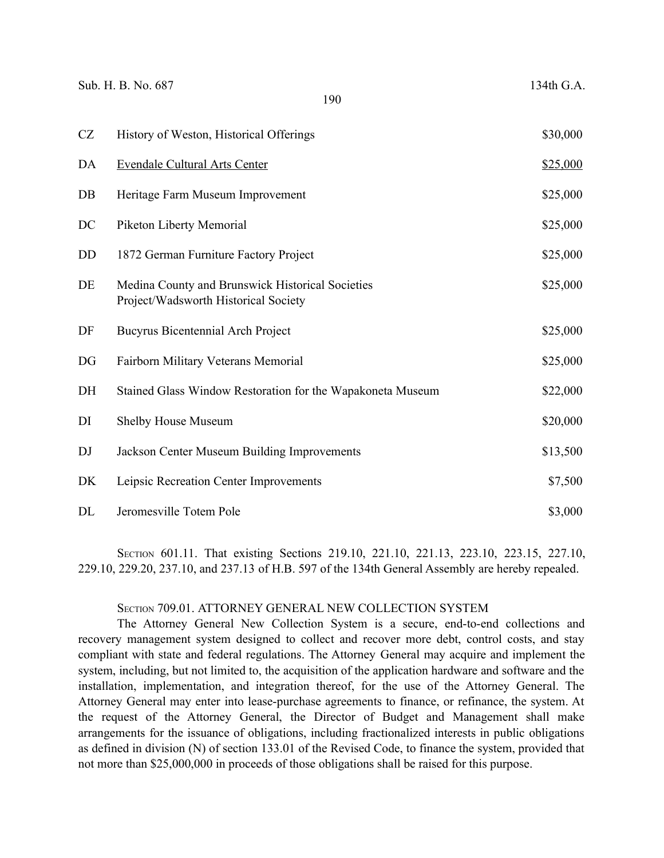| CZ | History of Weston, Historical Offerings                                                  | \$30,000 |
|----|------------------------------------------------------------------------------------------|----------|
| DA | <b>Evendale Cultural Arts Center</b>                                                     | \$25,000 |
| DB | Heritage Farm Museum Improvement                                                         | \$25,000 |
| DC | Piketon Liberty Memorial                                                                 | \$25,000 |
| DD | 1872 German Furniture Factory Project                                                    | \$25,000 |
| DE | Medina County and Brunswick Historical Societies<br>Project/Wadsworth Historical Society | \$25,000 |
| DF | <b>Bucyrus Bicentennial Arch Project</b>                                                 | \$25,000 |
| DG | Fairborn Military Veterans Memorial                                                      | \$25,000 |
| DH | Stained Glass Window Restoration for the Wapakoneta Museum                               | \$22,000 |
| DI | Shelby House Museum                                                                      | \$20,000 |
| DJ | Jackson Center Museum Building Improvements                                              | \$13,500 |
| DK | Leipsic Recreation Center Improvements                                                   | \$7,500  |
| DL | Jeromesville Totem Pole                                                                  | \$3,000  |

SECTION 601.11. That existing Sections 219.10, 221.10, 221.13, 223.10, 223.15, 227.10, 229.10, 229.20, 237.10, and 237.13 of H.B. 597 of the 134th General Assembly are hereby repealed.

# SECTION 709.01. ATTORNEY GENERAL NEW COLLECTION SYSTEM

The Attorney General New Collection System is a secure, end-to-end collections and recovery management system designed to collect and recover more debt, control costs, and stay compliant with state and federal regulations. The Attorney General may acquire and implement the system, including, but not limited to, the acquisition of the application hardware and software and the installation, implementation, and integration thereof, for the use of the Attorney General. The Attorney General may enter into lease-purchase agreements to finance, or refinance, the system. At the request of the Attorney General, the Director of Budget and Management shall make arrangements for the issuance of obligations, including fractionalized interests in public obligations as defined in division (N) of section 133.01 of the Revised Code, to finance the system, provided that not more than \$25,000,000 in proceeds of those obligations shall be raised for this purpose.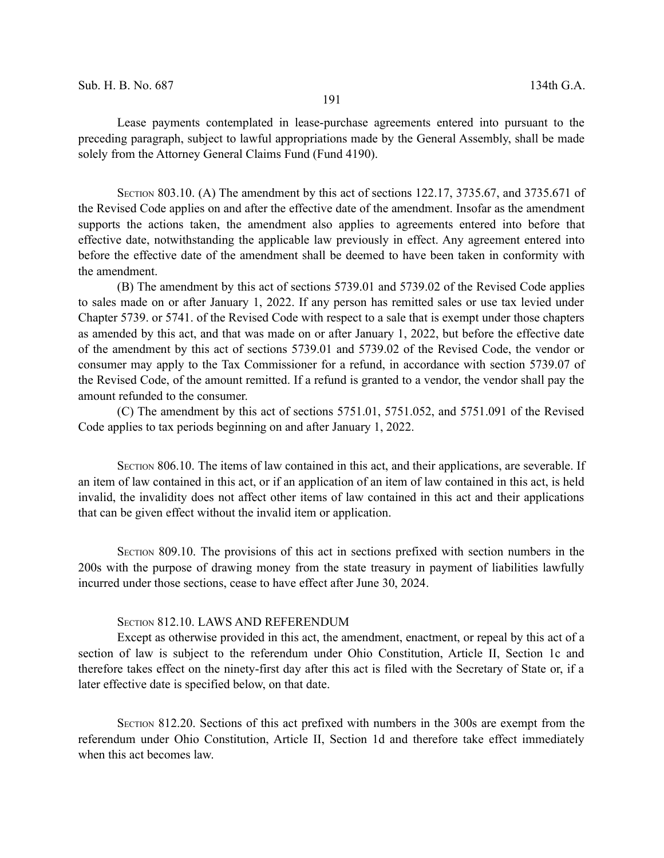Lease payments contemplated in lease-purchase agreements entered into pursuant to the preceding paragraph, subject to lawful appropriations made by the General Assembly, shall be made solely from the Attorney General Claims Fund (Fund 4190).

SECTION 803.10. (A) The amendment by this act of sections 122.17, 3735.67, and 3735.671 of the Revised Code applies on and after the effective date of the amendment. Insofar as the amendment supports the actions taken, the amendment also applies to agreements entered into before that effective date, notwithstanding the applicable law previously in effect. Any agreement entered into before the effective date of the amendment shall be deemed to have been taken in conformity with the amendment.

(B) The amendment by this act of sections 5739.01 and 5739.02 of the Revised Code applies to sales made on or after January 1, 2022. If any person has remitted sales or use tax levied under Chapter 5739. or 5741. of the Revised Code with respect to a sale that is exempt under those chapters as amended by this act, and that was made on or after January 1, 2022, but before the effective date of the amendment by this act of sections 5739.01 and 5739.02 of the Revised Code, the vendor or consumer may apply to the Tax Commissioner for a refund, in accordance with section 5739.07 of the Revised Code, of the amount remitted. If a refund is granted to a vendor, the vendor shall pay the amount refunded to the consumer.

(C) The amendment by this act of sections 5751.01, 5751.052, and 5751.091 of the Revised Code applies to tax periods beginning on and after January 1, 2022.

SECTION 806.10. The items of law contained in this act, and their applications, are severable. If an item of law contained in this act, or if an application of an item of law contained in this act, is held invalid, the invalidity does not affect other items of law contained in this act and their applications that can be given effect without the invalid item or application.

SECTION 809.10. The provisions of this act in sections prefixed with section numbers in the 200s with the purpose of drawing money from the state treasury in payment of liabilities lawfully incurred under those sections, cease to have effect after June 30, 2024.

## SECTION 812.10. LAWS AND REFERENDUM

Except as otherwise provided in this act, the amendment, enactment, or repeal by this act of a section of law is subject to the referendum under Ohio Constitution, Article II, Section 1c and therefore takes effect on the ninety-first day after this act is filed with the Secretary of State or, if a later effective date is specified below, on that date.

SECTION 812.20. Sections of this act prefixed with numbers in the 300s are exempt from the referendum under Ohio Constitution, Article II, Section 1d and therefore take effect immediately when this act becomes law.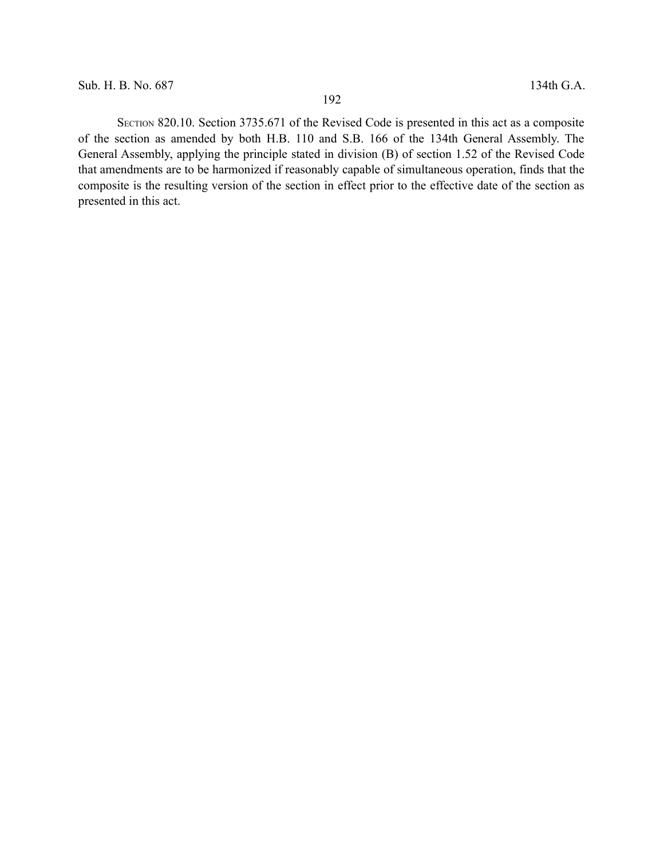SECTION 820.10. Section 3735.671 of the Revised Code is presented in this act as a composite of the section as amended by both H.B. 110 and S.B. 166 of the 134th General Assembly. The General Assembly, applying the principle stated in division (B) of section 1.52 of the Revised Code that amendments are to be harmonized if reasonably capable of simultaneous operation, finds that the composite is the resulting version of the section in effect prior to the effective date of the section as presented in this act.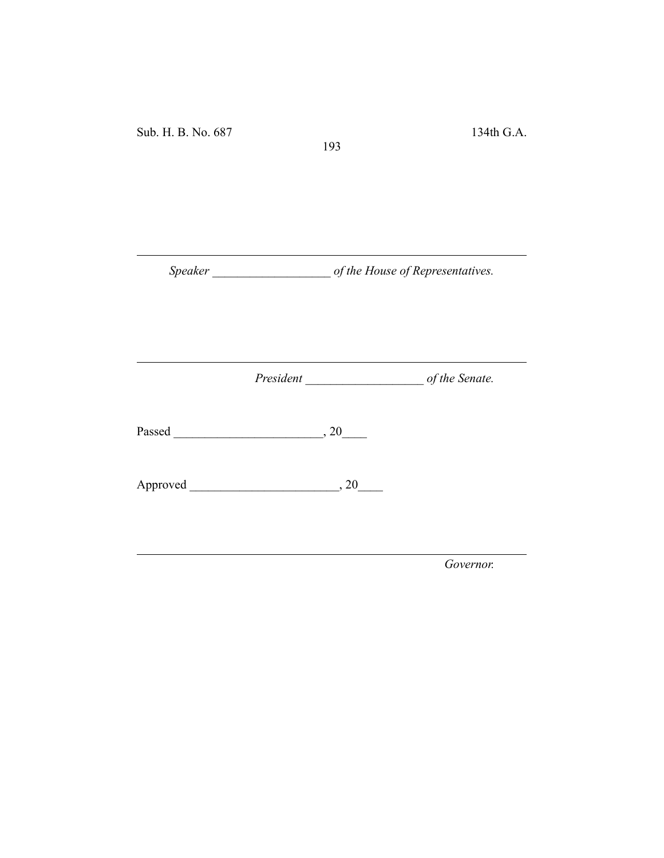Sub. H. B. No. 687 134th G.A.

*Speaker \_\_\_\_\_\_\_\_\_\_\_\_\_\_\_\_\_\_\_ of the House of Representatives.*

193

*President \_\_\_\_\_\_\_\_\_\_\_\_\_\_\_\_\_\_\_ of the Senate.*

Passed \_\_\_\_\_\_\_\_\_\_\_\_\_\_\_\_\_\_\_\_\_\_\_\_, 20\_\_\_\_

Approved \_\_\_\_\_\_\_\_\_\_\_\_\_\_\_\_\_\_\_\_\_\_\_\_, 20\_\_\_\_

*Governor.*